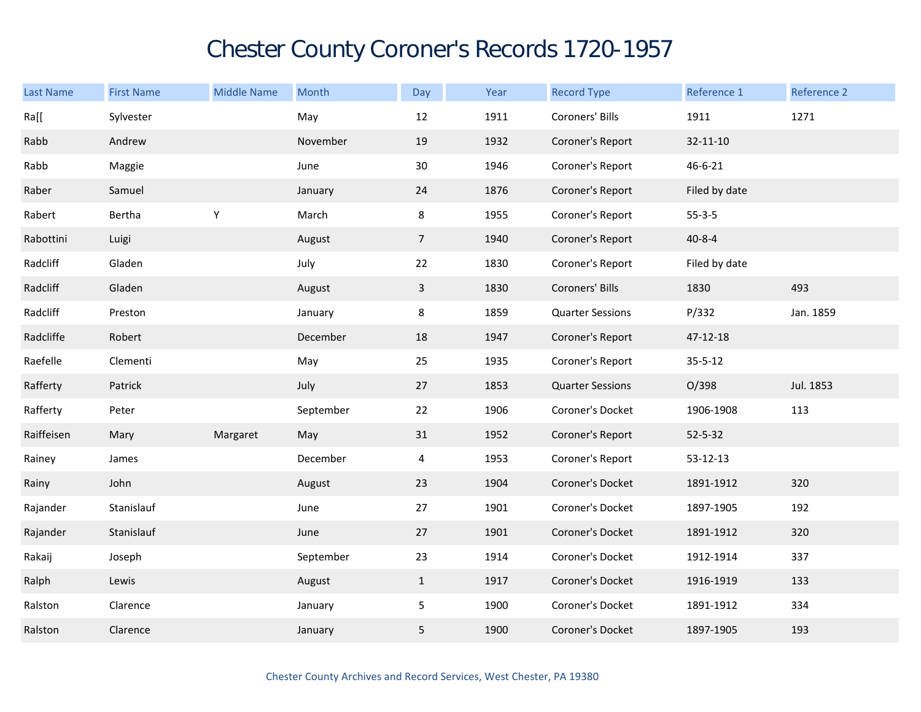## Chester County Coroner's Records 1720-1957

| Last Name  | <b>First Name</b> | <b>Middle Name</b> | Month     | Day            | Year | <b>Record Type</b>      | Reference 1   | Reference 2 |
|------------|-------------------|--------------------|-----------|----------------|------|-------------------------|---------------|-------------|
| Ra[[       | Sylvester         |                    | May       | 12             | 1911 | Coroners' Bills         | 1911          | 1271        |
| Rabb       | Andrew            |                    | November  | 19             | 1932 | Coroner's Report        | 32-11-10      |             |
| Rabb       | Maggie            |                    | June      | 30             | 1946 | Coroner's Report        | 46-6-21       |             |
| Raber      | Samuel            |                    | January   | 24             | 1876 | Coroner's Report        | Filed by date |             |
| Rabert     | Bertha            | $\mathsf Y$        | March     | 8              | 1955 | Coroner's Report        | $55 - 3 - 5$  |             |
| Rabottini  | Luigi             |                    | August    | $\overline{7}$ | 1940 | Coroner's Report        | $40 - 8 - 4$  |             |
| Radcliff   | Gladen            |                    | July      | 22             | 1830 | Coroner's Report        | Filed by date |             |
| Radcliff   | Gladen            |                    | August    | $\mathbf{3}$   | 1830 | Coroners' Bills         | 1830          | 493         |
| Radcliff   | Preston           |                    | January   | 8              | 1859 | <b>Quarter Sessions</b> | P/332         | Jan. 1859   |
| Radcliffe  | Robert            |                    | December  | 18             | 1947 | Coroner's Report        | 47-12-18      |             |
| Raefelle   | Clementi          |                    | May       | 25             | 1935 | Coroner's Report        | $35 - 5 - 12$ |             |
| Rafferty   | Patrick           |                    | July      | 27             | 1853 | <b>Quarter Sessions</b> | O/398         | Jul. 1853   |
| Rafferty   | Peter             |                    | September | 22             | 1906 | Coroner's Docket        | 1906-1908     | 113         |
| Raiffeisen | Mary              | Margaret           | May       | 31             | 1952 | Coroner's Report        | $52 - 5 - 32$ |             |
| Rainey     | James             |                    | December  | 4              | 1953 | Coroner's Report        | 53-12-13      |             |
| Rainy      | John              |                    | August    | 23             | 1904 | Coroner's Docket        | 1891-1912     | 320         |
| Rajander   | Stanislauf        |                    | June      | 27             | 1901 | Coroner's Docket        | 1897-1905     | 192         |
| Rajander   | Stanislauf        |                    | June      | 27             | 1901 | Coroner's Docket        | 1891-1912     | 320         |
| Rakaij     | Joseph            |                    | September | 23             | 1914 | Coroner's Docket        | 1912-1914     | 337         |
| Ralph      | Lewis             |                    | August    | $\mathbf{1}$   | 1917 | Coroner's Docket        | 1916-1919     | 133         |
| Ralston    | Clarence          |                    | January   | 5              | 1900 | Coroner's Docket        | 1891-1912     | 334         |
| Ralston    | Clarence          |                    | January   | 5              | 1900 | Coroner's Docket        | 1897-1905     | 193         |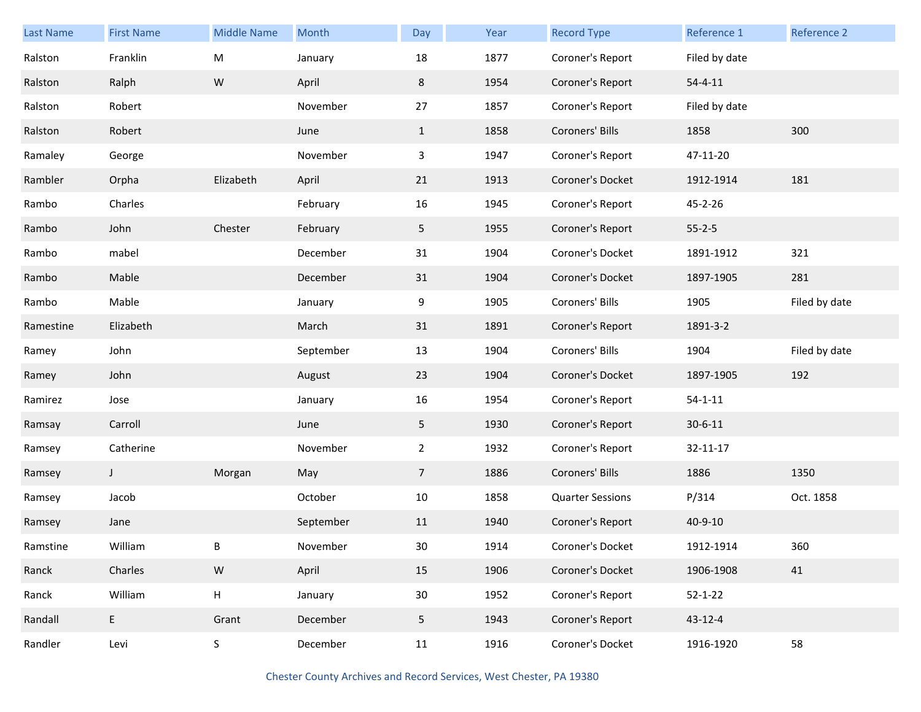| <b>Last Name</b> | <b>First Name</b> | <b>Middle Name</b> | <b>Month</b> | Day             | Year | <b>Record Type</b>      | Reference 1   | <b>Reference 2</b> |
|------------------|-------------------|--------------------|--------------|-----------------|------|-------------------------|---------------|--------------------|
| Ralston          | Franklin          | M                  | January      | 18              | 1877 | Coroner's Report        | Filed by date |                    |
| Ralston          | Ralph             | ${\sf W}$          | April        | 8               | 1954 | Coroner's Report        | $54 - 4 - 11$ |                    |
| Ralston          | Robert            |                    | November     | 27              | 1857 | Coroner's Report        | Filed by date |                    |
| Ralston          | Robert            |                    | June         | $\mathbf{1}$    | 1858 | Coroners' Bills         | 1858          | 300                |
| Ramaley          | George            |                    | November     | 3               | 1947 | Coroner's Report        | 47-11-20      |                    |
| Rambler          | Orpha             | Elizabeth          | April        | 21              | 1913 | Coroner's Docket        | 1912-1914     | 181                |
| Rambo            | Charles           |                    | February     | 16              | 1945 | Coroner's Report        | 45-2-26       |                    |
| Rambo            | John              | Chester            | February     | 5               | 1955 | Coroner's Report        | $55 - 2 - 5$  |                    |
| Rambo            | mabel             |                    | December     | 31              | 1904 | Coroner's Docket        | 1891-1912     | 321                |
| Rambo            | Mable             |                    | December     | 31              | 1904 | Coroner's Docket        | 1897-1905     | 281                |
| Rambo            | Mable             |                    | January      | 9               | 1905 | Coroners' Bills         | 1905          | Filed by date      |
| Ramestine        | Elizabeth         |                    | March        | 31              | 1891 | Coroner's Report        | 1891-3-2      |                    |
| Ramey            | John              |                    | September    | 13              | 1904 | Coroners' Bills         | 1904          | Filed by date      |
| Ramey            | John              |                    | August       | 23              | 1904 | Coroner's Docket        | 1897-1905     | 192                |
| Ramirez          | Jose              |                    | January      | 16              | 1954 | Coroner's Report        | $54 - 1 - 11$ |                    |
| Ramsay           | Carroll           |                    | June         | 5               | 1930 | Coroner's Report        | $30 - 6 - 11$ |                    |
| Ramsey           | Catherine         |                    | November     | $\overline{2}$  | 1932 | Coroner's Report        | 32-11-17      |                    |
| Ramsey           | J                 | Morgan             | May          | $\overline{7}$  | 1886 | Coroners' Bills         | 1886          | 1350               |
| Ramsey           | Jacob             |                    | October      | 10              | 1858 | <b>Quarter Sessions</b> | P/314         | Oct. 1858          |
| Ramsey           | Jane              |                    | September    | 11              | 1940 | Coroner's Report        | $40 - 9 - 10$ |                    |
| Ramstine         | William           | В                  | November     | 30              | 1914 | Coroner's Docket        | 1912-1914     | 360                |
| Ranck            | Charles           | ${\sf W}$          | April        | 15              | 1906 | Coroner's Docket        | 1906-1908     | 41                 |
| Ranck            | William           | $\mathsf H$        | January      | 30 <sup>°</sup> | 1952 | Coroner's Report        | $52 - 1 - 22$ |                    |
| Randall          | E.                | Grant              | December     | 5               | 1943 | Coroner's Report        | 43-12-4       |                    |
| Randler          | Levi              | $\sf S$            | December     | 11              | 1916 | Coroner's Docket        | 1916-1920     | 58                 |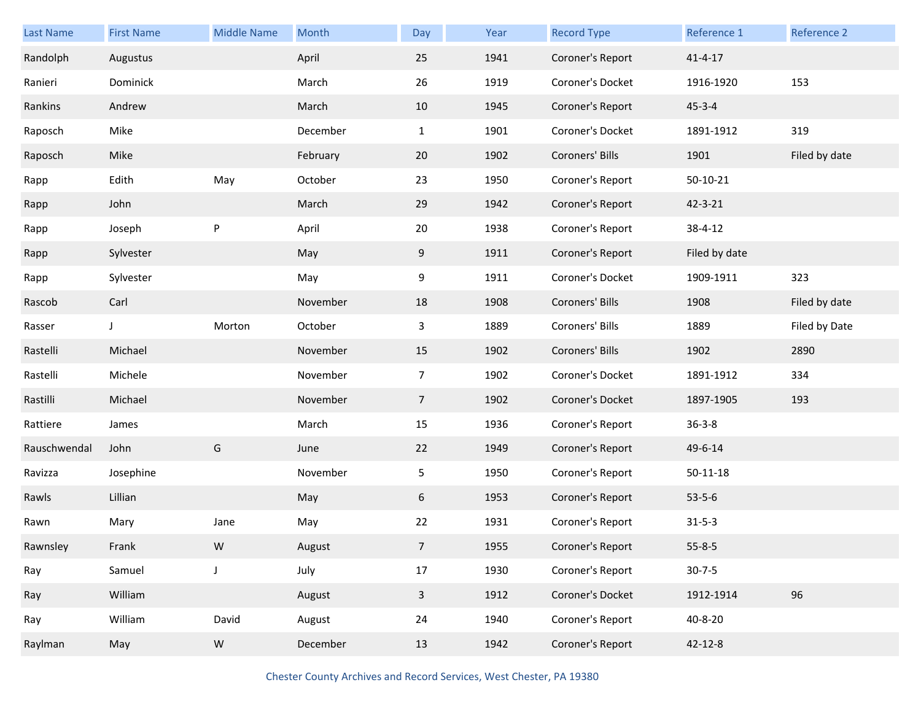| <b>Last Name</b> | <b>First Name</b> | <b>Middle Name</b> | Month    | Day            | Year | <b>Record Type</b> | Reference 1    | Reference 2   |
|------------------|-------------------|--------------------|----------|----------------|------|--------------------|----------------|---------------|
| Randolph         | Augustus          |                    | April    | 25             | 1941 | Coroner's Report   | $41 - 4 - 17$  |               |
| Ranieri          | Dominick          |                    | March    | 26             | 1919 | Coroner's Docket   | 1916-1920      | 153           |
| Rankins          | Andrew            |                    | March    | 10             | 1945 | Coroner's Report   | $45 - 3 - 4$   |               |
| Raposch          | Mike              |                    | December | $\mathbf{1}$   | 1901 | Coroner's Docket   | 1891-1912      | 319           |
| Raposch          | Mike              |                    | February | 20             | 1902 | Coroners' Bills    | 1901           | Filed by date |
| Rapp             | Edith             | May                | October  | 23             | 1950 | Coroner's Report   | $50-10-21$     |               |
| Rapp             | John              |                    | March    | 29             | 1942 | Coroner's Report   | 42-3-21        |               |
| Rapp             | Joseph            | P                  | April    | 20             | 1938 | Coroner's Report   | 38-4-12        |               |
| Rapp             | Sylvester         |                    | May      | 9              | 1911 | Coroner's Report   | Filed by date  |               |
| Rapp             | Sylvester         |                    | May      | 9              | 1911 | Coroner's Docket   | 1909-1911      | 323           |
| Rascob           | Carl              |                    | November | 18             | 1908 | Coroners' Bills    | 1908           | Filed by date |
| Rasser           | J                 | Morton             | October  | 3              | 1889 | Coroners' Bills    | 1889           | Filed by Date |
| Rastelli         | Michael           |                    | November | 15             | 1902 | Coroners' Bills    | 1902           | 2890          |
| Rastelli         | Michele           |                    | November | $\overline{7}$ | 1902 | Coroner's Docket   | 1891-1912      | 334           |
| Rastilli         | Michael           |                    | November | 7 <sup>7</sup> | 1902 | Coroner's Docket   | 1897-1905      | 193           |
| Rattiere         | James             |                    | March    | 15             | 1936 | Coroner's Report   | $36 - 3 - 8$   |               |
| Rauschwendal     | John              | G                  | June     | 22             | 1949 | Coroner's Report   | 49-6-14        |               |
| Ravizza          | Josephine         |                    | November | 5              | 1950 | Coroner's Report   | $50 - 11 - 18$ |               |
| Rawls            | Lillian           |                    | May      | 6              | 1953 | Coroner's Report   | $53 - 5 - 6$   |               |
| Rawn             | Mary              | Jane               | May      | 22             | 1931 | Coroner's Report   | $31 - 5 - 3$   |               |
| Rawnsley         | Frank             | W                  | August   | $\overline{7}$ | 1955 | Coroner's Report   | $55 - 8 - 5$   |               |
| Ray              | Samuel            | $\mathsf J$        | July     | 17             | 1930 | Coroner's Report   | $30 - 7 - 5$   |               |
| Ray              | William           |                    | August   | $\mathbf{3}$   | 1912 | Coroner's Docket   | 1912-1914      | 96            |
| Ray              | William           | David              | August   | 24             | 1940 | Coroner's Report   | 40-8-20        |               |
| Raylman          | May               | ${\sf W}$          | December | 13             | 1942 | Coroner's Report   | $42 - 12 - 8$  |               |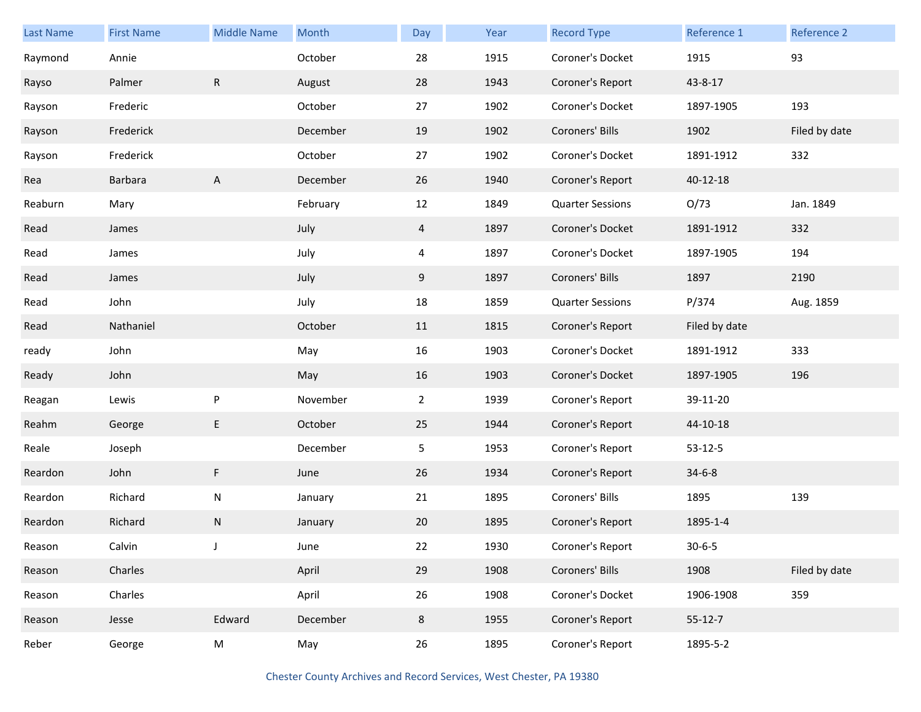| <b>Last Name</b> | <b>First Name</b> | <b>Middle Name</b> | Month    | Day            | Year | <b>Record Type</b>      | Reference 1   | Reference 2   |
|------------------|-------------------|--------------------|----------|----------------|------|-------------------------|---------------|---------------|
| Raymond          | Annie             |                    | October  | 28             | 1915 | Coroner's Docket        | 1915          | 93            |
| Rayso            | Palmer            | R                  | August   | 28             | 1943 | Coroner's Report        | 43-8-17       |               |
| Rayson           | Frederic          |                    | October  | 27             | 1902 | Coroner's Docket        | 1897-1905     | 193           |
| Rayson           | Frederick         |                    | December | 19             | 1902 | Coroners' Bills         | 1902          | Filed by date |
| Rayson           | Frederick         |                    | October  | 27             | 1902 | Coroner's Docket        | 1891-1912     | 332           |
| Rea              | Barbara           | $\mathsf{A}$       | December | 26             | 1940 | Coroner's Report        | 40-12-18      |               |
| Reaburn          | Mary              |                    | February | 12             | 1849 | <b>Quarter Sessions</b> | O/73          | Jan. 1849     |
| Read             | James             |                    | July     | 4              | 1897 | Coroner's Docket        | 1891-1912     | 332           |
| Read             | James             |                    | July     | $\overline{4}$ | 1897 | Coroner's Docket        | 1897-1905     | 194           |
| Read             | James             |                    | July     | 9              | 1897 | Coroners' Bills         | 1897          | 2190          |
| Read             | John              |                    | July     | 18             | 1859 | <b>Quarter Sessions</b> | P/374         | Aug. 1859     |
| Read             | Nathaniel         |                    | October  | 11             | 1815 | Coroner's Report        | Filed by date |               |
| ready            | John              |                    | May      | 16             | 1903 | Coroner's Docket        | 1891-1912     | 333           |
| Ready            | John              |                    | May      | 16             | 1903 | Coroner's Docket        | 1897-1905     | 196           |
| Reagan           | Lewis             | P                  | November | $\overline{2}$ | 1939 | Coroner's Report        | 39-11-20      |               |
| Reahm            | George            | E                  | October  | 25             | 1944 | Coroner's Report        | 44-10-18      |               |
| Reale            | Joseph            |                    | December | 5              | 1953 | Coroner's Report        | $53 - 12 - 5$ |               |
| Reardon          | John              | F                  | June     | 26             | 1934 | Coroner's Report        | $34 - 6 - 8$  |               |
| Reardon          | Richard           | ${\sf N}$          | January  | 21             | 1895 | Coroners' Bills         | 1895          | 139           |
| Reardon          | Richard           | N                  | January  | 20             | 1895 | Coroner's Report        | 1895-1-4      |               |
| Reason           | Calvin            | J                  | June     | 22             | 1930 | Coroner's Report        | $30 - 6 - 5$  |               |
| Reason           | Charles           |                    | April    | 29             | 1908 | Coroners' Bills         | 1908          | Filed by date |
| Reason           | Charles           |                    | April    | 26             | 1908 | Coroner's Docket        | 1906-1908     | 359           |
| Reason           | Jesse             | Edward             | December | 8              | 1955 | Coroner's Report        | $55 - 12 - 7$ |               |
| Reber            | George            | M                  | May      | 26             | 1895 | Coroner's Report        | 1895-5-2      |               |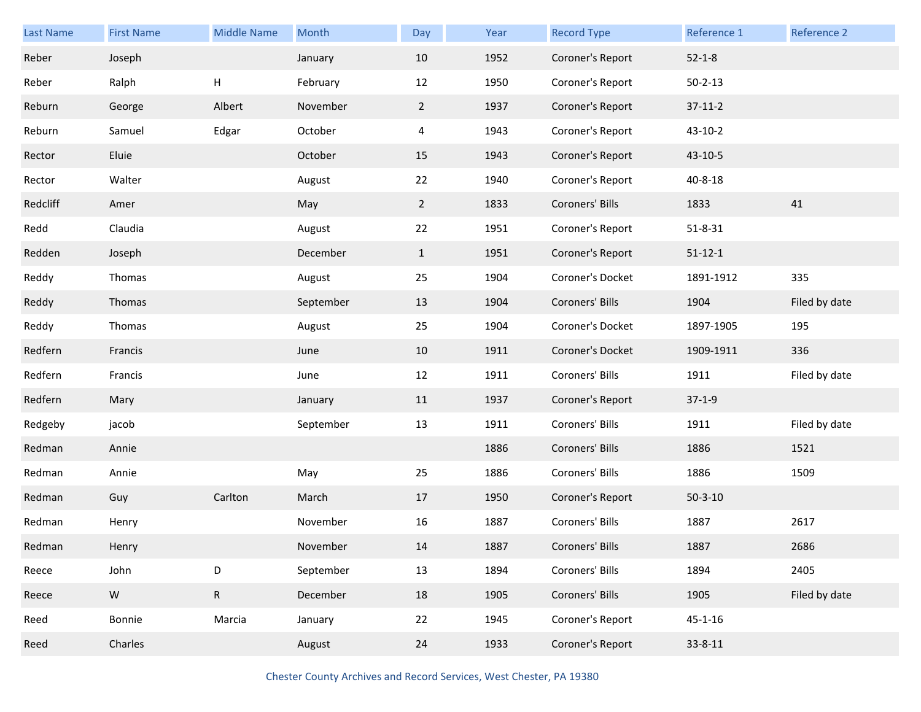| Last Name | <b>First Name</b> | <b>Middle Name</b> | Month     | Day          | Year | <b>Record Type</b> | Reference 1   | Reference 2   |
|-----------|-------------------|--------------------|-----------|--------------|------|--------------------|---------------|---------------|
| Reber     | Joseph            |                    | January   | 10           | 1952 | Coroner's Report   | $52 - 1 - 8$  |               |
| Reber     | Ralph             | Н                  | February  | 12           | 1950 | Coroner's Report   | $50 - 2 - 13$ |               |
| Reburn    | George            | Albert             | November  | $2^{\circ}$  | 1937 | Coroner's Report   | $37 - 11 - 2$ |               |
| Reburn    | Samuel            | Edgar              | October   | 4            | 1943 | Coroner's Report   | 43-10-2       |               |
| Rector    | Eluie             |                    | October   | 15           | 1943 | Coroner's Report   | 43-10-5       |               |
| Rector    | Walter            |                    | August    | 22           | 1940 | Coroner's Report   | $40 - 8 - 18$ |               |
| Redcliff  | Amer              |                    | May       | $2^{\circ}$  | 1833 | Coroners' Bills    | 1833          | 41            |
| Redd      | Claudia           |                    | August    | 22           | 1951 | Coroner's Report   | $51 - 8 - 31$ |               |
| Redden    | Joseph            |                    | December  | $\mathbf{1}$ | 1951 | Coroner's Report   | $51 - 12 - 1$ |               |
| Reddy     | Thomas            |                    | August    | 25           | 1904 | Coroner's Docket   | 1891-1912     | 335           |
| Reddy     | Thomas            |                    | September | 13           | 1904 | Coroners' Bills    | 1904          | Filed by date |
| Reddy     | Thomas            |                    | August    | 25           | 1904 | Coroner's Docket   | 1897-1905     | 195           |
| Redfern   | Francis           |                    | June      | 10           | 1911 | Coroner's Docket   | 1909-1911     | 336           |
| Redfern   | Francis           |                    | June      | 12           | 1911 | Coroners' Bills    | 1911          | Filed by date |
| Redfern   | Mary              |                    | January   | 11           | 1937 | Coroner's Report   | $37-1-9$      |               |
| Redgeby   | jacob             |                    | September | 13           | 1911 | Coroners' Bills    | 1911          | Filed by date |
| Redman    | Annie             |                    |           |              | 1886 | Coroners' Bills    | 1886          | 1521          |
| Redman    | Annie             |                    | May       | 25           | 1886 | Coroners' Bills    | 1886          | 1509          |
| Redman    | Guy               | Carlton            | March     | 17           | 1950 | Coroner's Report   | $50 - 3 - 10$ |               |
| Redman    | Henry             |                    | November  | 16           | 1887 | Coroners' Bills    | 1887          | 2617          |
| Redman    | Henry             |                    | November  | 14           | 1887 | Coroners' Bills    | 1887          | 2686          |
| Reece     | John              | D                  | September | 13           | 1894 | Coroners' Bills    | 1894          | 2405          |
| Reece     | ${\sf W}$         | ${\sf R}$          | December  | 18           | 1905 | Coroners' Bills    | 1905          | Filed by date |
| Reed      | Bonnie            | Marcia             | January   | 22           | 1945 | Coroner's Report   | $45 - 1 - 16$ |               |
| Reed      | Charles           |                    | August    | 24           | 1933 | Coroner's Report   | $33 - 8 - 11$ |               |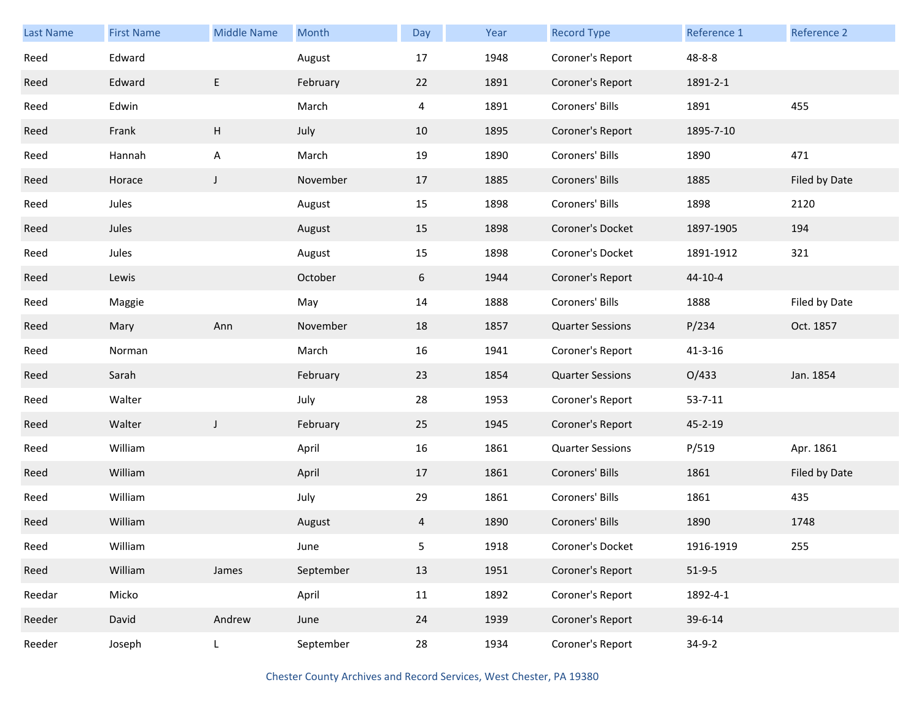| Last Name | <b>First Name</b> | <b>Middle Name</b> | <b>Month</b> | Day            | Year | <b>Record Type</b>      | Reference 1   | Reference 2   |
|-----------|-------------------|--------------------|--------------|----------------|------|-------------------------|---------------|---------------|
| Reed      | Edward            |                    | August       | 17             | 1948 | Coroner's Report        | $48 - 8 - 8$  |               |
| Reed      | Edward            | E                  | February     | 22             | 1891 | Coroner's Report        | 1891-2-1      |               |
| Reed      | Edwin             |                    | March        | $\overline{4}$ | 1891 | Coroners' Bills         | 1891          | 455           |
| Reed      | Frank             | H                  | July         | 10             | 1895 | Coroner's Report        | 1895-7-10     |               |
| Reed      | Hannah            | A                  | March        | 19             | 1890 | Coroners' Bills         | 1890          | 471           |
| Reed      | Horace            | $\mathsf{J}$       | November     | 17             | 1885 | Coroners' Bills         | 1885          | Filed by Date |
| Reed      | Jules             |                    | August       | 15             | 1898 | Coroners' Bills         | 1898          | 2120          |
| Reed      | Jules             |                    | August       | 15             | 1898 | Coroner's Docket        | 1897-1905     | 194           |
| Reed      | Jules             |                    | August       | 15             | 1898 | Coroner's Docket        | 1891-1912     | 321           |
| Reed      | Lewis             |                    | October      | 6              | 1944 | Coroner's Report        | $44 - 10 - 4$ |               |
| Reed      | Maggie            |                    | May          | 14             | 1888 | Coroners' Bills         | 1888          | Filed by Date |
| Reed      | Mary              | Ann                | November     | 18             | 1857 | <b>Quarter Sessions</b> | P/234         | Oct. 1857     |
| Reed      | Norman            |                    | March        | 16             | 1941 | Coroner's Report        | $41 - 3 - 16$ |               |
| Reed      | Sarah             |                    | February     | 23             | 1854 | <b>Quarter Sessions</b> | O/433         | Jan. 1854     |
| Reed      | Walter            |                    | July         | 28             | 1953 | Coroner's Report        | $53 - 7 - 11$ |               |
| Reed      | Walter            | J                  | February     | 25             | 1945 | Coroner's Report        | 45-2-19       |               |
| Reed      | William           |                    | April        | 16             | 1861 | <b>Quarter Sessions</b> | P/519         | Apr. 1861     |
| Reed      | William           |                    | April        | 17             | 1861 | Coroners' Bills         | 1861          | Filed by Date |
| Reed      | William           |                    | July         | 29             | 1861 | Coroners' Bills         | 1861          | 435           |
| Reed      | William           |                    | August       | 4              | 1890 | Coroners' Bills         | 1890          | 1748          |
| Reed      | William           |                    | June         | 5              | 1918 | Coroner's Docket        | 1916-1919     | 255           |
| Reed      | William           | James              | September    | 13             | 1951 | Coroner's Report        | $51-9-5$      |               |
| Reedar    | Micko             |                    | April        | 11             | 1892 | Coroner's Report        | 1892-4-1      |               |
| Reeder    | David             | Andrew             | June         | 24             | 1939 | Coroner's Report        | 39-6-14       |               |
| Reeder    | Joseph            | L                  | September    | 28             | 1934 | Coroner's Report        | $34-9-2$      |               |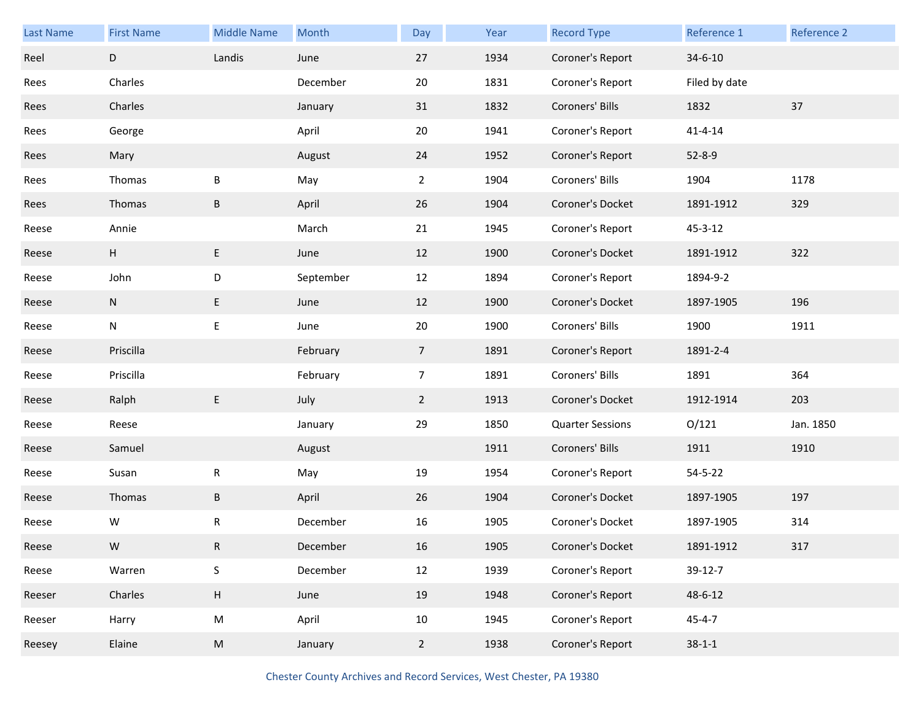| Last Name | <b>First Name</b> | <b>Middle Name</b> | Month     | Day             | Year | <b>Record Type</b>      | Reference 1   | Reference 2 |
|-----------|-------------------|--------------------|-----------|-----------------|------|-------------------------|---------------|-------------|
| Reel      | D                 | Landis             | June      | 27              | 1934 | Coroner's Report        | $34 - 6 - 10$ |             |
| Rees      | Charles           |                    | December  | 20              | 1831 | Coroner's Report        | Filed by date |             |
| Rees      | Charles           |                    | January   | 31              | 1832 | Coroners' Bills         | 1832          | 37          |
| Rees      | George            |                    | April     | 20              | 1941 | Coroner's Report        | $41 - 4 - 14$ |             |
| Rees      | Mary              |                    | August    | 24              | 1952 | Coroner's Report        | $52 - 8 - 9$  |             |
| Rees      | Thomas            | B                  | May       | $\overline{2}$  | 1904 | Coroners' Bills         | 1904          | 1178        |
| Rees      | Thomas            | B                  | April     | 26              | 1904 | Coroner's Docket        | 1891-1912     | 329         |
| Reese     | Annie             |                    | March     | 21              | 1945 | Coroner's Report        | $45 - 3 - 12$ |             |
| Reese     | H                 | E                  | June      | 12              | 1900 | Coroner's Docket        | 1891-1912     | 322         |
| Reese     | John              | D                  | September | 12              | 1894 | Coroner's Report        | 1894-9-2      |             |
| Reese     | N                 | E                  | June      | 12              | 1900 | Coroner's Docket        | 1897-1905     | 196         |
| Reese     | N                 | E                  | June      | 20              | 1900 | Coroners' Bills         | 1900          | 1911        |
| Reese     | Priscilla         |                    | February  | $7\overline{ }$ | 1891 | Coroner's Report        | 1891-2-4      |             |
| Reese     | Priscilla         |                    | February  | $\overline{7}$  | 1891 | Coroners' Bills         | 1891          | 364         |
| Reese     | Ralph             | E                  | July      | $2^{\circ}$     | 1913 | Coroner's Docket        | 1912-1914     | 203         |
| Reese     | Reese             |                    | January   | 29              | 1850 | <b>Quarter Sessions</b> | O/121         | Jan. 1850   |
| Reese     | Samuel            |                    | August    |                 | 1911 | Coroners' Bills         | 1911          | 1910        |
| Reese     | Susan             | R                  | May       | 19              | 1954 | Coroner's Report        | $54 - 5 - 22$ |             |
| Reese     | Thomas            | $\sf B$            | April     | 26              | 1904 | Coroner's Docket        | 1897-1905     | 197         |
| Reese     | W                 | R                  | December  | 16              | 1905 | Coroner's Docket        | 1897-1905     | 314         |
| Reese     | W                 | R                  | December  | 16              | 1905 | Coroner's Docket        | 1891-1912     | 317         |
| Reese     | Warren            | S                  | December  | 12              | 1939 | Coroner's Report        | 39-12-7       |             |
| Reeser    | Charles           | H                  | June      | 19              | 1948 | Coroner's Report        | 48-6-12       |             |
| Reeser    | Harry             | M                  | April     | 10              | 1945 | Coroner's Report        | $45 - 4 - 7$  |             |
| Reesey    | Elaine            | M                  | January   | $\overline{2}$  | 1938 | Coroner's Report        | $38 - 1 - 1$  |             |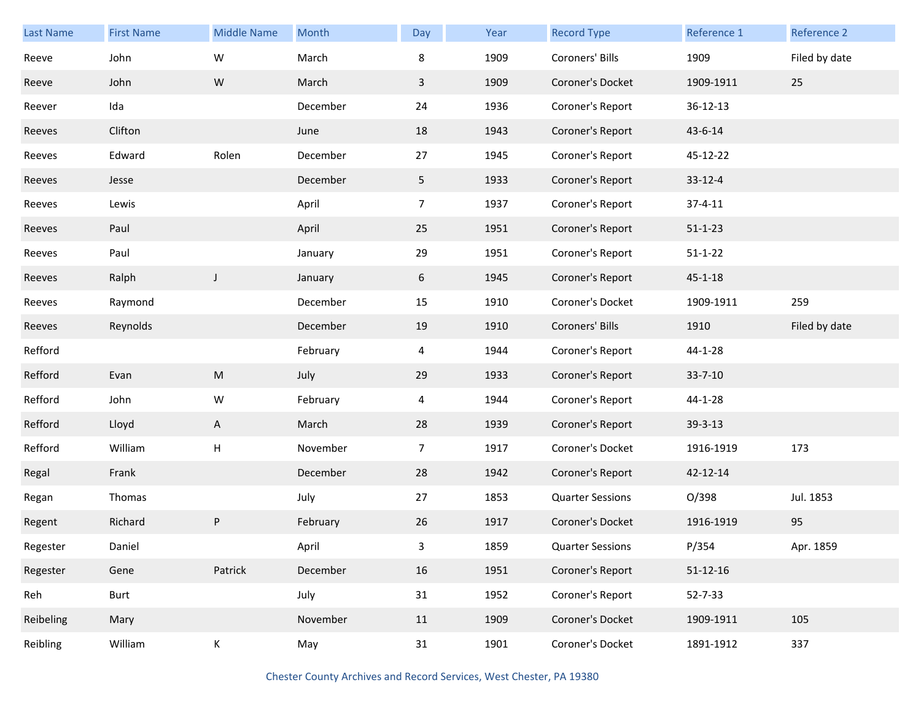| <b>Last Name</b> | <b>First Name</b> | <b>Middle Name</b> | Month    | Day            | Year | <b>Record Type</b>      | Reference 1    | Reference 2   |
|------------------|-------------------|--------------------|----------|----------------|------|-------------------------|----------------|---------------|
| Reeve            | John              | W                  | March    | 8              | 1909 | Coroners' Bills         | 1909           | Filed by date |
| Reeve            | John              | ${\sf W}$          | March    | 3              | 1909 | Coroner's Docket        | 1909-1911      | 25            |
| Reever           | Ida               |                    | December | 24             | 1936 | Coroner's Report        | 36-12-13       |               |
| Reeves           | Clifton           |                    | June     | 18             | 1943 | Coroner's Report        | 43-6-14        |               |
| Reeves           | Edward            | Rolen              | December | 27             | 1945 | Coroner's Report        | 45-12-22       |               |
| Reeves           | Jesse             |                    | December | 5              | 1933 | Coroner's Report        | $33 - 12 - 4$  |               |
| Reeves           | Lewis             |                    | April    | $\overline{7}$ | 1937 | Coroner's Report        | $37 - 4 - 11$  |               |
| Reeves           | Paul              |                    | April    | 25             | 1951 | Coroner's Report        | $51 - 1 - 23$  |               |
| Reeves           | Paul              |                    | January  | 29             | 1951 | Coroner's Report        | $51 - 1 - 22$  |               |
| Reeves           | Ralph             | $\mathsf{J}$       | January  | 6              | 1945 | Coroner's Report        | $45 - 1 - 18$  |               |
| Reeves           | Raymond           |                    | December | 15             | 1910 | Coroner's Docket        | 1909-1911      | 259           |
| Reeves           | Reynolds          |                    | December | 19             | 1910 | Coroners' Bills         | 1910           | Filed by date |
| Refford          |                   |                    | February | 4              | 1944 | Coroner's Report        | 44-1-28        |               |
| Refford          | Evan              | M                  | July     | 29             | 1933 | Coroner's Report        | $33 - 7 - 10$  |               |
| Refford          | John              | W                  | February | 4              | 1944 | Coroner's Report        | 44-1-28        |               |
| Refford          | Lloyd             | A                  | March    | 28             | 1939 | Coroner's Report        | 39-3-13        |               |
| Refford          | William           | Н                  | November | $\overline{7}$ | 1917 | Coroner's Docket        | 1916-1919      | 173           |
| Regal            | Frank             |                    | December | 28             | 1942 | Coroner's Report        | 42-12-14       |               |
| Regan            | Thomas            |                    | July     | 27             | 1853 | <b>Quarter Sessions</b> | O/398          | Jul. 1853     |
| Regent           | Richard           | P                  | February | 26             | 1917 | Coroner's Docket        | 1916-1919      | 95            |
| Regester         | Daniel            |                    | April    | 3              | 1859 | <b>Quarter Sessions</b> | P/354          | Apr. 1859     |
| Regester         | Gene              | Patrick            | December | 16             | 1951 | Coroner's Report        | $51 - 12 - 16$ |               |
| Reh              | Burt              |                    | July     | 31             | 1952 | Coroner's Report        | $52 - 7 - 33$  |               |
| Reibeling        | Mary              |                    | November | 11             | 1909 | Coroner's Docket        | 1909-1911      | 105           |
| Reibling         | William           | K                  | May      | 31             | 1901 | Coroner's Docket        | 1891-1912      | 337           |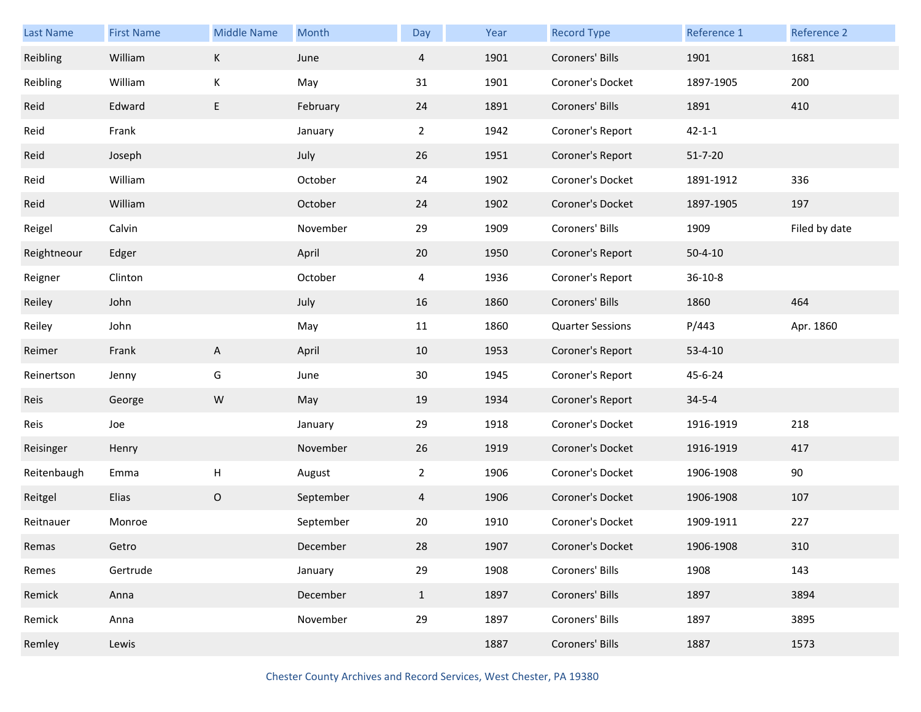| <b>Last Name</b> | <b>First Name</b> | <b>Middle Name</b> | Month     | Day            | Year | <b>Record Type</b>      | Reference 1   | Reference 2   |
|------------------|-------------------|--------------------|-----------|----------------|------|-------------------------|---------------|---------------|
| Reibling         | William           | К                  | June      | $\overline{4}$ | 1901 | Coroners' Bills         | 1901          | 1681          |
| Reibling         | William           | К                  | May       | 31             | 1901 | Coroner's Docket        | 1897-1905     | 200           |
| Reid             | Edward            | E                  | February  | 24             | 1891 | Coroners' Bills         | 1891          | 410           |
| Reid             | Frank             |                    | January   | $\mathbf{2}$   | 1942 | Coroner's Report        | $42 - 1 - 1$  |               |
| Reid             | Joseph            |                    | July      | 26             | 1951 | Coroner's Report        | $51 - 7 - 20$ |               |
| Reid             | William           |                    | October   | 24             | 1902 | Coroner's Docket        | 1891-1912     | 336           |
| Reid             | William           |                    | October   | 24             | 1902 | Coroner's Docket        | 1897-1905     | 197           |
| Reigel           | Calvin            |                    | November  | 29             | 1909 | Coroners' Bills         | 1909          | Filed by date |
| Reightneour      | Edger             |                    | April     | 20             | 1950 | Coroner's Report        | $50 - 4 - 10$ |               |
| Reigner          | Clinton           |                    | October   | 4              | 1936 | Coroner's Report        | $36 - 10 - 8$ |               |
| Reiley           | John              |                    | July      | 16             | 1860 | Coroners' Bills         | 1860          | 464           |
| Reiley           | John              |                    | May       | 11             | 1860 | <b>Quarter Sessions</b> | P/443         | Apr. 1860     |
| Reimer           | Frank             | A                  | April     | 10             | 1953 | Coroner's Report        | $53 - 4 - 10$ |               |
| Reinertson       | Jenny             | G                  | June      | 30             | 1945 | Coroner's Report        | 45-6-24       |               |
| Reis             | George            | ${\sf W}$          | May       | 19             | 1934 | Coroner's Report        | $34 - 5 - 4$  |               |
| Reis             | Joe               |                    | January   | 29             | 1918 | Coroner's Docket        | 1916-1919     | 218           |
| Reisinger        | Henry             |                    | November  | 26             | 1919 | Coroner's Docket        | 1916-1919     | 417           |
| Reitenbaugh      | Emma              | $\mathsf{H}%$      | August    | $\overline{2}$ | 1906 | Coroner's Docket        | 1906-1908     | 90            |
| Reitgel          | Elias             | $\mathsf O$        | September | 4              | 1906 | Coroner's Docket        | 1906-1908     | 107           |
| Reitnauer        | Monroe            |                    | September | 20             | 1910 | Coroner's Docket        | 1909-1911     | 227           |
| Remas            | Getro             |                    | December  | 28             | 1907 | Coroner's Docket        | 1906-1908     | 310           |
| Remes            | Gertrude          |                    | January   | 29             | 1908 | Coroners' Bills         | 1908          | 143           |
| Remick           | Anna              |                    | December  | $\mathbf{1}$   | 1897 | Coroners' Bills         | 1897          | 3894          |
| Remick           | Anna              |                    | November  | 29             | 1897 | Coroners' Bills         | 1897          | 3895          |
| Remley           | Lewis             |                    |           |                | 1887 | Coroners' Bills         | 1887          | 1573          |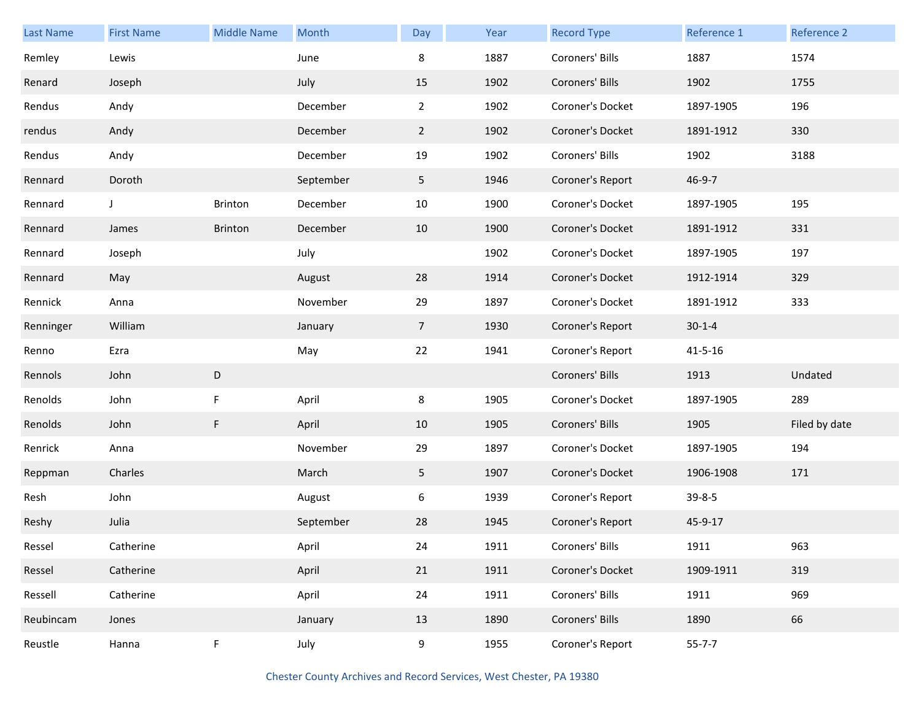| <b>Last Name</b> | <b>First Name</b> | <b>Middle Name</b> | Month     | Day            | Year | <b>Record Type</b> | Reference 1   | Reference 2   |
|------------------|-------------------|--------------------|-----------|----------------|------|--------------------|---------------|---------------|
| Remley           | Lewis             |                    | June      | 8              | 1887 | Coroners' Bills    | 1887          | 1574          |
| Renard           | Joseph            |                    | July      | 15             | 1902 | Coroners' Bills    | 1902          | 1755          |
| Rendus           | Andy              |                    | December  | $\overline{2}$ | 1902 | Coroner's Docket   | 1897-1905     | 196           |
| rendus           | Andy              |                    | December  | $\overline{2}$ | 1902 | Coroner's Docket   | 1891-1912     | 330           |
| Rendus           | Andy              |                    | December  | 19             | 1902 | Coroners' Bills    | 1902          | 3188          |
| Rennard          | Doroth            |                    | September | 5 <sub>1</sub> | 1946 | Coroner's Report   | $46 - 9 - 7$  |               |
| Rennard          | J                 | Brinton            | December  | 10             | 1900 | Coroner's Docket   | 1897-1905     | 195           |
| Rennard          | James             | <b>Brinton</b>     | December  | 10             | 1900 | Coroner's Docket   | 1891-1912     | 331           |
| Rennard          | Joseph            |                    | July      |                | 1902 | Coroner's Docket   | 1897-1905     | 197           |
| Rennard          | May               |                    | August    | 28             | 1914 | Coroner's Docket   | 1912-1914     | 329           |
| Rennick          | Anna              |                    | November  | 29             | 1897 | Coroner's Docket   | 1891-1912     | 333           |
| Renninger        | William           |                    | January   | 7 <sup>7</sup> | 1930 | Coroner's Report   | $30 - 1 - 4$  |               |
| Renno            | Ezra              |                    | May       | 22             | 1941 | Coroner's Report   | $41 - 5 - 16$ |               |
| Rennols          | John              | $\mathsf D$        |           |                |      | Coroners' Bills    | 1913          | Undated       |
| Renolds          | John              | F                  | April     | 8              | 1905 | Coroner's Docket   | 1897-1905     | 289           |
| Renolds          | John              | F                  | April     | 10             | 1905 | Coroners' Bills    | 1905          | Filed by date |
| Renrick          | Anna              |                    | November  | 29             | 1897 | Coroner's Docket   | 1897-1905     | 194           |
| Reppman          | Charles           |                    | March     | 5 <sub>1</sub> | 1907 | Coroner's Docket   | 1906-1908     | 171           |
| Resh             | John              |                    | August    | 6              | 1939 | Coroner's Report   | $39 - 8 - 5$  |               |
| Reshy            | Julia             |                    | September | 28             | 1945 | Coroner's Report   | 45-9-17       |               |
| Ressel           | Catherine         |                    | April     | 24             | 1911 | Coroners' Bills    | 1911          | 963           |
| Ressel           | Catherine         |                    | April     | 21             | 1911 | Coroner's Docket   | 1909-1911     | 319           |
| Ressell          | Catherine         |                    | April     | 24             | 1911 | Coroners' Bills    | 1911          | 969           |
| Reubincam        | Jones             |                    | January   | 13             | 1890 | Coroners' Bills    | 1890          | 66            |
| Reustle          | Hanna             | F                  | July      | 9              | 1955 | Coroner's Report   | $55 - 7 - 7$  |               |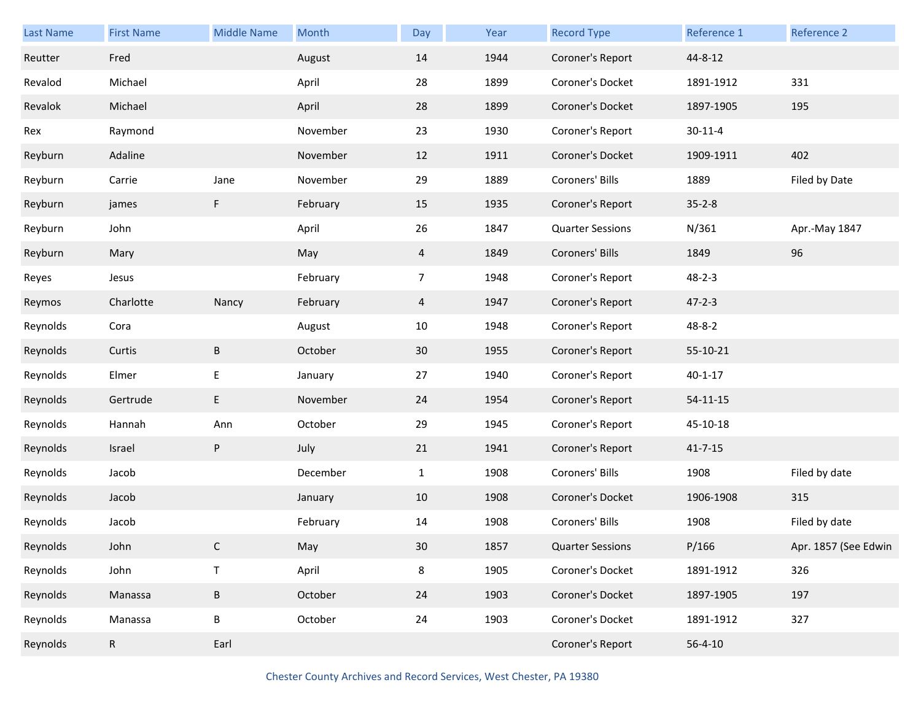| Last Name | <b>First Name</b> | <b>Middle Name</b> | Month    | Day            | Year | <b>Record Type</b>      | Reference 1    | Reference 2          |
|-----------|-------------------|--------------------|----------|----------------|------|-------------------------|----------------|----------------------|
| Reutter   | Fred              |                    | August   | 14             | 1944 | Coroner's Report        | 44-8-12        |                      |
| Revalod   | Michael           |                    | April    | 28             | 1899 | Coroner's Docket        | 1891-1912      | 331                  |
| Revalok   | Michael           |                    | April    | 28             | 1899 | Coroner's Docket        | 1897-1905      | 195                  |
| Rex       | Raymond           |                    | November | 23             | 1930 | Coroner's Report        | $30 - 11 - 4$  |                      |
| Reyburn   | Adaline           |                    | November | 12             | 1911 | Coroner's Docket        | 1909-1911      | 402                  |
| Reyburn   | Carrie            | Jane               | November | 29             | 1889 | Coroners' Bills         | 1889           | Filed by Date        |
| Reyburn   | james             | F                  | February | 15             | 1935 | Coroner's Report        | $35 - 2 - 8$   |                      |
| Reyburn   | John              |                    | April    | 26             | 1847 | <b>Quarter Sessions</b> | N/361          | Apr.-May 1847        |
| Reyburn   | Mary              |                    | May      | $\overline{4}$ | 1849 | Coroners' Bills         | 1849           | 96                   |
| Reyes     | Jesus             |                    | February | $\overline{7}$ | 1948 | Coroner's Report        | $48 - 2 - 3$   |                      |
| Reymos    | Charlotte         | Nancy              | February | $\overline{4}$ | 1947 | Coroner's Report        | $47 - 2 - 3$   |                      |
| Reynolds  | Cora              |                    | August   | 10             | 1948 | Coroner's Report        | 48-8-2         |                      |
| Reynolds  | Curtis            | $\sf B$            | October  | 30             | 1955 | Coroner's Report        | 55-10-21       |                      |
| Reynolds  | Elmer             | E                  | January  | 27             | 1940 | Coroner's Report        | $40 - 1 - 17$  |                      |
| Reynolds  | Gertrude          | E                  | November | 24             | 1954 | Coroner's Report        | $54 - 11 - 15$ |                      |
| Reynolds  | Hannah            | Ann                | October  | 29             | 1945 | Coroner's Report        | 45-10-18       |                      |
| Reynolds  | Israel            | P                  | July     | 21             | 1941 | Coroner's Report        | $41 - 7 - 15$  |                      |
| Reynolds  | Jacob             |                    | December | $\mathbf{1}$   | 1908 | Coroners' Bills         | 1908           | Filed by date        |
| Reynolds  | Jacob             |                    | January  | 10             | 1908 | Coroner's Docket        | 1906-1908      | 315                  |
| Reynolds  | Jacob             |                    | February | 14             | 1908 | Coroners' Bills         | 1908           | Filed by date        |
| Reynolds  | John              | C                  | May      | $30\,$         | 1857 | <b>Quarter Sessions</b> | P/166          | Apr. 1857 (See Edwin |
| Reynolds  | John              | $\mathsf T$        | April    | $\bf 8$        | 1905 | Coroner's Docket        | 1891-1912      | 326                  |
| Reynolds  | Manassa           | $\, {\sf B}$       | October  | 24             | 1903 | Coroner's Docket        | 1897-1905      | 197                  |
| Reynolds  | Manassa           | $\sf B$            | October  | 24             | 1903 | Coroner's Docket        | 1891-1912      | 327                  |
| Reynolds  | ${\sf R}$         | Earl               |          |                |      | Coroner's Report        | $56 - 4 - 10$  |                      |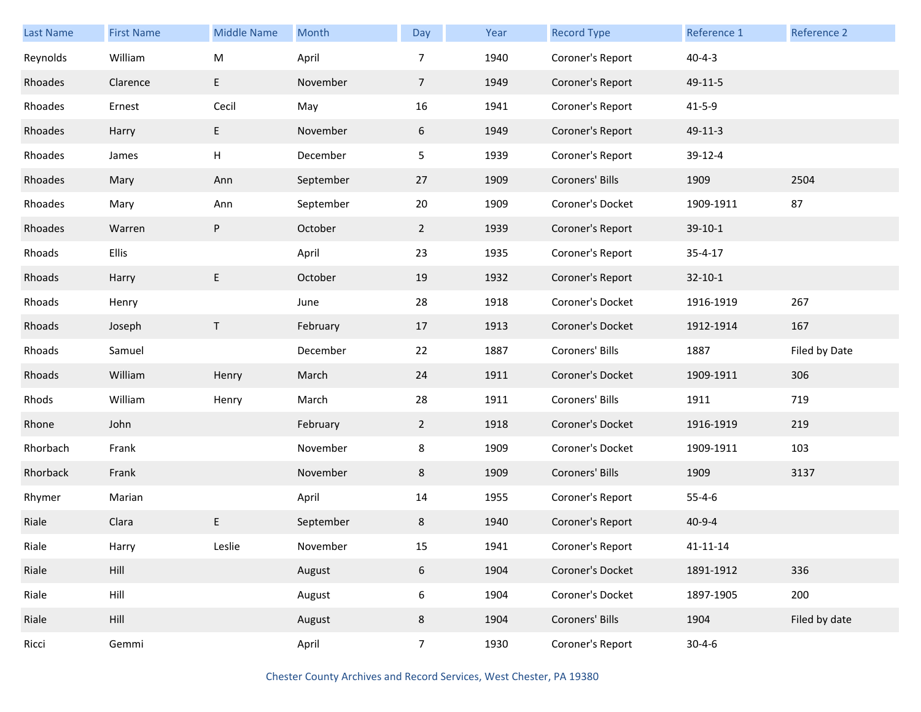| <b>Last Name</b> | <b>First Name</b> | <b>Middle Name</b> | Month     | Day            | Year | <b>Record Type</b> | Reference 1    | Reference 2   |
|------------------|-------------------|--------------------|-----------|----------------|------|--------------------|----------------|---------------|
| Reynolds         | William           | M                  | April     | 7              | 1940 | Coroner's Report   | $40 - 4 - 3$   |               |
| Rhoades          | Clarence          | E                  | November  | $\overline{7}$ | 1949 | Coroner's Report   | 49-11-5        |               |
| Rhoades          | Ernest            | Cecil              | May       | 16             | 1941 | Coroner's Report   | $41 - 5 - 9$   |               |
| Rhoades          | Harry             | E.                 | November  | 6              | 1949 | Coroner's Report   | 49-11-3        |               |
| Rhoades          | James             | H                  | December  | 5              | 1939 | Coroner's Report   | 39-12-4        |               |
| Rhoades          | Mary              | Ann                | September | 27             | 1909 | Coroners' Bills    | 1909           | 2504          |
| Rhoades          | Mary              | Ann                | September | 20             | 1909 | Coroner's Docket   | 1909-1911      | 87            |
| Rhoades          | Warren            | P                  | October   | $\mathbf{2}$   | 1939 | Coroner's Report   | $39-10-1$      |               |
| Rhoads           | Ellis             |                    | April     | 23             | 1935 | Coroner's Report   | $35 - 4 - 17$  |               |
| Rhoads           | Harry             | E                  | October   | 19             | 1932 | Coroner's Report   | $32 - 10 - 1$  |               |
| Rhoads           | Henry             |                    | June      | 28             | 1918 | Coroner's Docket   | 1916-1919      | 267           |
| Rhoads           | Joseph            | T                  | February  | 17             | 1913 | Coroner's Docket   | 1912-1914      | 167           |
| Rhoads           | Samuel            |                    | December  | 22             | 1887 | Coroners' Bills    | 1887           | Filed by Date |
| Rhoads           | William           | Henry              | March     | 24             | 1911 | Coroner's Docket   | 1909-1911      | 306           |
| Rhods            | William           | Henry              | March     | 28             | 1911 | Coroners' Bills    | 1911           | 719           |
| Rhone            | John              |                    | February  | $\mathbf{2}$   | 1918 | Coroner's Docket   | 1916-1919      | 219           |
| Rhorbach         | Frank             |                    | November  | 8              | 1909 | Coroner's Docket   | 1909-1911      | 103           |
| Rhorback         | Frank             |                    | November  | 8              | 1909 | Coroners' Bills    | 1909           | 3137          |
| Rhymer           | Marian            |                    | April     | 14             | 1955 | Coroner's Report   | $55 - 4 - 6$   |               |
| Riale            | Clara             | E                  | September | 8              | 1940 | Coroner's Report   | $40 - 9 - 4$   |               |
| Riale            | Harry             | Leslie             | November  | 15             | 1941 | Coroner's Report   | $41 - 11 - 14$ |               |
| Riale            | Hill              |                    | August    | 6              | 1904 | Coroner's Docket   | 1891-1912      | 336           |
| Riale            | Hill              |                    | August    | 6              | 1904 | Coroner's Docket   | 1897-1905      | 200           |
| Riale            | Hill              |                    | August    | 8              | 1904 | Coroners' Bills    | 1904           | Filed by date |
| Ricci            | Gemmi             |                    | April     | 7 <sup>7</sup> | 1930 | Coroner's Report   | $30 - 4 - 6$   |               |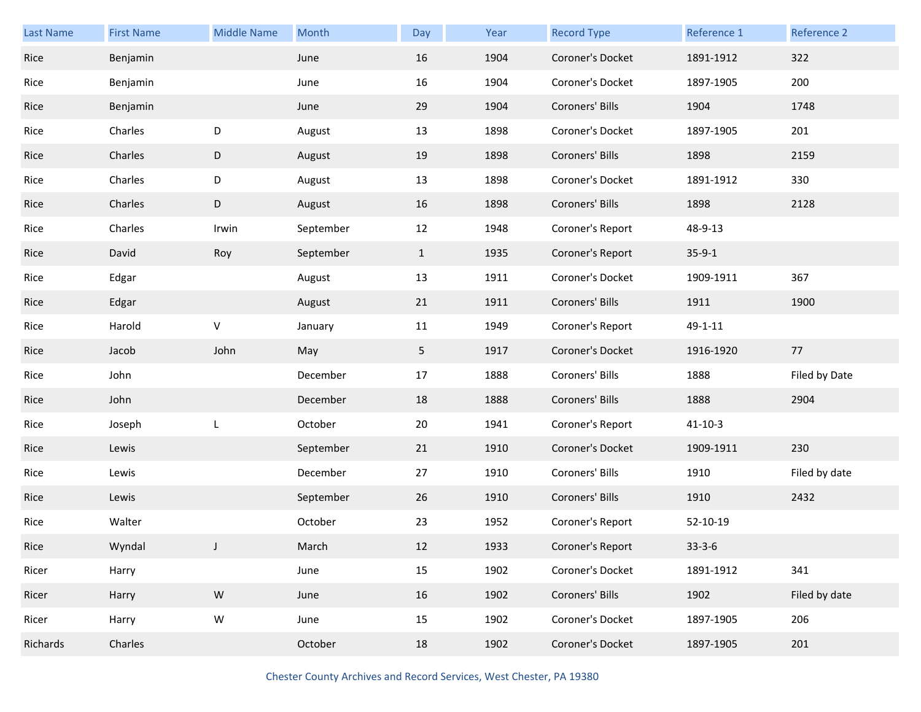| <b>Last Name</b> | <b>First Name</b> | <b>Middle Name</b> | Month     | Day            | Year | <b>Record Type</b> | Reference 1   | Reference 2   |
|------------------|-------------------|--------------------|-----------|----------------|------|--------------------|---------------|---------------|
| Rice             | Benjamin          |                    | June      | 16             | 1904 | Coroner's Docket   | 1891-1912     | 322           |
| Rice             | Benjamin          |                    | June      | 16             | 1904 | Coroner's Docket   | 1897-1905     | 200           |
| Rice             | Benjamin          |                    | June      | 29             | 1904 | Coroners' Bills    | 1904          | 1748          |
| Rice             | Charles           | D                  | August    | 13             | 1898 | Coroner's Docket   | 1897-1905     | 201           |
| Rice             | Charles           | D                  | August    | 19             | 1898 | Coroners' Bills    | 1898          | 2159          |
| Rice             | Charles           | D                  | August    | 13             | 1898 | Coroner's Docket   | 1891-1912     | 330           |
| Rice             | Charles           | D                  | August    | 16             | 1898 | Coroners' Bills    | 1898          | 2128          |
| Rice             | Charles           | Irwin              | September | 12             | 1948 | Coroner's Report   | 48-9-13       |               |
| Rice             | David             | Roy                | September | $\mathbf{1}$   | 1935 | Coroner's Report   | $35-9-1$      |               |
| Rice             | Edgar             |                    | August    | 13             | 1911 | Coroner's Docket   | 1909-1911     | 367           |
| Rice             | Edgar             |                    | August    | 21             | 1911 | Coroners' Bills    | 1911          | 1900          |
| Rice             | Harold            | V                  | January   | 11             | 1949 | Coroner's Report   | $49 - 1 - 11$ |               |
| Rice             | Jacob             | John               | May       | 5 <sub>1</sub> | 1917 | Coroner's Docket   | 1916-1920     | 77            |
| Rice             | John              |                    | December  | 17             | 1888 | Coroners' Bills    | 1888          | Filed by Date |
| Rice             | John              |                    | December  | 18             | 1888 | Coroners' Bills    | 1888          | 2904          |
| Rice             | Joseph            | L                  | October   | 20             | 1941 | Coroner's Report   | $41 - 10 - 3$ |               |
| Rice             | Lewis             |                    | September | 21             | 1910 | Coroner's Docket   | 1909-1911     | 230           |
| Rice             | Lewis             |                    | December  | 27             | 1910 | Coroners' Bills    | 1910          | Filed by date |
| Rice             | Lewis             |                    | September | 26             | 1910 | Coroners' Bills    | 1910          | 2432          |
| Rice             | Walter            |                    | October   | 23             | 1952 | Coroner's Report   | 52-10-19      |               |
| Rice             | Wyndal            | J                  | March     | 12             | 1933 | Coroner's Report   | $33 - 3 - 6$  |               |
| Ricer            | Harry             |                    | June      | 15             | 1902 | Coroner's Docket   | 1891-1912     | 341           |
| Ricer            | Harry             | ${\sf W}$          | June      | 16             | 1902 | Coroners' Bills    | 1902          | Filed by date |
| Ricer            | Harry             | ${\sf W}$          | June      | 15             | 1902 | Coroner's Docket   | 1897-1905     | 206           |
| Richards         | Charles           |                    | October   | 18             | 1902 | Coroner's Docket   | 1897-1905     | 201           |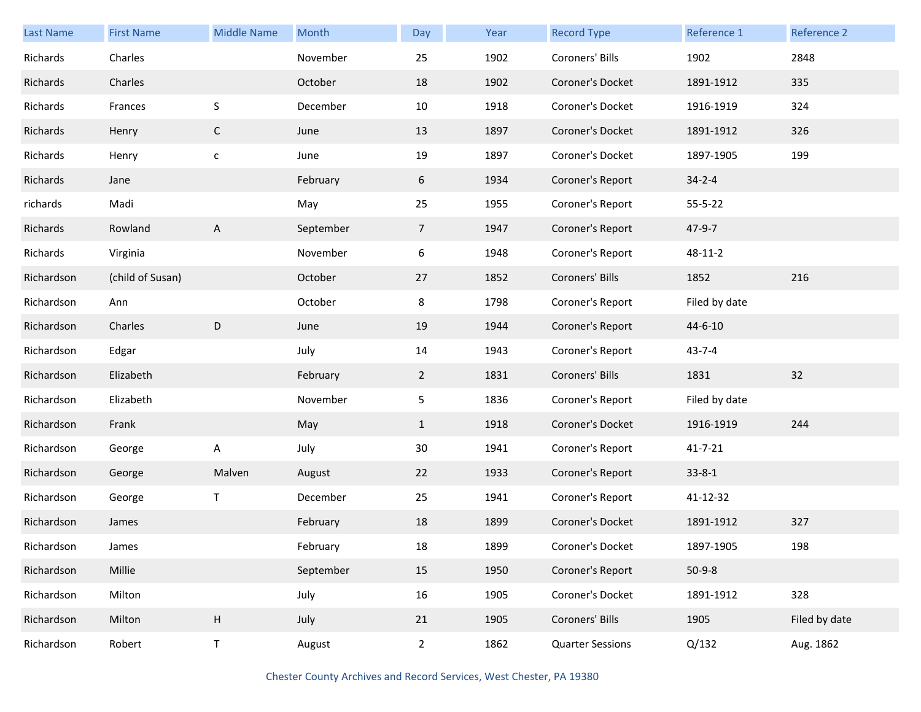| Last Name  | <b>First Name</b> | <b>Middle Name</b> | Month     | Day            | Year | <b>Record Type</b>      | Reference 1   | Reference 2   |
|------------|-------------------|--------------------|-----------|----------------|------|-------------------------|---------------|---------------|
| Richards   | Charles           |                    | November  | 25             | 1902 | Coroners' Bills         | 1902          | 2848          |
| Richards   | Charles           |                    | October   | 18             | 1902 | Coroner's Docket        | 1891-1912     | 335           |
| Richards   | Frances           | S                  | December  | 10             | 1918 | Coroner's Docket        | 1916-1919     | 324           |
| Richards   | Henry             | C                  | June      | 13             | 1897 | Coroner's Docket        | 1891-1912     | 326           |
| Richards   | Henry             | $\mathsf{C}$       | June      | $19\,$         | 1897 | Coroner's Docket        | 1897-1905     | 199           |
| Richards   | Jane              |                    | February  | 6              | 1934 | Coroner's Report        | $34 - 2 - 4$  |               |
| richards   | Madi              |                    | May       | 25             | 1955 | Coroner's Report        | $55 - 5 - 22$ |               |
| Richards   | Rowland           | A                  | September | $\overline{7}$ | 1947 | Coroner's Report        | 47-9-7        |               |
| Richards   | Virginia          |                    | November  | 6              | 1948 | Coroner's Report        | 48-11-2       |               |
| Richardson | (child of Susan)  |                    | October   | 27             | 1852 | Coroners' Bills         | 1852          | 216           |
| Richardson | Ann               |                    | October   | 8              | 1798 | Coroner's Report        | Filed by date |               |
| Richardson | Charles           | D                  | June      | 19             | 1944 | Coroner's Report        | 44-6-10       |               |
| Richardson | Edgar             |                    | July      | 14             | 1943 | Coroner's Report        | $43 - 7 - 4$  |               |
| Richardson | Elizabeth         |                    | February  | $\overline{2}$ | 1831 | Coroners' Bills         | 1831          | 32            |
| Richardson | Elizabeth         |                    | November  | 5              | 1836 | Coroner's Report        | Filed by date |               |
| Richardson | Frank             |                    | May       | $\mathbf{1}$   | 1918 | Coroner's Docket        | 1916-1919     | 244           |
| Richardson | George            | A                  | July      | 30             | 1941 | Coroner's Report        | $41 - 7 - 21$ |               |
| Richardson | George            | Malven             | August    | 22             | 1933 | Coroner's Report        | $33 - 8 - 1$  |               |
| Richardson | George            | T                  | December  | 25             | 1941 | Coroner's Report        | 41-12-32      |               |
| Richardson | James             |                    | February  | 18             | 1899 | Coroner's Docket        | 1891-1912     | 327           |
| Richardson | James             |                    | February  | 18             | 1899 | Coroner's Docket        | 1897-1905     | 198           |
| Richardson | Millie            |                    | September | 15             | 1950 | Coroner's Report        | $50-9-8$      |               |
| Richardson | Milton            |                    | July      | 16             | 1905 | Coroner's Docket        | 1891-1912     | 328           |
| Richardson | Milton            | H                  | July      | 21             | 1905 | Coroners' Bills         | 1905          | Filed by date |
| Richardson | Robert            | T                  | August    | $\overline{2}$ | 1862 | <b>Quarter Sessions</b> | Q/132         | Aug. 1862     |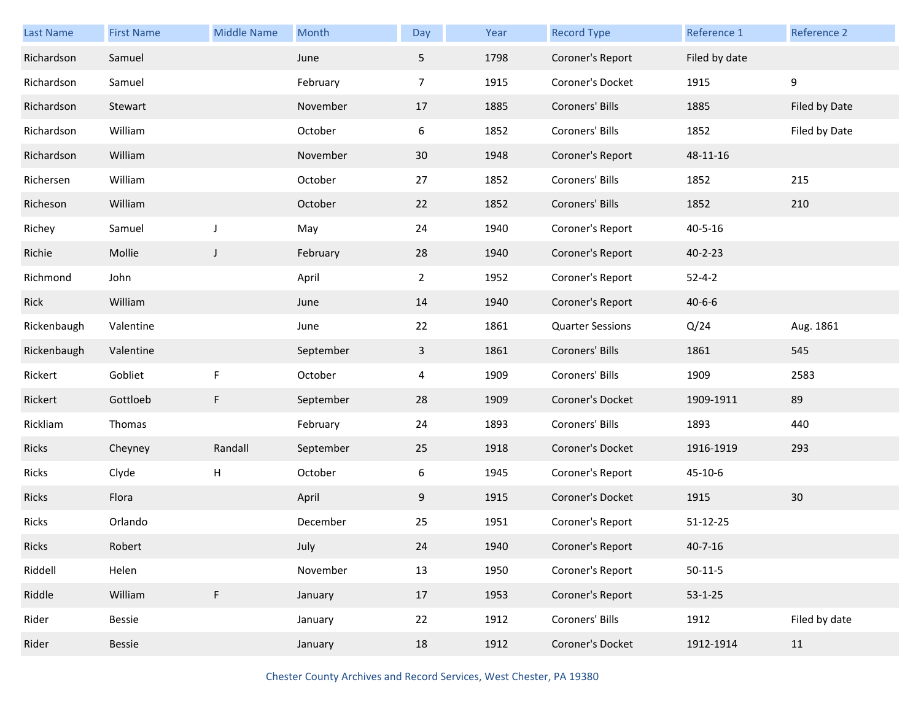| <b>Last Name</b> | <b>First Name</b> | <b>Middle Name</b> | Month     | Day            | Year | <b>Record Type</b>      | Reference 1   | Reference 2   |
|------------------|-------------------|--------------------|-----------|----------------|------|-------------------------|---------------|---------------|
| Richardson       | Samuel            |                    | June      | 5              | 1798 | Coroner's Report        | Filed by date |               |
| Richardson       | Samuel            |                    | February  | $\overline{7}$ | 1915 | Coroner's Docket        | 1915          | 9             |
| Richardson       | Stewart           |                    | November  | 17             | 1885 | Coroners' Bills         | 1885          | Filed by Date |
| Richardson       | William           |                    | October   | 6              | 1852 | Coroners' Bills         | 1852          | Filed by Date |
| Richardson       | William           |                    | November  | 30             | 1948 | Coroner's Report        | 48-11-16      |               |
| Richersen        | William           |                    | October   | 27             | 1852 | Coroners' Bills         | 1852          | 215           |
| Richeson         | William           |                    | October   | 22             | 1852 | Coroners' Bills         | 1852          | 210           |
| Richey           | Samuel            | J                  | May       | 24             | 1940 | Coroner's Report        | 40-5-16       |               |
| Richie           | Mollie            | $\mathsf{J}$       | February  | 28             | 1940 | Coroner's Report        | $40 - 2 - 23$ |               |
| Richmond         | John              |                    | April     | $\overline{2}$ | 1952 | Coroner's Report        | $52 - 4 - 2$  |               |
| Rick             | William           |                    | June      | 14             | 1940 | Coroner's Report        | $40 - 6 - 6$  |               |
| Rickenbaugh      | Valentine         |                    | June      | 22             | 1861 | <b>Quarter Sessions</b> | Q/24          | Aug. 1861     |
| Rickenbaugh      | Valentine         |                    | September | $\mathbf{3}$   | 1861 | Coroners' Bills         | 1861          | 545           |
| Rickert          | Gobliet           | F                  | October   | 4              | 1909 | Coroners' Bills         | 1909          | 2583          |
| Rickert          | Gottloeb          | F                  | September | 28             | 1909 | Coroner's Docket        | 1909-1911     | 89            |
| Rickliam         | Thomas            |                    | February  | 24             | 1893 | Coroners' Bills         | 1893          | 440           |
| Ricks            | Cheyney           | Randall            | September | 25             | 1918 | Coroner's Docket        | 1916-1919     | 293           |
| Ricks            | Clyde             | H                  | October   | 6              | 1945 | Coroner's Report        | 45-10-6       |               |
| Ricks            | Flora             |                    | April     | 9              | 1915 | Coroner's Docket        | 1915          | 30            |
| Ricks            | Orlando           |                    | December  | 25             | 1951 | Coroner's Report        | 51-12-25      |               |
| Ricks            | Robert            |                    | July      | 24             | 1940 | Coroner's Report        | $40 - 7 - 16$ |               |
| Riddell          | Helen             |                    | November  | 13             | 1950 | Coroner's Report        | $50-11-5$     |               |
| Riddle           | William           | $\mathsf F$        | January   | 17             | 1953 | Coroner's Report        | $53 - 1 - 25$ |               |
| Rider            | Bessie            |                    | January   | 22             | 1912 | Coroners' Bills         | 1912          | Filed by date |
| Rider            | Bessie            |                    | January   | 18             | 1912 | Coroner's Docket        | 1912-1914     | 11            |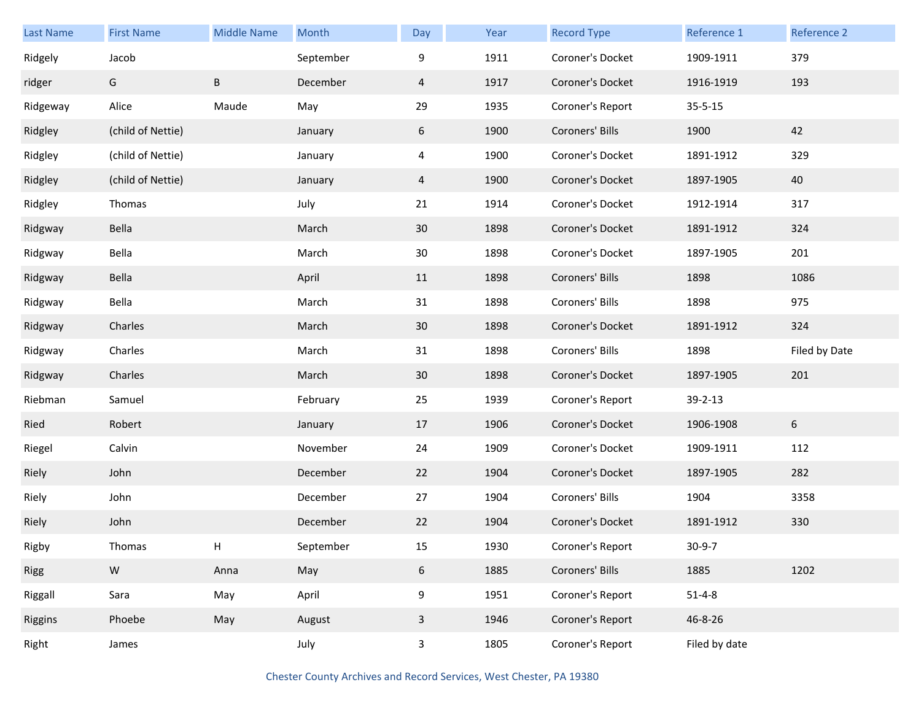| <b>Last Name</b> | <b>First Name</b> | <b>Middle Name</b> | Month     | Day          | Year | <b>Record Type</b> | Reference 1   | Reference 2   |
|------------------|-------------------|--------------------|-----------|--------------|------|--------------------|---------------|---------------|
| Ridgely          | Jacob             |                    | September | 9            | 1911 | Coroner's Docket   | 1909-1911     | 379           |
| ridger           | G                 | B                  | December  | 4            | 1917 | Coroner's Docket   | 1916-1919     | 193           |
| Ridgeway         | Alice             | Maude              | May       | 29           | 1935 | Coroner's Report   | $35 - 5 - 15$ |               |
| Ridgley          | (child of Nettie) |                    | January   | 6            | 1900 | Coroners' Bills    | 1900          | 42            |
| Ridgley          | (child of Nettie) |                    | January   | 4            | 1900 | Coroner's Docket   | 1891-1912     | 329           |
| Ridgley          | (child of Nettie) |                    | January   | 4            | 1900 | Coroner's Docket   | 1897-1905     | 40            |
| Ridgley          | Thomas            |                    | July      | 21           | 1914 | Coroner's Docket   | 1912-1914     | 317           |
| Ridgway          | Bella             |                    | March     | 30           | 1898 | Coroner's Docket   | 1891-1912     | 324           |
| Ridgway          | Bella             |                    | March     | $30\,$       | 1898 | Coroner's Docket   | 1897-1905     | 201           |
| Ridgway          | Bella             |                    | April     | 11           | 1898 | Coroners' Bills    | 1898          | 1086          |
| Ridgway          | Bella             |                    | March     | 31           | 1898 | Coroners' Bills    | 1898          | 975           |
| Ridgway          | Charles           |                    | March     | 30           | 1898 | Coroner's Docket   | 1891-1912     | 324           |
| Ridgway          | Charles           |                    | March     | 31           | 1898 | Coroners' Bills    | 1898          | Filed by Date |
| Ridgway          | Charles           |                    | March     | 30           | 1898 | Coroner's Docket   | 1897-1905     | 201           |
| Riebman          | Samuel            |                    | February  | 25           | 1939 | Coroner's Report   | 39-2-13       |               |
| Ried             | Robert            |                    | January   | 17           | 1906 | Coroner's Docket   | 1906-1908     | 6             |
| Riegel           | Calvin            |                    | November  | 24           | 1909 | Coroner's Docket   | 1909-1911     | 112           |
| Riely            | John              |                    | December  | 22           | 1904 | Coroner's Docket   | 1897-1905     | 282           |
| Riely            | John              |                    | December  | 27           | 1904 | Coroners' Bills    | 1904          | 3358          |
| Riely            | John              |                    | December  | 22           | 1904 | Coroner's Docket   | 1891-1912     | 330           |
| Rigby            | Thomas            | н                  | September | 15           | 1930 | Coroner's Report   | $30 - 9 - 7$  |               |
| <b>Rigg</b>      | ${\sf W}$         | Anna               | May       | 6            | 1885 | Coroners' Bills    | 1885          | 1202          |
| Riggall          | Sara              | May                | April     | 9            | 1951 | Coroner's Report   | $51 - 4 - 8$  |               |
| Riggins          | Phoebe            | May                | August    | $\mathbf{3}$ | 1946 | Coroner's Report   | 46-8-26       |               |
| Right            | James             |                    | July      | $\mathbf{3}$ | 1805 | Coroner's Report   | Filed by date |               |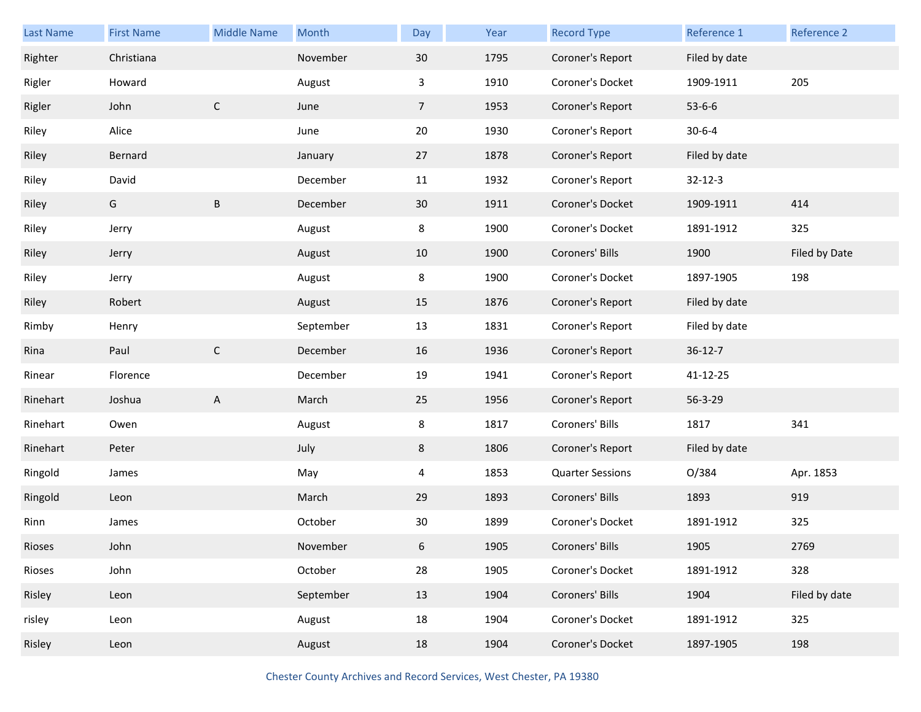| Last Name | <b>First Name</b> | <b>Middle Name</b> | Month     | Day             | Year | <b>Record Type</b>      | Reference 1   | Reference 2   |
|-----------|-------------------|--------------------|-----------|-----------------|------|-------------------------|---------------|---------------|
| Righter   | Christiana        |                    | November  | 30              | 1795 | Coroner's Report        | Filed by date |               |
| Rigler    | Howard            |                    | August    | 3               | 1910 | Coroner's Docket        | 1909-1911     | 205           |
| Rigler    | John              | $\mathsf C$        | June      | $7\overline{ }$ | 1953 | Coroner's Report        | $53 - 6 - 6$  |               |
| Riley     | Alice             |                    | June      | 20              | 1930 | Coroner's Report        | $30 - 6 - 4$  |               |
| Riley     | Bernard           |                    | January   | 27              | 1878 | Coroner's Report        | Filed by date |               |
| Riley     | David             |                    | December  | 11              | 1932 | Coroner's Report        | $32 - 12 - 3$ |               |
| Riley     | G                 | $\sf B$            | December  | 30              | 1911 | Coroner's Docket        | 1909-1911     | 414           |
| Riley     | Jerry             |                    | August    | 8               | 1900 | Coroner's Docket        | 1891-1912     | 325           |
| Riley     | Jerry             |                    | August    | 10              | 1900 | Coroners' Bills         | 1900          | Filed by Date |
| Riley     | Jerry             |                    | August    | 8               | 1900 | Coroner's Docket        | 1897-1905     | 198           |
| Riley     | Robert            |                    | August    | 15              | 1876 | Coroner's Report        | Filed by date |               |
| Rimby     | Henry             |                    | September | 13              | 1831 | Coroner's Report        | Filed by date |               |
| Rina      | Paul              | $\mathsf C$        | December  | 16              | 1936 | Coroner's Report        | $36 - 12 - 7$ |               |
| Rinear    | Florence          |                    | December  | 19              | 1941 | Coroner's Report        | 41-12-25      |               |
| Rinehart  | Joshua            | $\mathsf{A}$       | March     | 25              | 1956 | Coroner's Report        | 56-3-29       |               |
| Rinehart  | Owen              |                    | August    | 8               | 1817 | Coroners' Bills         | 1817          | 341           |
| Rinehart  | Peter             |                    | July      | 8               | 1806 | Coroner's Report        | Filed by date |               |
| Ringold   | James             |                    | May       | 4               | 1853 | <b>Quarter Sessions</b> | O/384         | Apr. 1853     |
| Ringold   | Leon              |                    | March     | 29              | 1893 | Coroners' Bills         | 1893          | 919           |
| Rinn      | James             |                    | October   | 30              | 1899 | Coroner's Docket        | 1891-1912     | 325           |
| Rioses    | John              |                    | November  | 6               | 1905 | Coroners' Bills         | 1905          | 2769          |
| Rioses    | John              |                    | October   | 28              | 1905 | Coroner's Docket        | 1891-1912     | 328           |
| Risley    | Leon              |                    | September | 13              | 1904 | Coroners' Bills         | 1904          | Filed by date |
| risley    | Leon              |                    | August    | 18              | 1904 | Coroner's Docket        | 1891-1912     | 325           |
| Risley    | Leon              |                    | August    | 18              | 1904 | Coroner's Docket        | 1897-1905     | 198           |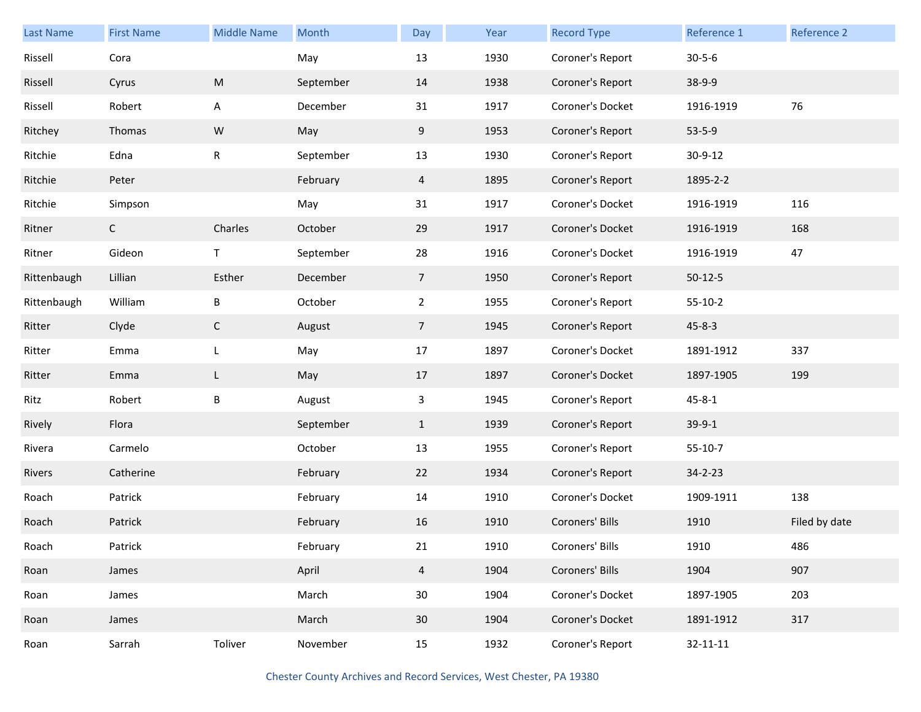| <b>Last Name</b> | <b>First Name</b> | <b>Middle Name</b> | Month     | Day            | Year | <b>Record Type</b> | Reference 1    | Reference 2   |
|------------------|-------------------|--------------------|-----------|----------------|------|--------------------|----------------|---------------|
| Rissell          | Cora              |                    | May       | 13             | 1930 | Coroner's Report   | $30 - 5 - 6$   |               |
| Rissell          | Cyrus             | M                  | September | 14             | 1938 | Coroner's Report   | 38-9-9         |               |
| Rissell          | Robert            | A                  | December  | 31             | 1917 | Coroner's Docket   | 1916-1919      | 76            |
| Ritchey          | Thomas            | W                  | May       | 9              | 1953 | Coroner's Report   | $53 - 5 - 9$   |               |
| Ritchie          | Edna              | $\mathsf{R}$       | September | 13             | 1930 | Coroner's Report   | 30-9-12        |               |
| Ritchie          | Peter             |                    | February  | $\overline{4}$ | 1895 | Coroner's Report   | 1895-2-2       |               |
| Ritchie          | Simpson           |                    | May       | 31             | 1917 | Coroner's Docket   | 1916-1919      | 116           |
| Ritner           | $\mathsf{C}$      | Charles            | October   | 29             | 1917 | Coroner's Docket   | 1916-1919      | 168           |
| Ritner           | Gideon            | T                  | September | 28             | 1916 | Coroner's Docket   | 1916-1919      | 47            |
| Rittenbaugh      | Lillian           | Esther             | December  | $\overline{7}$ | 1950 | Coroner's Report   | $50-12-5$      |               |
| Rittenbaugh      | William           | Β                  | October   | $\overline{2}$ | 1955 | Coroner's Report   | $55-10-2$      |               |
| Ritter           | Clyde             | $\mathsf{C}$       | August    | $\overline{7}$ | 1945 | Coroner's Report   | $45 - 8 - 3$   |               |
| Ritter           | Emma              | L                  | May       | 17             | 1897 | Coroner's Docket   | 1891-1912      | 337           |
| Ritter           | Emma              | L                  | May       | 17             | 1897 | Coroner's Docket   | 1897-1905      | 199           |
| Ritz             | Robert            | Β                  | August    | $\mathbf{3}$   | 1945 | Coroner's Report   | $45 - 8 - 1$   |               |
| Rively           | Flora             |                    | September | $\mathbf{1}$   | 1939 | Coroner's Report   | $39-9-1$       |               |
| Rivera           | Carmelo           |                    | October   | 13             | 1955 | Coroner's Report   | $55-10-7$      |               |
| Rivers           | Catherine         |                    | February  | 22             | 1934 | Coroner's Report   | $34 - 2 - 23$  |               |
| Roach            | Patrick           |                    | February  | 14             | 1910 | Coroner's Docket   | 1909-1911      | 138           |
| Roach            | Patrick           |                    | February  | 16             | 1910 | Coroners' Bills    | 1910           | Filed by date |
| Roach            | Patrick           |                    | February  | 21             | 1910 | Coroners' Bills    | 1910           | 486           |
| Roan             | James             |                    | April     | $\overline{4}$ | 1904 | Coroners' Bills    | 1904           | 907           |
| Roan             | James             |                    | March     | 30             | 1904 | Coroner's Docket   | 1897-1905      | 203           |
| Roan             | James             |                    | March     | 30             | 1904 | Coroner's Docket   | 1891-1912      | 317           |
| Roan             | Sarrah            | Toliver            | November  | 15             | 1932 | Coroner's Report   | $32 - 11 - 11$ |               |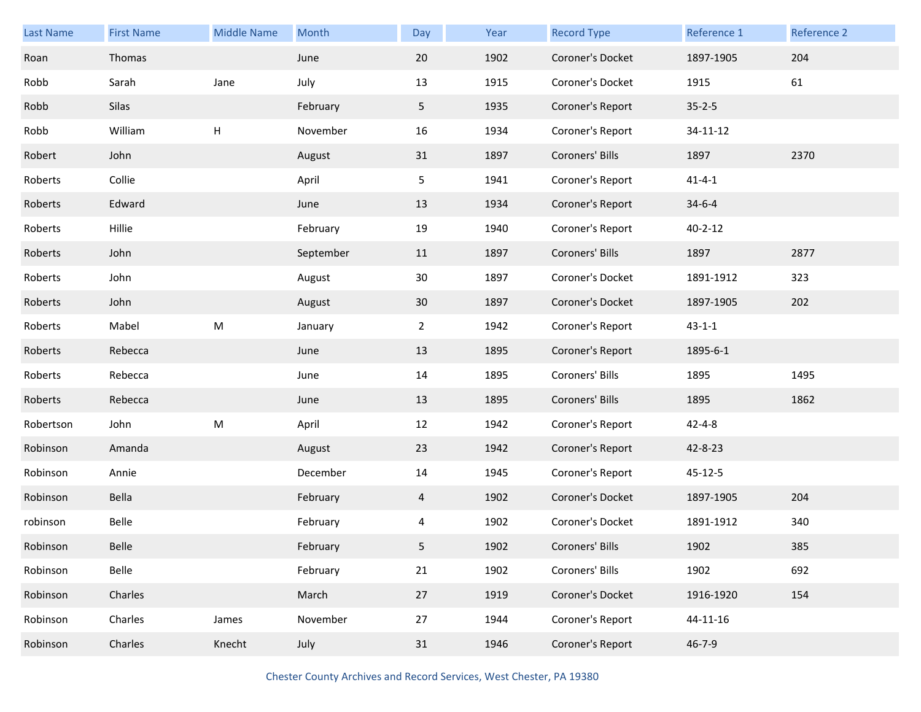| Last Name | <b>First Name</b> | <b>Middle Name</b> | Month     | Day            | Year | <b>Record Type</b> | Reference 1   | Reference 2 |
|-----------|-------------------|--------------------|-----------|----------------|------|--------------------|---------------|-------------|
| Roan      | Thomas            |                    | June      | 20             | 1902 | Coroner's Docket   | 1897-1905     | 204         |
| Robb      | Sarah             | Jane               | July      | 13             | 1915 | Coroner's Docket   | 1915          | 61          |
| Robb      | Silas             |                    | February  | 5              | 1935 | Coroner's Report   | $35 - 2 - 5$  |             |
| Robb      | William           | Н                  | November  | 16             | 1934 | Coroner's Report   | 34-11-12      |             |
| Robert    | John              |                    | August    | 31             | 1897 | Coroners' Bills    | 1897          | 2370        |
| Roberts   | Collie            |                    | April     | 5              | 1941 | Coroner's Report   | $41 - 4 - 1$  |             |
| Roberts   | Edward            |                    | June      | 13             | 1934 | Coroner's Report   | $34 - 6 - 4$  |             |
| Roberts   | Hillie            |                    | February  | 19             | 1940 | Coroner's Report   | $40 - 2 - 12$ |             |
| Roberts   | John              |                    | September | 11             | 1897 | Coroners' Bills    | 1897          | 2877        |
| Roberts   | John              |                    | August    | 30             | 1897 | Coroner's Docket   | 1891-1912     | 323         |
| Roberts   | John              |                    | August    | 30             | 1897 | Coroner's Docket   | 1897-1905     | 202         |
| Roberts   | Mabel             | M                  | January   | $\overline{2}$ | 1942 | Coroner's Report   | $43 - 1 - 1$  |             |
| Roberts   | Rebecca           |                    | June      | 13             | 1895 | Coroner's Report   | 1895-6-1      |             |
| Roberts   | Rebecca           |                    | June      | 14             | 1895 | Coroners' Bills    | 1895          | 1495        |
| Roberts   | Rebecca           |                    | June      | 13             | 1895 | Coroners' Bills    | 1895          | 1862        |
| Robertson | John              | M                  | April     | 12             | 1942 | Coroner's Report   | $42 - 4 - 8$  |             |
| Robinson  | Amanda            |                    | August    | 23             | 1942 | Coroner's Report   | 42-8-23       |             |
| Robinson  | Annie             |                    | December  | 14             | 1945 | Coroner's Report   | 45-12-5       |             |
| Robinson  | Bella             |                    | February  | 4              | 1902 | Coroner's Docket   | 1897-1905     | 204         |
| robinson  | Belle             |                    | February  | 4              | 1902 | Coroner's Docket   | 1891-1912     | 340         |
| Robinson  | Belle             |                    | February  | 5              | 1902 | Coroners' Bills    | 1902          | 385         |
| Robinson  | Belle             |                    | February  | 21             | 1902 | Coroners' Bills    | 1902          | 692         |
| Robinson  | Charles           |                    | March     | 27             | 1919 | Coroner's Docket   | 1916-1920     | 154         |
| Robinson  | Charles           | James              | November  | 27             | 1944 | Coroner's Report   | 44-11-16      |             |
| Robinson  | Charles           | Knecht             | July      | 31             | 1946 | Coroner's Report   | $46 - 7 - 9$  |             |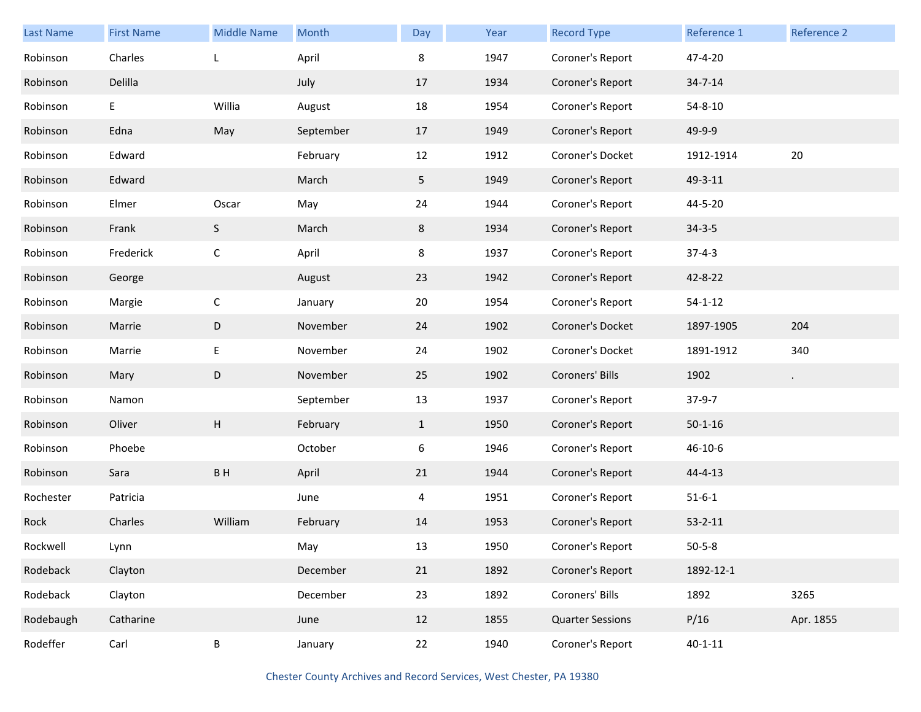| Last Name | <b>First Name</b> | <b>Middle Name</b> | Month     | Day          | Year | <b>Record Type</b>      | Reference 1   | Reference 2 |
|-----------|-------------------|--------------------|-----------|--------------|------|-------------------------|---------------|-------------|
| Robinson  | Charles           | L                  | April     | 8            | 1947 | Coroner's Report        | 47-4-20       |             |
| Robinson  | Delilla           |                    | July      | 17           | 1934 | Coroner's Report        | $34 - 7 - 14$ |             |
| Robinson  | E                 | Willia             | August    | 18           | 1954 | Coroner's Report        | $54 - 8 - 10$ |             |
| Robinson  | Edna              | May                | September | 17           | 1949 | Coroner's Report        | 49-9-9        |             |
| Robinson  | Edward            |                    | February  | 12           | 1912 | Coroner's Docket        | 1912-1914     | 20          |
| Robinson  | Edward            |                    | March     | 5            | 1949 | Coroner's Report        | 49-3-11       |             |
| Robinson  | Elmer             | Oscar              | May       | 24           | 1944 | Coroner's Report        | 44-5-20       |             |
| Robinson  | Frank             | S                  | March     | 8            | 1934 | Coroner's Report        | $34 - 3 - 5$  |             |
| Robinson  | Frederick         | $\mathsf C$        | April     | 8            | 1937 | Coroner's Report        | $37 - 4 - 3$  |             |
| Robinson  | George            |                    | August    | 23           | 1942 | Coroner's Report        | 42-8-22       |             |
| Robinson  | Margie            | $\mathsf C$        | January   | 20           | 1954 | Coroner's Report        | $54 - 1 - 12$ |             |
| Robinson  | Marrie            | D                  | November  | 24           | 1902 | Coroner's Docket        | 1897-1905     | 204         |
| Robinson  | Marrie            | E                  | November  | 24           | 1902 | Coroner's Docket        | 1891-1912     | 340         |
| Robinson  | Mary              | D                  | November  | 25           | 1902 | Coroners' Bills         | 1902          | $\bullet$   |
| Robinson  | Namon             |                    | September | 13           | 1937 | Coroner's Report        | $37-9-7$      |             |
| Robinson  | Oliver            | H                  | February  | $\mathbf{1}$ | 1950 | Coroner's Report        | $50 - 1 - 16$ |             |
| Robinson  | Phoebe            |                    | October   | 6            | 1946 | Coroner's Report        | $46 - 10 - 6$ |             |
| Robinson  | Sara              | BH                 | April     | 21           | 1944 | Coroner's Report        | 44-4-13       |             |
| Rochester | Patricia          |                    | June      | 4            | 1951 | Coroner's Report        | $51 - 6 - 1$  |             |
| Rock      | Charles           | William            | February  | 14           | 1953 | Coroner's Report        | $53 - 2 - 11$ |             |
| Rockwell  | Lynn              |                    | May       | 13           | 1950 | Coroner's Report        | $50 - 5 - 8$  |             |
| Rodeback  | Clayton           |                    | December  | 21           | 1892 | Coroner's Report        | 1892-12-1     |             |
| Rodeback  | Clayton           |                    | December  | 23           | 1892 | Coroners' Bills         | 1892          | 3265        |
| Rodebaugh | Catharine         |                    | June      | 12           | 1855 | <b>Quarter Sessions</b> | P/16          | Apr. 1855   |
| Rodeffer  | Carl              | B                  | January   | 22           | 1940 | Coroner's Report        | $40 - 1 - 11$ |             |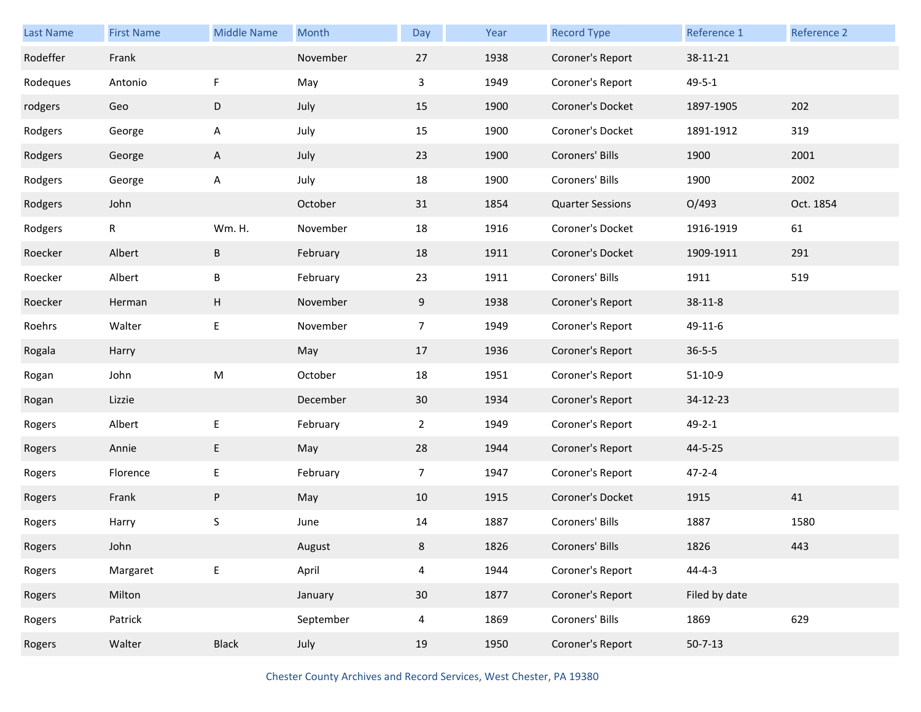| Last Name | <b>First Name</b> | <b>Middle Name</b> | Month     | Day             | Year | <b>Record Type</b>      | Reference 1   | Reference 2 |
|-----------|-------------------|--------------------|-----------|-----------------|------|-------------------------|---------------|-------------|
| Rodeffer  | Frank             |                    | November  | 27              | 1938 | Coroner's Report        | 38-11-21      |             |
| Rodeques  | Antonio           | F                  | May       | 3               | 1949 | Coroner's Report        | $49 - 5 - 1$  |             |
| rodgers   | Geo               | D                  | July      | 15              | 1900 | Coroner's Docket        | 1897-1905     | 202         |
| Rodgers   | George            | A                  | July      | 15              | 1900 | Coroner's Docket        | 1891-1912     | 319         |
| Rodgers   | George            | A                  | July      | 23              | 1900 | Coroners' Bills         | 1900          | 2001        |
| Rodgers   | George            | A                  | July      | 18              | 1900 | Coroners' Bills         | 1900          | 2002        |
| Rodgers   | John              |                    | October   | 31              | 1854 | <b>Quarter Sessions</b> | O/493         | Oct. 1854   |
| Rodgers   | R                 | <b>Wm. H.</b>      | November  | 18              | 1916 | Coroner's Docket        | 1916-1919     | 61          |
| Roecker   | Albert            | B                  | February  | 18              | 1911 | Coroner's Docket        | 1909-1911     | 291         |
| Roecker   | Albert            | Β                  | February  | 23              | 1911 | Coroners' Bills         | 1911          | 519         |
| Roecker   | Herman            | Н                  | November  | 9               | 1938 | Coroner's Report        | $38 - 11 - 8$ |             |
| Roehrs    | Walter            | E                  | November  | $\overline{7}$  | 1949 | Coroner's Report        | 49-11-6       |             |
| Rogala    | Harry             |                    | May       | 17              | 1936 | Coroner's Report        | $36 - 5 - 5$  |             |
| Rogan     | John              | M                  | October   | 18              | 1951 | Coroner's Report        | $51-10-9$     |             |
| Rogan     | Lizzie            |                    | December  | 30              | 1934 | Coroner's Report        | 34-12-23      |             |
| Rogers    | Albert            | E,                 | February  | $\overline{2}$  | 1949 | Coroner's Report        | $49 - 2 - 1$  |             |
| Rogers    | Annie             | E.                 | May       | 28              | 1944 | Coroner's Report        | 44-5-25       |             |
| Rogers    | Florence          | E                  | February  | $\overline{7}$  | 1947 | Coroner's Report        | $47 - 2 - 4$  |             |
| Rogers    | Frank             | P                  | May       | 10              | 1915 | Coroner's Docket        | 1915          | 41          |
| Rogers    | Harry             | S                  | June      | 14              | 1887 | Coroners' Bills         | 1887          | 1580        |
| Rogers    | John              |                    | August    | 8               | 1826 | Coroners' Bills         | 1826          | 443         |
| Rogers    | Margaret          | E                  | April     | $\overline{4}$  | 1944 | Coroner's Report        | $44 - 4 - 3$  |             |
| Rogers    | Milton            |                    | January   | 30 <sub>o</sub> | 1877 | Coroner's Report        | Filed by date |             |
| Rogers    | Patrick           |                    | September | $\overline{4}$  | 1869 | Coroners' Bills         | 1869          | 629         |
|           |                   |                    |           |                 |      |                         |               |             |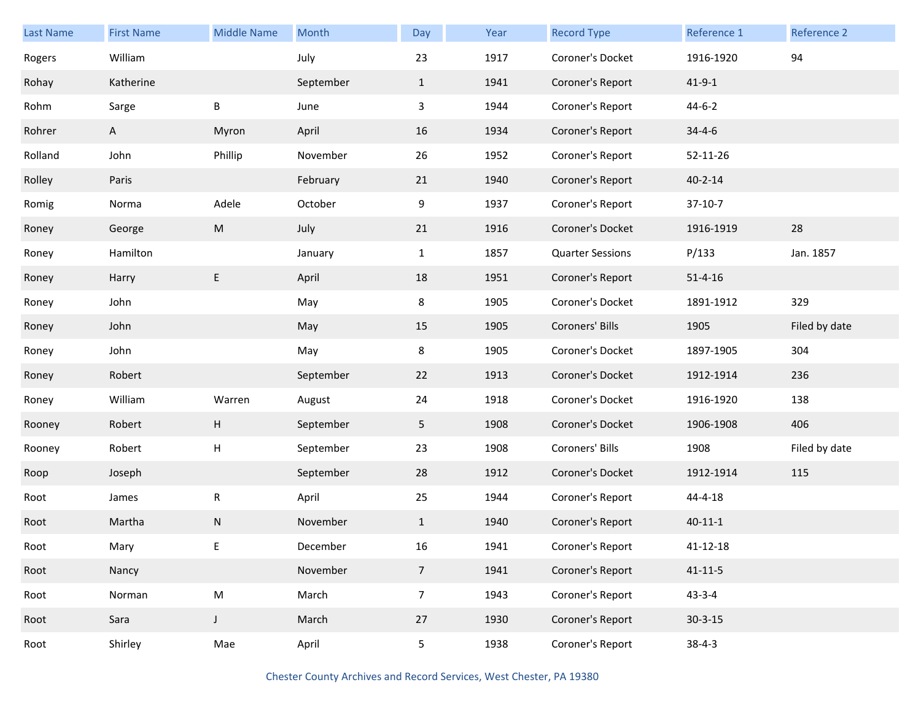| <b>Last Name</b> | <b>First Name</b> | <b>Middle Name</b> | Month     | Day                     | Year | <b>Record Type</b>      | Reference 1    | <b>Reference 2</b> |
|------------------|-------------------|--------------------|-----------|-------------------------|------|-------------------------|----------------|--------------------|
| Rogers           | William           |                    | July      | 23                      | 1917 | Coroner's Docket        | 1916-1920      | 94                 |
| Rohay            | Katherine         |                    | September | $\mathbf{1}$            | 1941 | Coroner's Report        | $41 - 9 - 1$   |                    |
| Rohm             | Sarge             | B                  | June      | $\overline{\mathbf{3}}$ | 1944 | Coroner's Report        | $44 - 6 - 2$   |                    |
| Rohrer           | $\mathsf{A}$      | Myron              | April     | 16                      | 1934 | Coroner's Report        | $34 - 4 - 6$   |                    |
| Rolland          | John              | Phillip            | November  | 26                      | 1952 | Coroner's Report        | 52-11-26       |                    |
| Rolley           | Paris             |                    | February  | 21                      | 1940 | Coroner's Report        | $40 - 2 - 14$  |                    |
| Romig            | Norma             | Adele              | October   | 9                       | 1937 | Coroner's Report        | $37-10-7$      |                    |
| Roney            | George            | M                  | July      | 21                      | 1916 | Coroner's Docket        | 1916-1919      | 28                 |
| Roney            | Hamilton          |                    | January   | $\mathbf{1}$            | 1857 | <b>Quarter Sessions</b> | P/133          | Jan. 1857          |
| Roney            | Harry             | E                  | April     | 18                      | 1951 | Coroner's Report        | $51 - 4 - 16$  |                    |
| Roney            | John              |                    | May       | 8                       | 1905 | Coroner's Docket        | 1891-1912      | 329                |
| Roney            | John              |                    | May       | 15                      | 1905 | Coroners' Bills         | 1905           | Filed by date      |
| Roney            | John              |                    | May       | 8                       | 1905 | Coroner's Docket        | 1897-1905      | 304                |
| Roney            | Robert            |                    | September | 22                      | 1913 | Coroner's Docket        | 1912-1914      | 236                |
| Roney            | William           | Warren             | August    | 24                      | 1918 | Coroner's Docket        | 1916-1920      | 138                |
| Rooney           | Robert            | H                  | September | 5 <sub>1</sub>          | 1908 | Coroner's Docket        | 1906-1908      | 406                |
| Rooney           | Robert            | H                  | September | 23                      | 1908 | Coroners' Bills         | 1908           | Filed by date      |
| Roop             | Joseph            |                    | September | 28                      | 1912 | Coroner's Docket        | 1912-1914      | 115                |
| Root             | James             | R                  | April     | 25                      | 1944 | Coroner's Report        | 44-4-18        |                    |
| Root             | Martha            | N                  | November  | $\mathbf{1}$            | 1940 | Coroner's Report        | $40 - 11 - 1$  |                    |
| Root             | Mary              | E                  | December  | 16                      | 1941 | Coroner's Report        | $41 - 12 - 18$ |                    |
| Root             | Nancy             |                    | November  | $7\overline{ }$         | 1941 | Coroner's Report        | $41 - 11 - 5$  |                    |
| Root             | Norman            | ${\sf M}$          | March     | $\overline{7}$          | 1943 | Coroner's Report        | $43 - 3 - 4$   |                    |
| Root             | Sara              | $\mathsf{J}$       | March     | 27                      | 1930 | Coroner's Report        | $30 - 3 - 15$  |                    |
| Root             | Shirley           | Mae                | April     | 5                       | 1938 | Coroner's Report        | $38 - 4 - 3$   |                    |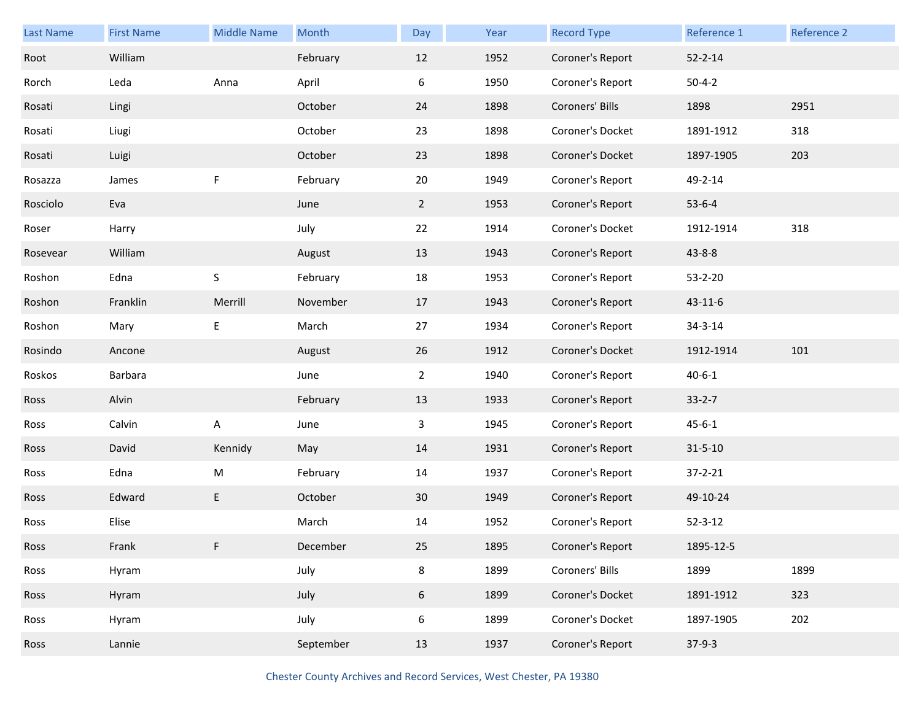| <b>Last Name</b> | <b>First Name</b> | <b>Middle Name</b> | Month     | Day            | Year | <b>Record Type</b> | Reference 1   | Reference 2 |
|------------------|-------------------|--------------------|-----------|----------------|------|--------------------|---------------|-------------|
| Root             | William           |                    | February  | 12             | 1952 | Coroner's Report   | $52 - 2 - 14$ |             |
| Rorch            | Leda              | Anna               | April     | 6              | 1950 | Coroner's Report   | $50 - 4 - 2$  |             |
| Rosati           | Lingi             |                    | October   | 24             | 1898 | Coroners' Bills    | 1898          | 2951        |
| Rosati           | Liugi             |                    | October   | 23             | 1898 | Coroner's Docket   | 1891-1912     | 318         |
| Rosati           | Luigi             |                    | October   | 23             | 1898 | Coroner's Docket   | 1897-1905     | 203         |
| Rosazza          | James             | F                  | February  | 20             | 1949 | Coroner's Report   | 49-2-14       |             |
| Rosciolo         | Eva               |                    | June      | $2^{\circ}$    | 1953 | Coroner's Report   | $53-6-4$      |             |
| Roser            | Harry             |                    | July      | 22             | 1914 | Coroner's Docket   | 1912-1914     | 318         |
| Rosevear         | William           |                    | August    | 13             | 1943 | Coroner's Report   | $43 - 8 - 8$  |             |
| Roshon           | Edna              | S                  | February  | 18             | 1953 | Coroner's Report   | $53 - 2 - 20$ |             |
| Roshon           | Franklin          | Merrill            | November  | 17             | 1943 | Coroner's Report   | $43 - 11 - 6$ |             |
| Roshon           | Mary              | Е                  | March     | 27             | 1934 | Coroner's Report   | 34-3-14       |             |
| Rosindo          | Ancone            |                    | August    | 26             | 1912 | Coroner's Docket   | 1912-1914     | 101         |
| Roskos           | Barbara           |                    | June      | $\overline{2}$ | 1940 | Coroner's Report   | $40 - 6 - 1$  |             |
| Ross             | Alvin             |                    | February  | 13             | 1933 | Coroner's Report   | $33 - 2 - 7$  |             |
| Ross             | Calvin            | Α                  | June      | 3              | 1945 | Coroner's Report   | $45 - 6 - 1$  |             |
| Ross             | David             | Kennidy            | May       | 14             | 1931 | Coroner's Report   | $31 - 5 - 10$ |             |
| Ross             | Edna              | M                  | February  | 14             | 1937 | Coroner's Report   | $37 - 2 - 21$ |             |
| Ross             | Edward            | E                  | October   | 30             | 1949 | Coroner's Report   | 49-10-24      |             |
| Ross             | Elise             |                    | March     | 14             | 1952 | Coroner's Report   | $52 - 3 - 12$ |             |
| Ross             | Frank             | F                  | December  | 25             | 1895 | Coroner's Report   | 1895-12-5     |             |
| Ross             | Hyram             |                    | July      | 8              | 1899 | Coroners' Bills    | 1899          | 1899        |
| Ross             | Hyram             |                    | July      | $6\,$          | 1899 | Coroner's Docket   | 1891-1912     | 323         |
| Ross             | Hyram             |                    | July      | 6              | 1899 | Coroner's Docket   | 1897-1905     | 202         |
| Ross             | Lannie            |                    | September | 13             | 1937 | Coroner's Report   | $37-9-3$      |             |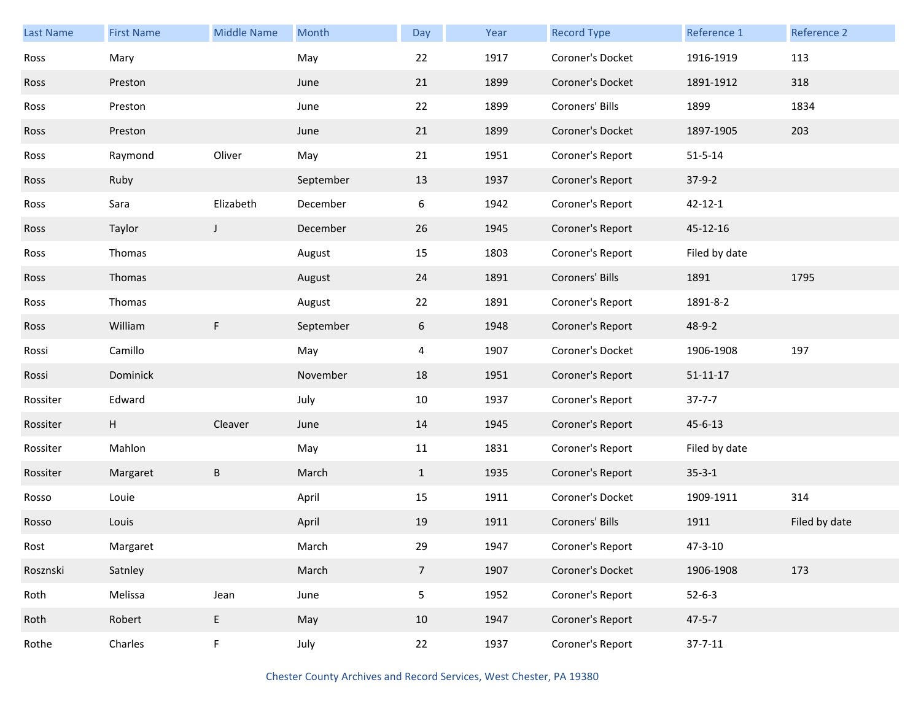| <b>Last Name</b> | <b>First Name</b> | <b>Middle Name</b> | Month     | Day            | Year | <b>Record Type</b> | Reference 1    | Reference 2   |
|------------------|-------------------|--------------------|-----------|----------------|------|--------------------|----------------|---------------|
| Ross             | Mary              |                    | May       | 22             | 1917 | Coroner's Docket   | 1916-1919      | 113           |
| Ross             | Preston           |                    | June      | 21             | 1899 | Coroner's Docket   | 1891-1912      | 318           |
| Ross             | Preston           |                    | June      | 22             | 1899 | Coroners' Bills    | 1899           | 1834          |
| Ross             | Preston           |                    | June      | 21             | 1899 | Coroner's Docket   | 1897-1905      | 203           |
| Ross             | Raymond           | Oliver             | May       | 21             | 1951 | Coroner's Report   | $51 - 5 - 14$  |               |
| Ross             | Ruby              |                    | September | 13             | 1937 | Coroner's Report   | $37-9-2$       |               |
| Ross             | Sara              | Elizabeth          | December  | 6              | 1942 | Coroner's Report   | $42 - 12 - 1$  |               |
| Ross             | Taylor            | J                  | December  | 26             | 1945 | Coroner's Report   | 45-12-16       |               |
| Ross             | Thomas            |                    | August    | 15             | 1803 | Coroner's Report   | Filed by date  |               |
| Ross             | Thomas            |                    | August    | 24             | 1891 | Coroners' Bills    | 1891           | 1795          |
| Ross             | Thomas            |                    | August    | 22             | 1891 | Coroner's Report   | 1891-8-2       |               |
| Ross             | William           | F                  | September | 6              | 1948 | Coroner's Report   | 48-9-2         |               |
| Rossi            | Camillo           |                    | May       | 4              | 1907 | Coroner's Docket   | 1906-1908      | 197           |
| Rossi            | Dominick          |                    | November  | 18             | 1951 | Coroner's Report   | $51 - 11 - 17$ |               |
| Rossiter         | Edward            |                    | July      | 10             | 1937 | Coroner's Report   | $37 - 7 - 7$   |               |
| Rossiter         | H                 | Cleaver            | June      | 14             | 1945 | Coroner's Report   | 45-6-13        |               |
| Rossiter         | Mahlon            |                    | May       | 11             | 1831 | Coroner's Report   | Filed by date  |               |
| Rossiter         | Margaret          | $\sf B$            | March     | $\mathbf{1}$   | 1935 | Coroner's Report   | $35 - 3 - 1$   |               |
| Rosso            | Louie             |                    | April     | 15             | 1911 | Coroner's Docket   | 1909-1911      | 314           |
| Rosso            | Louis             |                    | April     | 19             | 1911 | Coroners' Bills    | 1911           | Filed by date |
| Rost             | Margaret          |                    | March     | 29             | 1947 | Coroner's Report   | 47-3-10        |               |
| Rosznski         | Satnley           |                    | March     | 7 <sup>7</sup> | 1907 | Coroner's Docket   | 1906-1908      | 173           |
| Roth             | Melissa           | Jean               | June      | 5              | 1952 | Coroner's Report   | $52 - 6 - 3$   |               |
| Roth             | Robert            | E                  | May       | 10             | 1947 | Coroner's Report   | $47 - 5 - 7$   |               |
| Rothe            | Charles           | F                  | July      | 22             | 1937 | Coroner's Report   | $37 - 7 - 11$  |               |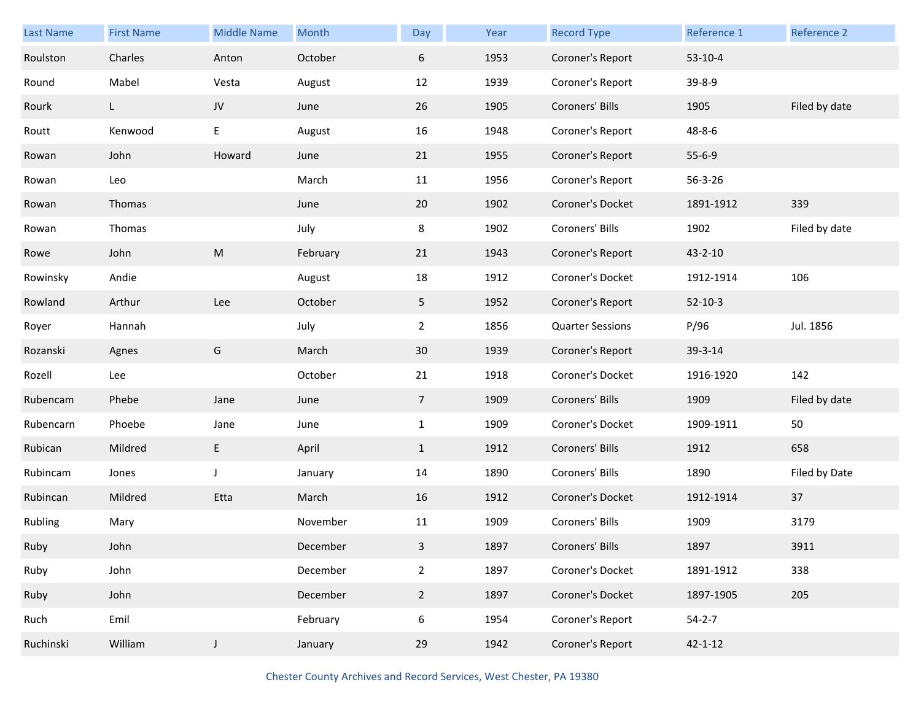| Last Name | <b>First Name</b> | <b>Middle Name</b> | Month    | Day             | Year | <b>Record Type</b>      | Reference 1   | Reference 2   |
|-----------|-------------------|--------------------|----------|-----------------|------|-------------------------|---------------|---------------|
| Roulston  | Charles           | Anton              | October  | 6               | 1953 | Coroner's Report        | $53-10-4$     |               |
| Round     | Mabel             | Vesta              | August   | 12              | 1939 | Coroner's Report        | 39-8-9        |               |
| Rourk     | L.                | JV                 | June     | 26              | 1905 | Coroners' Bills         | 1905          | Filed by date |
| Routt     | Kenwood           | E                  | August   | 16              | 1948 | Coroner's Report        | 48-8-6        |               |
| Rowan     | John              | Howard             | June     | 21              | 1955 | Coroner's Report        | $55 - 6 - 9$  |               |
| Rowan     | Leo               |                    | March    | 11              | 1956 | Coroner's Report        | 56-3-26       |               |
| Rowan     | Thomas            |                    | June     | 20              | 1902 | Coroner's Docket        | 1891-1912     | 339           |
| Rowan     | Thomas            |                    | July     | 8               | 1902 | Coroners' Bills         | 1902          | Filed by date |
| Rowe      | John              | ${\sf M}$          | February | 21              | 1943 | Coroner's Report        | $43 - 2 - 10$ |               |
| Rowinsky  | Andie             |                    | August   | 18              | 1912 | Coroner's Docket        | 1912-1914     | 106           |
| Rowland   | Arthur            | Lee                | October  | 5               | 1952 | Coroner's Report        | $52 - 10 - 3$ |               |
| Royer     | Hannah            |                    | July     | $\overline{2}$  | 1856 | <b>Quarter Sessions</b> | P/96          | Jul. 1856     |
| Rozanski  | Agnes             | G                  | March    | 30              | 1939 | Coroner's Report        | 39-3-14       |               |
| Rozell    | Lee               |                    | October  | 21              | 1918 | Coroner's Docket        | 1916-1920     | 142           |
| Rubencam  | Phebe             | Jane               | June     | $7\overline{ }$ | 1909 | Coroners' Bills         | 1909          | Filed by date |
| Rubencarn | Phoebe            | Jane               | June     | $\mathbf{1}$    | 1909 | Coroner's Docket        | 1909-1911     | 50            |
| Rubican   | Mildred           | E                  | April    | $\mathbf{1}$    | 1912 | Coroners' Bills         | 1912          | 658           |
| Rubincam  | Jones             | $\mathsf{J}$       | January  | 14              | 1890 | Coroners' Bills         | 1890          | Filed by Date |
| Rubincan  | Mildred           | Etta               | March    | 16              | 1912 | Coroner's Docket        | 1912-1914     | 37            |
| Rubling   | Mary              |                    | November | 11              | 1909 | Coroners' Bills         | 1909          | 3179          |
| Ruby      | John              |                    | December | 3               | 1897 | Coroners' Bills         | 1897          | 3911          |
| Ruby      | John              |                    | December | $2^{\circ}$     | 1897 | Coroner's Docket        | 1891-1912     | 338           |
| Ruby      | John              |                    | December | $2^{\circ}$     | 1897 | Coroner's Docket        | 1897-1905     | 205           |
| Ruch      | Emil              |                    | February | 6               | 1954 | Coroner's Report        | $54 - 2 - 7$  |               |
| Ruchinski | William           | $\mathsf J$        | January  | 29              | 1942 | Coroner's Report        | $42 - 1 - 12$ |               |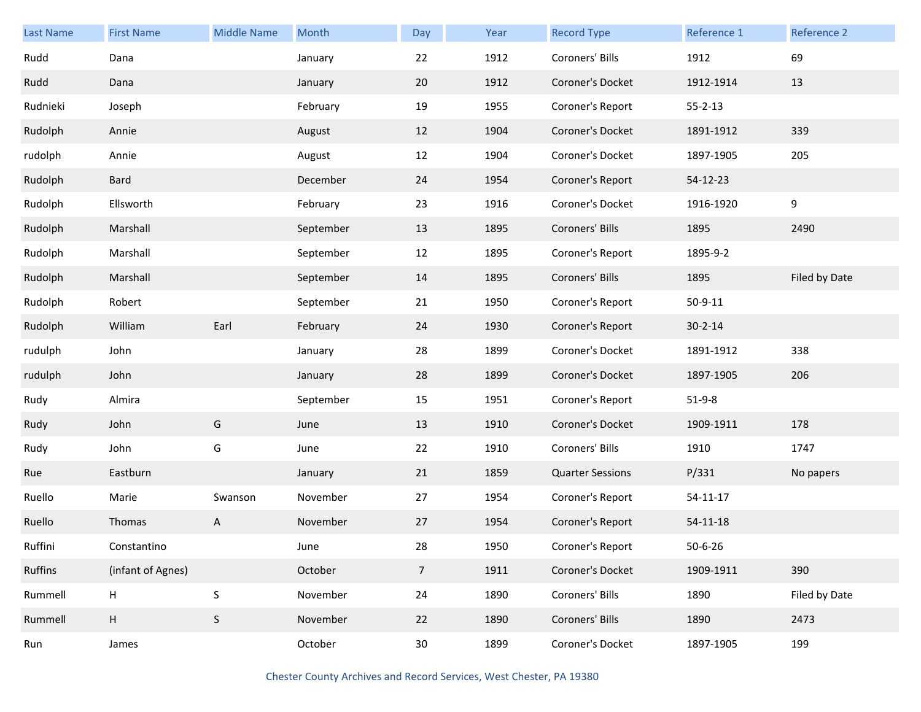| Last Name | <b>First Name</b>         | <b>Middle Name</b> | Month     | Day             | Year | <b>Record Type</b>      | Reference 1    | Reference 2   |
|-----------|---------------------------|--------------------|-----------|-----------------|------|-------------------------|----------------|---------------|
| Rudd      | Dana                      |                    | January   | 22              | 1912 | Coroners' Bills         | 1912           | 69            |
| Rudd      | Dana                      |                    | January   | 20              | 1912 | Coroner's Docket        | 1912-1914      | 13            |
| Rudnieki  | Joseph                    |                    | February  | 19              | 1955 | Coroner's Report        | $55 - 2 - 13$  |               |
| Rudolph   | Annie                     |                    | August    | 12              | 1904 | Coroner's Docket        | 1891-1912      | 339           |
| rudolph   | Annie                     |                    | August    | 12              | 1904 | Coroner's Docket        | 1897-1905      | 205           |
| Rudolph   | Bard                      |                    | December  | 24              | 1954 | Coroner's Report        | 54-12-23       |               |
| Rudolph   | Ellsworth                 |                    | February  | 23              | 1916 | Coroner's Docket        | 1916-1920      | 9             |
| Rudolph   | Marshall                  |                    | September | 13              | 1895 | Coroners' Bills         | 1895           | 2490          |
| Rudolph   | Marshall                  |                    | September | 12              | 1895 | Coroner's Report        | 1895-9-2       |               |
| Rudolph   | Marshall                  |                    | September | 14              | 1895 | Coroners' Bills         | 1895           | Filed by Date |
| Rudolph   | Robert                    |                    | September | 21              | 1950 | Coroner's Report        | $50 - 9 - 11$  |               |
| Rudolph   | William                   | Earl               | February  | 24              | 1930 | Coroner's Report        | $30 - 2 - 14$  |               |
| rudulph   | John                      |                    | January   | 28              | 1899 | Coroner's Docket        | 1891-1912      | 338           |
| rudulph   | John                      |                    | January   | 28              | 1899 | Coroner's Docket        | 1897-1905      | 206           |
| Rudy      | Almira                    |                    | September | 15              | 1951 | Coroner's Report        | $51-9-8$       |               |
| Rudy      | John                      | G                  | June      | 13              | 1910 | Coroner's Docket        | 1909-1911      | 178           |
| Rudy      | John                      | G                  | June      | 22              | 1910 | Coroners' Bills         | 1910           | 1747          |
| Rue       | Eastburn                  |                    | January   | 21              | 1859 | <b>Quarter Sessions</b> | P/331          | No papers     |
| Ruello    | Marie                     | Swanson            | November  | 27              | 1954 | Coroner's Report        | 54-11-17       |               |
| Ruello    | Thomas                    | A                  | November  | 27              | 1954 | Coroner's Report        | $54 - 11 - 18$ |               |
| Ruffini   | Constantino               |                    | June      | 28              | 1950 | Coroner's Report        | $50 - 6 - 26$  |               |
| Ruffins   | (infant of Agnes)         |                    | October   | $7\overline{ }$ | 1911 | Coroner's Docket        | 1909-1911      | 390           |
| Rummell   | $\boldsymbol{\mathsf{H}}$ | $\sf S$            | November  | 24              | 1890 | Coroners' Bills         | 1890           | Filed by Date |
| Rummell   | H                         | $\sf S$            | November  | 22              | 1890 | Coroners' Bills         | 1890           | 2473          |
| Run       | James                     |                    | October   | 30 <sub>o</sub> | 1899 | Coroner's Docket        | 1897-1905      | 199           |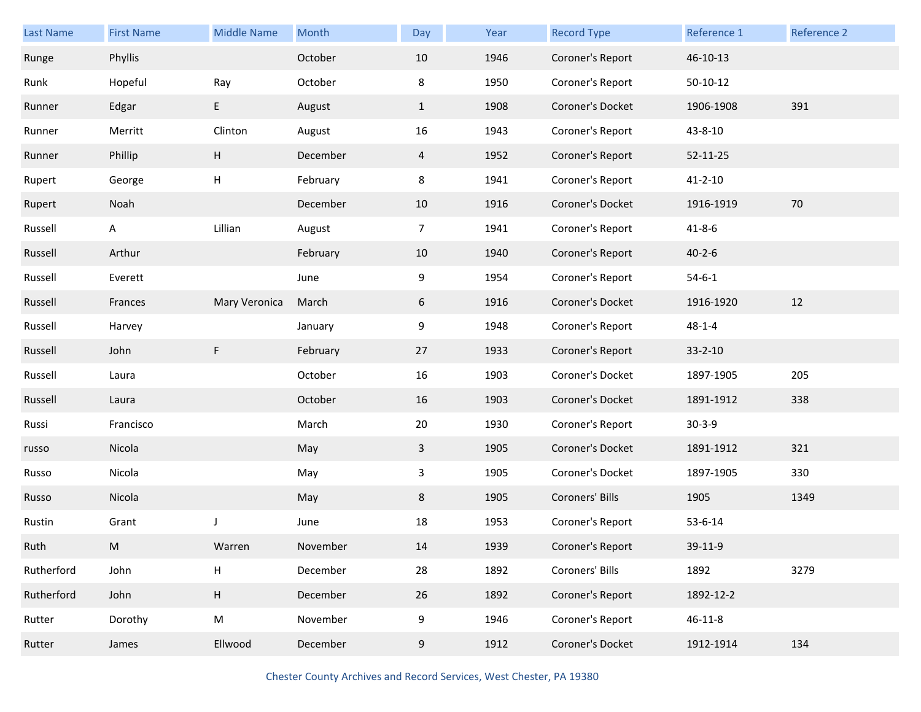| <b>Last Name</b> | <b>First Name</b> | <b>Middle Name</b> | Month    | Day            | Year | <b>Record Type</b> | Reference 1   | <b>Reference 2</b> |
|------------------|-------------------|--------------------|----------|----------------|------|--------------------|---------------|--------------------|
| Runge            | Phyllis           |                    | October  | 10             | 1946 | Coroner's Report   | 46-10-13      |                    |
| Runk             | Hopeful           | Ray                | October  | 8              | 1950 | Coroner's Report   | $50-10-12$    |                    |
| Runner           | Edgar             | E                  | August   | $\mathbf{1}$   | 1908 | Coroner's Docket   | 1906-1908     | 391                |
| Runner           | Merritt           | Clinton            | August   | 16             | 1943 | Coroner's Report   | 43-8-10       |                    |
| Runner           | Phillip           | H                  | December | $\overline{4}$ | 1952 | Coroner's Report   | 52-11-25      |                    |
| Rupert           | George            | Н                  | February | 8              | 1941 | Coroner's Report   | $41 - 2 - 10$ |                    |
| Rupert           | Noah              |                    | December | 10             | 1916 | Coroner's Docket   | 1916-1919     | 70                 |
| Russell          | A                 | Lillian            | August   | 7              | 1941 | Coroner's Report   | $41 - 8 - 6$  |                    |
| Russell          | Arthur            |                    | February | 10             | 1940 | Coroner's Report   | $40 - 2 - 6$  |                    |
| Russell          | Everett           |                    | June     | 9              | 1954 | Coroner's Report   | $54 - 6 - 1$  |                    |
| Russell          | Frances           | Mary Veronica      | March    | 6              | 1916 | Coroner's Docket   | 1916-1920     | 12                 |
| Russell          | Harvey            |                    | January  | 9              | 1948 | Coroner's Report   | $48 - 1 - 4$  |                    |
| Russell          | John              | F                  | February | 27             | 1933 | Coroner's Report   | $33 - 2 - 10$ |                    |
| Russell          | Laura             |                    | October  | 16             | 1903 | Coroner's Docket   | 1897-1905     | 205                |
| Russell          | Laura             |                    | October  | 16             | 1903 | Coroner's Docket   | 1891-1912     | 338                |
| Russi            | Francisco         |                    | March    | 20             | 1930 | Coroner's Report   | $30 - 3 - 9$  |                    |
| russo            | Nicola            |                    | May      | 3              | 1905 | Coroner's Docket   | 1891-1912     | 321                |
| Russo            | Nicola            |                    | May      | 3              | 1905 | Coroner's Docket   | 1897-1905     | 330                |
| Russo            | Nicola            |                    | May      | 8              | 1905 | Coroners' Bills    | 1905          | 1349               |
| Rustin           | Grant             |                    | June     | 18             | 1953 | Coroner's Report   | 53-6-14       |                    |
| Ruth             | M                 | Warren             | November | 14             | 1939 | Coroner's Report   | 39-11-9       |                    |
| Rutherford       | John              | H                  | December | 28             | 1892 | Coroners' Bills    | 1892          | 3279               |
| Rutherford       | John              | H                  | December | 26             | 1892 | Coroner's Report   | 1892-12-2     |                    |
| Rutter           | Dorothy           | ${\sf M}$          | November | 9              | 1946 | Coroner's Report   | $46 - 11 - 8$ |                    |
| Rutter           | James             | Ellwood            | December | 9              | 1912 | Coroner's Docket   | 1912-1914     | 134                |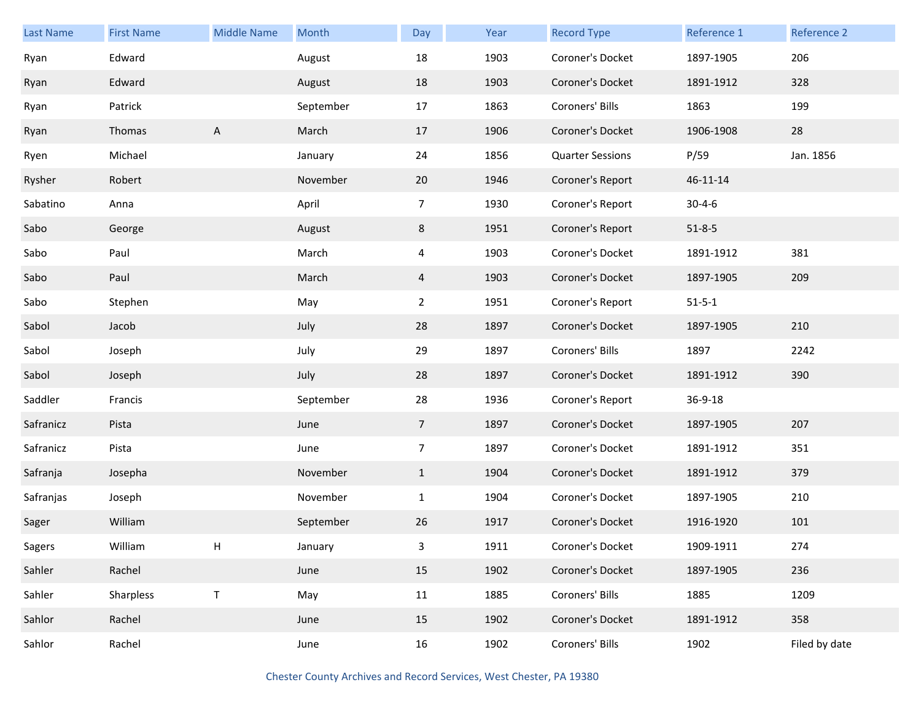| <b>Last Name</b> | <b>First Name</b> | <b>Middle Name</b> | Month     | Day            | Year | <b>Record Type</b>      | Reference 1  | Reference 2   |
|------------------|-------------------|--------------------|-----------|----------------|------|-------------------------|--------------|---------------|
| Ryan             | Edward            |                    | August    | 18             | 1903 | Coroner's Docket        | 1897-1905    | 206           |
| Ryan             | Edward            |                    | August    | 18             | 1903 | Coroner's Docket        | 1891-1912    | 328           |
| Ryan             | Patrick           |                    | September | 17             | 1863 | Coroners' Bills         | 1863         | 199           |
| Ryan             | Thomas            | A                  | March     | 17             | 1906 | Coroner's Docket        | 1906-1908    | 28            |
| Ryen             | Michael           |                    | January   | 24             | 1856 | <b>Quarter Sessions</b> | P/59         | Jan. 1856     |
| Rysher           | Robert            |                    | November  | 20             | 1946 | Coroner's Report        | 46-11-14     |               |
| Sabatino         | Anna              |                    | April     | $\overline{7}$ | 1930 | Coroner's Report        | $30 - 4 - 6$ |               |
| Sabo             | George            |                    | August    | 8              | 1951 | Coroner's Report        | $51 - 8 - 5$ |               |
| Sabo             | Paul              |                    | March     | 4              | 1903 | Coroner's Docket        | 1891-1912    | 381           |
| Sabo             | Paul              |                    | March     | 4              | 1903 | Coroner's Docket        | 1897-1905    | 209           |
| Sabo             | Stephen           |                    | May       | $\overline{2}$ | 1951 | Coroner's Report        | $51 - 5 - 1$ |               |
| Sabol            | Jacob             |                    | July      | 28             | 1897 | Coroner's Docket        | 1897-1905    | 210           |
| Sabol            | Joseph            |                    | July      | 29             | 1897 | Coroners' Bills         | 1897         | 2242          |
| Sabol            | Joseph            |                    | July      | 28             | 1897 | Coroner's Docket        | 1891-1912    | 390           |
| Saddler          | Francis           |                    | September | 28             | 1936 | Coroner's Report        | 36-9-18      |               |
| Safranicz        | Pista             |                    | June      | $\overline{7}$ | 1897 | Coroner's Docket        | 1897-1905    | 207           |
| Safranicz        | Pista             |                    | June      | 7 <sup>7</sup> | 1897 | Coroner's Docket        | 1891-1912    | 351           |
| Safranja         | Josepha           |                    | November  | $\mathbf{1}$   | 1904 | Coroner's Docket        | 1891-1912    | 379           |
| Safranjas        | Joseph            |                    | November  | $\mathbf{1}$   | 1904 | Coroner's Docket        | 1897-1905    | 210           |
| Sager            | William           |                    | September | 26             | 1917 | Coroner's Docket        | 1916-1920    | 101           |
| Sagers           | William           | Н                  | January   | 3              | 1911 | Coroner's Docket        | 1909-1911    | 274           |
| Sahler           | Rachel            |                    | June      | 15             | 1902 | Coroner's Docket        | 1897-1905    | 236           |
| Sahler           | Sharpless         | $\sf T$            | May       | 11             | 1885 | Coroners' Bills         | 1885         | 1209          |
| Sahlor           | Rachel            |                    | June      | 15             | 1902 | Coroner's Docket        | 1891-1912    | 358           |
| Sahlor           | Rachel            |                    | June      | 16             | 1902 | Coroners' Bills         | 1902         | Filed by date |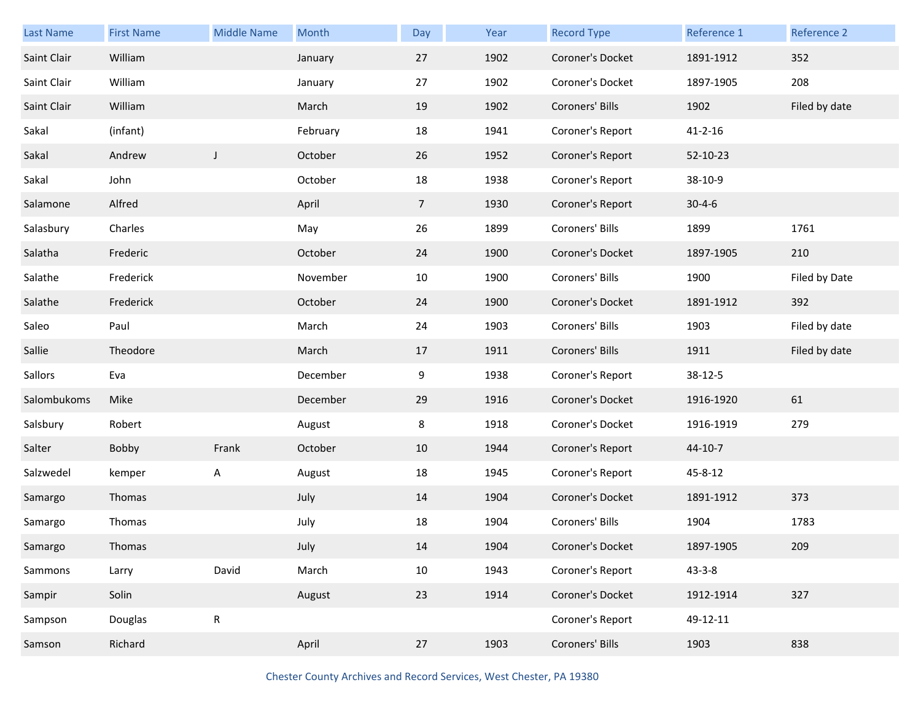| Last Name   | <b>First Name</b> | <b>Middle Name</b> | Month    | Day             | Year | <b>Record Type</b> | Reference 1   | Reference 2   |
|-------------|-------------------|--------------------|----------|-----------------|------|--------------------|---------------|---------------|
| Saint Clair | William           |                    | January  | 27              | 1902 | Coroner's Docket   | 1891-1912     | 352           |
| Saint Clair | William           |                    | January  | 27              | 1902 | Coroner's Docket   | 1897-1905     | 208           |
| Saint Clair | William           |                    | March    | 19              | 1902 | Coroners' Bills    | 1902          | Filed by date |
| Sakal       | (infant)          |                    | February | 18              | 1941 | Coroner's Report   | $41 - 2 - 16$ |               |
| Sakal       | Andrew            | $\mathsf J$        | October  | 26              | 1952 | Coroner's Report   | 52-10-23      |               |
| Sakal       | John              |                    | October  | 18              | 1938 | Coroner's Report   | 38-10-9       |               |
| Salamone    | Alfred            |                    | April    | $7\overline{ }$ | 1930 | Coroner's Report   | $30 - 4 - 6$  |               |
| Salasbury   | Charles           |                    | May      | 26              | 1899 | Coroners' Bills    | 1899          | 1761          |
| Salatha     | Frederic          |                    | October  | 24              | 1900 | Coroner's Docket   | 1897-1905     | 210           |
| Salathe     | Frederick         |                    | November | 10              | 1900 | Coroners' Bills    | 1900          | Filed by Date |
| Salathe     | Frederick         |                    | October  | 24              | 1900 | Coroner's Docket   | 1891-1912     | 392           |
| Saleo       | Paul              |                    | March    | 24              | 1903 | Coroners' Bills    | 1903          | Filed by date |
|             |                   |                    |          |                 |      |                    |               |               |
| Sallie      | Theodore          |                    | March    | 17              | 1911 | Coroners' Bills    | 1911          | Filed by date |
| Sallors     | Eva               |                    | December | 9               | 1938 | Coroner's Report   | 38-12-5       |               |
| Salombukoms | Mike              |                    | December | 29              | 1916 | Coroner's Docket   | 1916-1920     | 61            |
| Salsbury    | Robert            |                    | August   | 8               | 1918 | Coroner's Docket   | 1916-1919     | 279           |
| Salter      | Bobby             | Frank              | October  | 10              | 1944 | Coroner's Report   | 44-10-7       |               |
| Salzwedel   | kemper            | А                  | August   | 18              | 1945 | Coroner's Report   | 45-8-12       |               |
| Samargo     | Thomas            |                    | July     | 14              | 1904 | Coroner's Docket   | 1891-1912     | 373           |
| Samargo     | Thomas            |                    | July     | 18              | 1904 | Coroners' Bills    | 1904          | 1783          |
| Samargo     | Thomas            |                    | July     | 14              | 1904 | Coroner's Docket   | 1897-1905     | 209           |
| Sammons     | Larry             | David              | March    | 10              | 1943 | Coroner's Report   | $43 - 3 - 8$  |               |
| Sampir      | Solin             |                    | August   | 23              | 1914 | Coroner's Docket   | 1912-1914     | 327           |
| Sampson     | Douglas           | ${\sf R}$          |          |                 |      | Coroner's Report   | 49-12-11      |               |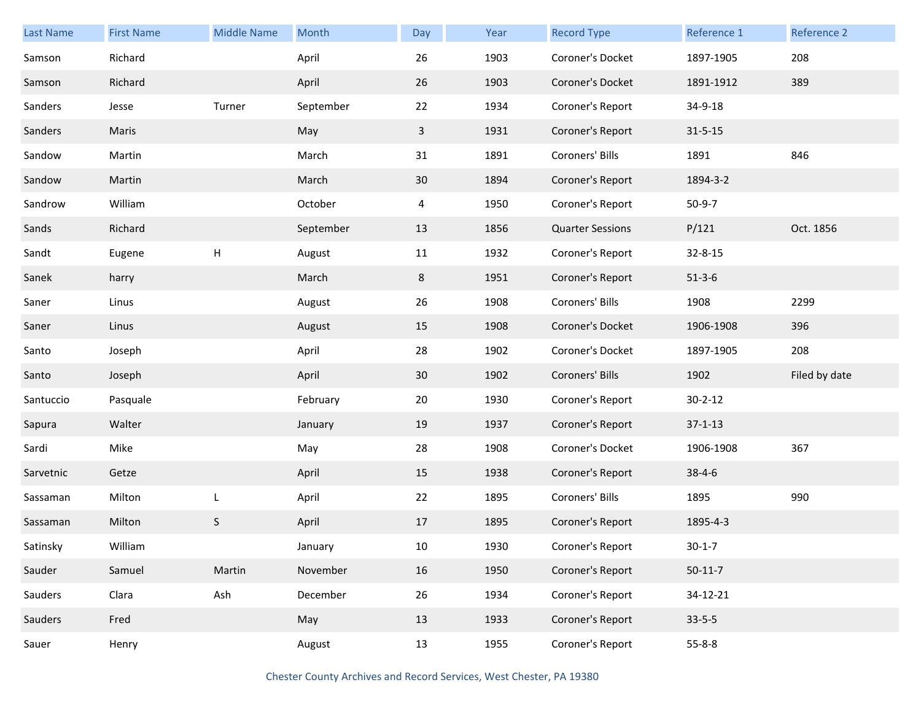| Last Name | <b>First Name</b> | <b>Middle Name</b> | Month     | Day          | Year | <b>Record Type</b>      | Reference 1   | Reference 2   |
|-----------|-------------------|--------------------|-----------|--------------|------|-------------------------|---------------|---------------|
| Samson    | Richard           |                    | April     | 26           | 1903 | Coroner's Docket        | 1897-1905     | 208           |
| Samson    | Richard           |                    | April     | 26           | 1903 | Coroner's Docket        | 1891-1912     | 389           |
| Sanders   | Jesse             | Turner             | September | 22           | 1934 | Coroner's Report        | 34-9-18       |               |
| Sanders   | Maris             |                    | May       | $\mathbf{3}$ | 1931 | Coroner's Report        | $31 - 5 - 15$ |               |
| Sandow    | Martin            |                    | March     | 31           | 1891 | Coroners' Bills         | 1891          | 846           |
| Sandow    | Martin            |                    | March     | 30           | 1894 | Coroner's Report        | 1894-3-2      |               |
| Sandrow   | William           |                    | October   | 4            | 1950 | Coroner's Report        | $50-9-7$      |               |
| Sands     | Richard           |                    | September | 13           | 1856 | <b>Quarter Sessions</b> | P/121         | Oct. 1856     |
| Sandt     | Eugene            | Н                  | August    | 11           | 1932 | Coroner's Report        | $32 - 8 - 15$ |               |
| Sanek     | harry             |                    | March     | 8            | 1951 | Coroner's Report        | $51 - 3 - 6$  |               |
| Saner     | Linus             |                    | August    | 26           | 1908 | Coroners' Bills         | 1908          | 2299          |
| Saner     | Linus             |                    | August    | 15           | 1908 | Coroner's Docket        | 1906-1908     | 396           |
| Santo     | Joseph            |                    | April     | 28           | 1902 | Coroner's Docket        | 1897-1905     | 208           |
| Santo     | Joseph            |                    | April     | 30           | 1902 | Coroners' Bills         | 1902          | Filed by date |
| Santuccio | Pasquale          |                    | February  | 20           | 1930 | Coroner's Report        | $30 - 2 - 12$ |               |
| Sapura    | Walter            |                    | January   | 19           | 1937 | Coroner's Report        | $37 - 1 - 13$ |               |
| Sardi     | Mike              |                    | May       | 28           | 1908 | Coroner's Docket        | 1906-1908     | 367           |
| Sarvetnic | Getze             |                    | April     | 15           | 1938 | Coroner's Report        | $38 - 4 - 6$  |               |
| Sassaman  | Milton            | L                  | April     | 22           | 1895 | Coroners' Bills         | 1895          | 990           |
| Sassaman  | Milton            | S                  | April     | 17           | 1895 | Coroner's Report        | 1895-4-3      |               |
| Satinsky  | William           |                    | January   | 10           | 1930 | Coroner's Report        | $30 - 1 - 7$  |               |
| Sauder    | Samuel            | Martin             | November  | 16           | 1950 | Coroner's Report        | $50-11-7$     |               |
| Sauders   | Clara             | Ash                | December  | 26           | 1934 | Coroner's Report        | 34-12-21      |               |
| Sauders   | Fred              |                    | May       | 13           | 1933 | Coroner's Report        | $33 - 5 - 5$  |               |
| Sauer     | Henry             |                    | August    | 13           | 1955 | Coroner's Report        | $55 - 8 - 8$  |               |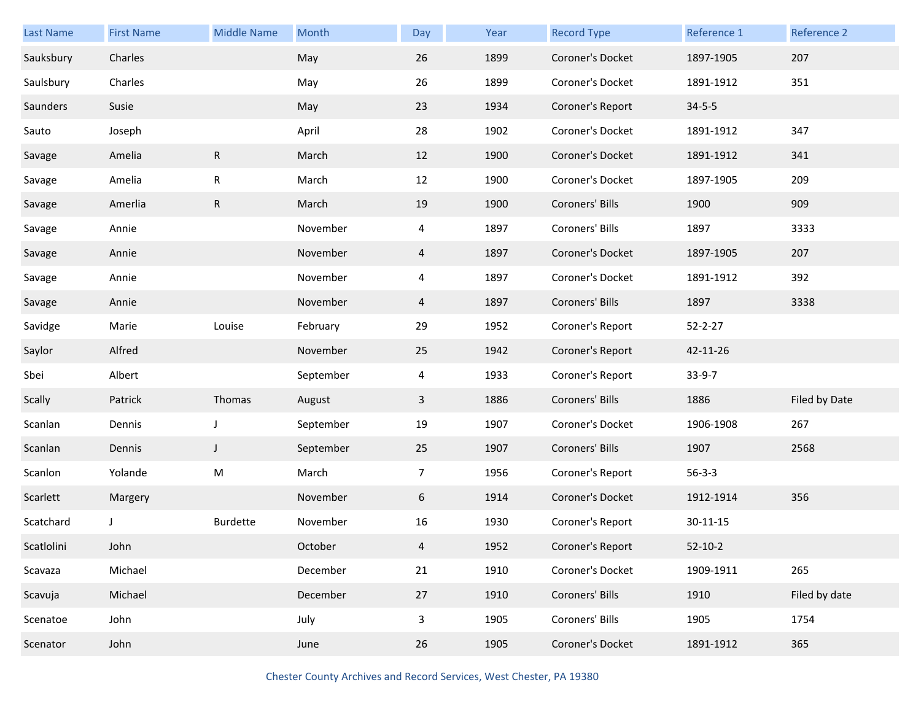| Last Name  | <b>First Name</b> | <b>Middle Name</b> | Month     | Day            | Year | <b>Record Type</b> | Reference 1   | Reference 2   |
|------------|-------------------|--------------------|-----------|----------------|------|--------------------|---------------|---------------|
| Sauksbury  | Charles           |                    | May       | 26             | 1899 | Coroner's Docket   | 1897-1905     | 207           |
| Saulsbury  | Charles           |                    | May       | 26             | 1899 | Coroner's Docket   | 1891-1912     | 351           |
| Saunders   | Susie             |                    | May       | 23             | 1934 | Coroner's Report   | $34 - 5 - 5$  |               |
| Sauto      | Joseph            |                    | April     | 28             | 1902 | Coroner's Docket   | 1891-1912     | 347           |
| Savage     | Amelia            | ${\sf R}$          | March     | 12             | 1900 | Coroner's Docket   | 1891-1912     | 341           |
| Savage     | Amelia            | ${\sf R}$          | March     | 12             | 1900 | Coroner's Docket   | 1897-1905     | 209           |
| Savage     | Amerlia           | ${\sf R}$          | March     | 19             | 1900 | Coroners' Bills    | 1900          | 909           |
| Savage     | Annie             |                    | November  | $\overline{4}$ | 1897 | Coroners' Bills    | 1897          | 3333          |
| Savage     | Annie             |                    | November  | $\overline{4}$ | 1897 | Coroner's Docket   | 1897-1905     | 207           |
| Savage     | Annie             |                    | November  | 4              | 1897 | Coroner's Docket   | 1891-1912     | 392           |
| Savage     | Annie             |                    | November  | $\overline{4}$ | 1897 | Coroners' Bills    | 1897          | 3338          |
| Savidge    | Marie             | Louise             | February  | 29             | 1952 | Coroner's Report   | $52 - 2 - 27$ |               |
| Saylor     | Alfred            |                    | November  | 25             | 1942 | Coroner's Report   | 42-11-26      |               |
| Sbei       | Albert            |                    | September | 4              | 1933 | Coroner's Report   | $33-9-7$      |               |
| Scally     | Patrick           | Thomas             | August    | 3              | 1886 | Coroners' Bills    | 1886          | Filed by Date |
| Scanlan    | Dennis            | J                  | September | 19             | 1907 | Coroner's Docket   | 1906-1908     | 267           |
| Scanlan    | Dennis            | J                  | September | 25             | 1907 | Coroners' Bills    | 1907          | 2568          |
| Scanlon    | Yolande           | M                  | March     | $\overline{7}$ | 1956 | Coroner's Report   | $56 - 3 - 3$  |               |
| Scarlett   | Margery           |                    | November  | 6              | 1914 | Coroner's Docket   | 1912-1914     | 356           |
| Scatchard  |                   | Burdette           | November  | 16             | 1930 | Coroner's Report   | 30-11-15      |               |
| Scatlolini | John              |                    | October   | 4              | 1952 | Coroner's Report   | $52 - 10 - 2$ |               |
| Scavaza    | Michael           |                    | December  | 21             | 1910 | Coroner's Docket   | 1909-1911     | 265           |
| Scavuja    | Michael           |                    | December  | 27             | 1910 | Coroners' Bills    | 1910          | Filed by date |
| Scenatoe   | John              |                    | July      | 3              | 1905 | Coroners' Bills    | 1905          | 1754          |
| Scenator   | John              |                    | June      | 26             | 1905 | Coroner's Docket   | 1891-1912     | 365           |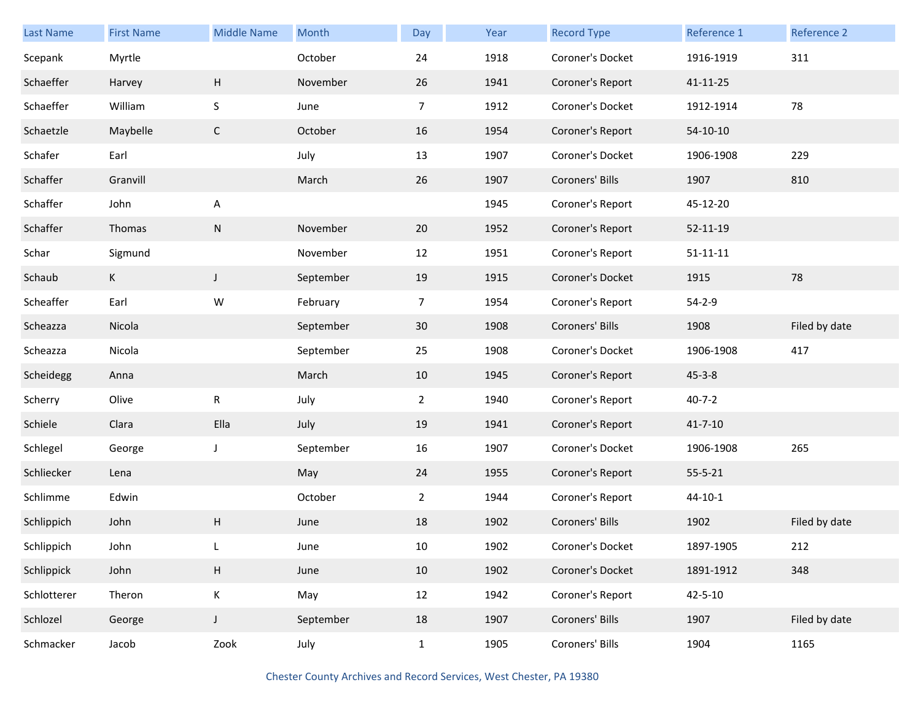| <b>Last Name</b> | <b>First Name</b> | <b>Middle Name</b> | Month     | Day            | Year | <b>Record Type</b> | Reference 1    | Reference 2   |
|------------------|-------------------|--------------------|-----------|----------------|------|--------------------|----------------|---------------|
| Scepank          | Myrtle            |                    | October   | 24             | 1918 | Coroner's Docket   | 1916-1919      | 311           |
| Schaeffer        | Harvey            | H                  | November  | 26             | 1941 | Coroner's Report   | 41-11-25       |               |
| Schaeffer        | William           | S                  | June      | $\overline{7}$ | 1912 | Coroner's Docket   | 1912-1914      | 78            |
| Schaetzle        | Maybelle          | $\mathsf{C}$       | October   | 16             | 1954 | Coroner's Report   | $54-10-10$     |               |
| Schafer          | Earl              |                    | July      | 13             | 1907 | Coroner's Docket   | 1906-1908      | 229           |
| Schaffer         | Granvill          |                    | March     | 26             | 1907 | Coroners' Bills    | 1907           | 810           |
| Schaffer         | John              | Α                  |           |                | 1945 | Coroner's Report   | 45-12-20       |               |
| Schaffer         | Thomas            | N                  | November  | 20             | 1952 | Coroner's Report   | $52 - 11 - 19$ |               |
| Schar            | Sigmund           |                    | November  | 12             | 1951 | Coroner's Report   | $51 - 11 - 11$ |               |
| Schaub           | $\mathsf{K}$      | J                  | September | 19             | 1915 | Coroner's Docket   | 1915           | 78            |
| Scheaffer        | Earl              | W                  | February  | $\overline{7}$ | 1954 | Coroner's Report   | $54 - 2 - 9$   |               |
| Scheazza         | Nicola            |                    | September | 30             | 1908 | Coroners' Bills    | 1908           | Filed by date |
| Scheazza         | Nicola            |                    | September | 25             | 1908 | Coroner's Docket   | 1906-1908      | 417           |
| Scheidegg        | Anna              |                    | March     | 10             | 1945 | Coroner's Report   | $45 - 3 - 8$   |               |
| Scherry          | Olive             | ${\sf R}$          | July      | $\overline{2}$ | 1940 | Coroner's Report   | $40 - 7 - 2$   |               |
| Schiele          | Clara             | Ella               | July      | 19             | 1941 | Coroner's Report   | $41 - 7 - 10$  |               |
| Schlegel         | George            | J                  | September | 16             | 1907 | Coroner's Docket   | 1906-1908      | 265           |
| Schliecker       | Lena              |                    | May       | 24             | 1955 | Coroner's Report   | $55 - 5 - 21$  |               |
| Schlimme         | Edwin             |                    | October   | $\overline{2}$ | 1944 | Coroner's Report   | $44 - 10 - 1$  |               |
| Schlippich       | John              | H                  | June      | 18             | 1902 | Coroners' Bills    | 1902           | Filed by date |
| Schlippich       | John              | L                  | June      | 10             | 1902 | Coroner's Docket   | 1897-1905      | 212           |
| Schlippick       | John              | H                  | June      | 10             | 1902 | Coroner's Docket   | 1891-1912      | 348           |
| Schlotterer      | Theron            | K                  | May       | 12             | 1942 | Coroner's Report   | $42 - 5 - 10$  |               |
| Schlozel         | George            | J                  | September | 18             | 1907 | Coroners' Bills    | 1907           | Filed by date |
| Schmacker        | Jacob             | Zook               | July      | $\mathbf{1}$   | 1905 | Coroners' Bills    | 1904           | 1165          |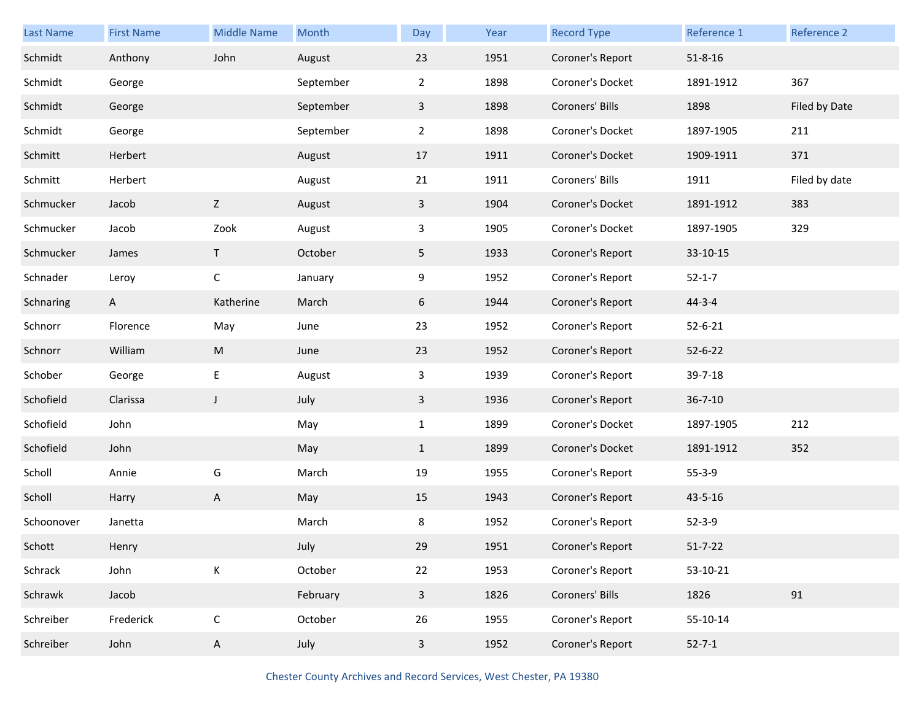| <b>Last Name</b> | <b>First Name</b> | <b>Middle Name</b> | Month     | Day            | Year | <b>Record Type</b> | Reference 1   | Reference 2   |
|------------------|-------------------|--------------------|-----------|----------------|------|--------------------|---------------|---------------|
| Schmidt          | Anthony           | John               | August    | 23             | 1951 | Coroner's Report   | $51 - 8 - 16$ |               |
| Schmidt          | George            |                    | September | $\overline{2}$ | 1898 | Coroner's Docket   | 1891-1912     | 367           |
| Schmidt          | George            |                    | September | $\mathbf{3}$   | 1898 | Coroners' Bills    | 1898          | Filed by Date |
| Schmidt          | George            |                    | September | $\overline{2}$ | 1898 | Coroner's Docket   | 1897-1905     | 211           |
| Schmitt          | Herbert           |                    | August    | 17             | 1911 | Coroner's Docket   | 1909-1911     | 371           |
| Schmitt          | Herbert           |                    | August    | 21             | 1911 | Coroners' Bills    | 1911          | Filed by date |
| Schmucker        | Jacob             | Z                  | August    | $\mathbf{3}$   | 1904 | Coroner's Docket   | 1891-1912     | 383           |
| Schmucker        | Jacob             | Zook               | August    | 3              | 1905 | Coroner's Docket   | 1897-1905     | 329           |
| Schmucker        | James             | T                  | October   | 5              | 1933 | Coroner's Report   | 33-10-15      |               |
| Schnader         | Leroy             | С                  | January   | 9              | 1952 | Coroner's Report   | $52 - 1 - 7$  |               |
| Schnaring        | $\mathsf{A}$      | Katherine          | March     | 6              | 1944 | Coroner's Report   | $44 - 3 - 4$  |               |
| Schnorr          | Florence          | May                | June      | 23             | 1952 | Coroner's Report   | $52 - 6 - 21$ |               |
| Schnorr          | William           | M                  | June      | 23             | 1952 | Coroner's Report   | $52 - 6 - 22$ |               |
| Schober          | George            | E                  | August    | 3              | 1939 | Coroner's Report   | 39-7-18       |               |
| Schofield        | Clarissa          | $\mathsf J$        | July      | 3              | 1936 | Coroner's Report   | $36 - 7 - 10$ |               |
| Schofield        | John              |                    | May       | $\mathbf{1}$   | 1899 | Coroner's Docket   | 1897-1905     | 212           |
| Schofield        | John              |                    | May       | $\mathbf{1}$   | 1899 | Coroner's Docket   | 1891-1912     | 352           |
| Scholl           | Annie             | G                  | March     | 19             | 1955 | Coroner's Report   | $55 - 3 - 9$  |               |
| Scholl           | Harry             | A                  | May       | 15             | 1943 | Coroner's Report   | 43-5-16       |               |
| Schoonover       | Janetta           |                    | March     | 8              | 1952 | Coroner's Report   | $52 - 3 - 9$  |               |
| Schott           | Henry             |                    | July      | 29             | 1951 | Coroner's Report   | $51 - 7 - 22$ |               |
| Schrack          | John              | К                  | October   | 22             | 1953 | Coroner's Report   | 53-10-21      |               |
| Schrawk          | Jacob             |                    | February  | $\mathbf{3}$   | 1826 | Coroners' Bills    | 1826          | 91            |
| Schreiber        | Frederick         | $\mathsf C$        | October   | 26             | 1955 | Coroner's Report   | 55-10-14      |               |
| Schreiber        | John              | A                  | July      | $\overline{3}$ | 1952 | Coroner's Report   | $52 - 7 - 1$  |               |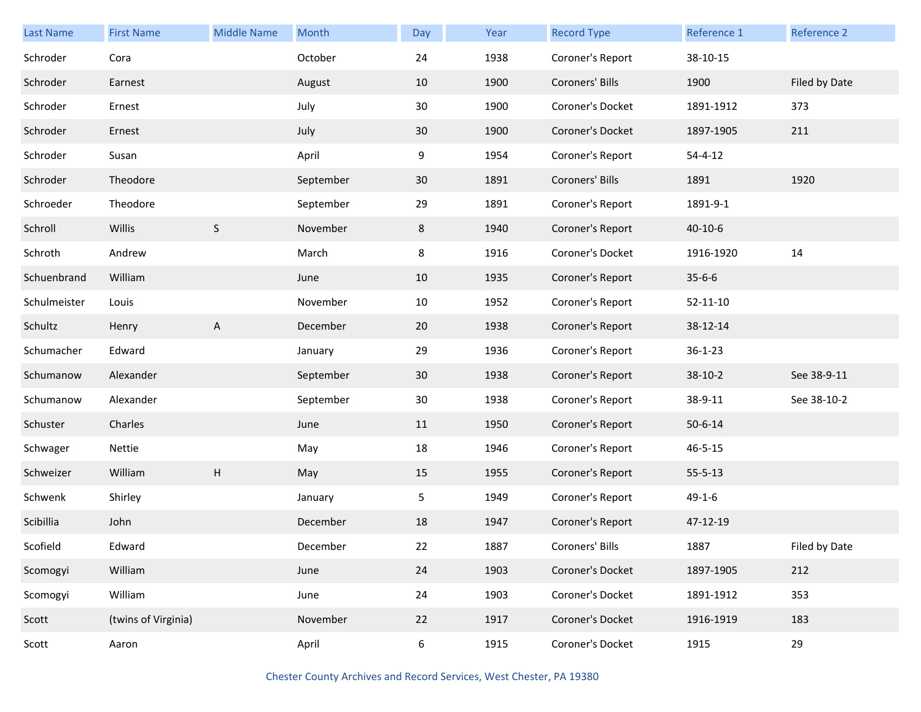| <b>Last Name</b> | <b>First Name</b>   | <b>Middle Name</b>        | Month     | Day   | Year | <b>Record Type</b> | Reference 1    | Reference 2   |
|------------------|---------------------|---------------------------|-----------|-------|------|--------------------|----------------|---------------|
| Schroder         | Cora                |                           | October   | 24    | 1938 | Coroner's Report   | 38-10-15       |               |
| Schroder         | Earnest             |                           | August    | 10    | 1900 | Coroners' Bills    | 1900           | Filed by Date |
| Schroder         | Ernest              |                           | July      | 30    | 1900 | Coroner's Docket   | 1891-1912      | 373           |
| Schroder         | Ernest              |                           | July      | 30    | 1900 | Coroner's Docket   | 1897-1905      | 211           |
| Schroder         | Susan               |                           | April     | 9     | 1954 | Coroner's Report   | $54 - 4 - 12$  |               |
| Schroder         | Theodore            |                           | September | 30    | 1891 | Coroners' Bills    | 1891           | 1920          |
| Schroeder        | Theodore            |                           | September | 29    | 1891 | Coroner's Report   | 1891-9-1       |               |
| Schroll          | Willis              | S                         | November  | 8     | 1940 | Coroner's Report   | $40 - 10 - 6$  |               |
| Schroth          | Andrew              |                           | March     | 8     | 1916 | Coroner's Docket   | 1916-1920      | 14            |
| Schuenbrand      | William             |                           | June      | 10    | 1935 | Coroner's Report   | $35 - 6 - 6$   |               |
| Schulmeister     | Louis               |                           | November  | 10    | 1952 | Coroner's Report   | $52 - 11 - 10$ |               |
| Schultz          | Henry               | A                         | December  | 20    | 1938 | Coroner's Report   | 38-12-14       |               |
| Schumacher       | Edward              |                           | January   | 29    | 1936 | Coroner's Report   | $36 - 1 - 23$  |               |
| Schumanow        | Alexander           |                           | September | 30    | 1938 | Coroner's Report   | $38-10-2$      | See 38-9-11   |
| Schumanow        | Alexander           |                           | September | 30    | 1938 | Coroner's Report   | 38-9-11        | See 38-10-2   |
| Schuster         | Charles             |                           | June      | 11    | 1950 | Coroner's Report   | $50 - 6 - 14$  |               |
| Schwager         | Nettie              |                           | May       | 18    | 1946 | Coroner's Report   | $46 - 5 - 15$  |               |
| Schweizer        | William             | $\boldsymbol{\mathsf{H}}$ | May       | 15    | 1955 | Coroner's Report   | $55 - 5 - 13$  |               |
| Schwenk          | Shirley             |                           | January   | 5     | 1949 | Coroner's Report   | $49 - 1 - 6$   |               |
| Scibillia        | John                |                           | December  | 18    | 1947 | Coroner's Report   | 47-12-19       |               |
| Scofield         | Edward              |                           | December  | 22    | 1887 | Coroners' Bills    | 1887           | Filed by Date |
| Scomogyi         | William             |                           | June      | 24    | 1903 | Coroner's Docket   | 1897-1905      | 212           |
| Scomogyi         | William             |                           | June      | 24    | 1903 | Coroner's Docket   | 1891-1912      | 353           |
| Scott            | (twins of Virginia) |                           | November  | 22    | 1917 | Coroner's Docket   | 1916-1919      | 183           |
| Scott            | Aaron               |                           | April     | $6\,$ | 1915 | Coroner's Docket   | 1915           | 29            |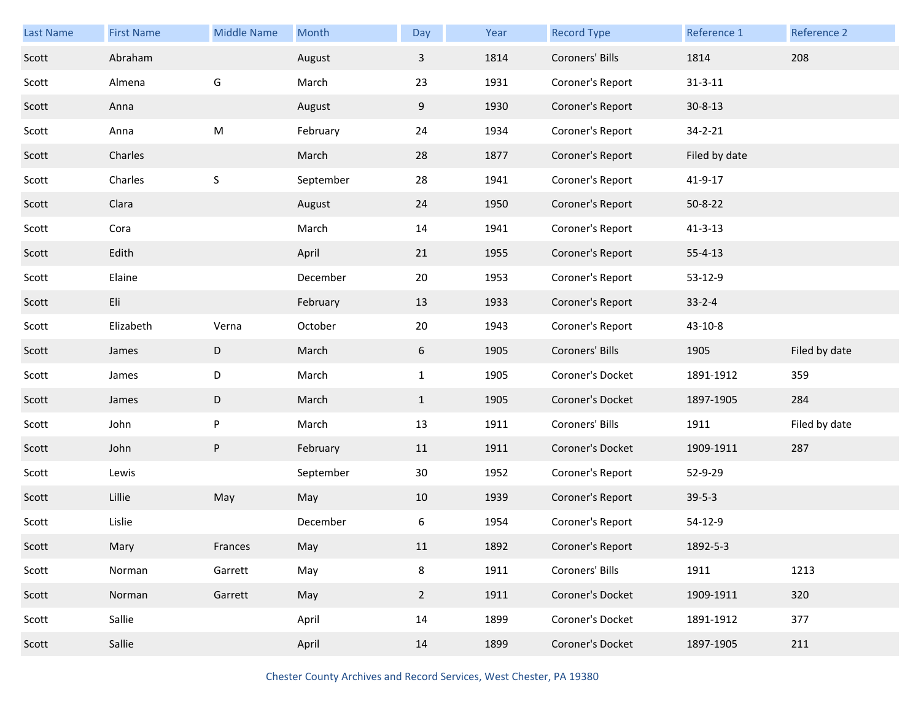| <b>Last Name</b> | <b>First Name</b> | <b>Middle Name</b> | Month     | Day          | Year | <b>Record Type</b> | Reference 1   | Reference 2   |
|------------------|-------------------|--------------------|-----------|--------------|------|--------------------|---------------|---------------|
| Scott            | Abraham           |                    | August    | 3            | 1814 | Coroners' Bills    | 1814          | 208           |
| Scott            | Almena            | G                  | March     | 23           | 1931 | Coroner's Report   | $31 - 3 - 11$ |               |
| Scott            | Anna              |                    | August    | 9            | 1930 | Coroner's Report   | $30 - 8 - 13$ |               |
| Scott            | Anna              | ${\sf M}$          | February  | 24           | 1934 | Coroner's Report   | $34 - 2 - 21$ |               |
| Scott            | Charles           |                    | March     | 28           | 1877 | Coroner's Report   | Filed by date |               |
| Scott            | Charles           | $\sf S$            | September | 28           | 1941 | Coroner's Report   | 41-9-17       |               |
| Scott            | Clara             |                    | August    | 24           | 1950 | Coroner's Report   | $50 - 8 - 22$ |               |
| Scott            | Cora              |                    | March     | 14           | 1941 | Coroner's Report   | $41 - 3 - 13$ |               |
| Scott            | Edith             |                    | April     | 21           | 1955 | Coroner's Report   | $55 - 4 - 13$ |               |
| Scott            | Elaine            |                    | December  | 20           | 1953 | Coroner's Report   | 53-12-9       |               |
| Scott            | Eli               |                    | February  | 13           | 1933 | Coroner's Report   | $33 - 2 - 4$  |               |
| Scott            | Elizabeth         | Verna              | October   | 20           | 1943 | Coroner's Report   | 43-10-8       |               |
| Scott            | James             | D                  | March     | 6            | 1905 | Coroners' Bills    | 1905          | Filed by date |
| Scott            | James             | D                  | March     | $\mathbf{1}$ | 1905 | Coroner's Docket   | 1891-1912     | 359           |
| Scott            | James             | D                  | March     | $\mathbf{1}$ | 1905 | Coroner's Docket   | 1897-1905     | 284           |
| Scott            | John              | P                  | March     | 13           | 1911 | Coroners' Bills    | 1911          | Filed by date |
| Scott            | John              | ${\sf P}$          | February  | 11           | 1911 | Coroner's Docket   | 1909-1911     | 287           |
| Scott            | Lewis             |                    | September | 30           | 1952 | Coroner's Report   | 52-9-29       |               |
| Scott            | Lillie            | May                | May       | 10           | 1939 | Coroner's Report   | $39-5-3$      |               |
| Scott            | Lislie            |                    | December  | 6            | 1954 | Coroner's Report   | 54-12-9       |               |
| Scott            | Mary              | Frances            | May       | 11           | 1892 | Coroner's Report   | 1892-5-3      |               |
| Scott            | Norman            | Garrett            | May       | 8            | 1911 | Coroners' Bills    | 1911          | 1213          |
| Scott            | Norman            | Garrett            | May       | $2^{\circ}$  | 1911 | Coroner's Docket   | 1909-1911     | 320           |
|                  |                   |                    |           |              |      |                    |               |               |
| Scott            | Sallie            |                    | April     | 14           | 1899 | Coroner's Docket   | 1891-1912     | 377           |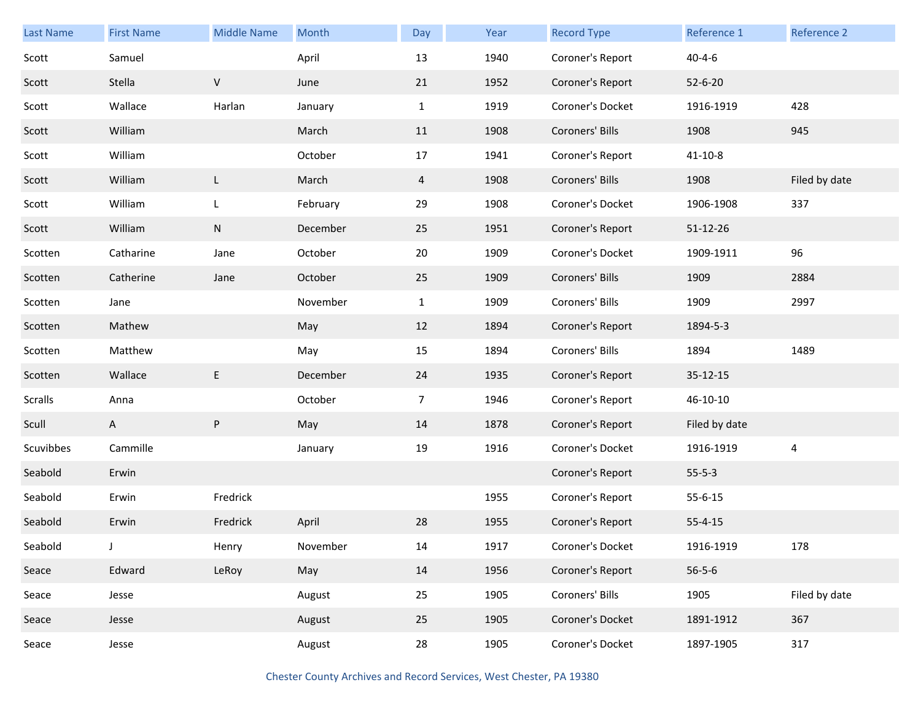| <b>Last Name</b> |                   | <b>Middle Name</b> |          |                |      |                    | Reference 1   | Reference 2    |
|------------------|-------------------|--------------------|----------|----------------|------|--------------------|---------------|----------------|
|                  | <b>First Name</b> |                    | Month    | Day            | Year | <b>Record Type</b> |               |                |
| Scott            | Samuel            |                    | April    | 13             | 1940 | Coroner's Report   | $40 - 4 - 6$  |                |
| Scott            | Stella            | V                  | June     | 21             | 1952 | Coroner's Report   | $52 - 6 - 20$ |                |
| Scott            | Wallace           | Harlan             | January  | $\mathbf{1}$   | 1919 | Coroner's Docket   | 1916-1919     | 428            |
| Scott            | William           |                    | March    | 11             | 1908 | Coroners' Bills    | 1908          | 945            |
| Scott            | William           |                    | October  | 17             | 1941 | Coroner's Report   | $41 - 10 - 8$ |                |
| Scott            | William           | L                  | March    | $\overline{4}$ | 1908 | Coroners' Bills    | 1908          | Filed by date  |
| Scott            | William           | L                  | February | 29             | 1908 | Coroner's Docket   | 1906-1908     | 337            |
| Scott            | William           | ${\sf N}$          | December | 25             | 1951 | Coroner's Report   | 51-12-26      |                |
| Scotten          | Catharine         | Jane               | October  | 20             | 1909 | Coroner's Docket   | 1909-1911     | 96             |
| Scotten          | Catherine         | Jane               | October  | 25             | 1909 | Coroners' Bills    | 1909          | 2884           |
| Scotten          | Jane              |                    | November | $\mathbf{1}$   | 1909 | Coroners' Bills    | 1909          | 2997           |
| Scotten          | Mathew            |                    | May      | 12             | 1894 | Coroner's Report   | 1894-5-3      |                |
| Scotten          | Matthew           |                    | May      | 15             | 1894 | Coroners' Bills    | 1894          | 1489           |
| Scotten          | Wallace           | E                  | December | 24             | 1935 | Coroner's Report   | 35-12-15      |                |
| <b>Scralls</b>   | Anna              |                    | October  | $\overline{7}$ | 1946 | Coroner's Report   | 46-10-10      |                |
| Scull            | A                 | P                  | May      | 14             | 1878 | Coroner's Report   | Filed by date |                |
| Scuvibbes        | Cammille          |                    | January  | 19             | 1916 | Coroner's Docket   | 1916-1919     | $\overline{4}$ |
| Seabold          | Erwin             |                    |          |                |      | Coroner's Report   | $55 - 5 - 3$  |                |
| Seabold          | Erwin             | Fredrick           |          |                | 1955 | Coroner's Report   | $55 - 6 - 15$ |                |
| Seabold          | Erwin             | Fredrick           | April    | 28             | 1955 | Coroner's Report   | $55 - 4 - 15$ |                |
| Seabold          |                   | Henry              | November | 14             | 1917 | Coroner's Docket   | 1916-1919     | 178            |
| Seace            | Edward            | LeRoy              | May      | 14             | 1956 | Coroner's Report   | $56 - 5 - 6$  |                |
| Seace            | Jesse             |                    | August   | 25             | 1905 | Coroners' Bills    | 1905          | Filed by date  |
| Seace            | Jesse             |                    | August   | 25             | 1905 | Coroner's Docket   | 1891-1912     | 367            |
| Seace            | Jesse             |                    | August   | 28             | 1905 | Coroner's Docket   | 1897-1905     | 317            |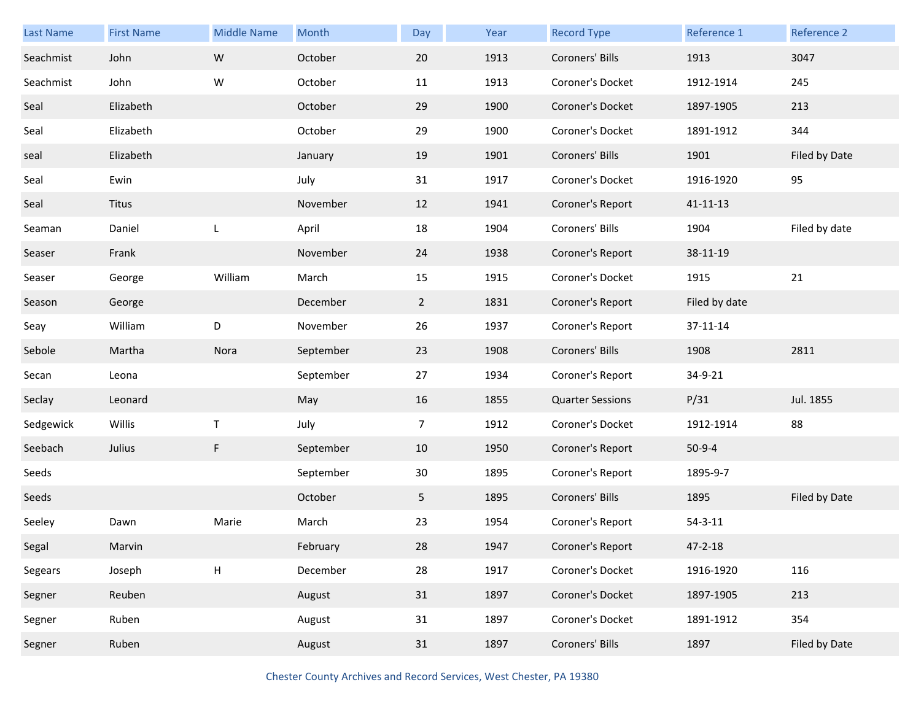| Last Name | <b>First Name</b> | <b>Middle Name</b>        | <b>Month</b> | Day            | Year | <b>Record Type</b>      | Reference 1    | Reference 2   |
|-----------|-------------------|---------------------------|--------------|----------------|------|-------------------------|----------------|---------------|
| Seachmist | John              | ${\sf W}$                 | October      | 20             | 1913 | Coroners' Bills         | 1913           | 3047          |
| Seachmist | John              | W                         | October      | 11             | 1913 | Coroner's Docket        | 1912-1914      | 245           |
| Seal      | Elizabeth         |                           | October      | 29             | 1900 | Coroner's Docket        | 1897-1905      | 213           |
| Seal      | Elizabeth         |                           | October      | 29             | 1900 | Coroner's Docket        | 1891-1912      | 344           |
| seal      | Elizabeth         |                           | January      | 19             | 1901 | Coroners' Bills         | 1901           | Filed by Date |
| Seal      | Ewin              |                           | July         | 31             | 1917 | Coroner's Docket        | 1916-1920      | 95            |
| Seal      | Titus             |                           | November     | 12             | 1941 | Coroner's Report        | $41 - 11 - 13$ |               |
| Seaman    | Daniel            | L                         | April        | 18             | 1904 | Coroners' Bills         | 1904           | Filed by date |
| Seaser    | Frank             |                           | November     | 24             | 1938 | Coroner's Report        | 38-11-19       |               |
| Seaser    | George            | William                   | March        | 15             | 1915 | Coroner's Docket        | 1915           | 21            |
| Season    | George            |                           | December     | $\overline{2}$ | 1831 | Coroner's Report        | Filed by date  |               |
| Seay      | William           | D                         | November     | 26             | 1937 | Coroner's Report        | 37-11-14       |               |
| Sebole    | Martha            | Nora                      | September    | 23             | 1908 | Coroners' Bills         | 1908           | 2811          |
| Secan     | Leona             |                           | September    | 27             | 1934 | Coroner's Report        | 34-9-21        |               |
| Seclay    | Leonard           |                           | May          | 16             | 1855 | <b>Quarter Sessions</b> | P/31           | Jul. 1855     |
| Sedgewick | Willis            | Τ                         | July         | $\overline{7}$ | 1912 | Coroner's Docket        | 1912-1914      | 88            |
| Seebach   | Julius            | $\mathsf F$               | September    | 10             | 1950 | Coroner's Report        | $50-9-4$       |               |
| Seeds     |                   |                           | September    | 30             | 1895 | Coroner's Report        | 1895-9-7       |               |
| Seeds     |                   |                           | October      | 5              | 1895 | Coroners' Bills         | 1895           | Filed by Date |
| Seeley    | Dawn              | Marie                     | March        | 23             | 1954 | Coroner's Report        | $54 - 3 - 11$  |               |
| Segal     | Marvin            |                           | February     | 28             | 1947 | Coroner's Report        | $47 - 2 - 18$  |               |
| Segears   | Joseph            | $\boldsymbol{\mathsf{H}}$ | December     | 28             | 1917 | Coroner's Docket        | 1916-1920      | 116           |
| Segner    | Reuben            |                           | August       | 31             | 1897 | Coroner's Docket        | 1897-1905      | 213           |
| Segner    | Ruben             |                           | August       | 31             | 1897 | Coroner's Docket        | 1891-1912      | 354           |
| Segner    | Ruben             |                           | August       | 31             | 1897 | Coroners' Bills         | 1897           | Filed by Date |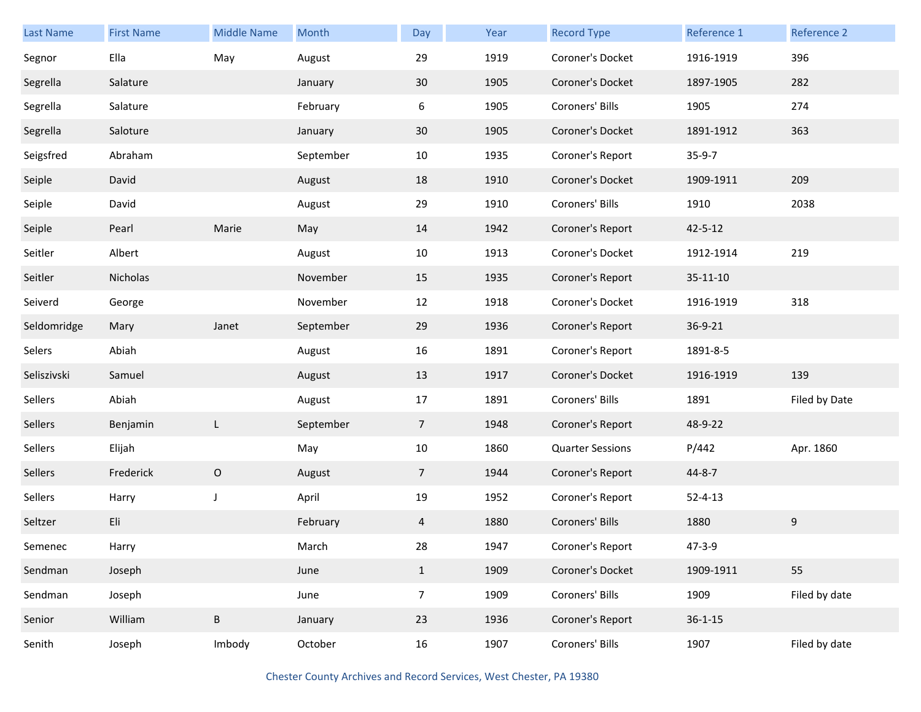| <b>Last Name</b> | <b>First Name</b> | <b>Middle Name</b> | Month     | Day             | Year | <b>Record Type</b>      | Reference 1   | Reference 2   |
|------------------|-------------------|--------------------|-----------|-----------------|------|-------------------------|---------------|---------------|
| Segnor           | Ella              | May                | August    | 29              | 1919 | Coroner's Docket        | 1916-1919     | 396           |
| Segrella         | Salature          |                    | January   | 30              | 1905 | Coroner's Docket        | 1897-1905     | 282           |
| Segrella         | Salature          |                    | February  | 6               | 1905 | Coroners' Bills         | 1905          | 274           |
| Segrella         | Saloture          |                    | January   | 30              | 1905 | Coroner's Docket        | 1891-1912     | 363           |
| Seigsfred        | Abraham           |                    | September | 10              | 1935 | Coroner's Report        | $35-9-7$      |               |
| Seiple           | David             |                    | August    | 18              | 1910 | Coroner's Docket        | 1909-1911     | 209           |
| Seiple           | David             |                    | August    | 29              | 1910 | Coroners' Bills         | 1910          | 2038          |
| Seiple           | Pearl             | Marie              | May       | 14              | 1942 | Coroner's Report        | $42 - 5 - 12$ |               |
| Seitler          | Albert            |                    | August    | 10              | 1913 | Coroner's Docket        | 1912-1914     | 219           |
| Seitler          | Nicholas          |                    | November  | 15              | 1935 | Coroner's Report        | 35-11-10      |               |
| Seiverd          | George            |                    | November  | 12              | 1918 | Coroner's Docket        | 1916-1919     | 318           |
| Seldomridge      | Mary              | Janet              | September | 29              | 1936 | Coroner's Report        | 36-9-21       |               |
| Selers           | Abiah             |                    | August    | 16              | 1891 | Coroner's Report        | 1891-8-5      |               |
| Seliszivski      | Samuel            |                    | August    | 13              | 1917 | Coroner's Docket        | 1916-1919     | 139           |
| Sellers          | Abiah             |                    | August    | 17              | 1891 | Coroners' Bills         | 1891          | Filed by Date |
| Sellers          | Benjamin          | L                  | September | $\overline{7}$  | 1948 | Coroner's Report        | 48-9-22       |               |
| Sellers          | Elijah            |                    | May       | 10              | 1860 | <b>Quarter Sessions</b> | P/442         | Apr. 1860     |
| Sellers          | Frederick         | $\circ$            | August    | $7\overline{ }$ | 1944 | Coroner's Report        | 44-8-7        |               |
| Sellers          | Harry             | J                  | April     | 19              | 1952 | Coroner's Report        | $52 - 4 - 13$ |               |
| Seltzer          | Eli               |                    | February  | 4               | 1880 | Coroners' Bills         | 1880          | 9             |
| Semenec          | Harry             |                    | March     | 28              | 1947 | Coroner's Report        | 47-3-9        |               |
| Sendman          | Joseph            |                    | June      | $\mathbf{1}$    | 1909 | Coroner's Docket        | 1909-1911     | 55            |
| Sendman          | Joseph            |                    | June      | 7 <sup>7</sup>  | 1909 | Coroners' Bills         | 1909          | Filed by date |
| Senior           | William           | $\sf B$            | January   | 23              | 1936 | Coroner's Report        | $36 - 1 - 15$ |               |
| Senith           | Joseph            | Imbody             | October   | 16              | 1907 | Coroners' Bills         | 1907          | Filed by date |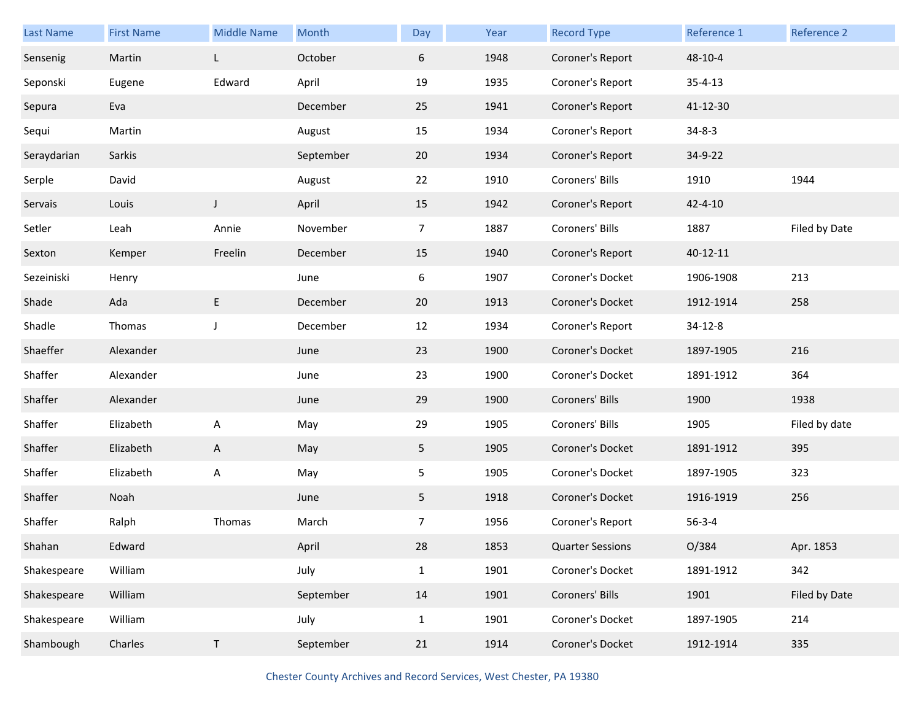| Last Name   | <b>First Name</b> | <b>Middle Name</b> | Month     | Day            | Year | <b>Record Type</b>      | Reference 1    | Reference 2   |
|-------------|-------------------|--------------------|-----------|----------------|------|-------------------------|----------------|---------------|
| Sensenig    | Martin            | L                  | October   | 6              | 1948 | Coroner's Report        | 48-10-4        |               |
| Seponski    | Eugene            | Edward             | April     | 19             | 1935 | Coroner's Report        | $35 - 4 - 13$  |               |
| Sepura      | Eva               |                    | December  | 25             | 1941 | Coroner's Report        | 41-12-30       |               |
| Sequi       | Martin            |                    | August    | 15             | 1934 | Coroner's Report        | $34 - 8 - 3$   |               |
| Seraydarian | Sarkis            |                    | September | 20             | 1934 | Coroner's Report        | 34-9-22        |               |
| Serple      | David             |                    | August    | 22             | 1910 | Coroners' Bills         | 1910           | 1944          |
| Servais     | Louis             | $\mathsf J$        | April     | 15             | 1942 | Coroner's Report        | $42 - 4 - 10$  |               |
| Setler      | Leah              | Annie              | November  | 7              | 1887 | Coroners' Bills         | 1887           | Filed by Date |
| Sexton      | Kemper            | Freelin            | December  | 15             | 1940 | Coroner's Report        | $40 - 12 - 11$ |               |
| Sezeiniski  | Henry             |                    | June      | 6              | 1907 | Coroner's Docket        | 1906-1908      | 213           |
| Shade       | Ada               | E                  | December  | 20             | 1913 | Coroner's Docket        | 1912-1914      | 258           |
| Shadle      | Thomas            | J                  | December  | 12             | 1934 | Coroner's Report        | 34-12-8        |               |
| Shaeffer    | Alexander         |                    | June      | 23             | 1900 | Coroner's Docket        | 1897-1905      | 216           |
| Shaffer     | Alexander         |                    | June      | 23             | 1900 | Coroner's Docket        | 1891-1912      | 364           |
| Shaffer     | Alexander         |                    | June      | 29             | 1900 | Coroners' Bills         | 1900           | 1938          |
| Shaffer     | Elizabeth         | A                  | May       | 29             | 1905 | Coroners' Bills         | 1905           | Filed by date |
| Shaffer     | Elizabeth         | A                  | May       | 5 <sub>1</sub> | 1905 | Coroner's Docket        | 1891-1912      | 395           |
| Shaffer     | Elizabeth         | Α                  | May       | 5              | 1905 | Coroner's Docket        | 1897-1905      | 323           |
| Shaffer     | Noah              |                    | June      | 5              | 1918 | Coroner's Docket        | 1916-1919      | 256           |
| Shaffer     | Ralph             | Thomas             | March     | 7              | 1956 | Coroner's Report        | $56 - 3 - 4$   |               |
| Shahan      | Edward            |                    | April     | 28             | 1853 | <b>Quarter Sessions</b> | O/384          | Apr. 1853     |
| Shakespeare | William           |                    | July      | $\mathbf{1}$   | 1901 | Coroner's Docket        | 1891-1912      | 342           |
| Shakespeare | William           |                    | September | 14             | 1901 | Coroners' Bills         | 1901           | Filed by Date |
| Shakespeare | William           |                    | July      | $\mathbf{1}$   | 1901 | Coroner's Docket        | 1897-1905      | 214           |
| Shambough   | Charles           | $\mathsf T$        | September | 21             | 1914 | Coroner's Docket        | 1912-1914      | 335           |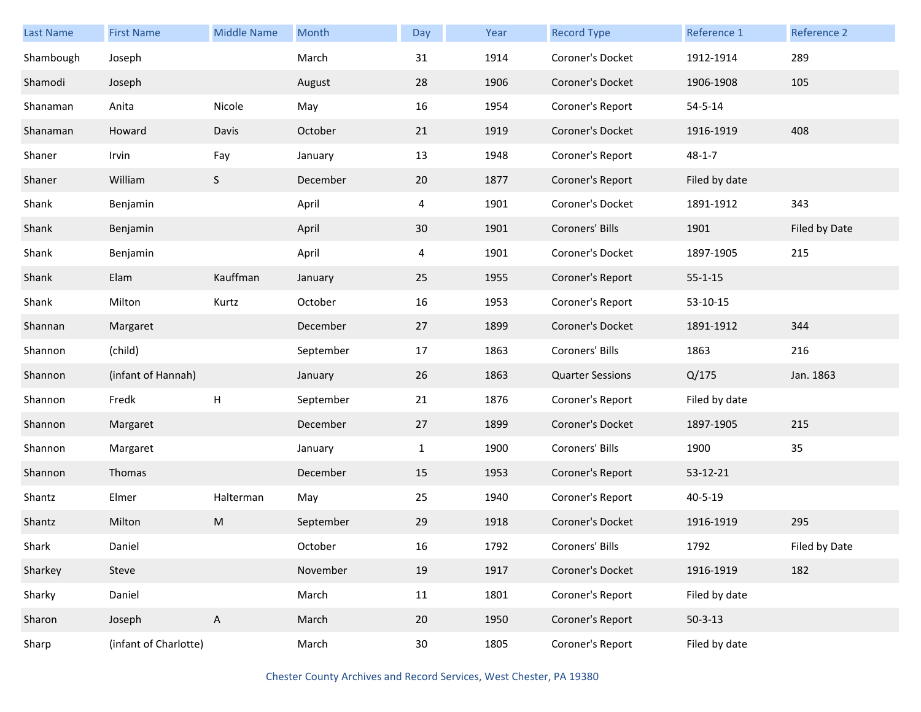| <b>Last Name</b> | <b>First Name</b>     | <b>Middle Name</b> | Month     | Day             | Year | <b>Record Type</b>      | Reference 1   | Reference 2   |
|------------------|-----------------------|--------------------|-----------|-----------------|------|-------------------------|---------------|---------------|
| Shambough        | Joseph                |                    | March     | 31              | 1914 | Coroner's Docket        | 1912-1914     | 289           |
| Shamodi          | Joseph                |                    | August    | 28              | 1906 | Coroner's Docket        | 1906-1908     | 105           |
| Shanaman         | Anita                 | Nicole             | May       | 16              | 1954 | Coroner's Report        | $54 - 5 - 14$ |               |
| Shanaman         | Howard                | Davis              | October   | 21              | 1919 | Coroner's Docket        | 1916-1919     | 408           |
| Shaner           | Irvin                 | Fay                | January   | 13              | 1948 | Coroner's Report        | $48 - 1 - 7$  |               |
| Shaner           | William               | S                  | December  | 20              | 1877 | Coroner's Report        | Filed by date |               |
| Shank            | Benjamin              |                    | April     | 4               | 1901 | Coroner's Docket        | 1891-1912     | 343           |
| Shank            | Benjamin              |                    | April     | 30              | 1901 | Coroners' Bills         | 1901          | Filed by Date |
| Shank            | Benjamin              |                    | April     | 4               | 1901 | Coroner's Docket        | 1897-1905     | 215           |
| Shank            | Elam                  | Kauffman           | January   | 25              | 1955 | Coroner's Report        | $55 - 1 - 15$ |               |
| Shank            | Milton                | Kurtz              | October   | 16              | 1953 | Coroner's Report        | 53-10-15      |               |
| Shannan          | Margaret              |                    | December  | 27              | 1899 | Coroner's Docket        | 1891-1912     | 344           |
| Shannon          | (child)               |                    | September | 17              | 1863 | Coroners' Bills         | 1863          | 216           |
| Shannon          | (infant of Hannah)    |                    | January   | 26              | 1863 | <b>Quarter Sessions</b> | Q/175         | Jan. 1863     |
| Shannon          | Fredk                 | Н                  | September | 21              | 1876 | Coroner's Report        | Filed by date |               |
| Shannon          | Margaret              |                    | December  | 27              | 1899 | Coroner's Docket        | 1897-1905     | 215           |
| Shannon          | Margaret              |                    | January   | $\mathbf{1}$    | 1900 | Coroners' Bills         | 1900          | 35            |
| Shannon          | Thomas                |                    | December  | 15              | 1953 | Coroner's Report        | 53-12-21      |               |
| Shantz           | Elmer                 | Halterman          | May       | 25              | 1940 | Coroner's Report        | $40 - 5 - 19$ |               |
| Shantz           | Milton                | ${\sf M}$          | September | 29              | 1918 | Coroner's Docket        | 1916-1919     | 295           |
| Shark            | Daniel                |                    | October   | 16              | 1792 | Coroners' Bills         | 1792          | Filed by Date |
| Sharkey          | Steve                 |                    | November  | 19              | 1917 | Coroner's Docket        | 1916-1919     | 182           |
| Sharky           | Daniel                |                    | March     | 11              | 1801 | Coroner's Report        | Filed by date |               |
| Sharon           | Joseph                | $\mathsf{A}$       | March     | 20              | 1950 | Coroner's Report        | $50 - 3 - 13$ |               |
| Sharp            | (infant of Charlotte) |                    | March     | 30 <sub>o</sub> | 1805 | Coroner's Report        | Filed by date |               |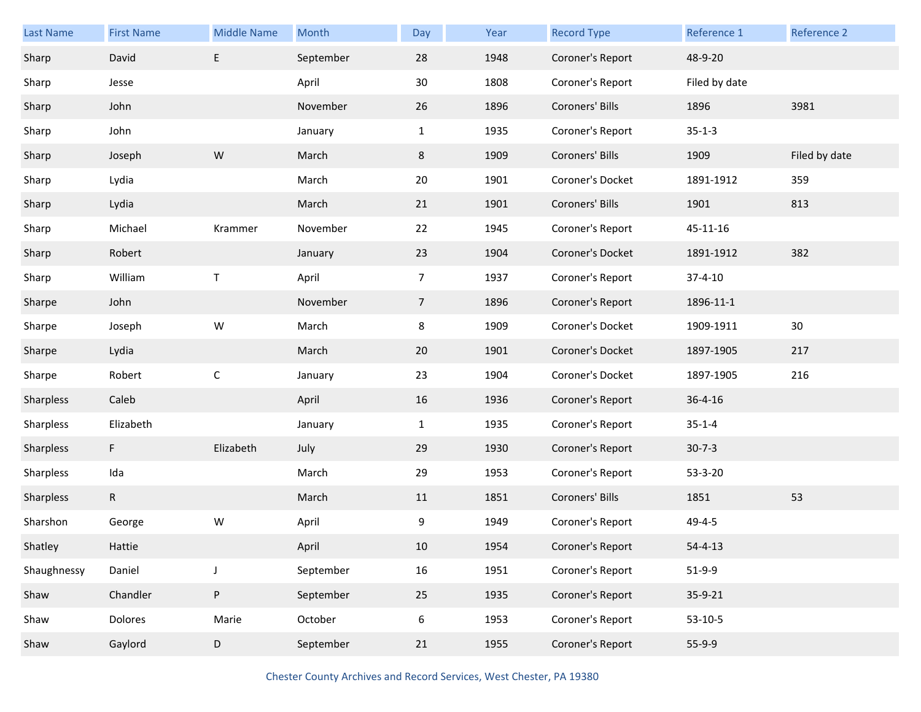| Last Name   | <b>First Name</b> | <b>Middle Name</b> | Month     | Day            | Year | <b>Record Type</b> | Reference 1   | Reference 2   |
|-------------|-------------------|--------------------|-----------|----------------|------|--------------------|---------------|---------------|
| Sharp       | David             | E                  | September | 28             | 1948 | Coroner's Report   | 48-9-20       |               |
| Sharp       | Jesse             |                    | April     | 30             | 1808 | Coroner's Report   | Filed by date |               |
| Sharp       | John              |                    | November  | 26             | 1896 | Coroners' Bills    | 1896          | 3981          |
| Sharp       | John              |                    | January   | $\mathbf{1}$   | 1935 | Coroner's Report   | $35 - 1 - 3$  |               |
| Sharp       | Joseph            | ${\sf W}$          | March     | 8              | 1909 | Coroners' Bills    | 1909          | Filed by date |
| Sharp       | Lydia             |                    | March     | 20             | 1901 | Coroner's Docket   | 1891-1912     | 359           |
| Sharp       | Lydia             |                    | March     | 21             | 1901 | Coroners' Bills    | 1901          | 813           |
| Sharp       | Michael           | Krammer            | November  | 22             | 1945 | Coroner's Report   | 45-11-16      |               |
| Sharp       | Robert            |                    | January   | 23             | 1904 | Coroner's Docket   | 1891-1912     | 382           |
| Sharp       | William           | $\mathsf T$        | April     | $\overline{7}$ | 1937 | Coroner's Report   | $37 - 4 - 10$ |               |
| Sharpe      | John              |                    | November  | $\overline{7}$ | 1896 | Coroner's Report   | 1896-11-1     |               |
| Sharpe      | Joseph            | W                  | March     | 8              | 1909 | Coroner's Docket   | 1909-1911     | 30            |
| Sharpe      | Lydia             |                    | March     | 20             | 1901 | Coroner's Docket   | 1897-1905     | 217           |
| Sharpe      | Robert            | $\mathsf{C}$       | January   | 23             | 1904 | Coroner's Docket   | 1897-1905     | 216           |
| Sharpless   | Caleb             |                    | April     | 16             | 1936 | Coroner's Report   | $36 - 4 - 16$ |               |
| Sharpless   | Elizabeth         |                    | January   | $\mathbf{1}$   | 1935 | Coroner's Report   | $35 - 1 - 4$  |               |
| Sharpless   | F                 | Elizabeth          | July      | 29             | 1930 | Coroner's Report   | $30 - 7 - 3$  |               |
| Sharpless   | Ida               |                    | March     | 29             | 1953 | Coroner's Report   | 53-3-20       |               |
| Sharpless   | $\mathsf{R}$      |                    | March     | 11             | 1851 | Coroners' Bills    | 1851          | 53            |
| Sharshon    | George            | W                  | April     | 9              | 1949 | Coroner's Report   | $49 - 4 - 5$  |               |
| Shatley     | Hattie            |                    | April     | 10             | 1954 | Coroner's Report   | $54 - 4 - 13$ |               |
| Shaughnessy | Daniel            | J                  | September | 16             | 1951 | Coroner's Report   | $51-9-9$      |               |
| Shaw        | Chandler          | ${\sf P}$          | September | 25             | 1935 | Coroner's Report   | 35-9-21       |               |
| Shaw        | Dolores           | Marie              | October   | 6              | 1953 | Coroner's Report   | $53-10-5$     |               |
| Shaw        | Gaylord           | D                  | September | 21             | 1955 | Coroner's Report   | $55-9-9$      |               |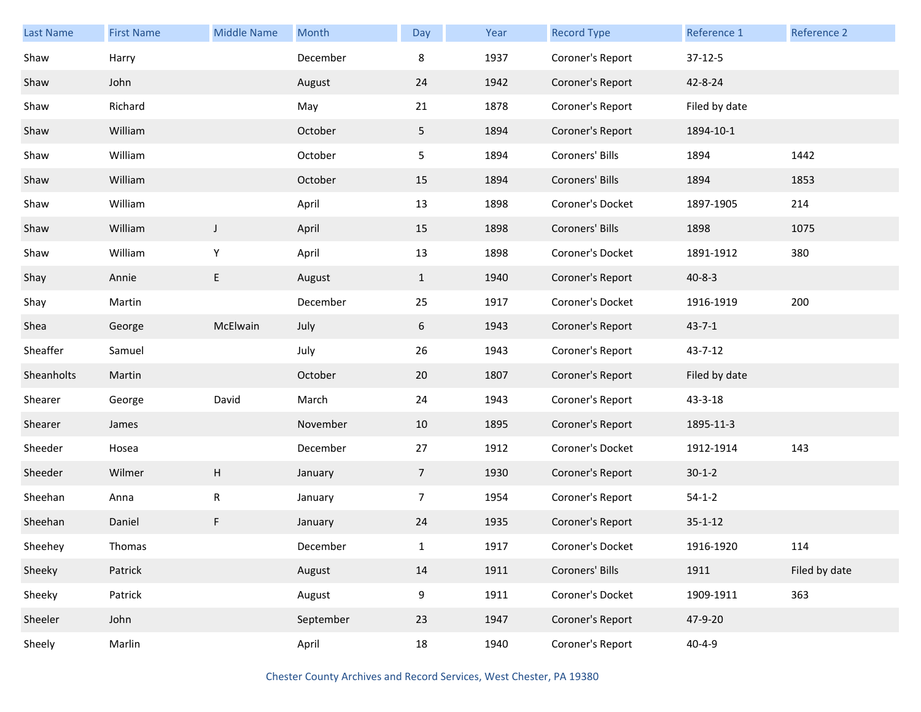| <b>Last Name</b> | <b>First Name</b> | <b>Middle Name</b>        | Month     | Day             | Year | <b>Record Type</b> | Reference 1   | Reference 2   |
|------------------|-------------------|---------------------------|-----------|-----------------|------|--------------------|---------------|---------------|
| Shaw             | Harry             |                           | December  | 8               | 1937 | Coroner's Report   | $37-12-5$     |               |
| Shaw             | John              |                           | August    | 24              | 1942 | Coroner's Report   | 42-8-24       |               |
| Shaw             | Richard           |                           | May       | 21              | 1878 | Coroner's Report   | Filed by date |               |
| Shaw             | William           |                           | October   | 5 <sub>1</sub>  | 1894 | Coroner's Report   | 1894-10-1     |               |
| Shaw             | William           |                           | October   | 5 <sub>1</sub>  | 1894 | Coroners' Bills    | 1894          | 1442          |
| Shaw             | William           |                           | October   | 15              | 1894 | Coroners' Bills    | 1894          | 1853          |
| Shaw             | William           |                           | April     | 13              | 1898 | Coroner's Docket   | 1897-1905     | 214           |
| Shaw             | William           | J                         | April     | 15              | 1898 | Coroners' Bills    | 1898          | 1075          |
| Shaw             | William           | Y                         | April     | 13              | 1898 | Coroner's Docket   | 1891-1912     | 380           |
| Shay             | Annie             | E                         | August    | $\mathbf{1}$    | 1940 | Coroner's Report   | $40 - 8 - 3$  |               |
| Shay             | Martin            |                           | December  | 25              | 1917 | Coroner's Docket   | 1916-1919     | 200           |
| Shea             | George            | McElwain                  | July      | 6               | 1943 | Coroner's Report   | $43 - 7 - 1$  |               |
| Sheaffer         | Samuel            |                           | July      | 26              | 1943 | Coroner's Report   | 43-7-12       |               |
| Sheanholts       | Martin            |                           | October   | 20              | 1807 | Coroner's Report   | Filed by date |               |
| Shearer          | George            | David                     | March     | 24              | 1943 | Coroner's Report   | 43-3-18       |               |
| Shearer          | James             |                           | November  | 10              | 1895 | Coroner's Report   | 1895-11-3     |               |
| Sheeder          | Hosea             |                           | December  | 27              | 1912 | Coroner's Docket   | 1912-1914     | 143           |
| Sheeder          | Wilmer            | $\boldsymbol{\mathsf{H}}$ | January   | $7\overline{ }$ | 1930 | Coroner's Report   | $30 - 1 - 2$  |               |
| Sheehan          | Anna              | $\mathsf R$               | January   | $\overline{7}$  | 1954 | Coroner's Report   | $54 - 1 - 2$  |               |
| Sheehan          | Daniel            | F                         | January   | 24              | 1935 | Coroner's Report   | $35 - 1 - 12$ |               |
| Sheehey          | Thomas            |                           | December  | 1               | 1917 | Coroner's Docket   | 1916-1920     | 114           |
| Sheeky           | Patrick           |                           | August    | 14              | 1911 | Coroners' Bills    | 1911          | Filed by date |
| Sheeky           | Patrick           |                           | August    | 9               | 1911 | Coroner's Docket   | 1909-1911     | 363           |
| Sheeler          | John              |                           | September | 23              | 1947 | Coroner's Report   | 47-9-20       |               |
| Sheely           | Marlin            |                           | April     | 18              | 1940 | Coroner's Report   | $40 - 4 - 9$  |               |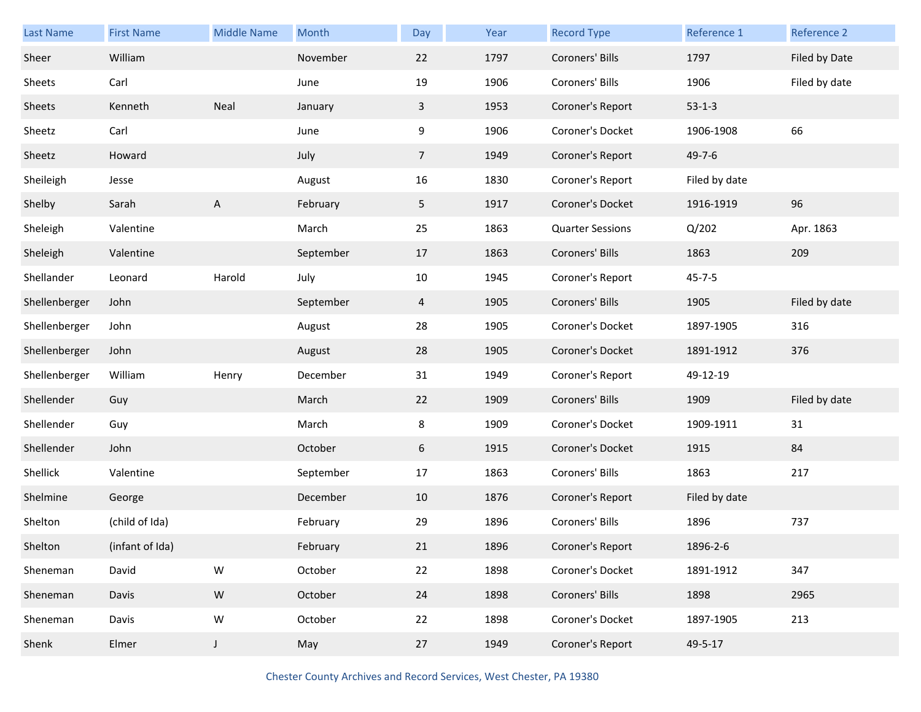| Last Name     | <b>First Name</b> | <b>Middle Name</b> | Month     | Day             | Year | <b>Record Type</b>      | Reference 1   | Reference 2   |
|---------------|-------------------|--------------------|-----------|-----------------|------|-------------------------|---------------|---------------|
| Sheer         | William           |                    | November  | 22              | 1797 | Coroners' Bills         | 1797          | Filed by Date |
| Sheets        | Carl              |                    | June      | 19              | 1906 | Coroners' Bills         | 1906          | Filed by date |
| Sheets        | Kenneth           | Neal               | January   | $\mathbf{3}$    | 1953 | Coroner's Report        | $53-1-3$      |               |
| Sheetz        | Carl              |                    | June      | 9               | 1906 | Coroner's Docket        | 1906-1908     | 66            |
| Sheetz        | Howard            |                    | July      | $7\overline{ }$ | 1949 | Coroner's Report        | $49 - 7 - 6$  |               |
| Sheileigh     | Jesse             |                    | August    | 16              | 1830 | Coroner's Report        | Filed by date |               |
| Shelby        | Sarah             | A                  | February  | 5 <sub>1</sub>  | 1917 | Coroner's Docket        | 1916-1919     | 96            |
| Sheleigh      | Valentine         |                    | March     | 25              | 1863 | <b>Quarter Sessions</b> | Q/202         | Apr. 1863     |
| Sheleigh      | Valentine         |                    | September | 17              | 1863 | Coroners' Bills         | 1863          | 209           |
| Shellander    | Leonard           | Harold             | July      | 10              | 1945 | Coroner's Report        | $45 - 7 - 5$  |               |
| Shellenberger | John              |                    | September | 4               | 1905 | Coroners' Bills         | 1905          | Filed by date |
| Shellenberger | John              |                    | August    | 28              | 1905 | Coroner's Docket        | 1897-1905     | 316           |
| Shellenberger | John              |                    | August    | 28              | 1905 | Coroner's Docket        | 1891-1912     | 376           |
| Shellenberger | William           | Henry              | December  | 31              | 1949 | Coroner's Report        | 49-12-19      |               |
| Shellender    | Guy               |                    | March     | 22              | 1909 | Coroners' Bills         | 1909          | Filed by date |
| Shellender    | Guy               |                    | March     | 8               | 1909 | Coroner's Docket        | 1909-1911     | 31            |
| Shellender    | John              |                    | October   | 6               | 1915 | Coroner's Docket        | 1915          | 84            |
| Shellick      | Valentine         |                    | September | 17              | 1863 | Coroners' Bills         | 1863          | 217           |
| Shelmine      | George            |                    | December  | 10              | 1876 | Coroner's Report        | Filed by date |               |
| Shelton       | (child of Ida)    |                    | February  | 29              | 1896 | Coroners' Bills         | 1896          | 737           |
| Shelton       | (infant of Ida)   |                    | February  | 21              | 1896 | Coroner's Report        | 1896-2-6      |               |
| Sheneman      | David             | ${\sf W}$          | October   | 22              | 1898 | Coroner's Docket        | 1891-1912     | 347           |
| Sheneman      | Davis             | ${\sf W}$          | October   | 24              | 1898 | Coroners' Bills         | 1898          | 2965          |
| Sheneman      | Davis             | ${\sf W}$          | October   | 22              | 1898 | Coroner's Docket        | 1897-1905     | 213           |
| Shenk         | Elmer             | $\mathsf J$        | May       | 27              | 1949 | Coroner's Report        | 49-5-17       |               |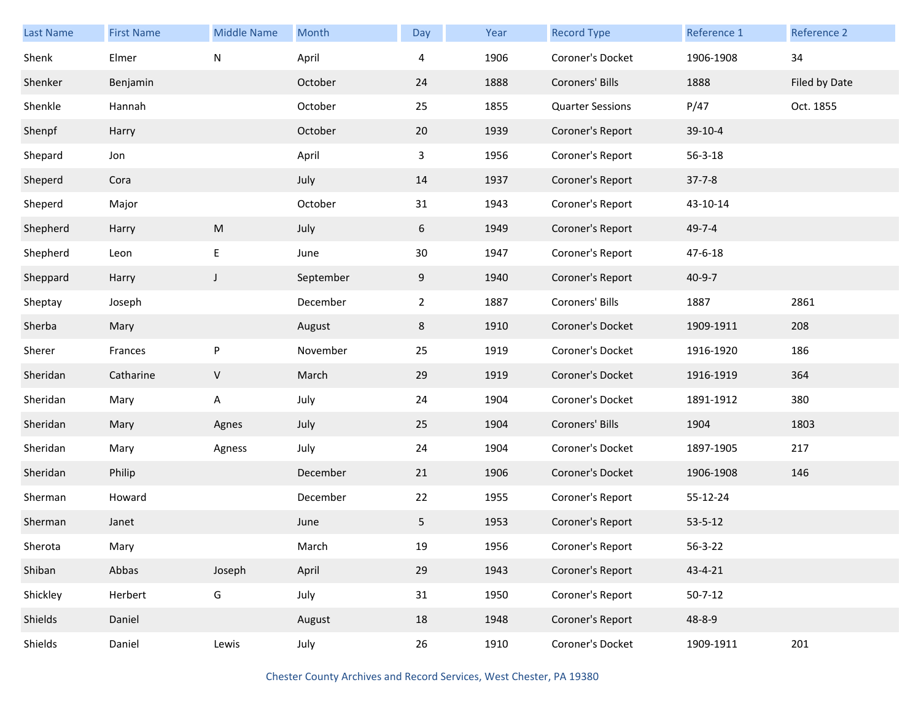| Last Name | <b>First Name</b> | <b>Middle Name</b> | Month     | Day            | Year | <b>Record Type</b>      | Reference 1   | Reference 2   |
|-----------|-------------------|--------------------|-----------|----------------|------|-------------------------|---------------|---------------|
| Shenk     | Elmer             | N                  | April     | 4              | 1906 | Coroner's Docket        | 1906-1908     | 34            |
| Shenker   | Benjamin          |                    | October   | 24             | 1888 | Coroners' Bills         | 1888          | Filed by Date |
| Shenkle   | Hannah            |                    | October   | 25             | 1855 | <b>Quarter Sessions</b> | P/47          | Oct. 1855     |
| Shenpf    | Harry             |                    | October   | 20             | 1939 | Coroner's Report        | 39-10-4       |               |
| Shepard   | Jon               |                    | April     | 3              | 1956 | Coroner's Report        | $56 - 3 - 18$ |               |
| Sheperd   | Cora              |                    | July      | 14             | 1937 | Coroner's Report        | $37 - 7 - 8$  |               |
| Sheperd   | Major             |                    | October   | 31             | 1943 | Coroner's Report        | 43-10-14      |               |
| Shepherd  | Harry             | ${\sf M}$          | July      | 6              | 1949 | Coroner's Report        | $49 - 7 - 4$  |               |
| Shepherd  | Leon              | $\mathsf E$        | June      | 30             | 1947 | Coroner's Report        | $47 - 6 - 18$ |               |
| Sheppard  | Harry             | $\mathsf{J}$       | September | 9              | 1940 | Coroner's Report        | $40 - 9 - 7$  |               |
| Sheptay   | Joseph            |                    | December  | $\overline{2}$ | 1887 | Coroners' Bills         | 1887          | 2861          |
| Sherba    | Mary              |                    | August    | 8              | 1910 | Coroner's Docket        | 1909-1911     | 208           |
| Sherer    | Frances           | P                  | November  | 25             | 1919 | Coroner's Docket        | 1916-1920     | 186           |
| Sheridan  | Catharine         | $\sf V$            | March     | 29             | 1919 | Coroner's Docket        | 1916-1919     | 364           |
| Sheridan  | Mary              | А                  | July      | 24             | 1904 | Coroner's Docket        | 1891-1912     | 380           |
| Sheridan  | Mary              | Agnes              | July      | 25             | 1904 | Coroners' Bills         | 1904          | 1803          |
| Sheridan  | Mary              | Agness             | July      | 24             | 1904 | Coroner's Docket        | 1897-1905     | 217           |
| Sheridan  | Philip            |                    | December  | 21             | 1906 | Coroner's Docket        | 1906-1908     | 146           |
| Sherman   | Howard            |                    | December  | 22             | 1955 | Coroner's Report        | 55-12-24      |               |
| Sherman   | Janet             |                    | June      | 5              | 1953 | Coroner's Report        | $53 - 5 - 12$ |               |
| Sherota   | Mary              |                    | March     | 19             | 1956 | Coroner's Report        | $56 - 3 - 22$ |               |
| Shiban    | Abbas             | Joseph             | April     | 29             | 1943 | Coroner's Report        | 43-4-21       |               |
| Shickley  | Herbert           | G                  | July      | 31             | 1950 | Coroner's Report        | $50 - 7 - 12$ |               |
| Shields   | Daniel            |                    | August    | 18             | 1948 | Coroner's Report        | 48-8-9        |               |
| Shields   | Daniel            | Lewis              | July      | 26             | 1910 | Coroner's Docket        | 1909-1911     | 201           |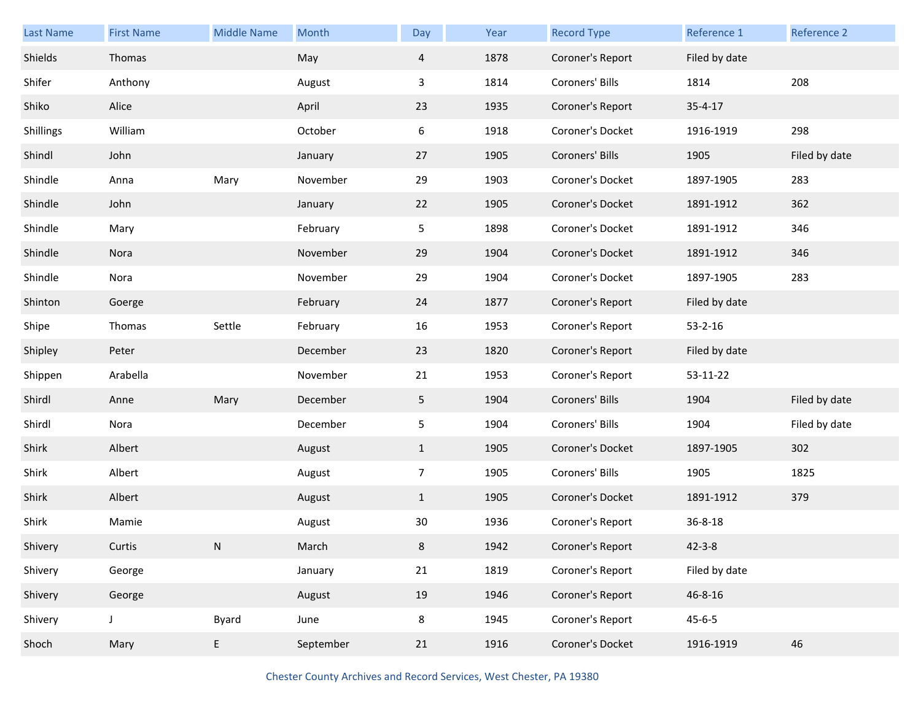| Last Name | <b>First Name</b> | <b>Middle Name</b> | Month     | Day            | Year | <b>Record Type</b> | Reference 1   | Reference 2   |
|-----------|-------------------|--------------------|-----------|----------------|------|--------------------|---------------|---------------|
| Shields   | Thomas            |                    | May       | $\overline{4}$ | 1878 | Coroner's Report   | Filed by date |               |
| Shifer    | Anthony           |                    | August    | 3              | 1814 | Coroners' Bills    | 1814          | 208           |
| Shiko     | Alice             |                    | April     | 23             | 1935 | Coroner's Report   | $35 - 4 - 17$ |               |
| Shillings | William           |                    | October   | 6              | 1918 | Coroner's Docket   | 1916-1919     | 298           |
| Shindl    | John              |                    | January   | 27             | 1905 | Coroners' Bills    | 1905          | Filed by date |
| Shindle   | Anna              | Mary               | November  | 29             | 1903 | Coroner's Docket   | 1897-1905     | 283           |
| Shindle   | John              |                    | January   | 22             | 1905 | Coroner's Docket   | 1891-1912     | 362           |
| Shindle   | Mary              |                    | February  | 5              | 1898 | Coroner's Docket   | 1891-1912     | 346           |
| Shindle   | Nora              |                    | November  | 29             | 1904 | Coroner's Docket   | 1891-1912     | 346           |
| Shindle   | Nora              |                    | November  | 29             | 1904 | Coroner's Docket   | 1897-1905     | 283           |
| Shinton   | Goerge            |                    | February  | 24             | 1877 | Coroner's Report   | Filed by date |               |
| Shipe     | Thomas            | Settle             | February  | 16             | 1953 | Coroner's Report   | $53 - 2 - 16$ |               |
| Shipley   | Peter             |                    | December  | 23             | 1820 | Coroner's Report   | Filed by date |               |
| Shippen   | Arabella          |                    | November  | 21             | 1953 | Coroner's Report   | 53-11-22      |               |
| Shirdl    | Anne              | Mary               | December  | 5              | 1904 | Coroners' Bills    | 1904          | Filed by date |
| Shirdl    | Nora              |                    | December  | 5              | 1904 | Coroners' Bills    | 1904          | Filed by date |
| Shirk     | Albert            |                    | August    | $\mathbf{1}$   | 1905 | Coroner's Docket   | 1897-1905     | 302           |
| Shirk     | Albert            |                    | August    | $\overline{7}$ | 1905 | Coroners' Bills    | 1905          | 1825          |
| Shirk     | Albert            |                    | August    | $\mathbf{1}$   | 1905 | Coroner's Docket   | 1891-1912     | 379           |
| Shirk     | Mamie             |                    | August    | 30             | 1936 | Coroner's Report   | $36 - 8 - 18$ |               |
| Shivery   | Curtis            | N                  | March     | 8              | 1942 | Coroner's Report   | $42 - 3 - 8$  |               |
| Shivery   | George            |                    | January   | 21             | 1819 | Coroner's Report   | Filed by date |               |
| Shivery   | George            |                    | August    | 19             | 1946 | Coroner's Report   | 46-8-16       |               |
| Shivery   | J                 | <b>Byard</b>       | June      | 8              | 1945 | Coroner's Report   | $45 - 6 - 5$  |               |
| Shoch     | Mary              | E                  | September | 21             | 1916 | Coroner's Docket   | 1916-1919     | 46            |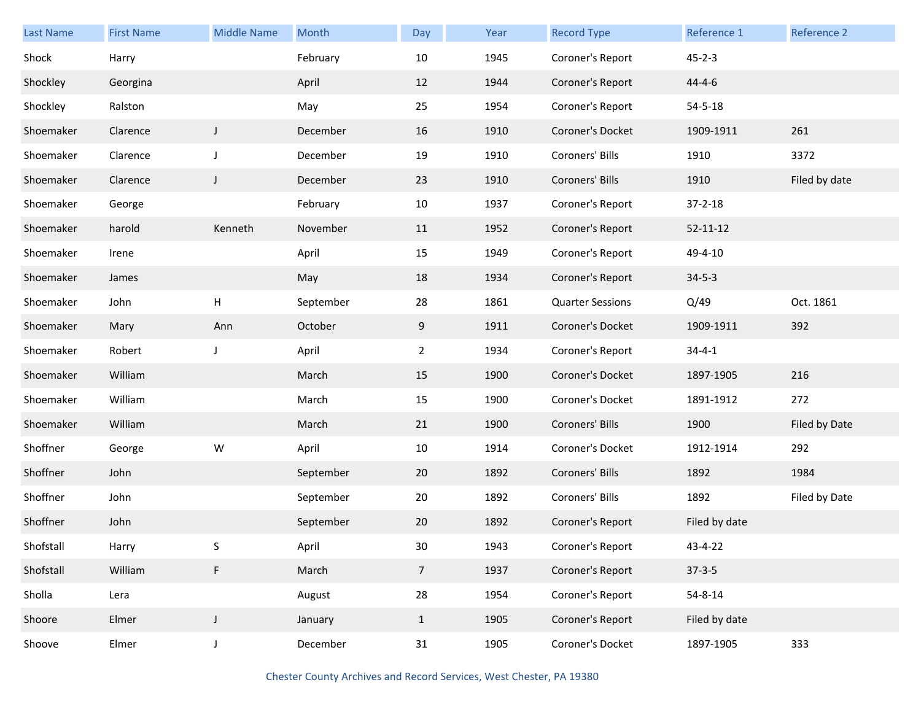| Last Name | <b>First Name</b> | <b>Middle Name</b> | Month     | Day             | Year | <b>Record Type</b>      | Reference 1    | Reference 2   |
|-----------|-------------------|--------------------|-----------|-----------------|------|-------------------------|----------------|---------------|
| Shock     | Harry             |                    | February  | 10              | 1945 | Coroner's Report        | $45 - 2 - 3$   |               |
| Shockley  | Georgina          |                    | April     | 12              | 1944 | Coroner's Report        | $44 - 4 - 6$   |               |
| Shockley  | Ralston           |                    | May       | 25              | 1954 | Coroner's Report        | $54 - 5 - 18$  |               |
| Shoemaker | Clarence          | J                  | December  | 16              | 1910 | Coroner's Docket        | 1909-1911      | 261           |
| Shoemaker | Clarence          | J                  | December  | 19              | 1910 | Coroners' Bills         | 1910           | 3372          |
| Shoemaker | Clarence          | J                  | December  | 23              | 1910 | Coroners' Bills         | 1910           | Filed by date |
| Shoemaker | George            |                    | February  | 10              | 1937 | Coroner's Report        | $37 - 2 - 18$  |               |
| Shoemaker | harold            | Kenneth            | November  | 11              | 1952 | Coroner's Report        | $52 - 11 - 12$ |               |
| Shoemaker | Irene             |                    | April     | 15              | 1949 | Coroner's Report        | 49-4-10        |               |
| Shoemaker | James             |                    | May       | 18              | 1934 | Coroner's Report        | $34 - 5 - 3$   |               |
| Shoemaker | John              | Н                  | September | 28              | 1861 | <b>Quarter Sessions</b> | Q/49           | Oct. 1861     |
| Shoemaker | Mary              | Ann                | October   | 9               | 1911 | Coroner's Docket        | 1909-1911      | 392           |
| Shoemaker | Robert            | J                  | April     | $\overline{2}$  | 1934 | Coroner's Report        | $34 - 4 - 1$   |               |
| Shoemaker | William           |                    | March     | 15              | 1900 | Coroner's Docket        | 1897-1905      | 216           |
| Shoemaker | William           |                    | March     | 15              | 1900 | Coroner's Docket        | 1891-1912      | 272           |
| Shoemaker | William           |                    | March     | 21              | 1900 | Coroners' Bills         | 1900           | Filed by Date |
| Shoffner  | George            | ${\sf W}$          | April     | 10              | 1914 | Coroner's Docket        | 1912-1914      | 292           |
| Shoffner  | John              |                    | September | 20              | 1892 | Coroners' Bills         | 1892           | 1984          |
| Shoffner  | John              |                    | September | 20              | 1892 | Coroners' Bills         | 1892           | Filed by Date |
| Shoffner  | John              |                    | September | 20              | 1892 | Coroner's Report        | Filed by date  |               |
| Shofstall | Harry             | S                  | April     | 30 <sub>o</sub> | 1943 | Coroner's Report        | 43-4-22        |               |
| Shofstall | William           | F                  | March     | $\overline{7}$  | 1937 | Coroner's Report        | $37-3-5$       |               |
| Sholla    | Lera              |                    | August    | 28              | 1954 | Coroner's Report        | $54 - 8 - 14$  |               |
| Shoore    | Elmer             | $\mathsf J$        | January   | $\mathbf{1}$    | 1905 | Coroner's Report        | Filed by date  |               |
| Shoove    | Elmer             | $\mathsf J$        | December  | 31              | 1905 | Coroner's Docket        | 1897-1905      | 333           |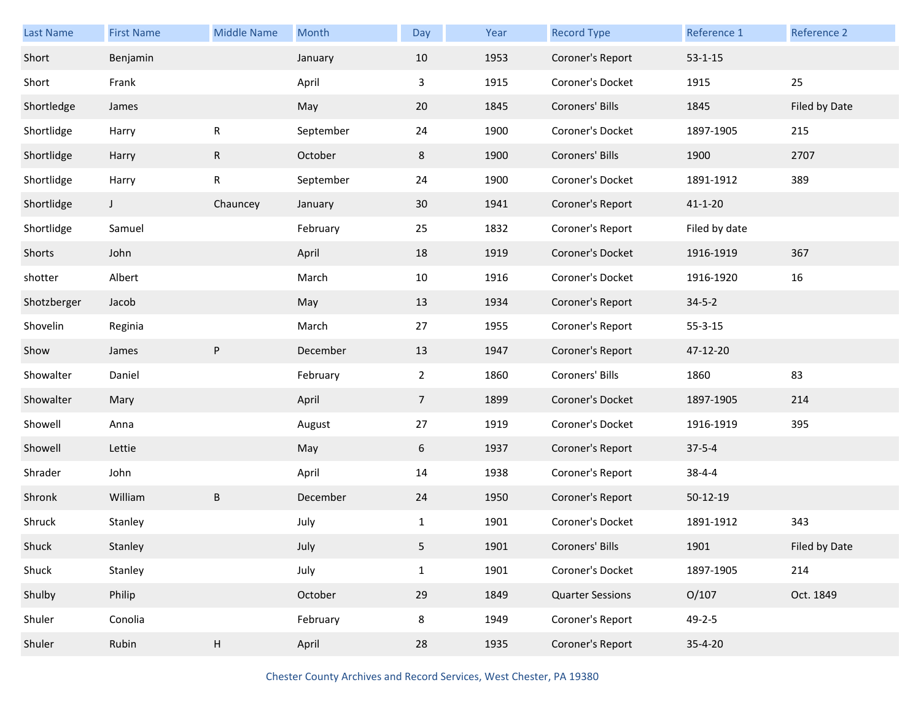| Last Name   | <b>First Name</b> | <b>Middle Name</b> | Month     | Day            | Year | <b>Record Type</b>      | Reference 1    | Reference 2   |
|-------------|-------------------|--------------------|-----------|----------------|------|-------------------------|----------------|---------------|
| Short       | Benjamin          |                    | January   | 10             | 1953 | Coroner's Report        | $53 - 1 - 15$  |               |
| Short       | Frank             |                    | April     | 3              | 1915 | Coroner's Docket        | 1915           | 25            |
| Shortledge  | James             |                    | May       | 20             | 1845 | Coroners' Bills         | 1845           | Filed by Date |
| Shortlidge  | Harry             | R                  | September | 24             | 1900 | Coroner's Docket        | 1897-1905      | 215           |
| Shortlidge  | Harry             | $\mathsf{R}$       | October   | 8              | 1900 | Coroners' Bills         | 1900           | 2707          |
| Shortlidge  | Harry             | R                  | September | 24             | 1900 | Coroner's Docket        | 1891-1912      | 389           |
| Shortlidge  | J                 | Chauncey           | January   | 30             | 1941 | Coroner's Report        | $41 - 1 - 20$  |               |
| Shortlidge  | Samuel            |                    | February  | 25             | 1832 | Coroner's Report        | Filed by date  |               |
| Shorts      | John              |                    | April     | 18             | 1919 | Coroner's Docket        | 1916-1919      | 367           |
| shotter     | Albert            |                    | March     | 10             | 1916 | Coroner's Docket        | 1916-1920      | 16            |
| Shotzberger | Jacob             |                    | May       | 13             | 1934 | Coroner's Report        | $34 - 5 - 2$   |               |
| Shovelin    | Reginia           |                    | March     | 27             | 1955 | Coroner's Report        | $55 - 3 - 15$  |               |
| Show        | James             | ${\sf P}$          | December  | 13             | 1947 | Coroner's Report        | 47-12-20       |               |
| Showalter   | Daniel            |                    | February  | $\overline{2}$ | 1860 | Coroners' Bills         | 1860           | 83            |
| Showalter   | Mary              |                    | April     | $\overline{7}$ | 1899 | Coroner's Docket        | 1897-1905      | 214           |
| Showell     | Anna              |                    | August    | 27             | 1919 | Coroner's Docket        | 1916-1919      | 395           |
| Showell     | Lettie            |                    | May       | 6              | 1937 | Coroner's Report        | $37 - 5 - 4$   |               |
| Shrader     | John              |                    | April     | 14             | 1938 | Coroner's Report        | $38 - 4 - 4$   |               |
| Shronk      | William           | B                  | December  | 24             | 1950 | Coroner's Report        | $50 - 12 - 19$ |               |
| Shruck      | Stanley           |                    | July      | $\mathbf{1}$   | 1901 | Coroner's Docket        | 1891-1912      | 343           |
| Shuck       | Stanley           |                    | July      | 5              | 1901 | Coroners' Bills         | 1901           | Filed by Date |
| Shuck       | Stanley           |                    | July      | $\mathbf{1}$   | 1901 | Coroner's Docket        | 1897-1905      | 214           |
| Shulby      | Philip            |                    | October   | 29             | 1849 | <b>Quarter Sessions</b> | O/107          | Oct. 1849     |
| Shuler      | Conolia           |                    | February  | 8              | 1949 | Coroner's Report        | $49 - 2 - 5$   |               |
| Shuler      | Rubin             | H                  | April     | 28             | 1935 | Coroner's Report        | $35 - 4 - 20$  |               |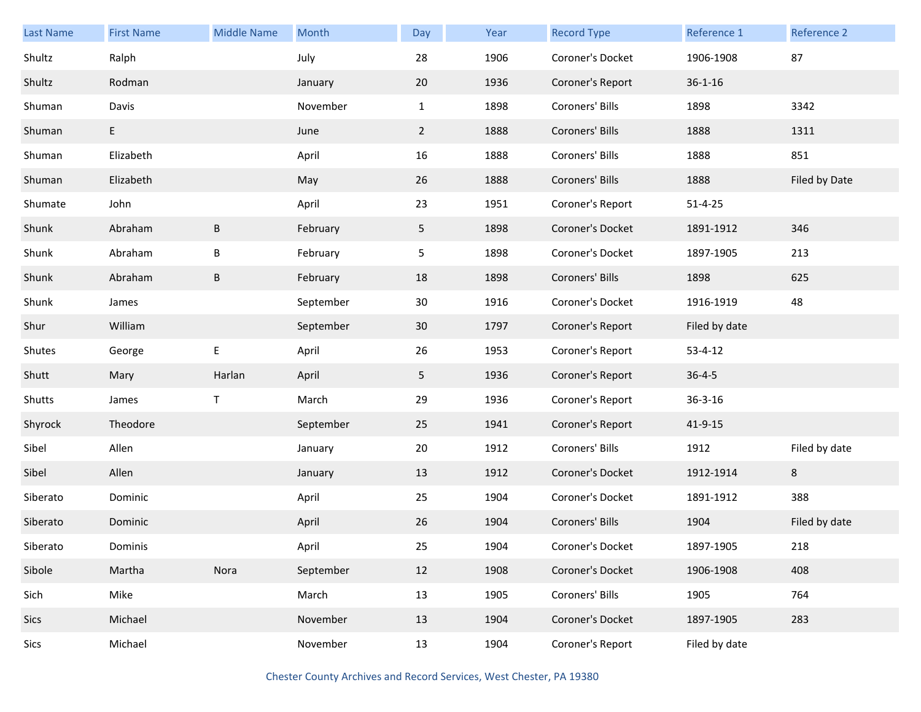| <b>Last Name</b> | <b>First Name</b> | <b>Middle Name</b> | Month     | Day            | Year | <b>Record Type</b> | Reference 1   | Reference 2   |
|------------------|-------------------|--------------------|-----------|----------------|------|--------------------|---------------|---------------|
| Shultz           | Ralph             |                    | July      | 28             | 1906 | Coroner's Docket   | 1906-1908     | 87            |
| Shultz           | Rodman            |                    | January   | 20             | 1936 | Coroner's Report   | $36 - 1 - 16$ |               |
| Shuman           | Davis             |                    | November  | $\mathbf{1}$   | 1898 | Coroners' Bills    | 1898          | 3342          |
| Shuman           | E.                |                    | June      | $\overline{2}$ | 1888 | Coroners' Bills    | 1888          | 1311          |
| Shuman           | Elizabeth         |                    | April     | 16             | 1888 | Coroners' Bills    | 1888          | 851           |
| Shuman           | Elizabeth         |                    | May       | 26             | 1888 | Coroners' Bills    | 1888          | Filed by Date |
| Shumate          | John              |                    | April     | 23             | 1951 | Coroner's Report   | $51 - 4 - 25$ |               |
| Shunk            | Abraham           | B                  | February  | 5              | 1898 | Coroner's Docket   | 1891-1912     | 346           |
| Shunk            | Abraham           | B                  | February  | 5              | 1898 | Coroner's Docket   | 1897-1905     | 213           |
| Shunk            | Abraham           | $\sf B$            | February  | 18             | 1898 | Coroners' Bills    | 1898          | 625           |
| Shunk            | James             |                    | September | 30             | 1916 | Coroner's Docket   | 1916-1919     | 48            |
| Shur             | William           |                    | September | 30             | 1797 | Coroner's Report   | Filed by date |               |
| Shutes           | George            | E                  | April     | 26             | 1953 | Coroner's Report   | $53 - 4 - 12$ |               |
| Shutt            | Mary              | Harlan             | April     | 5 <sub>1</sub> | 1936 | Coroner's Report   | $36 - 4 - 5$  |               |
| Shutts           | James             | T                  | March     | 29             | 1936 | Coroner's Report   | $36 - 3 - 16$ |               |
| Shyrock          | Theodore          |                    | September | 25             | 1941 | Coroner's Report   | $41 - 9 - 15$ |               |
| Sibel            | Allen             |                    | January   | 20             | 1912 | Coroners' Bills    | 1912          | Filed by date |
| Sibel            | Allen             |                    | January   | 13             | 1912 | Coroner's Docket   | 1912-1914     | 8             |
| Siberato         | Dominic           |                    | April     | 25             | 1904 | Coroner's Docket   | 1891-1912     | 388           |
| Siberato         | Dominic           |                    | April     | 26             | 1904 | Coroners' Bills    | 1904          | Filed by date |
| Siberato         | Dominis           |                    | April     | 25             | 1904 | Coroner's Docket   | 1897-1905     | 218           |
| Sibole           | Martha            | Nora               | September | 12             | 1908 | Coroner's Docket   | 1906-1908     | 408           |
| Sich             | Mike              |                    | March     | 13             | 1905 | Coroners' Bills    | 1905          | 764           |
| Sics             | Michael           |                    | November  | 13             | 1904 | Coroner's Docket   | 1897-1905     | 283           |
| Sics             | Michael           |                    | November  | 13             | 1904 | Coroner's Report   | Filed by date |               |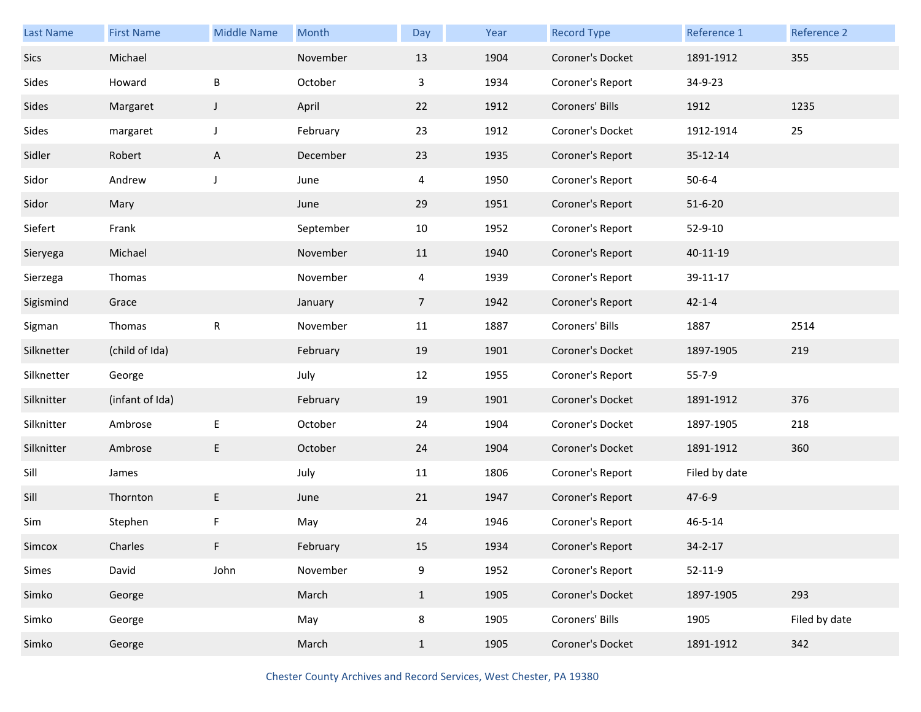| <b>Last Name</b> | <b>First Name</b> | <b>Middle Name</b> | Month     | Day            | Year | <b>Record Type</b> | Reference 1   | Reference 2   |
|------------------|-------------------|--------------------|-----------|----------------|------|--------------------|---------------|---------------|
| Sics             | Michael           |                    | November  | 13             | 1904 | Coroner's Docket   | 1891-1912     | 355           |
| Sides            | Howard            | $\sf B$            | October   | 3              | 1934 | Coroner's Report   | 34-9-23       |               |
| Sides            | Margaret          | $\mathsf{I}$       | April     | 22             | 1912 | Coroners' Bills    | 1912          | 1235          |
| Sides            | margaret          | $\mathsf J$        | February  | 23             | 1912 | Coroner's Docket   | 1912-1914     | 25            |
| Sidler           | Robert            | A                  | December  | 23             | 1935 | Coroner's Report   | 35-12-14      |               |
| Sidor            | Andrew            | $\mathsf J$        | June      | 4              | 1950 | Coroner's Report   | $50 - 6 - 4$  |               |
| Sidor            | Mary              |                    | June      | 29             | 1951 | Coroner's Report   | $51 - 6 - 20$ |               |
| Siefert          | Frank             |                    | September | 10             | 1952 | Coroner's Report   | 52-9-10       |               |
| Sieryega         | Michael           |                    | November  | 11             | 1940 | Coroner's Report   | 40-11-19      |               |
| Sierzega         | Thomas            |                    | November  | 4              | 1939 | Coroner's Report   | 39-11-17      |               |
| Sigismind        | Grace             |                    | January   | $\overline{7}$ | 1942 | Coroner's Report   | $42 - 1 - 4$  |               |
| Sigman           | Thomas            | R                  | November  | 11             | 1887 | Coroners' Bills    | 1887          | 2514          |
| Silknetter       | (child of Ida)    |                    | February  | 19             | 1901 | Coroner's Docket   | 1897-1905     | 219           |
| Silknetter       | George            |                    | July      | 12             | 1955 | Coroner's Report   | $55 - 7 - 9$  |               |
| Silknitter       | (infant of Ida)   |                    | February  | 19             | 1901 | Coroner's Docket   | 1891-1912     | 376           |
| Silknitter       | Ambrose           | Е                  | October   | 24             | 1904 | Coroner's Docket   | 1897-1905     | 218           |
| Silknitter       | Ambrose           | E                  | October   | 24             | 1904 | Coroner's Docket   | 1891-1912     | 360           |
| Sill             | James             |                    | July      | 11             | 1806 | Coroner's Report   | Filed by date |               |
| Sill             | Thornton          | E                  | June      | 21             | 1947 | Coroner's Report   | $47 - 6 - 9$  |               |
| Sim              | Stephen           | F                  | May       | 24             | 1946 | Coroner's Report   | $46 - 5 - 14$ |               |
| Simcox           | Charles           | F                  | February  | 15             | 1934 | Coroner's Report   | 34-2-17       |               |
| Simes            | David             | John               | November  | 9              | 1952 | Coroner's Report   | $52 - 11 - 9$ |               |
| Simko            | George            |                    | March     | $\mathbf{1}$   | 1905 | Coroner's Docket   | 1897-1905     | 293           |
| Simko            | George            |                    | May       | 8              | 1905 | Coroners' Bills    | 1905          | Filed by date |
| Simko            | George            |                    | March     | $\mathbf{1}$   | 1905 | Coroner's Docket   | 1891-1912     | 342           |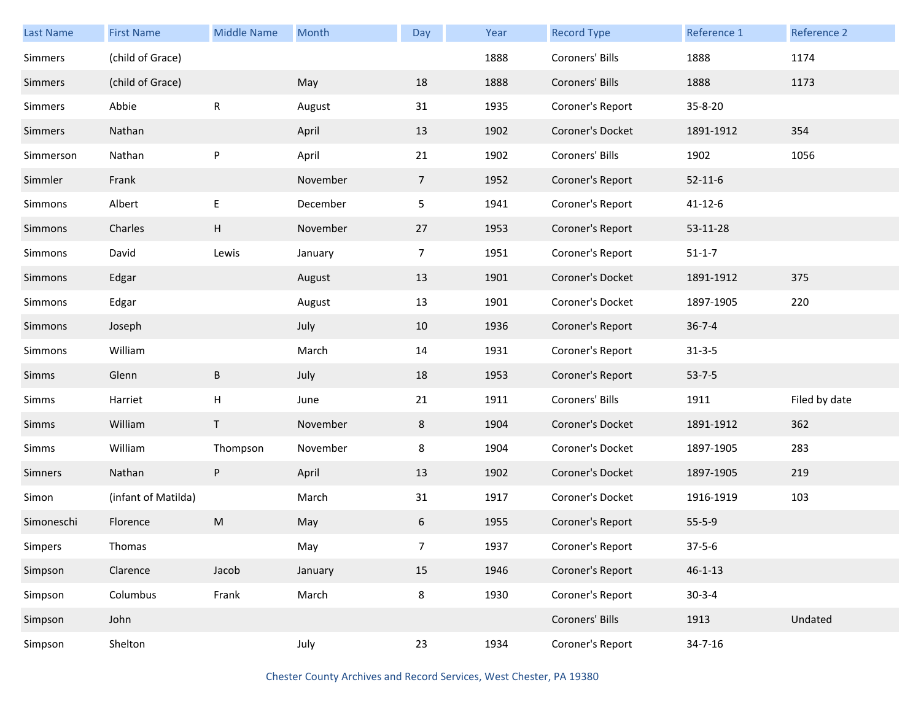| Last Name  | <b>First Name</b>   | <b>Middle Name</b> | Month    | Day            | Year | <b>Record Type</b> | Reference 1   | Reference 2   |
|------------|---------------------|--------------------|----------|----------------|------|--------------------|---------------|---------------|
| Simmers    | (child of Grace)    |                    |          |                | 1888 | Coroners' Bills    | 1888          | 1174          |
| Simmers    | (child of Grace)    |                    | May      | 18             | 1888 | Coroners' Bills    | 1888          | 1173          |
| Simmers    | Abbie               | ${\sf R}$          | August   | 31             | 1935 | Coroner's Report   | 35-8-20       |               |
| Simmers    | Nathan              |                    | April    | 13             | 1902 | Coroner's Docket   | 1891-1912     | 354           |
| Simmerson  | Nathan              | ${\sf P}$          | April    | 21             | 1902 | Coroners' Bills    | 1902          | 1056          |
| Simmler    | Frank               |                    | November | $\overline{7}$ | 1952 | Coroner's Report   | $52 - 11 - 6$ |               |
| Simmons    | Albert              | E                  | December | 5              | 1941 | Coroner's Report   | $41 - 12 - 6$ |               |
| Simmons    | Charles             | H                  | November | 27             | 1953 | Coroner's Report   | 53-11-28      |               |
| Simmons    | David               | Lewis              | January  | $\overline{7}$ | 1951 | Coroner's Report   | $51 - 1 - 7$  |               |
| Simmons    | Edgar               |                    | August   | 13             | 1901 | Coroner's Docket   | 1891-1912     | 375           |
| Simmons    | Edgar               |                    | August   | 13             | 1901 | Coroner's Docket   | 1897-1905     | 220           |
| Simmons    | Joseph              |                    | July     | 10             | 1936 | Coroner's Report   | $36 - 7 - 4$  |               |
| Simmons    | William             |                    | March    | 14             | 1931 | Coroner's Report   | $31 - 3 - 5$  |               |
| Simms      | Glenn               | $\sf B$            | July     | 18             | 1953 | Coroner's Report   | $53 - 7 - 5$  |               |
| Simms      | Harriet             | Н                  | June     | 21             | 1911 | Coroners' Bills    | 1911          | Filed by date |
| Simms      | William             | T                  | November | 8              | 1904 | Coroner's Docket   | 1891-1912     | 362           |
| Simms      | William             | Thompson           | November | 8              | 1904 | Coroner's Docket   | 1897-1905     | 283           |
| Simners    | Nathan              | ${\sf P}$          | April    | 13             | 1902 | Coroner's Docket   | 1897-1905     | 219           |
| Simon      | (infant of Matilda) |                    | March    | 31             | 1917 | Coroner's Docket   | 1916-1919     | 103           |
| Simoneschi | Florence            | M                  | May      | 6              | 1955 | Coroner's Report   | $55 - 5 - 9$  |               |
| Simpers    | Thomas              |                    | May      | $\overline{7}$ | 1937 | Coroner's Report   | $37 - 5 - 6$  |               |
| Simpson    | Clarence            | Jacob              | January  | 15             | 1946 | Coroner's Report   | $46 - 1 - 13$ |               |
| Simpson    | Columbus            | Frank              | March    | 8              | 1930 | Coroner's Report   | $30-3-4$      |               |
| Simpson    | John                |                    |          |                |      | Coroners' Bills    | 1913          | Undated       |
| Simpson    | Shelton             |                    | July     | 23             | 1934 | Coroner's Report   | $34 - 7 - 16$ |               |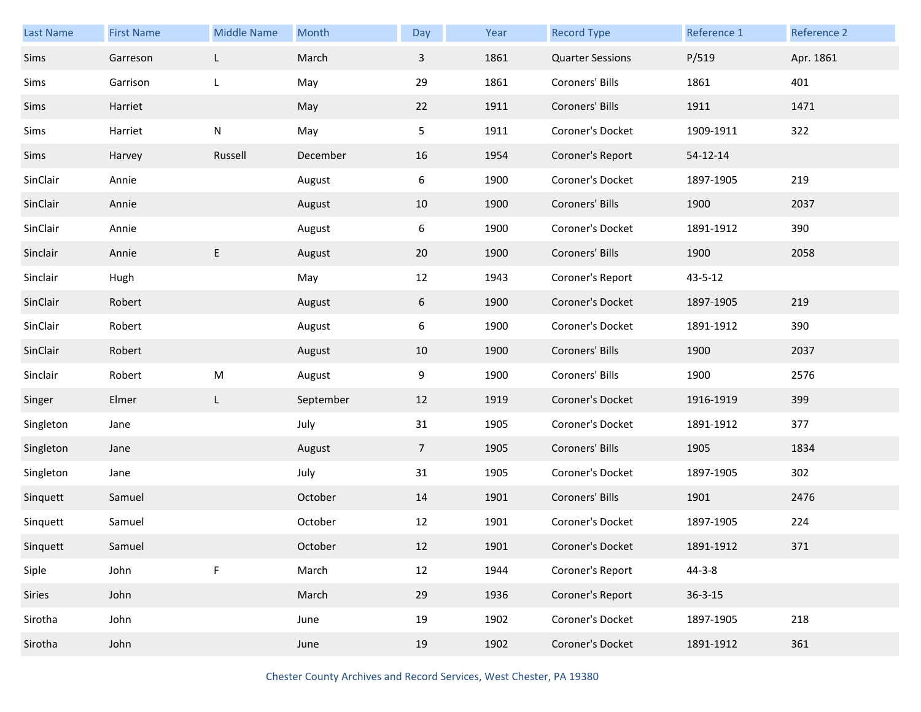| <b>Last Name</b> | <b>First Name</b> | <b>Middle Name</b> | Month     | Day            | Year | <b>Record Type</b>      | Reference 1   | Reference 2 |
|------------------|-------------------|--------------------|-----------|----------------|------|-------------------------|---------------|-------------|
| Sims             | Garreson          | L                  | March     | 3              | 1861 | <b>Quarter Sessions</b> | P/519         | Apr. 1861   |
| Sims             | Garrison          | L                  | May       | 29             | 1861 | Coroners' Bills         | 1861          | 401         |
| Sims             | Harriet           |                    | May       | 22             | 1911 | Coroners' Bills         | 1911          | 1471        |
| Sims             | Harriet           | N                  | May       | 5              | 1911 | Coroner's Docket        | 1909-1911     | 322         |
| Sims             | Harvey            | Russell            | December  | 16             | 1954 | Coroner's Report        | 54-12-14      |             |
| SinClair         | Annie             |                    | August    | 6              | 1900 | Coroner's Docket        | 1897-1905     | 219         |
| SinClair         | Annie             |                    | August    | 10             | 1900 | Coroners' Bills         | 1900          | 2037        |
| SinClair         | Annie             |                    | August    | 6              | 1900 | Coroner's Docket        | 1891-1912     | 390         |
| Sinclair         | Annie             | E                  | August    | 20             | 1900 | Coroners' Bills         | 1900          | 2058        |
| Sinclair         | Hugh              |                    | May       | 12             | 1943 | Coroner's Report        | 43-5-12       |             |
| SinClair         | Robert            |                    | August    | 6              | 1900 | Coroner's Docket        | 1897-1905     | 219         |
| SinClair         | Robert            |                    | August    | 6              | 1900 | Coroner's Docket        | 1891-1912     | 390         |
| SinClair         | Robert            |                    | August    | 10             | 1900 | Coroners' Bills         | 1900          | 2037        |
| Sinclair         | Robert            | ${\sf M}$          | August    | 9              | 1900 | Coroners' Bills         | 1900          | 2576        |
| Singer           | Elmer             | L                  | September | 12             | 1919 | Coroner's Docket        | 1916-1919     | 399         |
| Singleton        | Jane              |                    | July      | 31             | 1905 | Coroner's Docket        | 1891-1912     | 377         |
| Singleton        | Jane              |                    | August    | $\overline{7}$ | 1905 | Coroners' Bills         | 1905          | 1834        |
| Singleton        | Jane              |                    | July      | 31             | 1905 | Coroner's Docket        | 1897-1905     | 302         |
| Sinquett         | Samuel            |                    | October   | 14             | 1901 | Coroners' Bills         | 1901          | 2476        |
| Sinquett         | Samuel            |                    | October   | 12             | 1901 | Coroner's Docket        | 1897-1905     | 224         |
| Sinquett         | Samuel            |                    | October   | 12             | 1901 | Coroner's Docket        | 1891-1912     | 371         |
| Siple            | John              | F                  | March     | 12             | 1944 | Coroner's Report        | $44 - 3 - 8$  |             |
| Siries           | John              |                    | March     | 29             | 1936 | Coroner's Report        | $36 - 3 - 15$ |             |
| Sirotha          | John              |                    | June      | 19             | 1902 | Coroner's Docket        | 1897-1905     | 218         |
| Sirotha          | John              |                    | June      | 19             | 1902 | Coroner's Docket        | 1891-1912     | 361         |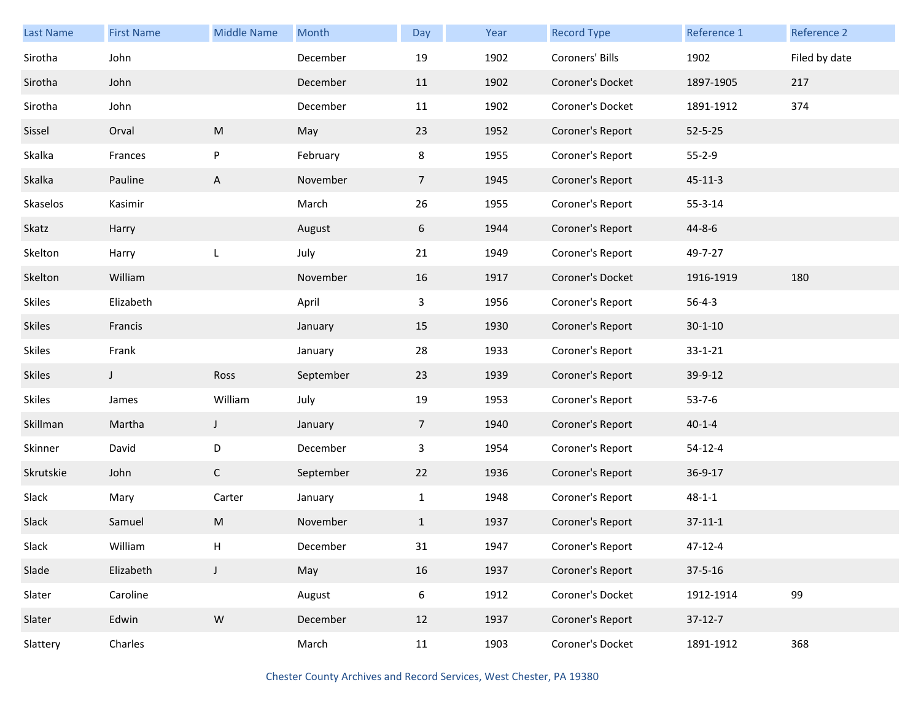| <b>Last Name</b> | <b>First Name</b> | <b>Middle Name</b> | Month     | Day            | Year | <b>Record Type</b> | Reference 1   | Reference 2   |
|------------------|-------------------|--------------------|-----------|----------------|------|--------------------|---------------|---------------|
| Sirotha          | John              |                    | December  | 19             | 1902 | Coroners' Bills    | 1902          | Filed by date |
| Sirotha          | John              |                    | December  | 11             | 1902 | Coroner's Docket   | 1897-1905     | 217           |
| Sirotha          | John              |                    | December  | 11             | 1902 | Coroner's Docket   | 1891-1912     | 374           |
| Sissel           | Orval             | M                  | May       | 23             | 1952 | Coroner's Report   | $52 - 5 - 25$ |               |
| Skalka           | Frances           | P                  | February  | 8              | 1955 | Coroner's Report   | $55 - 2 - 9$  |               |
| Skalka           | Pauline           | $\mathsf{A}$       | November  | $\overline{7}$ | 1945 | Coroner's Report   | $45 - 11 - 3$ |               |
| Skaselos         | Kasimir           |                    | March     | 26             | 1955 | Coroner's Report   | $55 - 3 - 14$ |               |
| Skatz            | Harry             |                    | August    | 6              | 1944 | Coroner's Report   | $44 - 8 - 6$  |               |
| Skelton          | Harry             | L                  | July      | 21             | 1949 | Coroner's Report   | 49-7-27       |               |
| Skelton          | William           |                    | November  | 16             | 1917 | Coroner's Docket   | 1916-1919     | 180           |
| <b>Skiles</b>    | Elizabeth         |                    | April     | 3              | 1956 | Coroner's Report   | $56 - 4 - 3$  |               |
| <b>Skiles</b>    | Francis           |                    | January   | 15             | 1930 | Coroner's Report   | $30 - 1 - 10$ |               |
| Skiles           | Frank             |                    | January   | 28             | 1933 | Coroner's Report   | $33 - 1 - 21$ |               |
| <b>Skiles</b>    | J                 | Ross               | September | 23             | 1939 | Coroner's Report   | 39-9-12       |               |
| <b>Skiles</b>    | James             | William            | July      | 19             | 1953 | Coroner's Report   | $53 - 7 - 6$  |               |
| Skillman         | Martha            | J                  | January   | 7 <sup>1</sup> | 1940 | Coroner's Report   | $40 - 1 - 4$  |               |
| Skinner          | David             | D                  | December  | $\mathbf{3}$   | 1954 | Coroner's Report   | $54 - 12 - 4$ |               |
| Skrutskie        | John              | $\mathsf{C}$       | September | 22             | 1936 | Coroner's Report   | 36-9-17       |               |
| Slack            | Mary              | Carter             | January   | $\mathbf{1}$   | 1948 | Coroner's Report   | $48 - 1 - 1$  |               |
| Slack            | Samuel            | M                  | November  | $\mathbf{1}$   | 1937 | Coroner's Report   | $37 - 11 - 1$ |               |
| Slack            | William           | H                  | December  | 31             | 1947 | Coroner's Report   | $47 - 12 - 4$ |               |
| Slade            | Elizabeth         | $\mathsf J$        | May       | 16             | 1937 | Coroner's Report   | $37 - 5 - 16$ |               |
| Slater           | Caroline          |                    | August    | 6              | 1912 | Coroner's Docket   | 1912-1914     | 99            |
| Slater           | Edwin             | ${\sf W}$          | December  | 12             | 1937 | Coroner's Report   | $37-12-7$     |               |
| Slattery         | Charles           |                    | March     | 11             | 1903 | Coroner's Docket   | 1891-1912     | 368           |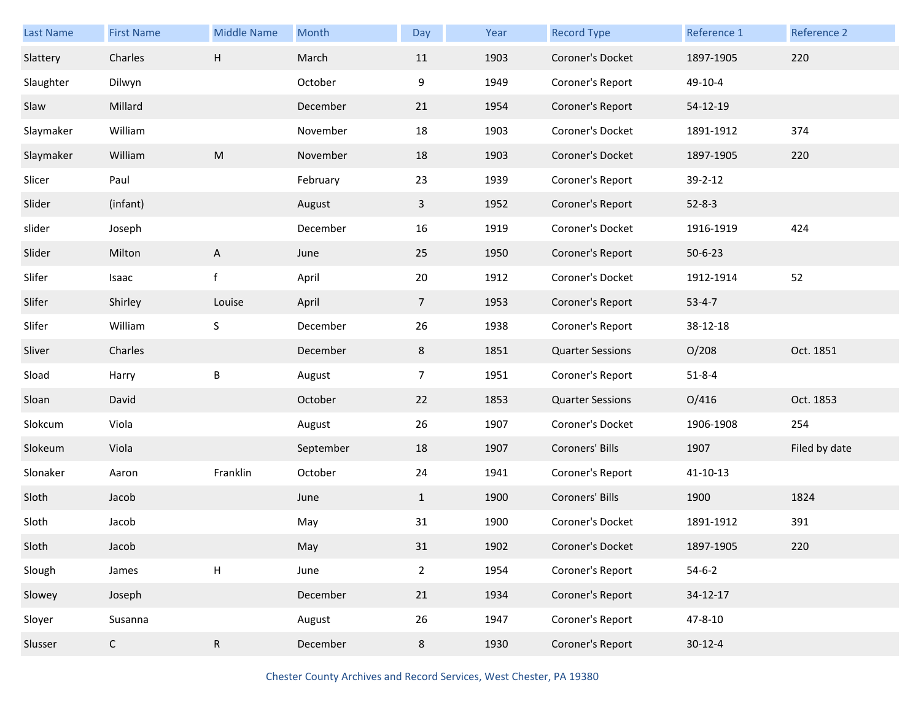| Last Name | <b>First Name</b> | <b>Middle Name</b> | Month     | Day            | Year | <b>Record Type</b>      | Reference 1   | Reference 2   |
|-----------|-------------------|--------------------|-----------|----------------|------|-------------------------|---------------|---------------|
| Slattery  | Charles           | $\sf H$            | March     | 11             | 1903 | Coroner's Docket        | 1897-1905     | 220           |
| Slaughter | Dilwyn            |                    | October   | 9              | 1949 | Coroner's Report        | 49-10-4       |               |
| Slaw      | Millard           |                    | December  | 21             | 1954 | Coroner's Report        | 54-12-19      |               |
| Slaymaker | William           |                    | November  | 18             | 1903 | Coroner's Docket        | 1891-1912     | 374           |
| Slaymaker | William           | ${\sf M}$          | November  | 18             | 1903 | Coroner's Docket        | 1897-1905     | 220           |
| Slicer    | Paul              |                    | February  | 23             | 1939 | Coroner's Report        | 39-2-12       |               |
| Slider    | (infant)          |                    | August    | 3              | 1952 | Coroner's Report        | $52 - 8 - 3$  |               |
| slider    | Joseph            |                    | December  | 16             | 1919 | Coroner's Docket        | 1916-1919     | 424           |
| Slider    | Milton            | $\mathsf{A}$       | June      | 25             | 1950 | Coroner's Report        | $50 - 6 - 23$ |               |
| Slifer    | Isaac             | $\mathsf f$        | April     | 20             | 1912 | Coroner's Docket        | 1912-1914     | 52            |
| Slifer    | Shirley           | Louise             | April     | $\overline{7}$ | 1953 | Coroner's Report        | $53 - 4 - 7$  |               |
| Slifer    | William           | S                  | December  | 26             | 1938 | Coroner's Report        | 38-12-18      |               |
| Sliver    | Charles           |                    | December  | 8              | 1851 | <b>Quarter Sessions</b> | O/208         | Oct. 1851     |
| Sload     | Harry             | B                  | August    | $\overline{7}$ | 1951 | Coroner's Report        | $51 - 8 - 4$  |               |
| Sloan     | David             |                    | October   | 22             | 1853 | <b>Quarter Sessions</b> | O/416         | Oct. 1853     |
| Slokcum   | Viola             |                    | August    | 26             | 1907 | Coroner's Docket        | 1906-1908     | 254           |
| Slokeum   | Viola             |                    | September | 18             | 1907 | Coroners' Bills         | 1907          | Filed by date |
| Slonaker  | Aaron             | Franklin           | October   | 24             | 1941 | Coroner's Report        | 41-10-13      |               |
| Sloth     | Jacob             |                    | June      | $\mathbf{1}$   | 1900 | Coroners' Bills         | 1900          | 1824          |
| Sloth     | Jacob             |                    | May       | 31             | 1900 | Coroner's Docket        | 1891-1912     | 391           |
| Sloth     | Jacob             |                    | May       | 31             | 1902 | Coroner's Docket        | 1897-1905     | 220           |
| Slough    | James             | H                  | June      | $\overline{2}$ | 1954 | Coroner's Report        | $54-6-2$      |               |
|           |                   |                    |           |                |      |                         |               |               |
| Slowey    | Joseph            |                    | December  | 21             | 1934 | Coroner's Report        | 34-12-17      |               |
| Sloyer    | Susanna           |                    | August    | 26             | 1947 | Coroner's Report        | $47 - 8 - 10$ |               |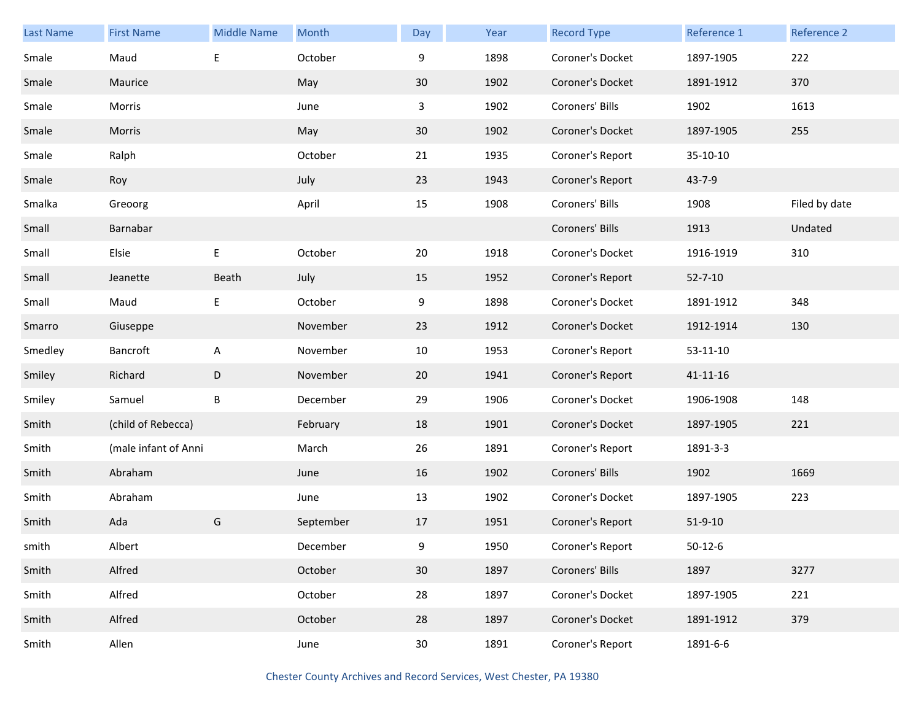| <b>Last Name</b> | <b>First Name</b>    | <b>Middle Name</b> | Month     | Day             | Year | <b>Record Type</b> | Reference 1    | Reference 2   |
|------------------|----------------------|--------------------|-----------|-----------------|------|--------------------|----------------|---------------|
| Smale            | Maud                 | $\mathsf E$        | October   | 9               | 1898 | Coroner's Docket   | 1897-1905      | 222           |
| Smale            | Maurice              |                    | May       | $30\,$          | 1902 | Coroner's Docket   | 1891-1912      | 370           |
| Smale            | Morris               |                    | June      | 3               | 1902 | Coroners' Bills    | 1902           | 1613          |
| Smale            | Morris               |                    | May       | 30              | 1902 | Coroner's Docket   | 1897-1905      | 255           |
| Smale            | Ralph                |                    | October   | 21              | 1935 | Coroner's Report   | 35-10-10       |               |
| Smale            | Roy                  |                    | July      | 23              | 1943 | Coroner's Report   | 43-7-9         |               |
| Smalka           | Greoorg              |                    | April     | 15              | 1908 | Coroners' Bills    | 1908           | Filed by date |
| Small            | Barnabar             |                    |           |                 |      | Coroners' Bills    | 1913           | Undated       |
| Small            | Elsie                | $\mathsf E$        | October   | 20              | 1918 | Coroner's Docket   | 1916-1919      | 310           |
| Small            | Jeanette             | Beath              | July      | 15              | 1952 | Coroner's Report   | $52 - 7 - 10$  |               |
| Small            | Maud                 | E                  | October   | 9               | 1898 | Coroner's Docket   | 1891-1912      | 348           |
| Smarro           | Giuseppe             |                    | November  | 23              | 1912 | Coroner's Docket   | 1912-1914      | 130           |
| Smedley          | Bancroft             | A                  | November  | 10              | 1953 | Coroner's Report   | 53-11-10       |               |
| Smiley           | Richard              | $\mathsf D$        | November  | 20              | 1941 | Coroner's Report   | $41 - 11 - 16$ |               |
| Smiley           | Samuel               | B                  | December  | 29              | 1906 | Coroner's Docket   | 1906-1908      | 148           |
| Smith            | (child of Rebecca)   |                    | February  | 18              | 1901 | Coroner's Docket   | 1897-1905      | 221           |
| Smith            | (male infant of Anni |                    | March     | 26              | 1891 | Coroner's Report   | 1891-3-3       |               |
| Smith            | Abraham              |                    | June      | 16              | 1902 | Coroners' Bills    | 1902           | 1669          |
| Smith            | Abraham              |                    | June      | 13              | 1902 | Coroner's Docket   | 1897-1905      | 223           |
| Smith            | Ada                  | G                  | September | 17              | 1951 | Coroner's Report   | $51 - 9 - 10$  |               |
| smith            | Albert               |                    | December  | 9               | 1950 | Coroner's Report   | $50 - 12 - 6$  |               |
| Smith            | Alfred               |                    | October   | 30              | 1897 | Coroners' Bills    | 1897           | 3277          |
| Smith            | Alfred               |                    | October   | 28              | 1897 | Coroner's Docket   | 1897-1905      | 221           |
| Smith            | Alfred               |                    | October   | 28              | 1897 | Coroner's Docket   | 1891-1912      | 379           |
| Smith            | Allen                |                    | June      | 30 <sup>°</sup> | 1891 | Coroner's Report   | 1891-6-6       |               |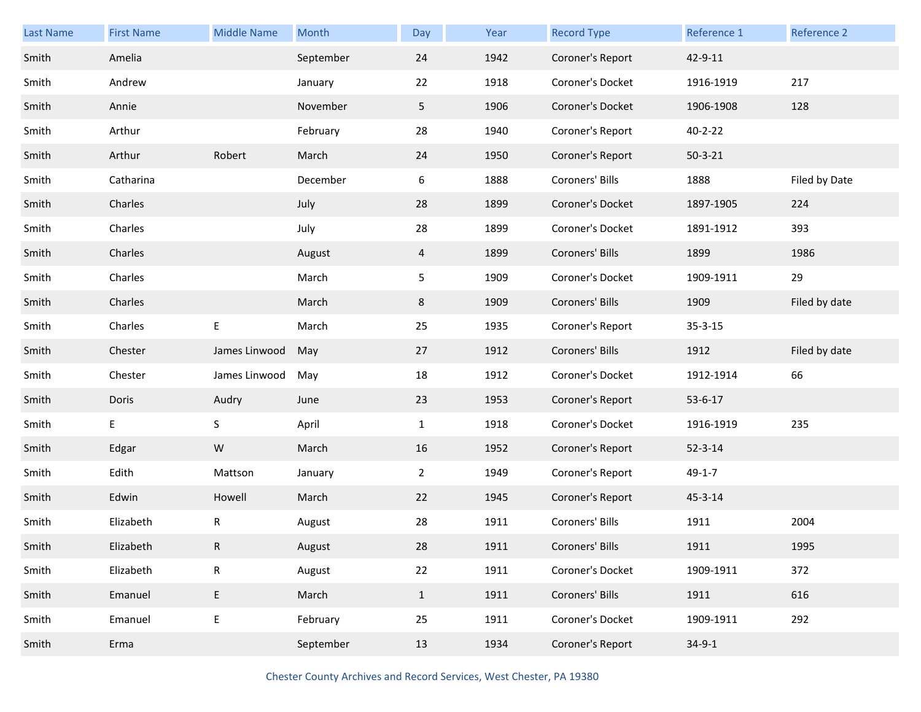| <b>Last Name</b> | <b>First Name</b> | <b>Middle Name</b> | Month     | Day            | Year | <b>Record Type</b> | Reference 1   | Reference 2   |
|------------------|-------------------|--------------------|-----------|----------------|------|--------------------|---------------|---------------|
| Smith            | Amelia            |                    | September | 24             | 1942 | Coroner's Report   | 42-9-11       |               |
| Smith            | Andrew            |                    | January   | 22             | 1918 | Coroner's Docket   | 1916-1919     | 217           |
| Smith            | Annie             |                    | November  | 5              | 1906 | Coroner's Docket   | 1906-1908     | 128           |
| Smith            | Arthur            |                    | February  | 28             | 1940 | Coroner's Report   | $40 - 2 - 22$ |               |
| Smith            | Arthur            | Robert             | March     | 24             | 1950 | Coroner's Report   | $50 - 3 - 21$ |               |
| Smith            | Catharina         |                    | December  | 6              | 1888 | Coroners' Bills    | 1888          | Filed by Date |
| Smith            | Charles           |                    | July      | 28             | 1899 | Coroner's Docket   | 1897-1905     | 224           |
| Smith            | Charles           |                    | July      | 28             | 1899 | Coroner's Docket   | 1891-1912     | 393           |
| Smith            | Charles           |                    | August    | $\overline{4}$ | 1899 | Coroners' Bills    | 1899          | 1986          |
| Smith            | Charles           |                    | March     | 5              | 1909 | Coroner's Docket   | 1909-1911     | 29            |
| Smith            | Charles           |                    | March     | 8              | 1909 | Coroners' Bills    | 1909          | Filed by date |
| Smith            | Charles           | E                  | March     | 25             | 1935 | Coroner's Report   | $35 - 3 - 15$ |               |
| Smith            | Chester           | James Linwood      | May       | 27             | 1912 | Coroners' Bills    | 1912          | Filed by date |
|                  |                   |                    |           | 18             | 1912 | Coroner's Docket   | 1912-1914     | 66            |
| Smith            | Chester           | James Linwood      | May       |                |      |                    |               |               |
| Smith            | Doris             | Audry              | June      | 23             | 1953 | Coroner's Report   | $53 - 6 - 17$ |               |
| Smith            | E                 | S                  | April     | $\mathbf{1}$   | 1918 | Coroner's Docket   | 1916-1919     | 235           |
| Smith            | Edgar             | ${\sf W}$          | March     | 16             | 1952 | Coroner's Report   | $52 - 3 - 14$ |               |
| Smith            | Edith             | Mattson            | January   | $\overline{2}$ | 1949 | Coroner's Report   | $49 - 1 - 7$  |               |
| Smith            | Edwin             | Howell             | March     | 22             | 1945 | Coroner's Report   | $45 - 3 - 14$ |               |
| Smith            | Elizabeth         | R                  | August    | 28             | 1911 | Coroners' Bills    | 1911          | 2004          |
| Smith            | Elizabeth         | R                  | August    | 28             | 1911 | Coroners' Bills    | 1911          | 1995          |
| Smith            | Elizabeth         | ${\sf R}$          | August    | 22             | 1911 | Coroner's Docket   | 1909-1911     | 372           |
| Smith            | Emanuel           | $\sf E$            | March     | $\mathbf{1}$   | 1911 | Coroners' Bills    | 1911          | 616           |
| Smith            | Emanuel           | $\mathsf E$        | February  | 25             | 1911 | Coroner's Docket   | 1909-1911     | 292           |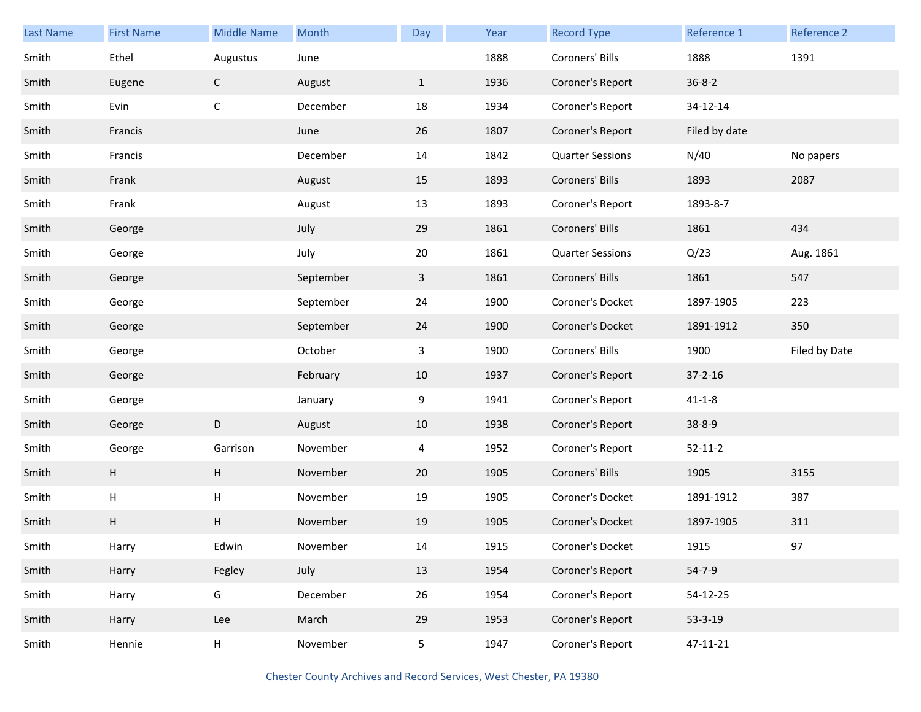| <b>Last Name</b> | <b>First Name</b> | <b>Middle Name</b>        | Month     | Day            | Year | <b>Record Type</b>      | Reference 1   | Reference 2   |
|------------------|-------------------|---------------------------|-----------|----------------|------|-------------------------|---------------|---------------|
| Smith            | Ethel             | Augustus                  | June      |                | 1888 | Coroners' Bills         | 1888          | 1391          |
| Smith            | Eugene            | $\mathsf{C}$              | August    | $\mathbf{1}$   | 1936 | Coroner's Report        | $36 - 8 - 2$  |               |
| Smith            | Evin              | $\mathsf C$               | December  | 18             | 1934 | Coroner's Report        | 34-12-14      |               |
| Smith            | Francis           |                           | June      | 26             | 1807 | Coroner's Report        | Filed by date |               |
| Smith            | Francis           |                           | December  | 14             | 1842 | <b>Quarter Sessions</b> | N/40          | No papers     |
| Smith            | Frank             |                           | August    | 15             | 1893 | Coroners' Bills         | 1893          | 2087          |
| Smith            | Frank             |                           | August    | 13             | 1893 | Coroner's Report        | 1893-8-7      |               |
| Smith            | George            |                           | July      | 29             | 1861 | Coroners' Bills         | 1861          | 434           |
| Smith            | George            |                           | July      | 20             | 1861 | <b>Quarter Sessions</b> | Q/23          | Aug. 1861     |
| Smith            | George            |                           | September | $\mathbf{3}$   | 1861 | Coroners' Bills         | 1861          | 547           |
| Smith            | George            |                           | September | 24             | 1900 | Coroner's Docket        | 1897-1905     | 223           |
| Smith            | George            |                           | September | 24             | 1900 | Coroner's Docket        | 1891-1912     | 350           |
| Smith            | George            |                           | October   | 3              | 1900 | Coroners' Bills         | 1900          | Filed by Date |
| Smith            | George            |                           | February  | 10             | 1937 | Coroner's Report        | $37 - 2 - 16$ |               |
| Smith            | George            |                           | January   | 9              | 1941 | Coroner's Report        | $41 - 1 - 8$  |               |
| Smith            | George            | D                         | August    | 10             | 1938 | Coroner's Report        | $38 - 8 - 9$  |               |
| Smith            | George            | Garrison                  | November  | $\overline{4}$ | 1952 | Coroner's Report        | $52 - 11 - 2$ |               |
| Smith            | H                 | $\boldsymbol{\mathsf{H}}$ | November  | 20             | 1905 | Coroners' Bills         | 1905          | 3155          |
| Smith            | Н                 | $\sf H$                   | November  | 19             | 1905 | Coroner's Docket        | 1891-1912     | 387           |
| Smith            | H                 | $\boldsymbol{\mathsf{H}}$ | November  | 19             | 1905 | Coroner's Docket        | 1897-1905     | 311           |
| Smith            | Harry             | Edwin                     | November  | 14             | 1915 | Coroner's Docket        | 1915          | 97            |
| Smith            | Harry             | Fegley                    | July      | 13             | 1954 | Coroner's Report        | $54 - 7 - 9$  |               |
| Smith            | Harry             | G                         | December  | 26             | 1954 | Coroner's Report        | 54-12-25      |               |
| Smith            | Harry             | Lee                       | March     | 29             | 1953 | Coroner's Report        | 53-3-19       |               |
| Smith            | Hennie            | H                         | November  | 5              | 1947 | Coroner's Report        | 47-11-21      |               |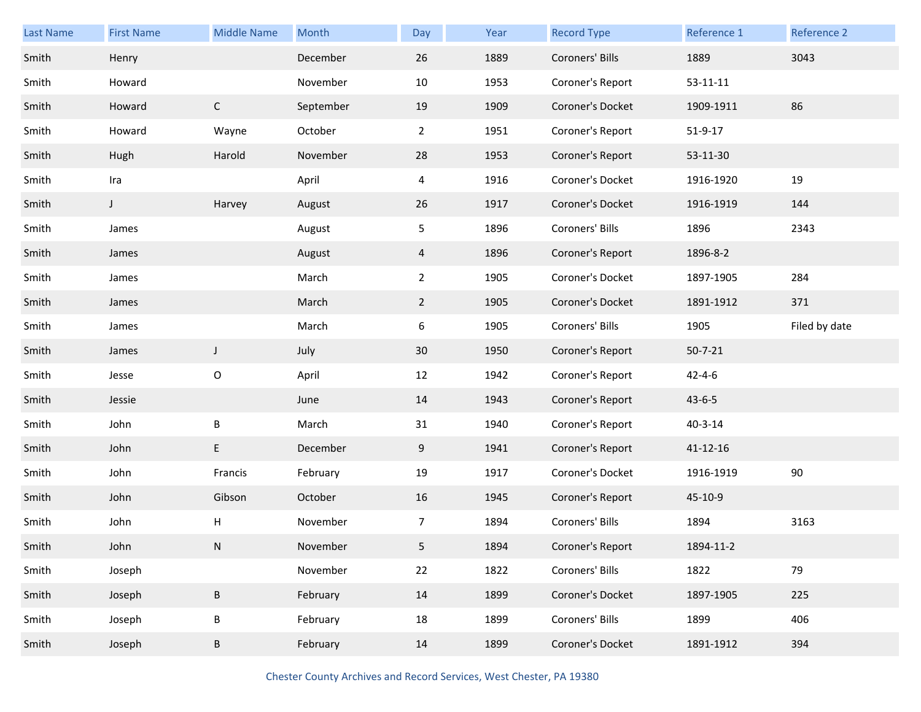| Last Name | <b>First Name</b> | <b>Middle Name</b> | Month     | Day            | Year | <b>Record Type</b> | Reference 1    | Reference 2   |
|-----------|-------------------|--------------------|-----------|----------------|------|--------------------|----------------|---------------|
| Smith     | Henry             |                    | December  | 26             | 1889 | Coroners' Bills    | 1889           | 3043          |
| Smith     | Howard            |                    | November  | 10             | 1953 | Coroner's Report   | $53 - 11 - 11$ |               |
| Smith     | Howard            | $\mathsf{C}$       | September | 19             | 1909 | Coroner's Docket   | 1909-1911      | 86            |
| Smith     | Howard            | Wayne              | October   | $\overline{a}$ | 1951 | Coroner's Report   | $51 - 9 - 17$  |               |
| Smith     | Hugh              | Harold             | November  | 28             | 1953 | Coroner's Report   | 53-11-30       |               |
| Smith     | Ira               |                    | April     | 4              | 1916 | Coroner's Docket   | 1916-1920      | 19            |
| Smith     | $\mathsf J$       | Harvey             | August    | 26             | 1917 | Coroner's Docket   | 1916-1919      | 144           |
| Smith     | James             |                    | August    | 5              | 1896 | Coroners' Bills    | 1896           | 2343          |
| Smith     | James             |                    | August    | $\overline{4}$ | 1896 | Coroner's Report   | 1896-8-2       |               |
| Smith     | James             |                    | March     | $\overline{a}$ | 1905 | Coroner's Docket   | 1897-1905      | 284           |
| Smith     | James             |                    | March     | $\overline{2}$ | 1905 | Coroner's Docket   | 1891-1912      | 371           |
| Smith     | James             |                    | March     | 6              | 1905 | Coroners' Bills    | 1905           | Filed by date |
| Smith     | James             | $\mathsf J$        | July      | 30             | 1950 | Coroner's Report   | $50 - 7 - 21$  |               |
| Smith     | Jesse             | $\mathsf O$        | April     | 12             | 1942 | Coroner's Report   | $42 - 4 - 6$   |               |
| Smith     | Jessie            |                    | June      | 14             | 1943 | Coroner's Report   | $43 - 6 - 5$   |               |
| Smith     | John              | B                  | March     | 31             | 1940 | Coroner's Report   | $40 - 3 - 14$  |               |
| Smith     | John              | E                  | December  | 9              | 1941 | Coroner's Report   | 41-12-16       |               |
| Smith     | John              | Francis            | February  | 19             | 1917 | Coroner's Docket   | 1916-1919      | 90            |
| Smith     | John              | Gibson             | October   | 16             | 1945 | Coroner's Report   | 45-10-9        |               |
| Smith     | John              | H                  | November  | 7              | 1894 | Coroners' Bills    | 1894           | 3163          |
| Smith     | John              | N                  | November  | 5              | 1894 | Coroner's Report   | 1894-11-2      |               |
| Smith     | Joseph            |                    | November  | 22             | 1822 | Coroners' Bills    | 1822           | 79            |
| Smith     | Joseph            | $\sf B$            | February  | 14             | 1899 | Coroner's Docket   | 1897-1905      | 225           |
| Smith     | Joseph            | $\sf B$            | February  | 18             | 1899 | Coroners' Bills    | 1899           | 406           |
| Smith     | Joseph            | B                  | February  | 14             | 1899 | Coroner's Docket   | 1891-1912      | 394           |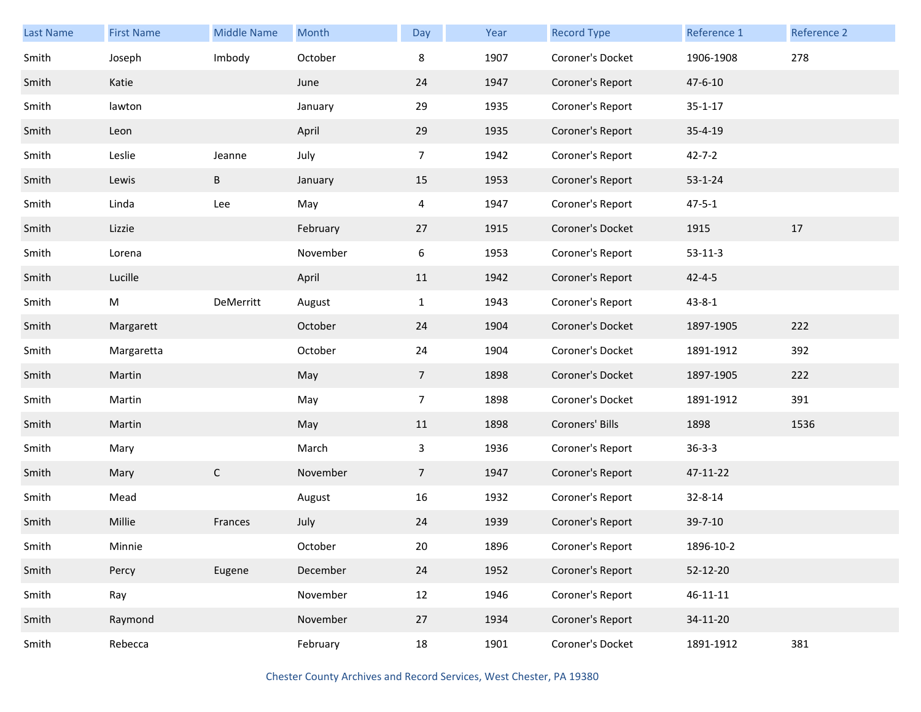| <b>Last Name</b> | <b>First Name</b> | <b>Middle Name</b> | Month    | Day            | Year | <b>Record Type</b> | Reference 1    | Reference 2 |
|------------------|-------------------|--------------------|----------|----------------|------|--------------------|----------------|-------------|
| Smith            | Joseph            | Imbody             | October  | 8              | 1907 | Coroner's Docket   | 1906-1908      | 278         |
| Smith            | Katie             |                    | June     | 24             | 1947 | Coroner's Report   | 47-6-10        |             |
| Smith            | lawton            |                    | January  | 29             | 1935 | Coroner's Report   | $35 - 1 - 17$  |             |
| Smith            | Leon              |                    | April    | 29             | 1935 | Coroner's Report   | $35 - 4 - 19$  |             |
| Smith            | Leslie            | Jeanne             | July     | $\overline{7}$ | 1942 | Coroner's Report   | $42 - 7 - 2$   |             |
| Smith            | Lewis             | $\sf B$            | January  | 15             | 1953 | Coroner's Report   | $53 - 1 - 24$  |             |
| Smith            | Linda             | Lee                | May      | 4              | 1947 | Coroner's Report   | $47 - 5 - 1$   |             |
| Smith            | Lizzie            |                    | February | 27             | 1915 | Coroner's Docket   | 1915           | 17          |
| Smith            | Lorena            |                    | November | 6              | 1953 | Coroner's Report   | $53 - 11 - 3$  |             |
| Smith            | Lucille           |                    | April    | 11             | 1942 | Coroner's Report   | $42 - 4 - 5$   |             |
| Smith            | M                 | DeMerritt          | August   | $\mathbf{1}$   | 1943 | Coroner's Report   | $43 - 8 - 1$   |             |
| Smith            | Margarett         |                    | October  | 24             | 1904 | Coroner's Docket   | 1897-1905      | 222         |
| Smith            | Margaretta        |                    | October  | 24             | 1904 | Coroner's Docket   | 1891-1912      | 392         |
| Smith            | Martin            |                    | May      | $\overline{7}$ | 1898 | Coroner's Docket   | 1897-1905      | 222         |
| Smith            | Martin            |                    | May      | $\overline{7}$ | 1898 | Coroner's Docket   | 1891-1912      | 391         |
| Smith            | Martin            |                    | May      | 11             | 1898 | Coroners' Bills    | 1898           | 1536        |
| Smith            | Mary              |                    | March    | 3              | 1936 | Coroner's Report   | $36 - 3 - 3$   |             |
| Smith            | Mary              | $\mathsf{C}$       | November | $\overline{7}$ | 1947 | Coroner's Report   | 47-11-22       |             |
| Smith            | Mead              |                    | August   | 16             | 1932 | Coroner's Report   | 32-8-14        |             |
| Smith            | Millie            | Frances            | July     | 24             | 1939 | Coroner's Report   | 39-7-10        |             |
| Smith            | Minnie            |                    | October  | 20             | 1896 | Coroner's Report   | 1896-10-2      |             |
| Smith            | Percy             | Eugene             | December | 24             | 1952 | Coroner's Report   | 52-12-20       |             |
| Smith            | Ray               |                    | November | 12             | 1946 | Coroner's Report   | $46 - 11 - 11$ |             |
| Smith            | Raymond           |                    | November | 27             | 1934 | Coroner's Report   | 34-11-20       |             |
| Smith            | Rebecca           |                    | February | 18             | 1901 | Coroner's Docket   | 1891-1912      | 381         |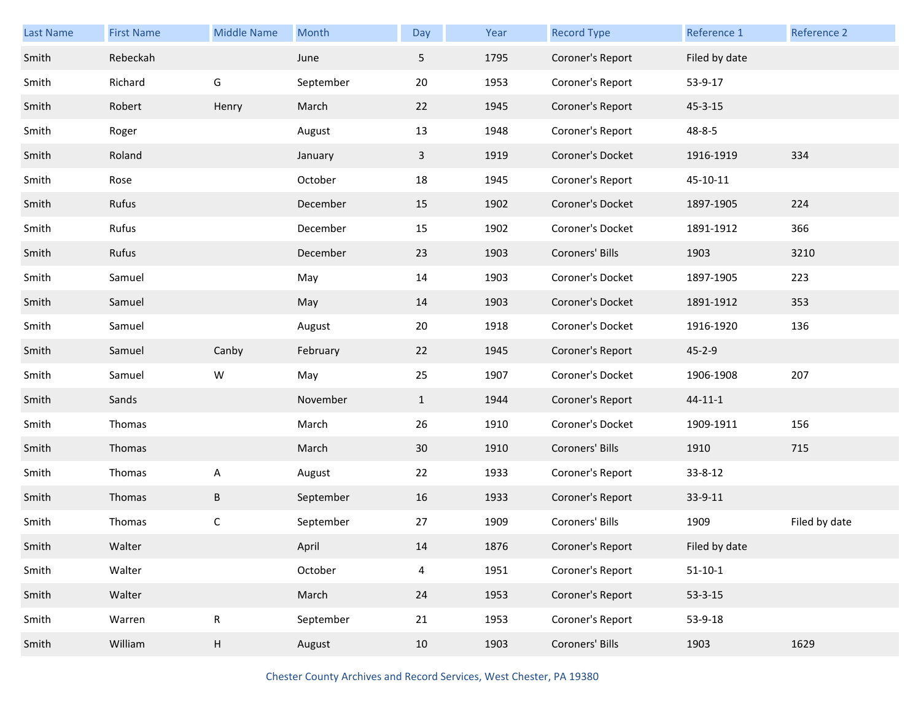| Last Name | <b>First Name</b> | <b>Middle Name</b>        | Month     | Day          | Year | <b>Record Type</b> | Reference 1   | Reference 2   |
|-----------|-------------------|---------------------------|-----------|--------------|------|--------------------|---------------|---------------|
| Smith     | Rebeckah          |                           | June      | 5            | 1795 | Coroner's Report   | Filed by date |               |
| Smith     | Richard           | G                         | September | 20           | 1953 | Coroner's Report   | 53-9-17       |               |
| Smith     | Robert            | Henry                     | March     | 22           | 1945 | Coroner's Report   | $45 - 3 - 15$ |               |
| Smith     | Roger             |                           | August    | 13           | 1948 | Coroner's Report   | 48-8-5        |               |
| Smith     | Roland            |                           | January   | $\mathbf{3}$ | 1919 | Coroner's Docket   | 1916-1919     | 334           |
| Smith     | Rose              |                           | October   | 18           | 1945 | Coroner's Report   | 45-10-11      |               |
| Smith     | Rufus             |                           | December  | 15           | 1902 | Coroner's Docket   | 1897-1905     | 224           |
| Smith     | Rufus             |                           | December  | 15           | 1902 | Coroner's Docket   | 1891-1912     | 366           |
| Smith     | Rufus             |                           | December  | 23           | 1903 | Coroners' Bills    | 1903          | 3210          |
| Smith     | Samuel            |                           | May       | 14           | 1903 | Coroner's Docket   | 1897-1905     | 223           |
| Smith     | Samuel            |                           | May       | 14           | 1903 | Coroner's Docket   | 1891-1912     | 353           |
| Smith     | Samuel            |                           | August    | 20           | 1918 | Coroner's Docket   | 1916-1920     | 136           |
| Smith     | Samuel            | Canby                     | February  | 22           | 1945 | Coroner's Report   | $45 - 2 - 9$  |               |
| Smith     | Samuel            | W                         | May       | 25           | 1907 | Coroner's Docket   | 1906-1908     | 207           |
| Smith     | Sands             |                           | November  | $\mathbf{1}$ | 1944 | Coroner's Report   | $44 - 11 - 1$ |               |
| Smith     | Thomas            |                           | March     | 26           | 1910 | Coroner's Docket   | 1909-1911     | 156           |
| Smith     | Thomas            |                           | March     | 30           | 1910 | Coroners' Bills    | 1910          | 715           |
| Smith     | Thomas            | $\boldsymbol{\mathsf{A}}$ | August    | 22           | 1933 | Coroner's Report   | $33 - 8 - 12$ |               |
| Smith     | Thomas            | $\sf B$                   | September | 16           | 1933 | Coroner's Report   | 33-9-11       |               |
| Smith     | Thomas            | $\mathsf C$               | September | 27           | 1909 | Coroners' Bills    | 1909          | Filed by date |
| Smith     | Walter            |                           | April     | 14           | 1876 | Coroner's Report   | Filed by date |               |
| Smith     | Walter            |                           | October   | 4            | 1951 | Coroner's Report   | $51-10-1$     |               |
| Smith     | Walter            |                           | March     | 24           | 1953 | Coroner's Report   | $53 - 3 - 15$ |               |
| Smith     | Warren            | $\mathsf{R}$              | September | 21           | 1953 | Coroner's Report   | 53-9-18       |               |
| Smith     | William           | H                         | August    | 10           | 1903 | Coroners' Bills    | 1903          | 1629          |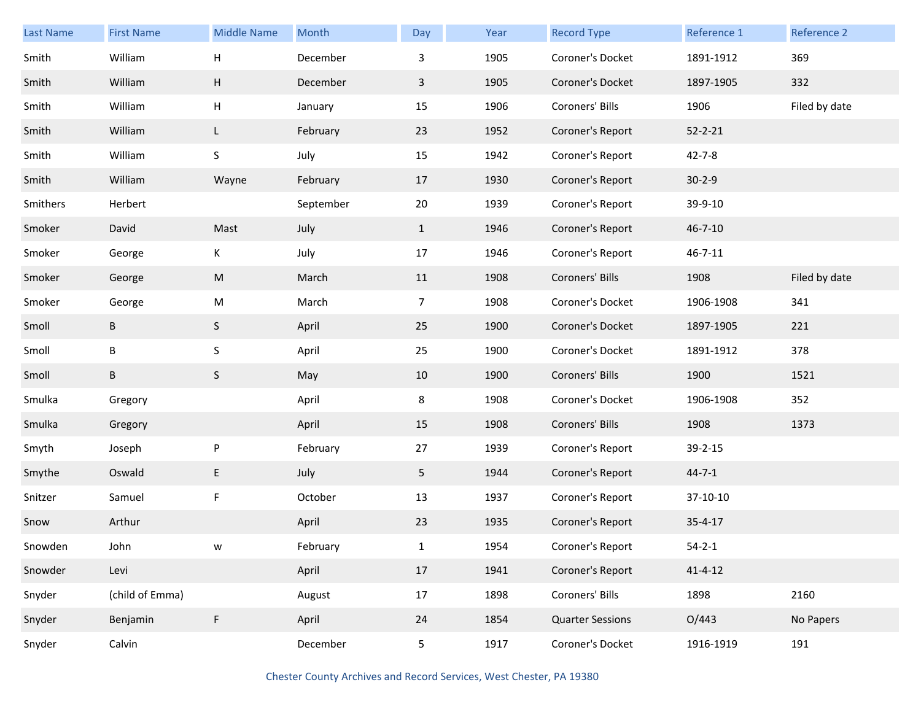| <b>Last Name</b> | <b>First Name</b> | <b>Middle Name</b>        | Month     | Day            | Year | <b>Record Type</b>      | Reference 1   | <b>Reference 2</b> |
|------------------|-------------------|---------------------------|-----------|----------------|------|-------------------------|---------------|--------------------|
| Smith            | William           | $\boldsymbol{\mathsf{H}}$ | December  | 3              | 1905 | Coroner's Docket        | 1891-1912     | 369                |
| Smith            | William           | H                         | December  | $\mathbf{3}$   | 1905 | Coroner's Docket        | 1897-1905     | 332                |
| Smith            | William           | H                         | January   | 15             | 1906 | Coroners' Bills         | 1906          | Filed by date      |
| Smith            | William           | L                         | February  | 23             | 1952 | Coroner's Report        | $52 - 2 - 21$ |                    |
| Smith            | William           | $\sf S$                   | July      | 15             | 1942 | Coroner's Report        | $42 - 7 - 8$  |                    |
| Smith            | William           | Wayne                     | February  | 17             | 1930 | Coroner's Report        | $30 - 2 - 9$  |                    |
| Smithers         | Herbert           |                           | September | 20             | 1939 | Coroner's Report        | 39-9-10       |                    |
| Smoker           | David             | Mast                      | July      | $\mathbf{1}$   | 1946 | Coroner's Report        | $46 - 7 - 10$ |                    |
| Smoker           | George            | K                         | July      | 17             | 1946 | Coroner's Report        | $46 - 7 - 11$ |                    |
| Smoker           | George            | ${\sf M}$                 | March     | 11             | 1908 | Coroners' Bills         | 1908          | Filed by date      |
| Smoker           | George            | ${\sf M}$                 | March     | $\overline{7}$ | 1908 | Coroner's Docket        | 1906-1908     | 341                |
| Smoll            | B                 | S                         | April     | 25             | 1900 | Coroner's Docket        | 1897-1905     | 221                |
| Smoll            | B                 | $\sf S$                   | April     | 25             | 1900 | Coroner's Docket        | 1891-1912     | 378                |
| Smoll            | B                 | S                         | May       | 10             | 1900 | Coroners' Bills         | 1900          | 1521               |
| Smulka           | Gregory           |                           | April     | 8              | 1908 | Coroner's Docket        | 1906-1908     | 352                |
| Smulka           | Gregory           |                           | April     | 15             | 1908 | Coroners' Bills         | 1908          | 1373               |
| Smyth            | Joseph            | ${\sf P}$                 | February  | 27             | 1939 | Coroner's Report        | $39 - 2 - 15$ |                    |
| Smythe           | Oswald            | E                         | July      | 5 <sub>1</sub> | 1944 | Coroner's Report        | $44 - 7 - 1$  |                    |
| Snitzer          | Samuel            | F                         | October   | 13             | 1937 | Coroner's Report        | 37-10-10      |                    |
| Snow             | Arthur            |                           | April     | 23             | 1935 | Coroner's Report        | $35 - 4 - 17$ |                    |
| Snowden          | John              |                           | February  | $\mathbf{1}$   | 1954 | Coroner's Report        | $54 - 2 - 1$  |                    |
| Snowder          | Levi              |                           | April     | 17             | 1941 | Coroner's Report        | $41 - 4 - 12$ |                    |
| Snyder           | (child of Emma)   |                           | August    | 17             | 1898 | Coroners' Bills         | 1898          | 2160               |
| Snyder           | Benjamin          | $\mathsf F$               | April     | 24             | 1854 | <b>Quarter Sessions</b> | O/443         | No Papers          |
| Snyder           | Calvin            |                           | December  | 5              | 1917 | Coroner's Docket        | 1916-1919     | 191                |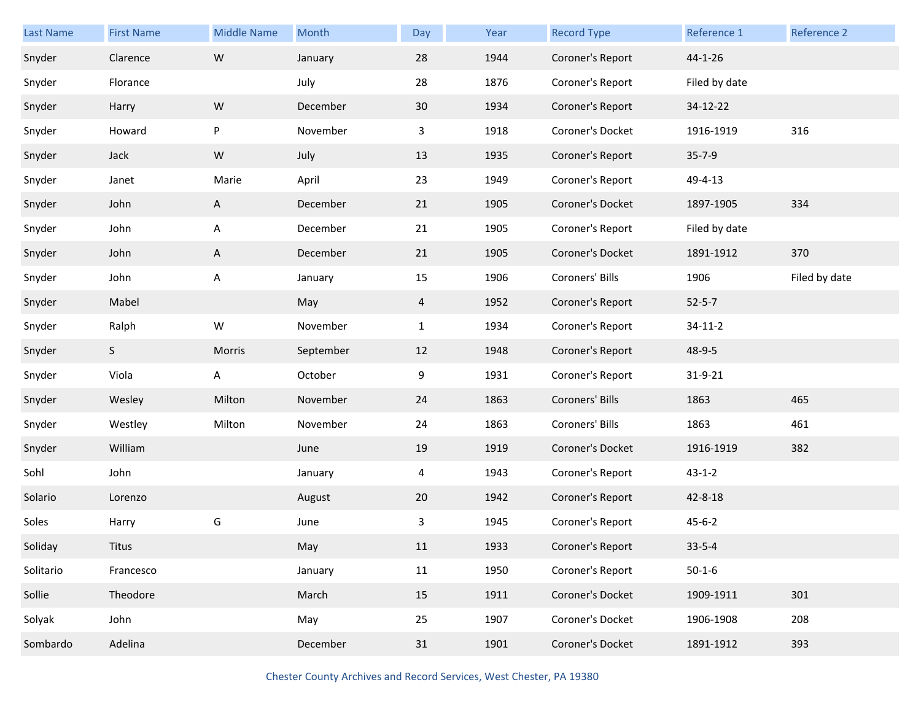| Last Name | <b>First Name</b> | <b>Middle Name</b> | Month     | Day            | Year | <b>Record Type</b> | Reference 1   | Reference 2   |
|-----------|-------------------|--------------------|-----------|----------------|------|--------------------|---------------|---------------|
| Snyder    | Clarence          | ${\sf W}$          | January   | 28             | 1944 | Coroner's Report   | 44-1-26       |               |
| Snyder    | Florance          |                    | July      | 28             | 1876 | Coroner's Report   | Filed by date |               |
| Snyder    | Harry             | ${\sf W}$          | December  | 30             | 1934 | Coroner's Report   | 34-12-22      |               |
| Snyder    | Howard            | P                  | November  | 3              | 1918 | Coroner's Docket   | 1916-1919     | 316           |
| Snyder    | Jack              | ${\sf W}$          | July      | 13             | 1935 | Coroner's Report   | $35 - 7 - 9$  |               |
| Snyder    | Janet             | Marie              | April     | 23             | 1949 | Coroner's Report   | 49-4-13       |               |
| Snyder    | John              | A                  | December  | 21             | 1905 | Coroner's Docket   | 1897-1905     | 334           |
| Snyder    | John              | A                  | December  | 21             | 1905 | Coroner's Report   | Filed by date |               |
| Snyder    | John              | A                  | December  | 21             | 1905 | Coroner's Docket   | 1891-1912     | 370           |
| Snyder    | John              | A                  | January   | 15             | 1906 | Coroners' Bills    | 1906          | Filed by date |
| Snyder    | Mabel             |                    | May       | $\overline{4}$ | 1952 | Coroner's Report   | $52 - 5 - 7$  |               |
| Snyder    | Ralph             | W                  | November  | $\mathbf{1}$   | 1934 | Coroner's Report   | $34 - 11 - 2$ |               |
| Snyder    | S                 | Morris             | September | 12             | 1948 | Coroner's Report   | 48-9-5        |               |
| Snyder    | Viola             | A                  | October   | 9              | 1931 | Coroner's Report   | 31-9-21       |               |
| Snyder    | Wesley            | Milton             | November  | 24             | 1863 | Coroners' Bills    | 1863          | 465           |
| Snyder    | Westley           | Milton             | November  | 24             | 1863 | Coroners' Bills    | 1863          | 461           |
| Snyder    | William           |                    | June      | 19             | 1919 | Coroner's Docket   | 1916-1919     | 382           |
| Sohl      | John              |                    | January   | 4              | 1943 | Coroner's Report   | $43 - 1 - 2$  |               |
| Solario   | Lorenzo           |                    | August    | 20             | 1942 | Coroner's Report   | 42-8-18       |               |
| Soles     | Harry             | G                  | June      | 3              | 1945 | Coroner's Report   | $45 - 6 - 2$  |               |
| Soliday   | <b>Titus</b>      |                    | May       | 11             | 1933 | Coroner's Report   | $33 - 5 - 4$  |               |
| Solitario | Francesco         |                    | January   | 11             | 1950 | Coroner's Report   | $50 - 1 - 6$  |               |
| Sollie    | Theodore          |                    | March     | 15             | 1911 | Coroner's Docket   | 1909-1911     | 301           |
| Solyak    | John              |                    | May       | 25             | 1907 | Coroner's Docket   | 1906-1908     | 208           |
| Sombardo  | Adelina           |                    | December  | 31             | 1901 | Coroner's Docket   | 1891-1912     | 393           |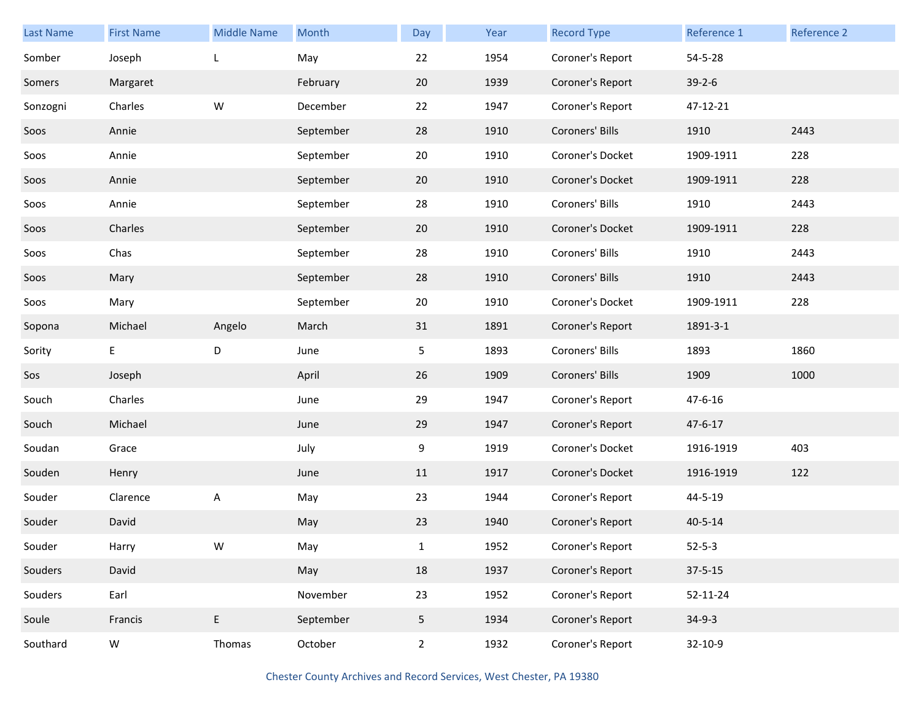| <b>Last Name</b> | <b>First Name</b> | <b>Middle Name</b> | Month     | Day            | Year | <b>Record Type</b> | Reference 1   | Reference 2 |
|------------------|-------------------|--------------------|-----------|----------------|------|--------------------|---------------|-------------|
| Somber           | Joseph            | L                  | May       | 22             | 1954 | Coroner's Report   | 54-5-28       |             |
| Somers           | Margaret          |                    | February  | 20             | 1939 | Coroner's Report   | $39 - 2 - 6$  |             |
| Sonzogni         | Charles           | W                  | December  | 22             | 1947 | Coroner's Report   | 47-12-21      |             |
| Soos             | Annie             |                    | September | 28             | 1910 | Coroners' Bills    | 1910          | 2443        |
| Soos             | Annie             |                    | September | 20             | 1910 | Coroner's Docket   | 1909-1911     | 228         |
| Soos             | Annie             |                    | September | 20             | 1910 | Coroner's Docket   | 1909-1911     | 228         |
| Soos             | Annie             |                    | September | 28             | 1910 | Coroners' Bills    | 1910          | 2443        |
| Soos             | Charles           |                    | September | 20             | 1910 | Coroner's Docket   | 1909-1911     | 228         |
| Soos             | Chas              |                    | September | 28             | 1910 | Coroners' Bills    | 1910          | 2443        |
| Soos             | Mary              |                    | September | 28             | 1910 | Coroners' Bills    | 1910          | 2443        |
| Soos             | Mary              |                    | September | 20             | 1910 | Coroner's Docket   | 1909-1911     | 228         |
| Sopona           | Michael           | Angelo             | March     | 31             | 1891 | Coroner's Report   | 1891-3-1      |             |
| Sority           | E                 | D                  | June      | 5              | 1893 | Coroners' Bills    | 1893          | 1860        |
| Sos              | Joseph            |                    | April     | 26             | 1909 | Coroners' Bills    | 1909          | 1000        |
| Souch            | Charles           |                    | June      | 29             | 1947 | Coroner's Report   | 47-6-16       |             |
| Souch            | Michael           |                    | June      | 29             | 1947 | Coroner's Report   | $47 - 6 - 17$ |             |
| Soudan           | Grace             |                    | July      | 9              | 1919 | Coroner's Docket   | 1916-1919     | 403         |
| Souden           | Henry             |                    | June      | 11             | 1917 | Coroner's Docket   | 1916-1919     | 122         |
| Souder           | Clarence          | A                  | May       | 23             | 1944 | Coroner's Report   | 44-5-19       |             |
| Souder           | David             |                    | May       | 23             | 1940 | Coroner's Report   | $40 - 5 - 14$ |             |
| Souder           | Harry             | W                  | May       | $\mathbf{1}$   | 1952 | Coroner's Report   | $52 - 5 - 3$  |             |
| Souders          | David             |                    | May       | 18             | 1937 | Coroner's Report   | $37 - 5 - 15$ |             |
| Souders          | Earl              |                    | November  | 23             | 1952 | Coroner's Report   | 52-11-24      |             |
| Soule            | Francis           | E                  | September | 5 <sub>1</sub> | 1934 | Coroner's Report   | $34-9-3$      |             |
| Southard         | W                 | Thomas             | October   | $\overline{2}$ | 1932 | Coroner's Report   | 32-10-9       |             |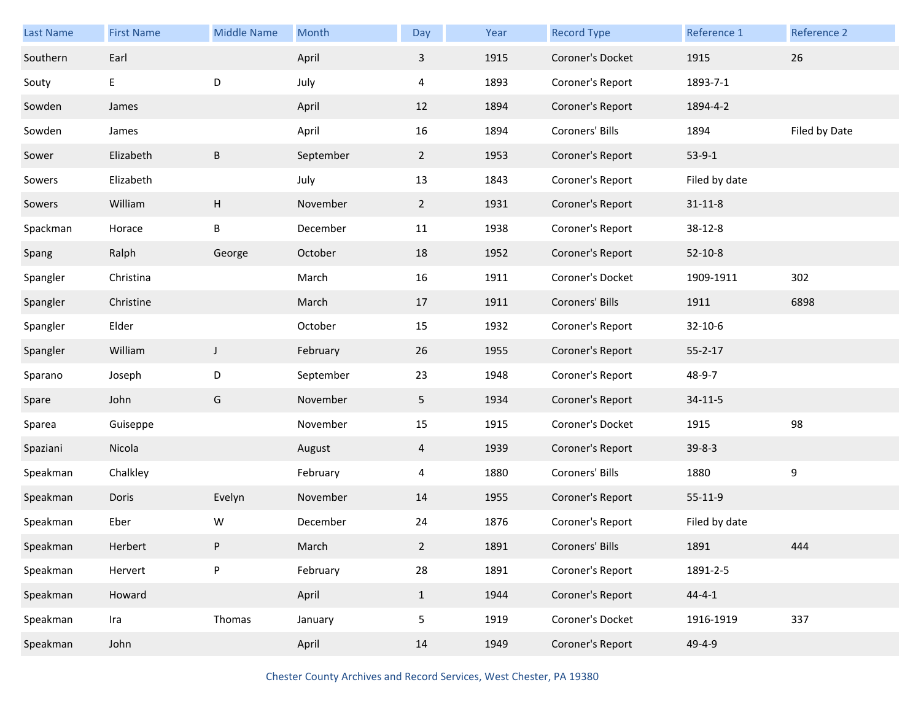| Last Name | <b>First Name</b> | <b>Middle Name</b> | Month     | Day            | Year | <b>Record Type</b> | Reference 1   | Reference 2   |
|-----------|-------------------|--------------------|-----------|----------------|------|--------------------|---------------|---------------|
| Southern  | Earl              |                    | April     | 3              | 1915 | Coroner's Docket   | 1915          | 26            |
| Souty     | E                 | D                  | July      | 4              | 1893 | Coroner's Report   | 1893-7-1      |               |
| Sowden    | James             |                    | April     | 12             | 1894 | Coroner's Report   | 1894-4-2      |               |
| Sowden    | James             |                    | April     | 16             | 1894 | Coroners' Bills    | 1894          | Filed by Date |
| Sower     | Elizabeth         | B                  | September | $\overline{2}$ | 1953 | Coroner's Report   | $53-9-1$      |               |
| Sowers    | Elizabeth         |                    | July      | 13             | 1843 | Coroner's Report   | Filed by date |               |
| Sowers    | William           | Н                  | November  | $\overline{2}$ | 1931 | Coroner's Report   | $31 - 11 - 8$ |               |
| Spackman  | Horace            | B                  | December  | 11             | 1938 | Coroner's Report   | 38-12-8       |               |
| Spang     | Ralph             | George             | October   | 18             | 1952 | Coroner's Report   | $52 - 10 - 8$ |               |
| Spangler  | Christina         |                    | March     | 16             | 1911 | Coroner's Docket   | 1909-1911     | 302           |
| Spangler  | Christine         |                    | March     | 17             | 1911 | Coroners' Bills    | 1911          | 6898          |
| Spangler  | Elder             |                    | October   | 15             | 1932 | Coroner's Report   | 32-10-6       |               |
| Spangler  | William           | $\mathsf J$        | February  | 26             | 1955 | Coroner's Report   | $55 - 2 - 17$ |               |
| Sparano   | Joseph            | D                  | September | 23             | 1948 | Coroner's Report   | 48-9-7        |               |
| Spare     | John              | G                  | November  | 5              | 1934 | Coroner's Report   | $34 - 11 - 5$ |               |
| Sparea    | Guiseppe          |                    | November  | 15             | 1915 | Coroner's Docket   | 1915          | 98            |
| Spaziani  | Nicola            |                    | August    | 4              | 1939 | Coroner's Report   | $39 - 8 - 3$  |               |
| Speakman  | Chalkley          |                    | February  | 4              | 1880 | Coroners' Bills    | 1880          | 9             |
| Speakman  | Doris             | Evelyn             | November  | 14             | 1955 | Coroner's Report   | $55 - 11 - 9$ |               |
| Speakman  | Eber              | W                  | December  | 24             | 1876 | Coroner's Report   | Filed by date |               |
| Speakman  | Herbert           | P                  | March     | $\mathbf{2}$   | 1891 | Coroners' Bills    | 1891          | 444           |
| Speakman  | Hervert           | P                  | February  | 28             | 1891 | Coroner's Report   | 1891-2-5      |               |
| Speakman  | Howard            |                    | April     | $\mathbf{1}$   | 1944 | Coroner's Report   | $44 - 4 - 1$  |               |
| Speakman  | Ira               | Thomas             | January   | 5              | 1919 | Coroner's Docket   | 1916-1919     | 337           |
| Speakman  | John              |                    | April     | 14             | 1949 | Coroner's Report   | 49-4-9        |               |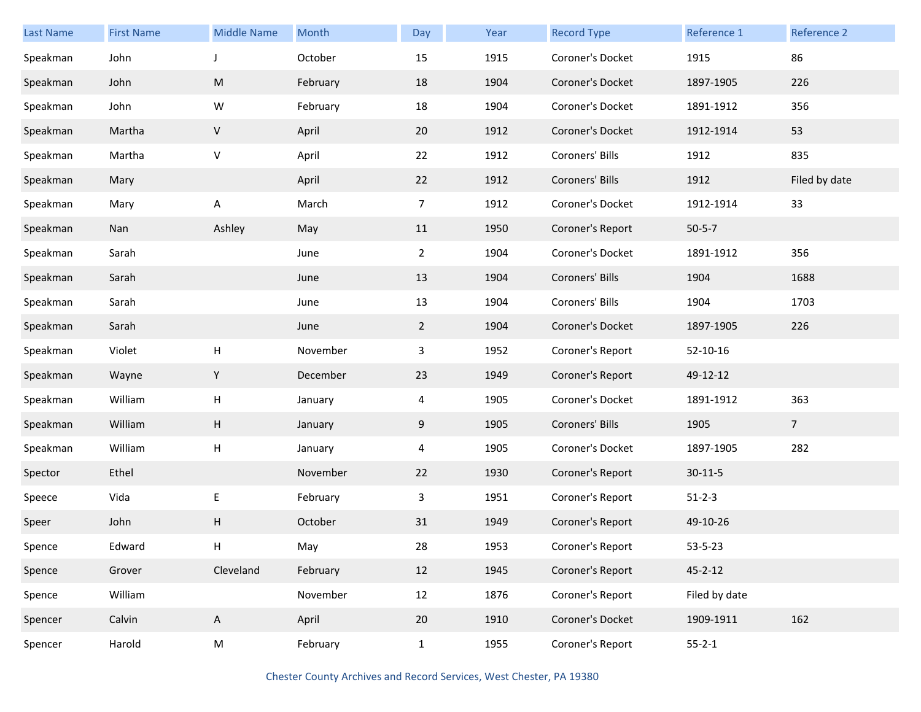| Last Name | <b>First Name</b> | <b>Middle Name</b>        | Month    | Day            | Year | <b>Record Type</b> | Reference 1   | Reference 2    |
|-----------|-------------------|---------------------------|----------|----------------|------|--------------------|---------------|----------------|
| Speakman  | John              |                           | October  | 15             | 1915 | Coroner's Docket   | 1915          | 86             |
| Speakman  | John              | ${\sf M}$                 | February | 18             | 1904 | Coroner's Docket   | 1897-1905     | 226            |
| Speakman  | John              | W                         | February | 18             | 1904 | Coroner's Docket   | 1891-1912     | 356            |
| Speakman  | Martha            | V                         | April    | 20             | 1912 | Coroner's Docket   | 1912-1914     | 53             |
| Speakman  | Martha            | $\sf V$                   | April    | 22             | 1912 | Coroners' Bills    | 1912          | 835            |
| Speakman  | Mary              |                           | April    | 22             | 1912 | Coroners' Bills    | 1912          | Filed by date  |
| Speakman  | Mary              | A                         | March    | $\overline{7}$ | 1912 | Coroner's Docket   | 1912-1914     | 33             |
| Speakman  | Nan               | Ashley                    | May      | 11             | 1950 | Coroner's Report   | $50 - 5 - 7$  |                |
| Speakman  | Sarah             |                           | June     | $\overline{2}$ | 1904 | Coroner's Docket   | 1891-1912     | 356            |
| Speakman  | Sarah             |                           | June     | 13             | 1904 | Coroners' Bills    | 1904          | 1688           |
| Speakman  | Sarah             |                           | June     | 13             | 1904 | Coroners' Bills    | 1904          | 1703           |
| Speakman  | Sarah             |                           | June     | $\overline{2}$ | 1904 | Coroner's Docket   | 1897-1905     | 226            |
| Speakman  | Violet            | H                         | November | $\mathbf{3}$   | 1952 | Coroner's Report   | 52-10-16      |                |
| Speakman  | Wayne             | Υ                         | December | 23             | 1949 | Coroner's Report   | 49-12-12      |                |
| Speakman  | William           | $\boldsymbol{\mathsf{H}}$ | January  | 4              | 1905 | Coroner's Docket   | 1891-1912     | 363            |
| Speakman  | William           | H                         | January  | 9              | 1905 | Coroners' Bills    | 1905          | $\overline{7}$ |
| Speakman  | William           | Н                         | January  | 4              | 1905 | Coroner's Docket   | 1897-1905     | 282            |
| Spector   | Ethel             |                           | November | 22             | 1930 | Coroner's Report   | $30 - 11 - 5$ |                |
| Speece    | Vida              | E                         | February | $\mathbf{3}$   | 1951 | Coroner's Report   | $51 - 2 - 3$  |                |
| Speer     | John              | H                         | October  | 31             | 1949 | Coroner's Report   | 49-10-26      |                |
| Spence    | Edward            | Н                         | May      | 28             | 1953 | Coroner's Report   | $53 - 5 - 23$ |                |
| Spence    | Grover            | Cleveland                 | February | 12             | 1945 | Coroner's Report   | $45 - 2 - 12$ |                |
| Spence    | William           |                           | November | 12             | 1876 | Coroner's Report   | Filed by date |                |
| Spencer   | Calvin            | $\mathsf{A}$              | April    | 20             | 1910 | Coroner's Docket   | 1909-1911     | 162            |
| Spencer   | Harold            | M                         | February | $\mathbf{1}$   | 1955 | Coroner's Report   | $55 - 2 - 1$  |                |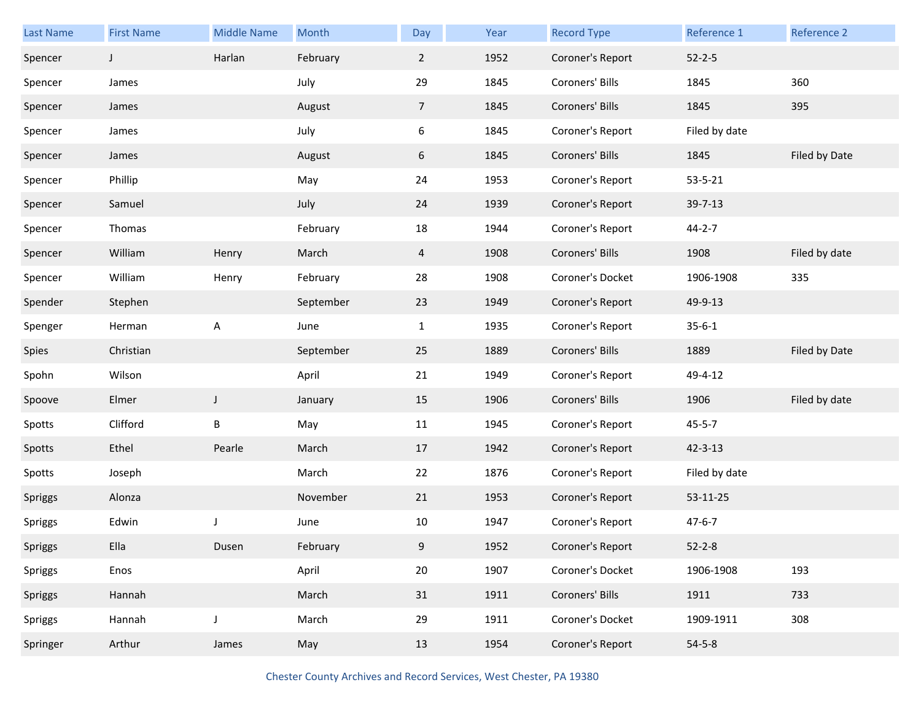| Last Name | <b>First Name</b> | <b>Middle Name</b> | Month     | Day             | Year | <b>Record Type</b> | Reference 1   | Reference 2   |
|-----------|-------------------|--------------------|-----------|-----------------|------|--------------------|---------------|---------------|
| Spencer   | $\mathsf{I}$      | Harlan             | February  | $\overline{2}$  | 1952 | Coroner's Report   | $52 - 2 - 5$  |               |
| Spencer   | James             |                    | July      | 29              | 1845 | Coroners' Bills    | 1845          | 360           |
| Spencer   | James             |                    | August    | $7\overline{ }$ | 1845 | Coroners' Bills    | 1845          | 395           |
| Spencer   | James             |                    | July      | 6               | 1845 | Coroner's Report   | Filed by date |               |
| Spencer   | James             |                    | August    | 6               | 1845 | Coroners' Bills    | 1845          | Filed by Date |
| Spencer   | Phillip           |                    | May       | 24              | 1953 | Coroner's Report   | $53 - 5 - 21$ |               |
| Spencer   | Samuel            |                    | July      | 24              | 1939 | Coroner's Report   | 39-7-13       |               |
| Spencer   | Thomas            |                    | February  | 18              | 1944 | Coroner's Report   | $44 - 2 - 7$  |               |
| Spencer   | William           | Henry              | March     | $\overline{4}$  | 1908 | Coroners' Bills    | 1908          | Filed by date |
| Spencer   | William           | Henry              | February  | 28              | 1908 | Coroner's Docket   | 1906-1908     | 335           |
| Spender   | Stephen           |                    | September | 23              | 1949 | Coroner's Report   | 49-9-13       |               |
| Spenger   | Herman            | A                  | June      | $\mathbf{1}$    | 1935 | Coroner's Report   | $35 - 6 - 1$  |               |
| Spies     | Christian         |                    | September | 25              | 1889 | Coroners' Bills    | 1889          | Filed by Date |
| Spohn     | Wilson            |                    | April     | 21              | 1949 | Coroner's Report   | 49-4-12       |               |
| Spoove    | Elmer             | $\mathsf J$        | January   | 15              | 1906 | Coroners' Bills    | 1906          | Filed by date |
| Spotts    | Clifford          | Β                  | May       | 11              | 1945 | Coroner's Report   | $45 - 5 - 7$  |               |
| Spotts    | Ethel             | Pearle             | March     | 17              | 1942 | Coroner's Report   | $42 - 3 - 13$ |               |
| Spotts    | Joseph            |                    | March     | 22              | 1876 | Coroner's Report   | Filed by date |               |
| Spriggs   | Alonza            |                    | November  | 21              | 1953 | Coroner's Report   | 53-11-25      |               |
| Spriggs   | Edwin             |                    | June      | 10              | 1947 | Coroner's Report   | $47 - 6 - 7$  |               |
| Spriggs   | Ella              | Dusen              | February  | 9               | 1952 | Coroner's Report   | $52 - 2 - 8$  |               |
| Spriggs   | Enos              |                    | April     | $20\,$          | 1907 | Coroner's Docket   | 1906-1908     | 193           |
| Spriggs   | Hannah            |                    | March     | 31              | 1911 | Coroners' Bills    | 1911          | 733           |
| Spriggs   | Hannah            | J                  | March     | 29              | 1911 | Coroner's Docket   | 1909-1911     | 308           |
| Springer  | Arthur            | James              | May       | 13              | 1954 | Coroner's Report   | $54 - 5 - 8$  |               |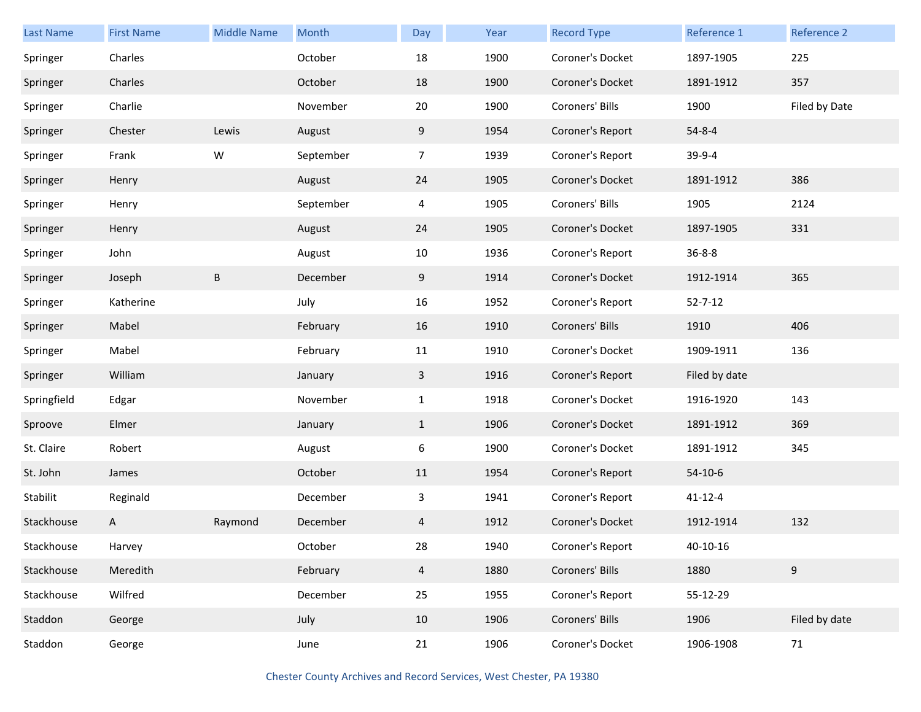| <b>Last Name</b> | <b>First Name</b> | <b>Middle Name</b> | Month     | Day            | Year | <b>Record Type</b> | Reference 1   | Reference 2   |
|------------------|-------------------|--------------------|-----------|----------------|------|--------------------|---------------|---------------|
| Springer         | Charles           |                    | October   | 18             | 1900 | Coroner's Docket   | 1897-1905     | 225           |
| Springer         | Charles           |                    | October   | 18             | 1900 | Coroner's Docket   | 1891-1912     | 357           |
| Springer         | Charlie           |                    | November  | 20             | 1900 | Coroners' Bills    | 1900          | Filed by Date |
| Springer         | Chester           | Lewis              | August    | 9              | 1954 | Coroner's Report   | $54 - 8 - 4$  |               |
| Springer         | Frank             | W                  | September | $\overline{7}$ | 1939 | Coroner's Report   | 39-9-4        |               |
| Springer         | Henry             |                    | August    | 24             | 1905 | Coroner's Docket   | 1891-1912     | 386           |
| Springer         | Henry             |                    | September | $\overline{4}$ | 1905 | Coroners' Bills    | 1905          | 2124          |
| Springer         | Henry             |                    | August    | 24             | 1905 | Coroner's Docket   | 1897-1905     | 331           |
| Springer         | John              |                    | August    | 10             | 1936 | Coroner's Report   | $36 - 8 - 8$  |               |
| Springer         | Joseph            | B                  | December  | 9              | 1914 | Coroner's Docket   | 1912-1914     | 365           |
| Springer         | Katherine         |                    | July      | 16             | 1952 | Coroner's Report   | $52 - 7 - 12$ |               |
| Springer         | Mabel             |                    | February  | 16             | 1910 | Coroners' Bills    | 1910          | 406           |
| Springer         | Mabel             |                    | February  | 11             | 1910 | Coroner's Docket   | 1909-1911     | 136           |
| Springer         | William           |                    | January   | 3              | 1916 | Coroner's Report   | Filed by date |               |
| Springfield      | Edgar             |                    | November  | $\mathbf{1}$   | 1918 | Coroner's Docket   | 1916-1920     | 143           |
| Sproove          | Elmer             |                    | January   | $\mathbf{1}$   | 1906 | Coroner's Docket   | 1891-1912     | 369           |
| St. Claire       | Robert            |                    | August    | 6              | 1900 | Coroner's Docket   | 1891-1912     | 345           |
| St. John         | James             |                    | October   | 11             | 1954 | Coroner's Report   | $54-10-6$     |               |
| Stabilit         | Reginald          |                    | December  | $\mathbf{3}$   | 1941 | Coroner's Report   | $41 - 12 - 4$ |               |
| Stackhouse       | A                 | Raymond            | December  | 4              | 1912 | Coroner's Docket   | 1912-1914     | 132           |
| Stackhouse       | Harvey            |                    | October   | 28             | 1940 | Coroner's Report   | 40-10-16      |               |
| Stackhouse       | Meredith          |                    | February  | $\overline{4}$ | 1880 | Coroners' Bills    | 1880          | 9             |
| Stackhouse       | Wilfred           |                    | December  | 25             | 1955 | Coroner's Report   | 55-12-29      |               |
| Staddon          | George            |                    | July      | 10             | 1906 | Coroners' Bills    | 1906          | Filed by date |
| Staddon          | George            |                    | June      | 21             | 1906 | Coroner's Docket   | 1906-1908     | 71            |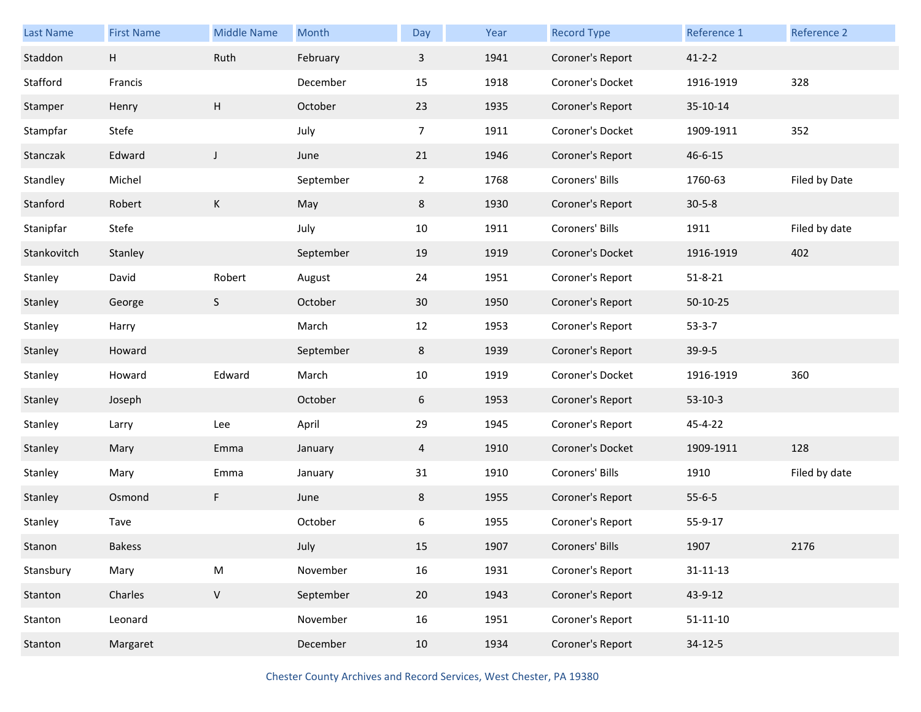| Last Name   | <b>First Name</b> | <b>Middle Name</b> | Month     | Day            | Year | <b>Record Type</b> | Reference 1    | Reference 2   |
|-------------|-------------------|--------------------|-----------|----------------|------|--------------------|----------------|---------------|
| Staddon     | H                 | Ruth               | February  | $\mathbf{3}$   | 1941 | Coroner's Report   | $41 - 2 - 2$   |               |
| Stafford    | Francis           |                    | December  | 15             | 1918 | Coroner's Docket   | 1916-1919      | 328           |
| Stamper     | Henry             | Н                  | October   | 23             | 1935 | Coroner's Report   | 35-10-14       |               |
| Stampfar    | Stefe             |                    | July      | 7 <sup>7</sup> | 1911 | Coroner's Docket   | 1909-1911      | 352           |
| Stanczak    | Edward            | $\mathsf J$        | June      | 21             | 1946 | Coroner's Report   | $46 - 6 - 15$  |               |
| Standley    | Michel            |                    | September | $\overline{2}$ | 1768 | Coroners' Bills    | 1760-63        | Filed by Date |
| Stanford    | Robert            | K                  | May       | 8              | 1930 | Coroner's Report   | $30 - 5 - 8$   |               |
| Stanipfar   | Stefe             |                    | July      | 10             | 1911 | Coroners' Bills    | 1911           | Filed by date |
| Stankovitch | Stanley           |                    | September | 19             | 1919 | Coroner's Docket   | 1916-1919      | 402           |
| Stanley     | David             | Robert             | August    | 24             | 1951 | Coroner's Report   | $51 - 8 - 21$  |               |
| Stanley     | George            | S                  | October   | 30             | 1950 | Coroner's Report   | 50-10-25       |               |
| Stanley     | Harry             |                    | March     | 12             | 1953 | Coroner's Report   | $53-3-7$       |               |
| Stanley     | Howard            |                    | September | 8              | 1939 | Coroner's Report   | 39-9-5         |               |
| Stanley     | Howard            | Edward             | March     | 10             | 1919 | Coroner's Docket   | 1916-1919      | 360           |
| Stanley     | Joseph            |                    | October   | 6              | 1953 | Coroner's Report   | $53-10-3$      |               |
| Stanley     | Larry             | Lee                | April     | 29             | 1945 | Coroner's Report   | 45-4-22        |               |
| Stanley     | Mary              | Emma               | January   | $\overline{4}$ | 1910 | Coroner's Docket   | 1909-1911      | 128           |
| Stanley     | Mary              | Emma               | January   | 31             | 1910 | Coroners' Bills    | 1910           | Filed by date |
| Stanley     | Osmond            | F                  | June      | 8              | 1955 | Coroner's Report   | $55 - 6 - 5$   |               |
| Stanley     | Tave              |                    | October   | 6              | 1955 | Coroner's Report   | 55-9-17        |               |
| Stanon      | <b>Bakess</b>     |                    | July      | 15             | 1907 | Coroners' Bills    | 1907           | 2176          |
| Stansbury   | Mary              | ${\sf M}$          | November  | 16             | 1931 | Coroner's Report   | $31 - 11 - 13$ |               |
| Stanton     | Charles           | $\mathsf V$        | September | 20             | 1943 | Coroner's Report   | 43-9-12        |               |
| Stanton     | Leonard           |                    | November  | 16             | 1951 | Coroner's Report   | $51 - 11 - 10$ |               |
|             |                   |                    |           |                |      |                    |                |               |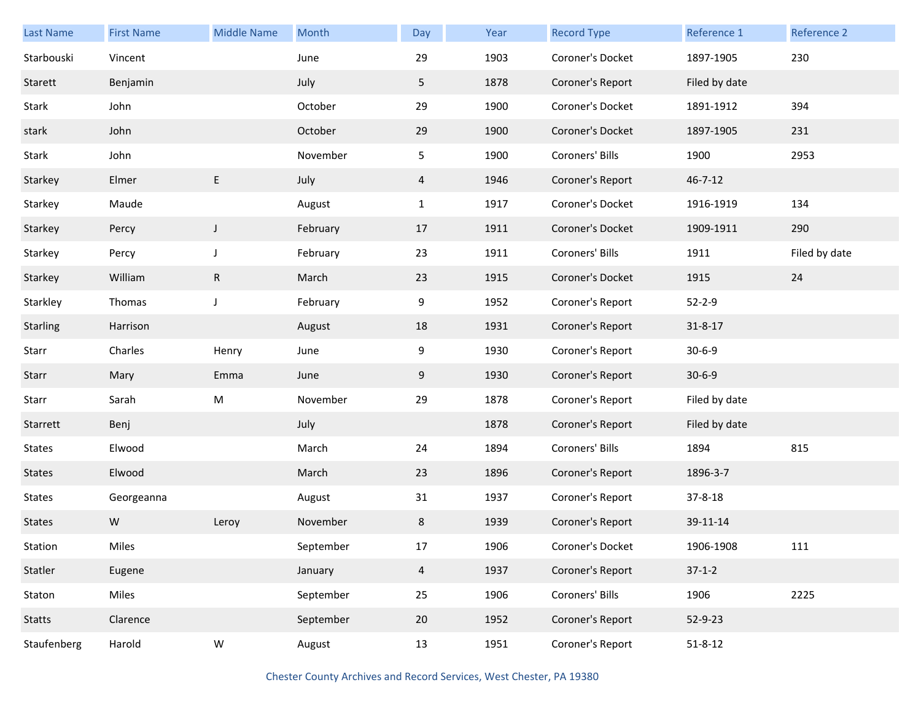| <b>Last Name</b> | <b>First Name</b> | <b>Middle Name</b> | Month     | Day            | Year | <b>Record Type</b> | Reference 1   | Reference 2   |
|------------------|-------------------|--------------------|-----------|----------------|------|--------------------|---------------|---------------|
| Starbouski       | Vincent           |                    | June      | 29             | 1903 | Coroner's Docket   | 1897-1905     | 230           |
| Starett          | Benjamin          |                    | July      | 5              | 1878 | Coroner's Report   | Filed by date |               |
| Stark            | John              |                    | October   | 29             | 1900 | Coroner's Docket   | 1891-1912     | 394           |
| stark            | John              |                    | October   | 29             | 1900 | Coroner's Docket   | 1897-1905     | 231           |
| Stark            | John              |                    | November  | 5              | 1900 | Coroners' Bills    | 1900          | 2953          |
| Starkey          | Elmer             | E                  | July      | 4              | 1946 | Coroner's Report   | $46 - 7 - 12$ |               |
| Starkey          | Maude             |                    | August    | $\mathbf{1}$   | 1917 | Coroner's Docket   | 1916-1919     | 134           |
| Starkey          | Percy             | J                  | February  | 17             | 1911 | Coroner's Docket   | 1909-1911     | 290           |
| Starkey          | Percy             | J                  | February  | 23             | 1911 | Coroners' Bills    | 1911          | Filed by date |
| Starkey          | William           | $\mathsf R$        | March     | 23             | 1915 | Coroner's Docket   | 1915          | 24            |
| Starkley         | Thomas            | J                  | February  | 9              | 1952 | Coroner's Report   | $52 - 2 - 9$  |               |
| Starling         | Harrison          |                    | August    | 18             | 1931 | Coroner's Report   | $31 - 8 - 17$ |               |
| Starr            | Charles           | Henry              | June      | 9              | 1930 | Coroner's Report   | $30 - 6 - 9$  |               |
| Starr            | Mary              | Emma               | June      | 9              | 1930 | Coroner's Report   | $30 - 6 - 9$  |               |
| Starr            | Sarah             | ${\sf M}$          | November  | 29             | 1878 | Coroner's Report   | Filed by date |               |
| Starrett         | Benj              |                    | July      |                | 1878 | Coroner's Report   | Filed by date |               |
| <b>States</b>    | Elwood            |                    | March     | 24             | 1894 | Coroners' Bills    | 1894          | 815           |
| <b>States</b>    | Elwood            |                    | March     | 23             | 1896 | Coroner's Report   | 1896-3-7      |               |
| <b>States</b>    | Georgeanna        |                    | August    | 31             | 1937 | Coroner's Report   | $37 - 8 - 18$ |               |
| <b>States</b>    | W                 | Leroy              | November  | 8              | 1939 | Coroner's Report   | 39-11-14      |               |
| Station          | Miles             |                    | September | 17             | 1906 | Coroner's Docket   | 1906-1908     | 111           |
| Statler          | Eugene            |                    | January   | $\overline{4}$ | 1937 | Coroner's Report   | $37-1-2$      |               |
| Staton           | Miles             |                    | September | 25             | 1906 | Coroners' Bills    | 1906          | 2225          |
| Statts           | Clarence          |                    | September | $20\degree$    | 1952 | Coroner's Report   | 52-9-23       |               |
| Staufenberg      | Harold            | ${\sf W}$          | August    | 13             | 1951 | Coroner's Report   | $51 - 8 - 12$ |               |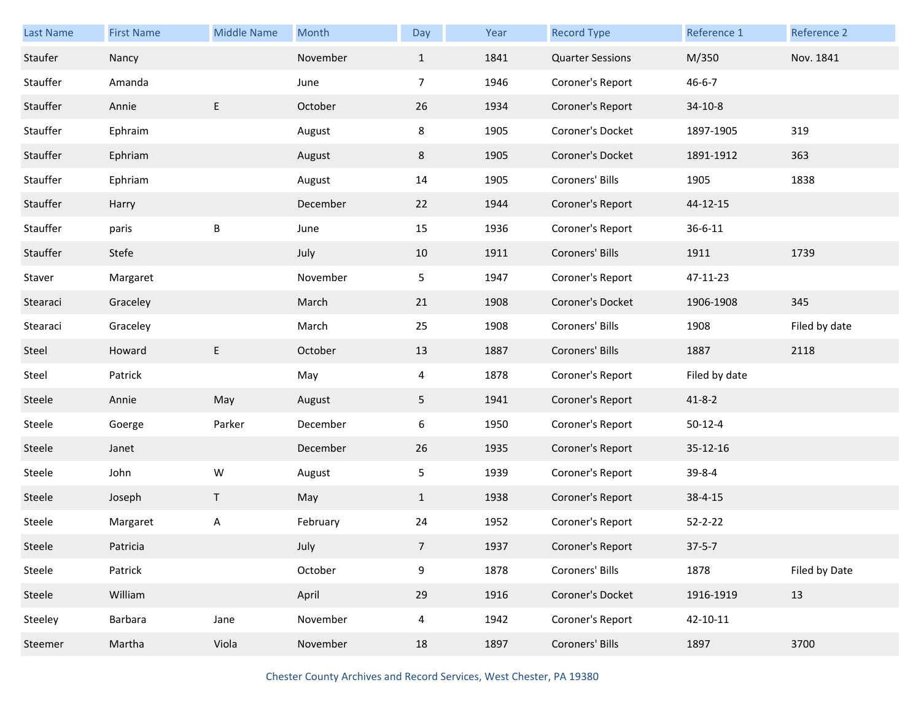| Last Name | <b>First Name</b> | <b>Middle Name</b> | Month    | Day            | Year | <b>Record Type</b>      | Reference 1   | Reference 2   |
|-----------|-------------------|--------------------|----------|----------------|------|-------------------------|---------------|---------------|
| Staufer   | Nancy             |                    | November | $\mathbf{1}$   | 1841 | <b>Quarter Sessions</b> | M/350         | Nov. 1841     |
| Stauffer  | Amanda            |                    | June     | $\overline{7}$ | 1946 | Coroner's Report        | $46 - 6 - 7$  |               |
| Stauffer  | Annie             | E                  | October  | 26             | 1934 | Coroner's Report        | $34-10-8$     |               |
| Stauffer  | Ephraim           |                    | August   | 8              | 1905 | Coroner's Docket        | 1897-1905     | 319           |
| Stauffer  | Ephriam           |                    | August   | 8              | 1905 | Coroner's Docket        | 1891-1912     | 363           |
| Stauffer  | Ephriam           |                    | August   | 14             | 1905 | Coroners' Bills         | 1905          | 1838          |
| Stauffer  | Harry             |                    | December | 22             | 1944 | Coroner's Report        | 44-12-15      |               |
| Stauffer  | paris             | В                  | June     | 15             | 1936 | Coroner's Report        | $36 - 6 - 11$ |               |
| Stauffer  | Stefe             |                    | July     | 10             | 1911 | Coroners' Bills         | 1911          | 1739          |
| Staver    | Margaret          |                    | November | 5              | 1947 | Coroner's Report        | 47-11-23      |               |
| Stearaci  | Graceley          |                    | March    | 21             | 1908 | Coroner's Docket        | 1906-1908     | 345           |
| Stearaci  | Graceley          |                    | March    | 25             | 1908 | Coroners' Bills         | 1908          | Filed by date |
| Steel     | Howard            | E                  | October  | 13             | 1887 | Coroners' Bills         | 1887          | 2118          |
|           |                   |                    |          |                |      |                         |               |               |
| Steel     | Patrick           |                    | May      | 4              | 1878 | Coroner's Report        | Filed by date |               |
| Steele    | Annie             | May                | August   | 5 <sub>1</sub> | 1941 | Coroner's Report        | $41 - 8 - 2$  |               |
| Steele    | Goerge            | Parker             | December | 6              | 1950 | Coroner's Report        | $50 - 12 - 4$ |               |
| Steele    | Janet             |                    | December | 26             | 1935 | Coroner's Report        | 35-12-16      |               |
| Steele    | John              | W                  | August   | 5              | 1939 | Coroner's Report        | 39-8-4        |               |
| Steele    | Joseph            | T                  | May      | $\mathbf{1}$   | 1938 | Coroner's Report        | $38 - 4 - 15$ |               |
| Steele    | Margaret          | A                  | February | 24             | 1952 | Coroner's Report        | $52 - 2 - 22$ |               |
| Steele    | Patricia          |                    | July     | $\overline{7}$ | 1937 | Coroner's Report        | $37 - 5 - 7$  |               |
| Steele    | Patrick           |                    | October  | 9              | 1878 | Coroners' Bills         | 1878          | Filed by Date |
| Steele    | William           |                    | April    | 29             | 1916 | Coroner's Docket        | 1916-1919     | 13            |
| Steeley   | Barbara           | Jane               | November | 4              | 1942 | Coroner's Report        | 42-10-11      |               |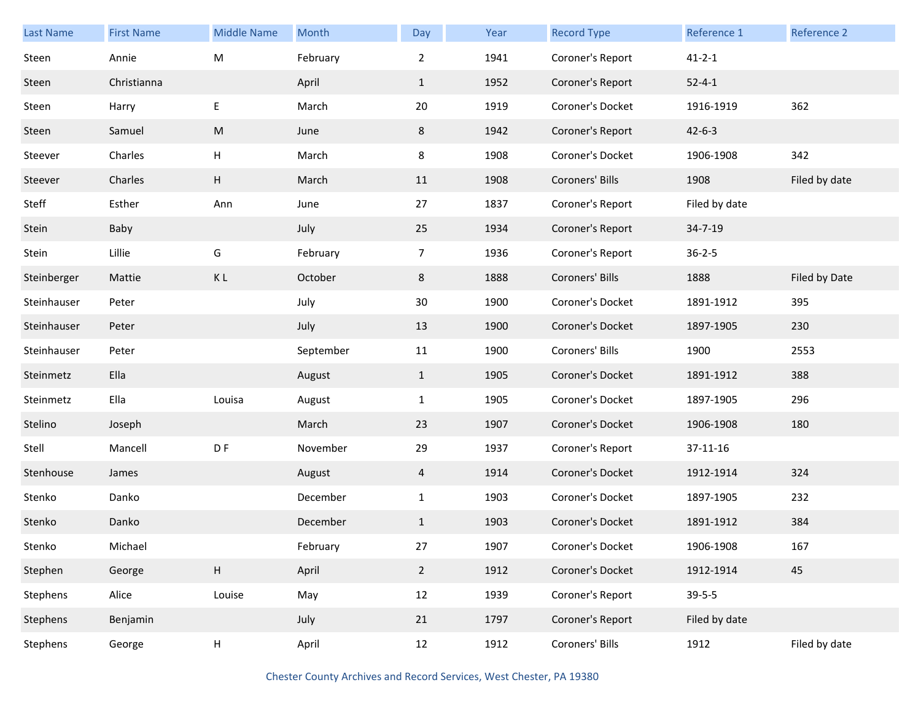| Last Name   | <b>First Name</b> | <b>Middle Name</b>        | Month     | Day            | Year | <b>Record Type</b> | Reference 1   | Reference 2   |
|-------------|-------------------|---------------------------|-----------|----------------|------|--------------------|---------------|---------------|
| Steen       | Annie             | M                         | February  | $\overline{2}$ | 1941 | Coroner's Report   | $41 - 2 - 1$  |               |
| Steen       | Christianna       |                           | April     | $\mathbf{1}$   | 1952 | Coroner's Report   | $52 - 4 - 1$  |               |
| Steen       | Harry             | $\sf E$                   | March     | 20             | 1919 | Coroner's Docket   | 1916-1919     | 362           |
| Steen       | Samuel            | M                         | June      | 8              | 1942 | Coroner's Report   | $42 - 6 - 3$  |               |
| Steever     | Charles           | Н                         | March     | 8              | 1908 | Coroner's Docket   | 1906-1908     | 342           |
| Steever     | Charles           | H                         | March     | 11             | 1908 | Coroners' Bills    | 1908          | Filed by date |
| Steff       | Esther            | Ann                       | June      | 27             | 1837 | Coroner's Report   | Filed by date |               |
| Stein       | Baby              |                           | July      | 25             | 1934 | Coroner's Report   | 34-7-19       |               |
| Stein       | Lillie            | G                         | February  | $\overline{7}$ | 1936 | Coroner's Report   | $36 - 2 - 5$  |               |
| Steinberger | Mattie            | KL                        | October   | 8              | 1888 | Coroners' Bills    | 1888          | Filed by Date |
| Steinhauser | Peter             |                           | July      | 30             | 1900 | Coroner's Docket   | 1891-1912     | 395           |
| Steinhauser | Peter             |                           | July      | 13             | 1900 | Coroner's Docket   | 1897-1905     | 230           |
| Steinhauser | Peter             |                           | September | 11             | 1900 | Coroners' Bills    | 1900          | 2553          |
| Steinmetz   | Ella              |                           | August    | $\mathbf{1}$   | 1905 | Coroner's Docket   | 1891-1912     | 388           |
| Steinmetz   | Ella              | Louisa                    | August    | $\mathbf{1}$   | 1905 | Coroner's Docket   | 1897-1905     | 296           |
| Stelino     | Joseph            |                           | March     | 23             | 1907 | Coroner's Docket   | 1906-1908     | 180           |
| Stell       | Mancell           | D F                       | November  | 29             | 1937 | Coroner's Report   | 37-11-16      |               |
| Stenhouse   | James             |                           | August    | $\overline{4}$ | 1914 | Coroner's Docket   | 1912-1914     | 324           |
| Stenko      | Danko             |                           | December  | $\mathbf{1}$   | 1903 | Coroner's Docket   | 1897-1905     | 232           |
| Stenko      | Danko             |                           | December  | $\mathbf{1}$   | 1903 | Coroner's Docket   | 1891-1912     | 384           |
| Stenko      | Michael           |                           | February  | 27             | 1907 | Coroner's Docket   | 1906-1908     | 167           |
| Stephen     | George            | H                         | April     | $2^{\circ}$    | 1912 | Coroner's Docket   | 1912-1914     | 45            |
| Stephens    | Alice             | Louise                    | May       | 12             | 1939 | Coroner's Report   | $39 - 5 - 5$  |               |
| Stephens    | Benjamin          |                           | July      | 21             | 1797 | Coroner's Report   | Filed by date |               |
| Stephens    | George            | $\boldsymbol{\mathsf{H}}$ | April     | 12             | 1912 | Coroners' Bills    | 1912          | Filed by date |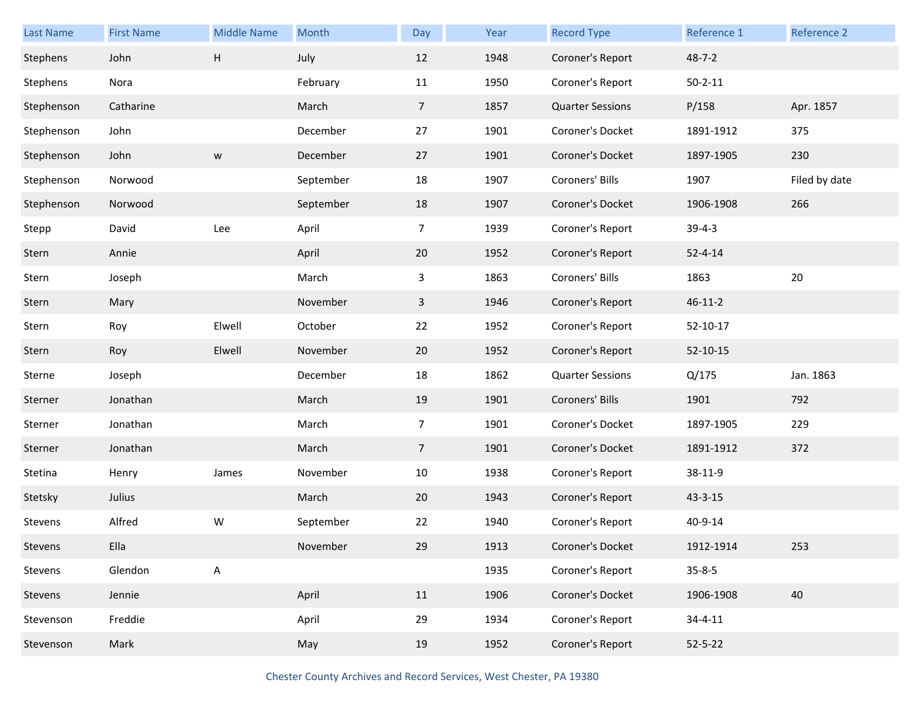| <b>Last Name</b> | <b>First Name</b> | <b>Middle Name</b> | Month     | Day            | Year | <b>Record Type</b>      | Reference 1    | Reference 2   |
|------------------|-------------------|--------------------|-----------|----------------|------|-------------------------|----------------|---------------|
| Stephens         | John              | Н                  | July      | 12             | 1948 | Coroner's Report        | $48 - 7 - 2$   |               |
| Stephens         | Nora              |                    | February  | 11             | 1950 | Coroner's Report        | $50 - 2 - 11$  |               |
| Stephenson       | Catharine         |                    | March     | $\overline{7}$ | 1857 | <b>Quarter Sessions</b> | P/158          | Apr. 1857     |
| Stephenson       | John              |                    | December  | 27             | 1901 | Coroner's Docket        | 1891-1912      | 375           |
| Stephenson       | John              | ${\sf W}$          | December  | 27             | 1901 | Coroner's Docket        | 1897-1905      | 230           |
| Stephenson       | Norwood           |                    | September | 18             | 1907 | Coroners' Bills         | 1907           | Filed by date |
| Stephenson       | Norwood           |                    | September | 18             | 1907 | Coroner's Docket        | 1906-1908      | 266           |
| Stepp            | David             | Lee                | April     | 7              | 1939 | Coroner's Report        | $39-4-3$       |               |
| Stern            | Annie             |                    | April     | 20             | 1952 | Coroner's Report        | $52 - 4 - 14$  |               |
| Stern            | Joseph            |                    | March     | 3              | 1863 | Coroners' Bills         | 1863           | 20            |
| Stern            | Mary              |                    | November  | $\mathbf{3}$   | 1946 | Coroner's Report        | $46 - 11 - 2$  |               |
| Stern            | Roy               | Elwell             | October   | 22             | 1952 | Coroner's Report        | 52-10-17       |               |
| Stern            | Roy               | Elwell             | November  | 20             | 1952 | Coroner's Report        | $52 - 10 - 15$ |               |
| Sterne           | Joseph            |                    | December  | 18             | 1862 | <b>Quarter Sessions</b> | Q/175          | Jan. 1863     |
| Sterner          | Jonathan          |                    | March     | 19             | 1901 | Coroners' Bills         | 1901           | 792           |
| Sterner          | Jonathan          |                    | March     | 7              | 1901 | Coroner's Docket        | 1897-1905      | 229           |
| Sterner          | Jonathan          |                    | March     | $\overline{7}$ | 1901 | Coroner's Docket        | 1891-1912      | 372           |
| Stetina          | Henry             | James              | November  | 10             | 1938 | Coroner's Report        | 38-11-9        |               |
| Stetsky          | Julius            |                    | March     | 20             | 1943 | Coroner's Report        | $43 - 3 - 15$  |               |
| Stevens          | Alfred            | W                  | September | 22             | 1940 | Coroner's Report        | 40-9-14        |               |
| Stevens          | Ella              |                    | November  | 29             | 1913 | Coroner's Docket        | 1912-1914      | 253           |
| Stevens          | Glendon           | $\sf A$            |           |                | 1935 | Coroner's Report        | $35 - 8 - 5$   |               |
| Stevens          | Jennie            |                    | April     | 11             | 1906 | Coroner's Docket        | 1906-1908      | 40            |
| Stevenson        | Freddie           |                    | April     | 29             | 1934 | Coroner's Report        | $34 - 4 - 11$  |               |
| Stevenson        | Mark              |                    | May       | 19             | 1952 | Coroner's Report        | $52 - 5 - 22$  |               |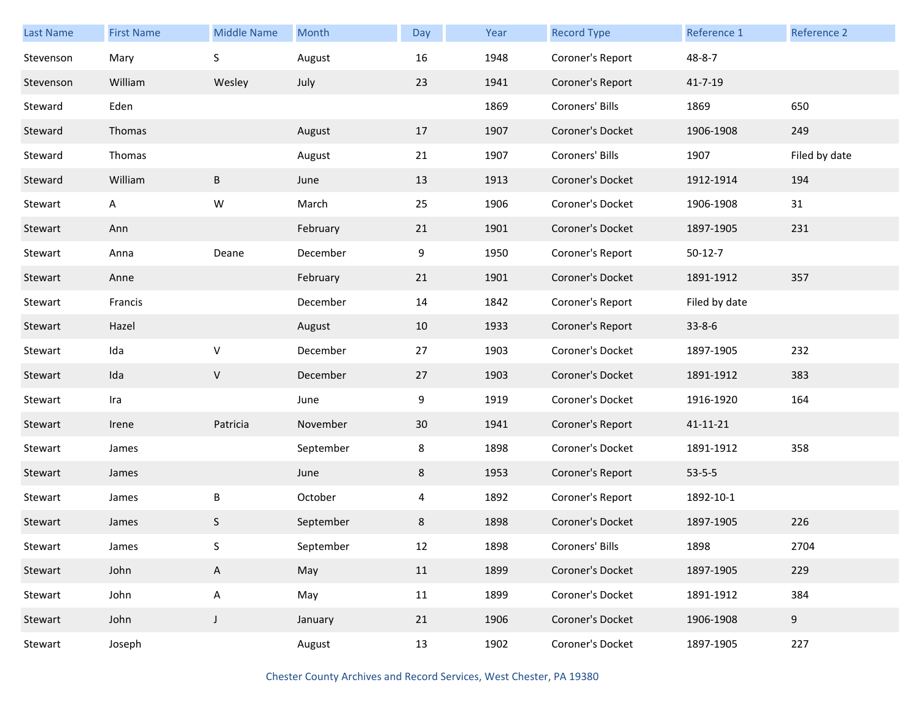| <b>Last Name</b> | <b>First Name</b> | <b>Middle Name</b> | Month     | Day | Year | <b>Record Type</b> | Reference 1   | Reference 2   |
|------------------|-------------------|--------------------|-----------|-----|------|--------------------|---------------|---------------|
| Stevenson        | Mary              | S                  | August    | 16  | 1948 | Coroner's Report   | $48 - 8 - 7$  |               |
| Stevenson        | William           | Wesley             | July      | 23  | 1941 | Coroner's Report   | 41-7-19       |               |
| Steward          | Eden              |                    |           |     | 1869 | Coroners' Bills    | 1869          | 650           |
| Steward          | Thomas            |                    | August    | 17  | 1907 | Coroner's Docket   | 1906-1908     | 249           |
| Steward          | Thomas            |                    | August    | 21  | 1907 | Coroners' Bills    | 1907          | Filed by date |
| Steward          | William           | B                  | June      | 13  | 1913 | Coroner's Docket   | 1912-1914     | 194           |
| Stewart          | A                 | W                  | March     | 25  | 1906 | Coroner's Docket   | 1906-1908     | 31            |
| Stewart          | Ann               |                    | February  | 21  | 1901 | Coroner's Docket   | 1897-1905     | 231           |
| Stewart          | Anna              | Deane              | December  | 9   | 1950 | Coroner's Report   | $50-12-7$     |               |
| Stewart          | Anne              |                    | February  | 21  | 1901 | Coroner's Docket   | 1891-1912     | 357           |
| Stewart          | Francis           |                    | December  | 14  | 1842 | Coroner's Report   | Filed by date |               |
| Stewart          | Hazel             |                    | August    | 10  | 1933 | Coroner's Report   | $33 - 8 - 6$  |               |
| Stewart          | Ida               | $\vee$             | December  | 27  | 1903 | Coroner's Docket   | 1897-1905     | 232           |
| Stewart          | Ida               | $\vee$             | December  | 27  | 1903 | Coroner's Docket   | 1891-1912     | 383           |
| Stewart          | Ira               |                    | June      | 9   | 1919 | Coroner's Docket   | 1916-1920     | 164           |
| Stewart          | Irene             | Patricia           | November  | 30  | 1941 | Coroner's Report   | 41-11-21      |               |
| Stewart          | James             |                    | September | 8   | 1898 | Coroner's Docket   | 1891-1912     | 358           |
| Stewart          | James             |                    | June      | 8   | 1953 | Coroner's Report   | $53 - 5 - 5$  |               |
| Stewart          | James             | B                  | October   | 4   | 1892 | Coroner's Report   | 1892-10-1     |               |
| Stewart          | James             | S                  | September | 8   | 1898 | Coroner's Docket   | 1897-1905     | 226           |
| Stewart          | James             | S                  | September | 12  | 1898 | Coroners' Bills    | 1898          | 2704          |
| Stewart          | John              | A                  | May       | 11  | 1899 | Coroner's Docket   | 1897-1905     | 229           |
| Stewart          | John              | A                  | May       | 11  | 1899 | Coroner's Docket   | 1891-1912     | 384           |
| Stewart          | John              | $\mathsf{J}$       | January   | 21  | 1906 | Coroner's Docket   | 1906-1908     | 9             |
| Stewart          | Joseph            |                    | August    | 13  | 1902 | Coroner's Docket   | 1897-1905     | 227           |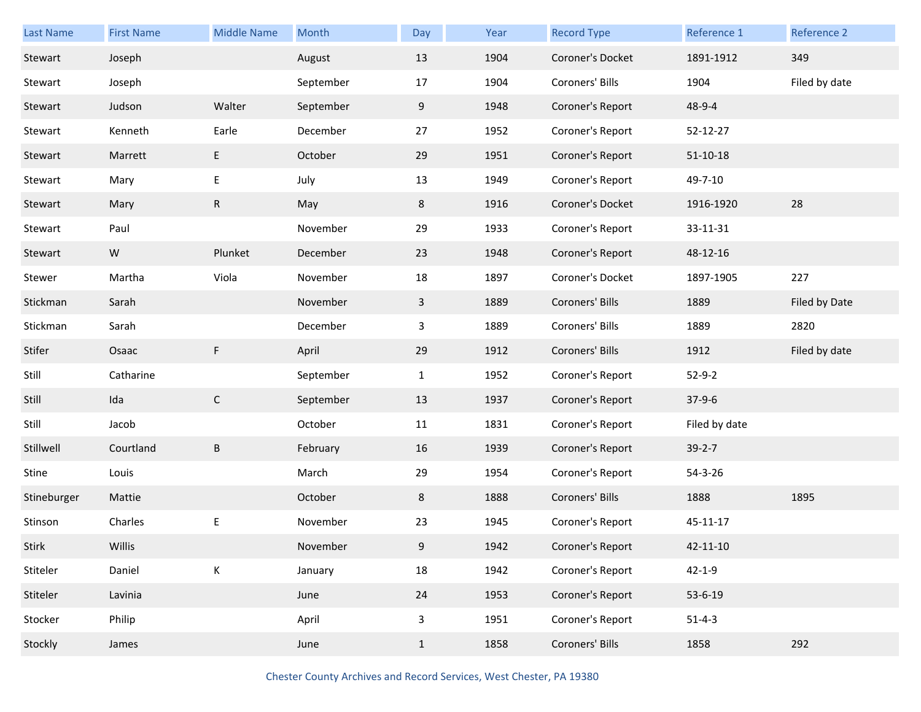| <b>Last Name</b> | <b>First Name</b> | <b>Middle Name</b> | Month     | Day          | Year | <b>Record Type</b> | Reference 1   | Reference 2   |
|------------------|-------------------|--------------------|-----------|--------------|------|--------------------|---------------|---------------|
| Stewart          | Joseph            |                    | August    | 13           | 1904 | Coroner's Docket   | 1891-1912     | 349           |
| Stewart          | Joseph            |                    | September | 17           | 1904 | Coroners' Bills    | 1904          | Filed by date |
| Stewart          | Judson            | Walter             | September | 9            | 1948 | Coroner's Report   | 48-9-4        |               |
| Stewart          | Kenneth           | Earle              | December  | 27           | 1952 | Coroner's Report   | 52-12-27      |               |
| Stewart          | Marrett           | Е                  | October   | 29           | 1951 | Coroner's Report   | $51-10-18$    |               |
| Stewart          | Mary              | E                  | July      | 13           | 1949 | Coroner's Report   | 49-7-10       |               |
| Stewart          | Mary              | ${\sf R}$          | May       | 8            | 1916 | Coroner's Docket   | 1916-1920     | 28            |
| Stewart          | Paul              |                    | November  | 29           | 1933 | Coroner's Report   | 33-11-31      |               |
| Stewart          | W                 | Plunket            | December  | 23           | 1948 | Coroner's Report   | 48-12-16      |               |
| Stewer           | Martha            | Viola              | November  | 18           | 1897 | Coroner's Docket   | 1897-1905     | 227           |
| Stickman         | Sarah             |                    | November  | $\mathbf{3}$ | 1889 | Coroners' Bills    | 1889          | Filed by Date |
| Stickman         | Sarah             |                    | December  | $\mathbf{3}$ | 1889 | Coroners' Bills    | 1889          | 2820          |
| Stifer           | Osaac             | F                  | April     | 29           | 1912 | Coroners' Bills    | 1912          | Filed by date |
| Still            | Catharine         |                    | September | $\mathbf{1}$ | 1952 | Coroner's Report   | $52 - 9 - 2$  |               |
| Still            | Ida               | $\mathsf{C}$       | September | 13           | 1937 | Coroner's Report   | $37-9-6$      |               |
| Still            | Jacob             |                    | October   | 11           | 1831 | Coroner's Report   | Filed by date |               |
| Stillwell        | Courtland         | B                  | February  | 16           | 1939 | Coroner's Report   | $39 - 2 - 7$  |               |
| Stine            | Louis             |                    | March     | 29           | 1954 | Coroner's Report   | $54 - 3 - 26$ |               |
| Stineburger      | Mattie            |                    | October   | 8            | 1888 | Coroners' Bills    | 1888          | 1895          |
| Stinson          | Charles           | E                  | November  | 23           | 1945 | Coroner's Report   | 45-11-17      |               |
| Stirk            | Willis            |                    | November  | 9            | 1942 | Coroner's Report   | 42-11-10      |               |
| Stiteler         | Daniel            | К                  | January   | 18           | 1942 | Coroner's Report   | $42 - 1 - 9$  |               |
|                  |                   |                    |           |              |      |                    |               |               |
| Stiteler         | Lavinia           |                    | June      | 24           | 1953 | Coroner's Report   | 53-6-19       |               |
| Stocker          | Philip            |                    | April     | 3            | 1951 | Coroner's Report   | $51 - 4 - 3$  |               |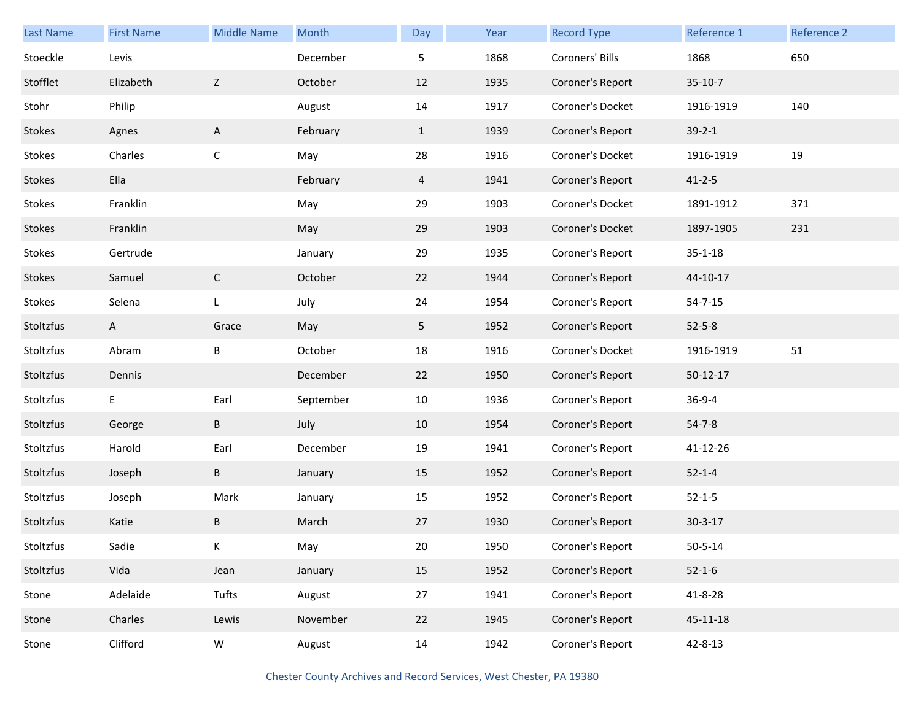| Last Name | <b>First Name</b> | <b>Middle Name</b> | Month     | Day          | Year | <b>Record Type</b> | Reference 1   | Reference 2 |
|-----------|-------------------|--------------------|-----------|--------------|------|--------------------|---------------|-------------|
| Stoeckle  | Levis             |                    | December  | 5            | 1868 | Coroners' Bills    | 1868          | 650         |
| Stofflet  | Elizabeth         | Z                  | October   | 12           | 1935 | Coroner's Report   | $35-10-7$     |             |
| Stohr     | Philip            |                    | August    | 14           | 1917 | Coroner's Docket   | 1916-1919     | 140         |
| Stokes    | Agnes             | A                  | February  | $\mathbf{1}$ | 1939 | Coroner's Report   | $39 - 2 - 1$  |             |
| Stokes    | Charles           | $\mathsf C$        | May       | 28           | 1916 | Coroner's Docket   | 1916-1919     | 19          |
| Stokes    | Ella              |                    | February  | 4            | 1941 | Coroner's Report   | $41 - 2 - 5$  |             |
| Stokes    | Franklin          |                    | May       | 29           | 1903 | Coroner's Docket   | 1891-1912     | 371         |
| Stokes    | Franklin          |                    | May       | 29           | 1903 | Coroner's Docket   | 1897-1905     | 231         |
| Stokes    | Gertrude          |                    | January   | 29           | 1935 | Coroner's Report   | $35 - 1 - 18$ |             |
| Stokes    | Samuel            | $\mathsf C$        | October   | 22           | 1944 | Coroner's Report   | 44-10-17      |             |
| Stokes    | Selena            | L                  | July      | 24           | 1954 | Coroner's Report   | $54 - 7 - 15$ |             |
| Stoltzfus | $\mathsf{A}$      | Grace              | May       | 5            | 1952 | Coroner's Report   | $52 - 5 - 8$  |             |
| Stoltzfus | Abram             | B                  | October   | 18           | 1916 | Coroner's Docket   | 1916-1919     | $51\,$      |
| Stoltzfus | Dennis            |                    | December  | 22           | 1950 | Coroner's Report   | $50-12-17$    |             |
| Stoltzfus | E                 | Earl               | September | 10           | 1936 | Coroner's Report   | $36 - 9 - 4$  |             |
| Stoltzfus | George            | B                  | July      | 10           | 1954 | Coroner's Report   | $54 - 7 - 8$  |             |
| Stoltzfus | Harold            | Earl               | December  | 19           | 1941 | Coroner's Report   | 41-12-26      |             |
| Stoltzfus | Joseph            | B                  | January   | 15           | 1952 | Coroner's Report   | $52 - 1 - 4$  |             |
| Stoltzfus | Joseph            | Mark               | January   | 15           | 1952 | Coroner's Report   | $52 - 1 - 5$  |             |
| Stoltzfus | Katie             | B                  | March     | 27           | 1930 | Coroner's Report   | $30 - 3 - 17$ |             |
| Stoltzfus | Sadie             | K                  | May       | 20           | 1950 | Coroner's Report   | $50 - 5 - 14$ |             |
| Stoltzfus | Vida              | Jean               | January   | 15           | 1952 | Coroner's Report   | $52 - 1 - 6$  |             |
| Stone     | Adelaide          | Tufts              | August    | 27           | 1941 | Coroner's Report   | 41-8-28       |             |
| Stone     | Charles           | Lewis              | November  | 22           | 1945 | Coroner's Report   | 45-11-18      |             |
| Stone     | Clifford          | W                  | August    | 14           | 1942 | Coroner's Report   | $42 - 8 - 13$ |             |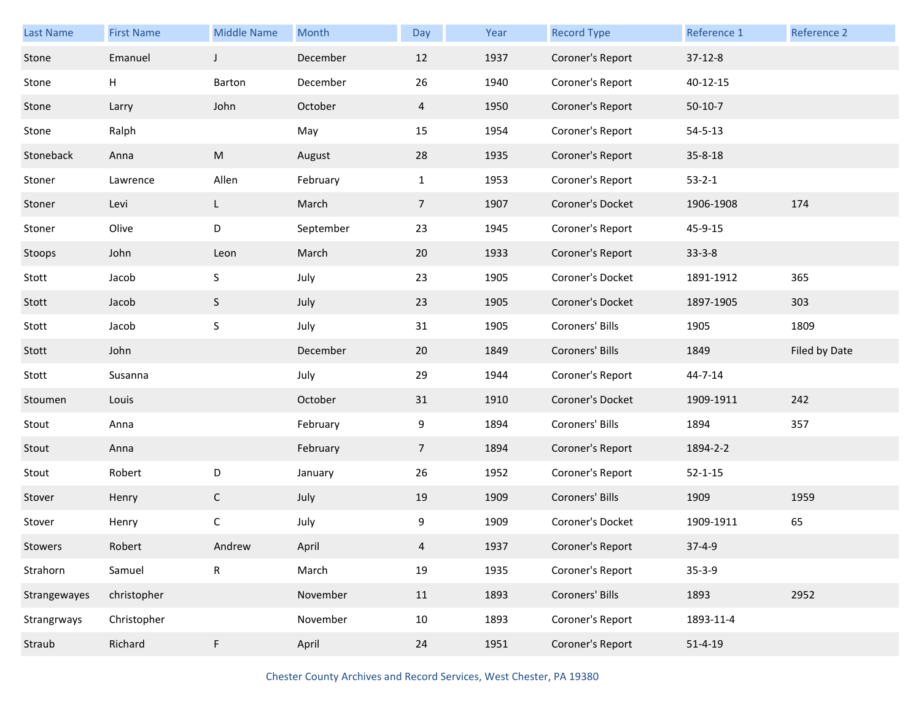| Last Name           | <b>First Name</b> | <b>Middle Name</b> | Month     | Day            | Year | <b>Record Type</b> | Reference 1   | Reference 2   |
|---------------------|-------------------|--------------------|-----------|----------------|------|--------------------|---------------|---------------|
| Stone               | Emanuel           | $\mathsf J$        | December  | 12             | 1937 | Coroner's Report   | $37-12-8$     |               |
| Stone               | н                 | Barton             | December  | 26             | 1940 | Coroner's Report   | 40-12-15      |               |
| Stone               | Larry             | John               | October   | $\overline{4}$ | 1950 | Coroner's Report   | $50-10-7$     |               |
| Stone               | Ralph             |                    | May       | 15             | 1954 | Coroner's Report   | $54 - 5 - 13$ |               |
| Stoneback           | Anna              | ${\sf M}$          | August    | 28             | 1935 | Coroner's Report   | $35 - 8 - 18$ |               |
| Stoner              | Lawrence          | Allen              | February  | $\mathbf{1}$   | 1953 | Coroner's Report   | $53 - 2 - 1$  |               |
| Stoner              | Levi              | L                  | March     | $\overline{7}$ | 1907 | Coroner's Docket   | 1906-1908     | 174           |
| Stoner              | Olive             | D                  | September | 23             | 1945 | Coroner's Report   | 45-9-15       |               |
| Stoops              | John              | Leon               | March     | 20             | 1933 | Coroner's Report   | $33 - 3 - 8$  |               |
| Stott               | Jacob             | S                  | July      | 23             | 1905 | Coroner's Docket   | 1891-1912     | 365           |
| Stott               | Jacob             | S                  | July      | 23             | 1905 | Coroner's Docket   | 1897-1905     | 303           |
| Stott               | Jacob             | S                  | July      | 31             | 1905 | Coroners' Bills    | 1905          | 1809          |
|                     |                   |                    |           |                |      |                    |               |               |
| Stott               | John              |                    | December  | 20             | 1849 | Coroners' Bills    | 1849          | Filed by Date |
| Stott               | Susanna           |                    | July      | 29             | 1944 | Coroner's Report   | 44-7-14       |               |
| Stoumen             | Louis             |                    | October   | 31             | 1910 | Coroner's Docket   | 1909-1911     | 242           |
| Stout               | Anna              |                    | February  | 9              | 1894 | Coroners' Bills    | 1894          | 357           |
| Stout               | Anna              |                    | February  | $\overline{7}$ | 1894 | Coroner's Report   | 1894-2-2      |               |
| Stout               | Robert            | D                  | January   | 26             | 1952 | Coroner's Report   | $52 - 1 - 15$ |               |
| Stover              | Henry             | $\mathsf C$        | July      | 19             | 1909 | Coroners' Bills    | 1909          | 1959          |
| Stover              | Henry             | С                  | July      | 9              | 1909 | Coroner's Docket   | 1909-1911     | 65            |
|                     | Robert            | Andrew             | April     | 4              | 1937 | Coroner's Report   | $37 - 4 - 9$  |               |
| Stowers<br>Strahorn | Samuel            | ${\sf R}$          | March     | 19             | 1935 | Coroner's Report   | $35 - 3 - 9$  |               |
| Strangewayes        | christopher       |                    | November  | 11             | 1893 | Coroners' Bills    | 1893          | 2952          |
| Strangrways         | Christopher       |                    | November  | 10             | 1893 | Coroner's Report   | 1893-11-4     |               |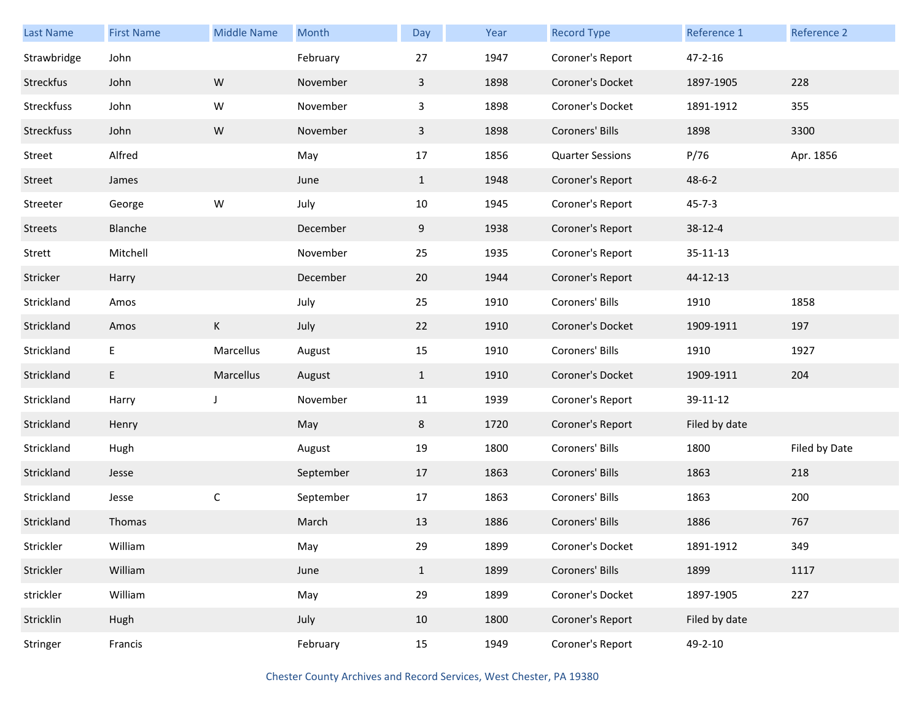| Last Name   | <b>First Name</b> | <b>Middle Name</b> | <b>Month</b> | Day                     | Year | <b>Record Type</b>      | Reference 1   | Reference 2   |
|-------------|-------------------|--------------------|--------------|-------------------------|------|-------------------------|---------------|---------------|
| Strawbridge | John              |                    | February     | 27                      | 1947 | Coroner's Report        | $47 - 2 - 16$ |               |
| Streckfus   | John              | W                  | November     | $\mathbf{3}$            | 1898 | Coroner's Docket        | 1897-1905     | 228           |
| Streckfuss  | John              | W                  | November     | $\overline{\mathbf{3}}$ | 1898 | Coroner's Docket        | 1891-1912     | 355           |
| Streckfuss  | John              | W                  | November     | $\mathbf{3}$            | 1898 | Coroners' Bills         | 1898          | 3300          |
| Street      | Alfred            |                    | May          | 17                      | 1856 | <b>Quarter Sessions</b> | P/76          | Apr. 1856     |
| Street      | James             |                    | June         | $\mathbf{1}$            | 1948 | Coroner's Report        | $48 - 6 - 2$  |               |
| Streeter    | George            | W                  | July         | 10                      | 1945 | Coroner's Report        | $45 - 7 - 3$  |               |
| Streets     | Blanche           |                    | December     | 9                       | 1938 | Coroner's Report        | $38 - 12 - 4$ |               |
| Strett      | Mitchell          |                    | November     | 25                      | 1935 | Coroner's Report        | 35-11-13      |               |
| Stricker    | Harry             |                    | December     | 20                      | 1944 | Coroner's Report        | 44-12-13      |               |
| Strickland  | Amos              |                    | July         | 25                      | 1910 | Coroners' Bills         | 1910          | 1858          |
| Strickland  | Amos              | K                  | July         | 22                      | 1910 | Coroner's Docket        | 1909-1911     | 197           |
| Strickland  | E                 | Marcellus          | August       | 15                      | 1910 | Coroners' Bills         | 1910          | 1927          |
| Strickland  | E                 | Marcellus          | August       | $\mathbf{1}$            | 1910 | Coroner's Docket        | 1909-1911     | 204           |
| Strickland  | Harry             | J                  | November     | 11                      | 1939 | Coroner's Report        | 39-11-12      |               |
| Strickland  | Henry             |                    | May          | 8                       | 1720 | Coroner's Report        | Filed by date |               |
| Strickland  | Hugh              |                    | August       | 19                      | 1800 | Coroners' Bills         | 1800          | Filed by Date |
| Strickland  | Jesse             |                    | September    | 17                      | 1863 | Coroners' Bills         | 1863          | 218           |
| Strickland  | Jesse             | $\mathsf C$        | September    | 17                      | 1863 | Coroners' Bills         | 1863          | 200           |
| Strickland  | Thomas            |                    | March        | 13                      | 1886 | Coroners' Bills         | 1886          | 767           |
| Strickler   | William           |                    | May          | 29                      | 1899 | Coroner's Docket        | 1891-1912     | 349           |
| Strickler   | William           |                    | June         | $\mathbf{1}$            | 1899 | Coroners' Bills         | 1899          | 1117          |
| strickler   | William           |                    | May          | 29                      | 1899 | Coroner's Docket        | 1897-1905     | 227           |
| Stricklin   | Hugh              |                    | July         | 10                      | 1800 | Coroner's Report        | Filed by date |               |
| Stringer    | Francis           |                    | February     | 15                      | 1949 | Coroner's Report        | 49-2-10       |               |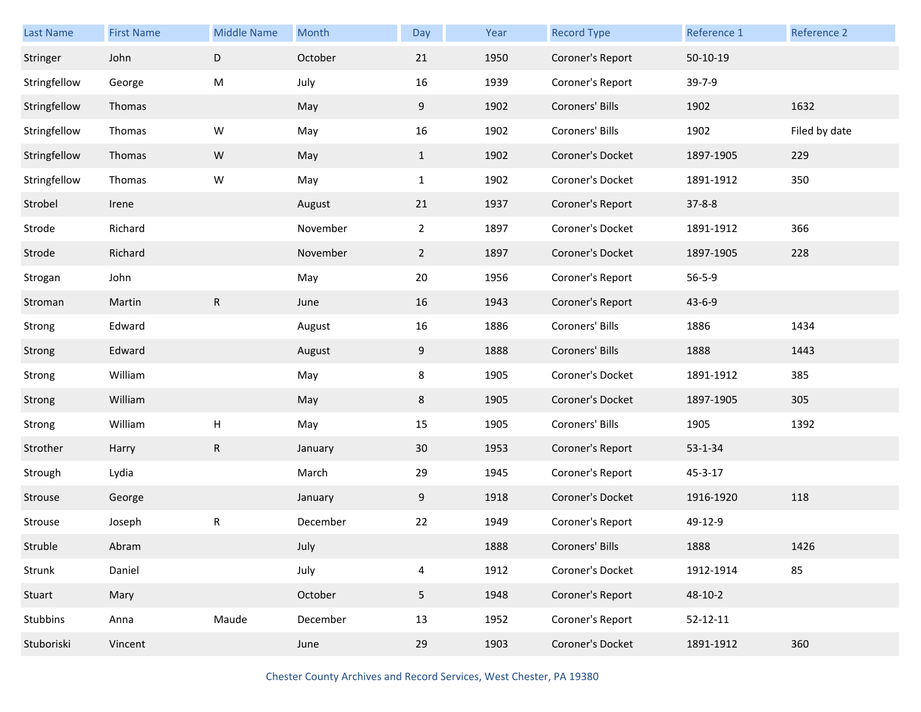| Last Name    | <b>First Name</b> | <b>Middle Name</b> | Month    | Day            | Year | <b>Record Type</b> | Reference 1    | Reference 2   |
|--------------|-------------------|--------------------|----------|----------------|------|--------------------|----------------|---------------|
| Stringer     | John              | D                  | October  | 21             | 1950 | Coroner's Report   | $50-10-19$     |               |
| Stringfellow | George            | M                  | July     | 16             | 1939 | Coroner's Report   | 39-7-9         |               |
| Stringfellow | Thomas            |                    | May      | 9              | 1902 | Coroners' Bills    | 1902           | 1632          |
| Stringfellow | Thomas            | W                  | May      | 16             | 1902 | Coroners' Bills    | 1902           | Filed by date |
| Stringfellow | Thomas            | ${\sf W}$          | May      | $\mathbf{1}$   | 1902 | Coroner's Docket   | 1897-1905      | 229           |
| Stringfellow | Thomas            | W                  | May      | $\mathbf{1}$   | 1902 | Coroner's Docket   | 1891-1912      | 350           |
| Strobel      | Irene             |                    | August   | 21             | 1937 | Coroner's Report   | $37 - 8 - 8$   |               |
| Strode       | Richard           |                    | November | $\overline{2}$ | 1897 | Coroner's Docket   | 1891-1912      | 366           |
| Strode       | Richard           |                    | November | $\overline{2}$ | 1897 | Coroner's Docket   | 1897-1905      | 228           |
| Strogan      | John              |                    | May      | 20             | 1956 | Coroner's Report   | $56 - 5 - 9$   |               |
| Stroman      | Martin            | $\mathsf R$        | June     | 16             | 1943 | Coroner's Report   | $43 - 6 - 9$   |               |
| Strong       | Edward            |                    | August   | 16             | 1886 | Coroners' Bills    | 1886           | 1434          |
| Strong       | Edward            |                    | August   | 9              | 1888 | Coroners' Bills    | 1888           | 1443          |
| Strong       | William           |                    | May      | 8              | 1905 | Coroner's Docket   | 1891-1912      | 385           |
| Strong       | William           |                    | May      | 8              | 1905 | Coroner's Docket   | 1897-1905      | 305           |
| Strong       | William           | Н                  | May      | 15             | 1905 | Coroners' Bills    | 1905           | 1392          |
| Strother     | Harry             | R                  | January  | 30             | 1953 | Coroner's Report   | 53-1-34        |               |
| Strough      | Lydia             |                    | March    | 29             | 1945 | Coroner's Report   | 45-3-17        |               |
| Strouse      | George            |                    | January  | 9              | 1918 | Coroner's Docket   | 1916-1920      | 118           |
| Strouse      | Joseph            | R                  | December | 22             | 1949 | Coroner's Report   | 49-12-9        |               |
| Struble      | Abram             |                    | July     |                | 1888 | Coroners' Bills    | 1888           | 1426          |
| Strunk       | Daniel            |                    | July     | 4              | 1912 | Coroner's Docket   | 1912-1914      | 85            |
| Stuart       | Mary              |                    | October  | 5 <sub>1</sub> | 1948 | Coroner's Report   | 48-10-2        |               |
| Stubbins     | Anna              | Maude              | December | 13             | 1952 | Coroner's Report   | $52 - 12 - 11$ |               |
| Stuboriski   | Vincent           |                    | June     | 29             | 1903 | Coroner's Docket   | 1891-1912      | 360           |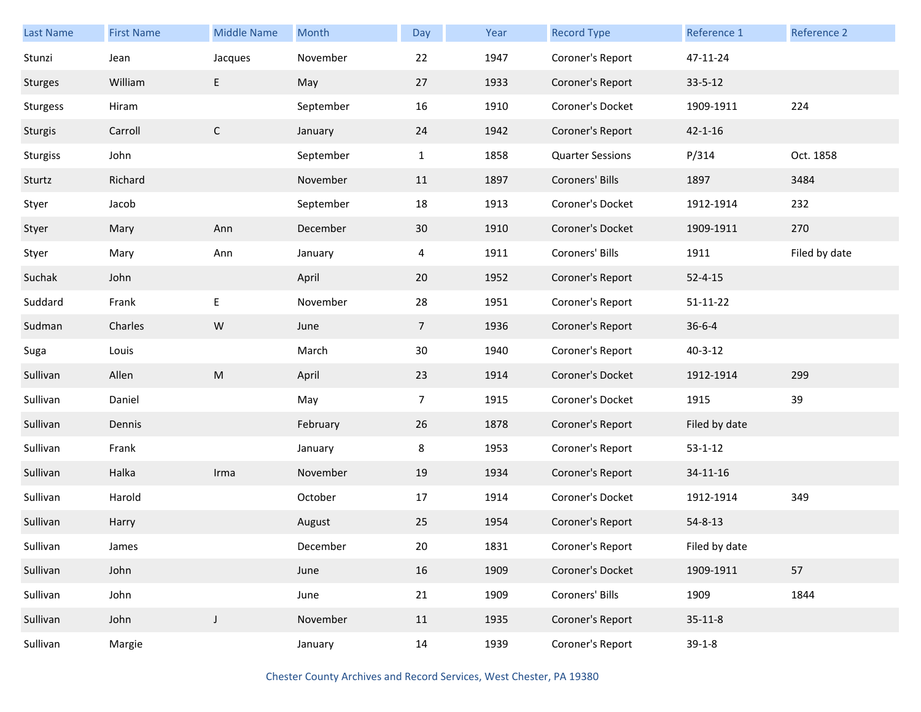| Last Name      | <b>First Name</b> | <b>Middle Name</b> | Month     | Day            | Year | <b>Record Type</b>      | Reference 1    | Reference 2   |
|----------------|-------------------|--------------------|-----------|----------------|------|-------------------------|----------------|---------------|
| Stunzi         | Jean              | Jacques            | November  | 22             | 1947 | Coroner's Report        | 47-11-24       |               |
| <b>Sturges</b> | William           | E                  | May       | 27             | 1933 | Coroner's Report        | $33 - 5 - 12$  |               |
| Sturgess       | Hiram             |                    | September | 16             | 1910 | Coroner's Docket        | 1909-1911      | 224           |
| Sturgis        | Carroll           | $\mathsf{C}$       | January   | 24             | 1942 | Coroner's Report        | $42 - 1 - 16$  |               |
| Sturgiss       | John              |                    | September | $\mathbf{1}$   | 1858 | <b>Quarter Sessions</b> | P/314          | Oct. 1858     |
| Sturtz         | Richard           |                    | November  | 11             | 1897 | Coroners' Bills         | 1897           | 3484          |
| Styer          | Jacob             |                    | September | 18             | 1913 | Coroner's Docket        | 1912-1914      | 232           |
| Styer          | Mary              | Ann                | December  | 30             | 1910 | Coroner's Docket        | 1909-1911      | 270           |
| Styer          | Mary              | Ann                | January   | $\overline{4}$ | 1911 | Coroners' Bills         | 1911           | Filed by date |
| Suchak         | John              |                    | April     | 20             | 1952 | Coroner's Report        | $52 - 4 - 15$  |               |
| Suddard        | Frank             | $\sf E$            | November  | 28             | 1951 | Coroner's Report        | $51 - 11 - 22$ |               |
| Sudman         | Charles           | ${\sf W}$          | June      | $\overline{7}$ | 1936 | Coroner's Report        | $36 - 6 - 4$   |               |
| Suga           | Louis             |                    | March     | $30\,$         | 1940 | Coroner's Report        | $40 - 3 - 12$  |               |
| Sullivan       | Allen             | ${\sf M}$          | April     | 23             | 1914 | Coroner's Docket        | 1912-1914      | 299           |
| Sullivan       | Daniel            |                    | May       | $\overline{7}$ | 1915 | Coroner's Docket        | 1915           | 39            |
| Sullivan       | Dennis            |                    | February  | 26             | 1878 | Coroner's Report        | Filed by date  |               |
| Sullivan       | Frank             |                    | January   | 8              | 1953 | Coroner's Report        | $53 - 1 - 12$  |               |
| Sullivan       | Halka             | Irma               | November  | 19             | 1934 | Coroner's Report        | 34-11-16       |               |
| Sullivan       | Harold            |                    | October   | 17             | 1914 | Coroner's Docket        | 1912-1914      | 349           |
| Sullivan       | Harry             |                    | August    | 25             | 1954 | Coroner's Report        | $54 - 8 - 13$  |               |
| Sullivan       | James             |                    | December  | $20\,$         | 1831 | Coroner's Report        | Filed by date  |               |
| Sullivan       | John              |                    | June      | 16             | 1909 | Coroner's Docket        | 1909-1911      | 57            |
| Sullivan       | John              |                    | June      | 21             | 1909 | Coroners' Bills         | 1909           | 1844          |
| Sullivan       | John              | J                  | November  | 11             | 1935 | Coroner's Report        | $35 - 11 - 8$  |               |
| Sullivan       | Margie            |                    | January   | 14             | 1939 | Coroner's Report        | $39-1-8$       |               |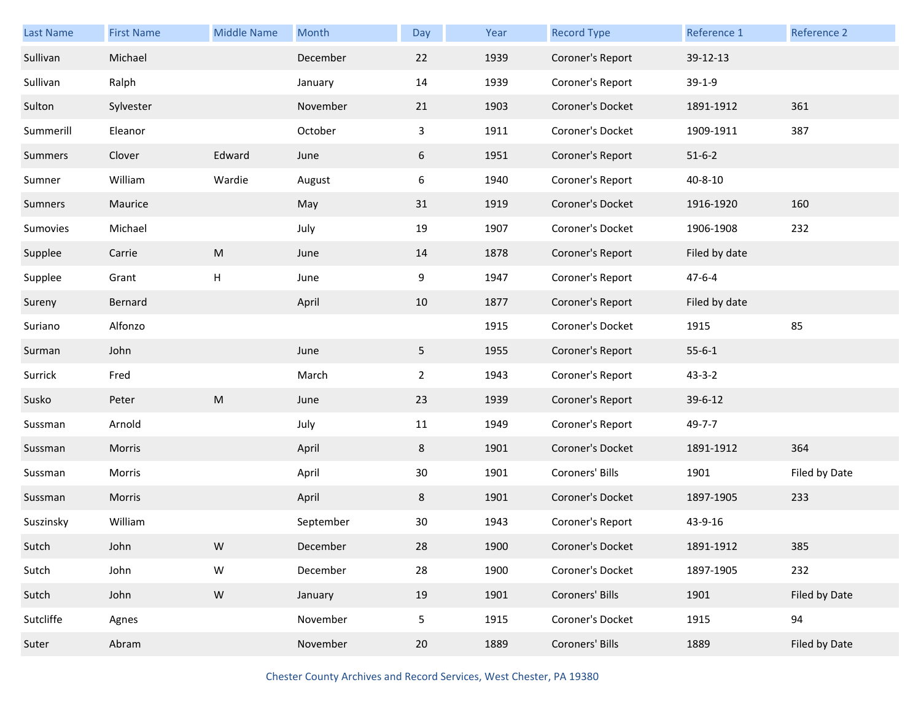| <b>Last Name</b> | <b>First Name</b> | <b>Middle Name</b> | Month     | Day            | Year | <b>Record Type</b> | Reference 1   | Reference 2   |
|------------------|-------------------|--------------------|-----------|----------------|------|--------------------|---------------|---------------|
| Sullivan         | Michael           |                    | December  | 22             | 1939 | Coroner's Report   | 39-12-13      |               |
| Sullivan         | Ralph             |                    | January   | 14             | 1939 | Coroner's Report   | $39-1-9$      |               |
| Sulton           | Sylvester         |                    | November  | 21             | 1903 | Coroner's Docket   | 1891-1912     | 361           |
| Summerill        | Eleanor           |                    | October   | 3              | 1911 | Coroner's Docket   | 1909-1911     | 387           |
| Summers          | Clover            | Edward             | June      | 6              | 1951 | Coroner's Report   | $51 - 6 - 2$  |               |
| Sumner           | William           | Wardie             | August    | 6              | 1940 | Coroner's Report   | $40 - 8 - 10$ |               |
| Sumners          | Maurice           |                    | May       | 31             | 1919 | Coroner's Docket   | 1916-1920     | 160           |
| Sumovies         | Michael           |                    | July      | 19             | 1907 | Coroner's Docket   | 1906-1908     | 232           |
| Supplee          | Carrie            | ${\sf M}$          | June      | 14             | 1878 | Coroner's Report   | Filed by date |               |
| Supplee          | Grant             | н                  | June      | 9              | 1947 | Coroner's Report   | $47 - 6 - 4$  |               |
| Sureny           | Bernard           |                    | April     | 10             | 1877 | Coroner's Report   | Filed by date |               |
| Suriano          | Alfonzo           |                    |           |                | 1915 | Coroner's Docket   | 1915          | 85            |
| Surman           | John              |                    | June      | 5              | 1955 | Coroner's Report   | $55 - 6 - 1$  |               |
| Surrick          | Fred              |                    | March     | $\overline{2}$ | 1943 | Coroner's Report   | $43 - 3 - 2$  |               |
| Susko            | Peter             | ${\sf M}$          | June      | 23             | 1939 | Coroner's Report   | 39-6-12       |               |
| Sussman          | Arnold            |                    | July      | 11             | 1949 | Coroner's Report   | 49-7-7        |               |
| Sussman          | Morris            |                    | April     | 8              | 1901 | Coroner's Docket   | 1891-1912     | 364           |
| Sussman          | Morris            |                    | April     | $30\,$         | 1901 | Coroners' Bills    | 1901          | Filed by Date |
| Sussman          | Morris            |                    | April     | 8              | 1901 | Coroner's Docket   | 1897-1905     | 233           |
| Suszinsky        | William           |                    | September | 30             | 1943 | Coroner's Report   | 43-9-16       |               |
| Sutch            | John              | W                  | December  | 28             | 1900 | Coroner's Docket   | 1891-1912     | 385           |
| Sutch            | John              | ${\sf W}$          | December  | 28             | 1900 | Coroner's Docket   | 1897-1905     | 232           |
| Sutch            | John              | ${\sf W}$          | January   | 19             | 1901 | Coroners' Bills    | 1901          | Filed by Date |
| Sutcliffe        | Agnes             |                    | November  | 5              | 1915 | Coroner's Docket   | 1915          | 94            |
| Suter            | Abram             |                    | November  | 20             | 1889 | Coroners' Bills    | 1889          | Filed by Date |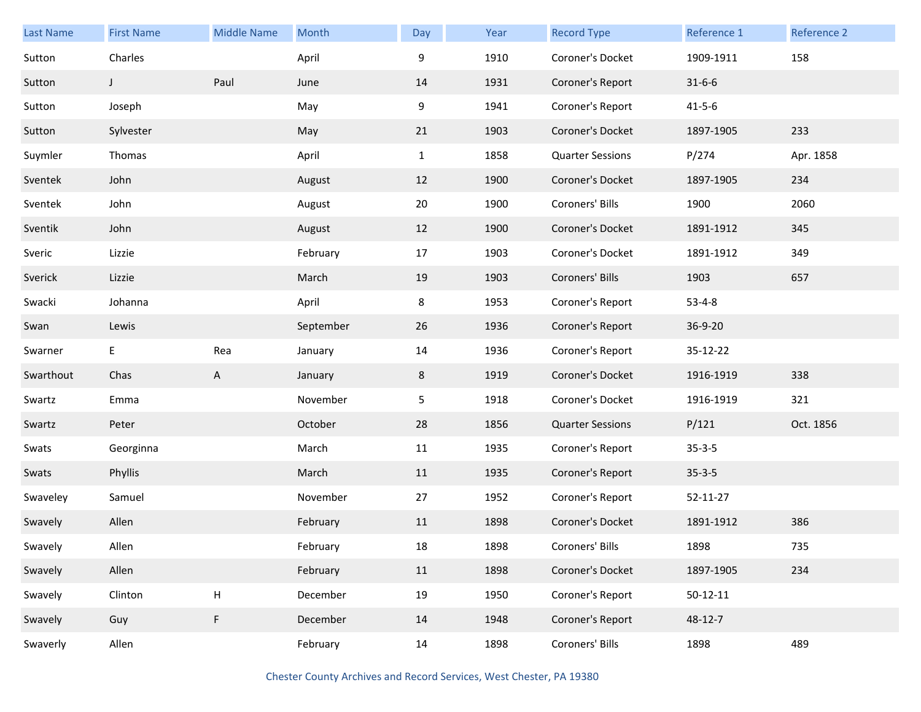| <b>Last Name</b> | <b>First Name</b> | <b>Middle Name</b> | Month     | Day          | Year | <b>Record Type</b>      | Reference 1    | Reference 2 |
|------------------|-------------------|--------------------|-----------|--------------|------|-------------------------|----------------|-------------|
| Sutton           | Charles           |                    | April     | 9            | 1910 | Coroner's Docket        | 1909-1911      | 158         |
| Sutton           | J                 | Paul               | June      | 14           | 1931 | Coroner's Report        | $31 - 6 - 6$   |             |
| Sutton           | Joseph            |                    | May       | 9            | 1941 | Coroner's Report        | $41 - 5 - 6$   |             |
| Sutton           | Sylvester         |                    | May       | 21           | 1903 | Coroner's Docket        | 1897-1905      | 233         |
| Suymler          | Thomas            |                    | April     | $\mathbf{1}$ | 1858 | <b>Quarter Sessions</b> | P/274          | Apr. 1858   |
| Sventek          | John              |                    | August    | 12           | 1900 | Coroner's Docket        | 1897-1905      | 234         |
| Sventek          | John              |                    | August    | 20           | 1900 | Coroners' Bills         | 1900           | 2060        |
| Sventik          | John              |                    | August    | 12           | 1900 | Coroner's Docket        | 1891-1912      | 345         |
| Sveric           | Lizzie            |                    | February  | 17           | 1903 | Coroner's Docket        | 1891-1912      | 349         |
| Sverick          | Lizzie            |                    | March     | 19           | 1903 | Coroners' Bills         | 1903           | 657         |
| Swacki           | Johanna           |                    | April     | 8            | 1953 | Coroner's Report        | $53 - 4 - 8$   |             |
| Swan             | Lewis             |                    | September | 26           | 1936 | Coroner's Report        | 36-9-20        |             |
| Swarner          | E                 | Rea                | January   | 14           | 1936 | Coroner's Report        | 35-12-22       |             |
| Swarthout        | Chas              | A                  | January   | 8            | 1919 | Coroner's Docket        | 1916-1919      | 338         |
| Swartz           | Emma              |                    | November  | 5            | 1918 | Coroner's Docket        | 1916-1919      | 321         |
| Swartz           | Peter             |                    | October   | 28           | 1856 | <b>Quarter Sessions</b> | P/121          | Oct. 1856   |
| Swats            | Georginna         |                    | March     | 11           | 1935 | Coroner's Report        | $35 - 3 - 5$   |             |
| Swats            | Phyllis           |                    | March     | 11           | 1935 | Coroner's Report        | $35 - 3 - 5$   |             |
| Swaveley         | Samuel            |                    | November  | 27           | 1952 | Coroner's Report        | 52-11-27       |             |
| Swavely          | Allen             |                    | February  | 11           | 1898 | Coroner's Docket        | 1891-1912      | 386         |
| Swavely          | Allen             |                    | February  | 18           | 1898 | Coroners' Bills         | 1898           | 735         |
| Swavely          | Allen             |                    | February  | 11           | 1898 | Coroner's Docket        | 1897-1905      | 234         |
| Swavely          | Clinton           | $\sf H$            | December  | 19           | 1950 | Coroner's Report        | $50 - 12 - 11$ |             |
| Swavely          | Guy               | F                  | December  | 14           | 1948 | Coroner's Report        | 48-12-7        |             |
| Swaverly         | Allen             |                    | February  | 14           | 1898 | Coroners' Bills         | 1898           | 489         |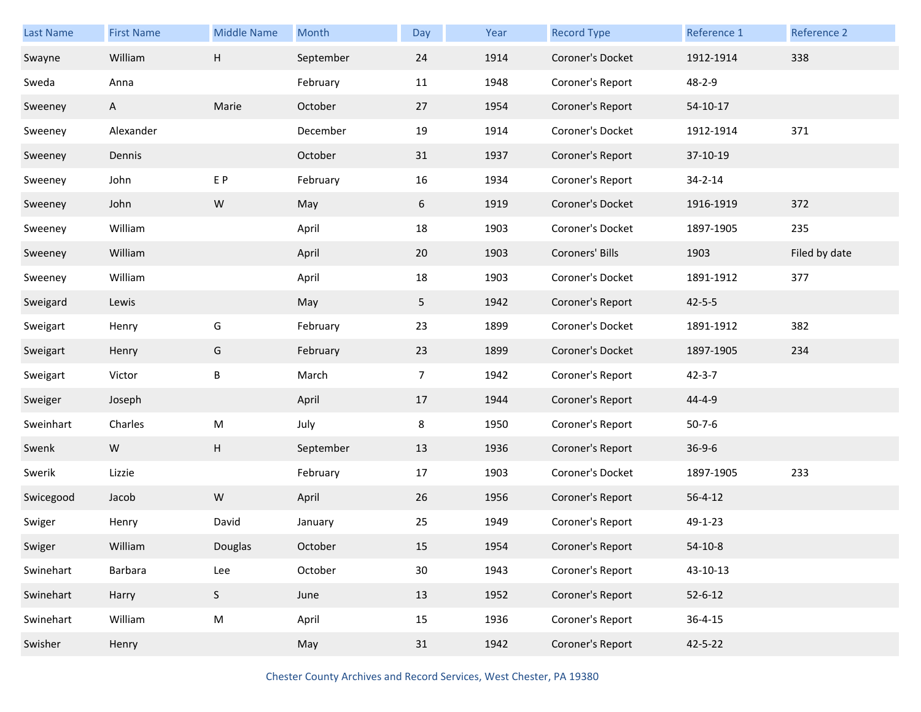| <b>Last Name</b> | <b>First Name</b> | <b>Middle Name</b> | Month     | Day             | Year | <b>Record Type</b> | Reference 1   | Reference 2   |
|------------------|-------------------|--------------------|-----------|-----------------|------|--------------------|---------------|---------------|
| Swayne           | William           | Н                  | September | 24              | 1914 | Coroner's Docket   | 1912-1914     | 338           |
| Sweda            | Anna              |                    | February  | 11              | 1948 | Coroner's Report   | 48-2-9        |               |
| Sweeney          | A                 | Marie              | October   | 27              | 1954 | Coroner's Report   | $54-10-17$    |               |
| Sweeney          | Alexander         |                    | December  | 19              | 1914 | Coroner's Docket   | 1912-1914     | 371           |
| Sweeney          | Dennis            |                    | October   | 31              | 1937 | Coroner's Report   | 37-10-19      |               |
| Sweeney          | John              | E P                | February  | 16              | 1934 | Coroner's Report   | 34-2-14       |               |
| Sweeney          | John              | ${\sf W}$          | May       | 6               | 1919 | Coroner's Docket   | 1916-1919     | 372           |
| Sweeney          | William           |                    | April     | 18              | 1903 | Coroner's Docket   | 1897-1905     | 235           |
| Sweeney          | William           |                    | April     | 20              | 1903 | Coroners' Bills    | 1903          | Filed by date |
| Sweeney          | William           |                    | April     | 18              | 1903 | Coroner's Docket   | 1891-1912     | 377           |
| Sweigard         | Lewis             |                    | May       | 5               | 1942 | Coroner's Report   | $42 - 5 - 5$  |               |
| Sweigart         | Henry             | G                  | February  | 23              | 1899 | Coroner's Docket   | 1891-1912     | 382           |
| Sweigart         | Henry             | G                  | February  | 23              | 1899 | Coroner's Docket   | 1897-1905     | 234           |
| Sweigart         | Victor            | B                  | March     | $\overline{7}$  | 1942 | Coroner's Report   | $42 - 3 - 7$  |               |
| Sweiger          | Joseph            |                    | April     | 17              | 1944 | Coroner's Report   | 44-4-9        |               |
| Sweinhart        | Charles           | M                  | July      | 8               | 1950 | Coroner's Report   | $50 - 7 - 6$  |               |
| Swenk            | W                 | H                  | September | 13              | 1936 | Coroner's Report   | $36 - 9 - 6$  |               |
| Swerik           | Lizzie            |                    | February  | 17              | 1903 | Coroner's Docket   | 1897-1905     | 233           |
| Swicegood        | Jacob             | ${\sf W}$          | April     | 26              | 1956 | Coroner's Report   | $56 - 4 - 12$ |               |
| Swiger           | Henry             | David              | January   | 25              | 1949 | Coroner's Report   | 49-1-23       |               |
| Swiger           | William           | Douglas            | October   | 15              | 1954 | Coroner's Report   | $54-10-8$     |               |
| Swinehart        | Barbara           | Lee                | October   | 30 <sub>o</sub> | 1943 | Coroner's Report   | 43-10-13      |               |
| Swinehart        | Harry             | S                  | June      | 13              | 1952 | Coroner's Report   | $52 - 6 - 12$ |               |
| Swinehart        | William           | ${\sf M}$          | April     | 15              | 1936 | Coroner's Report   | $36 - 4 - 15$ |               |
| Swisher          | Henry             |                    | May       | 31              | 1942 | Coroner's Report   | 42-5-22       |               |